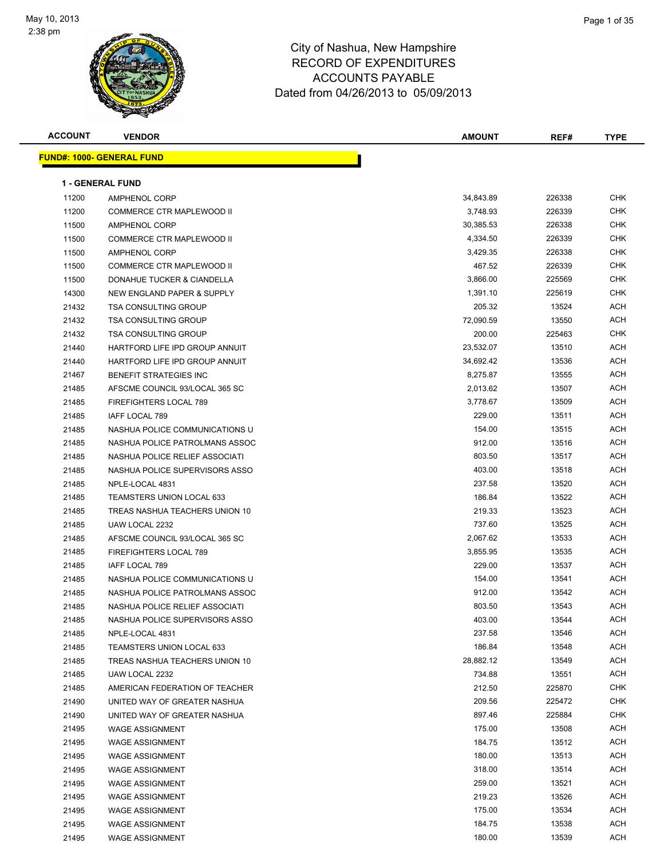

| <b>ACCOUNT</b> | <b>VENDOR</b>                     | <b>AMOUNT</b> | REF#   | <b>TYPE</b> |
|----------------|-----------------------------------|---------------|--------|-------------|
|                | <u> FUND#: 1000- GENERAL FUND</u> |               |        |             |
|                |                                   |               |        |             |
|                | <b>1 - GENERAL FUND</b>           |               |        |             |
| 11200          | <b>AMPHENOL CORP</b>              | 34,843.89     | 226338 | <b>CHK</b>  |
| 11200          | COMMERCE CTR MAPLEWOOD II         | 3,748.93      | 226339 | <b>CHK</b>  |
| 11500          | <b>AMPHENOL CORP</b>              | 30,385.53     | 226338 | CHK         |
| 11500          | COMMERCE CTR MAPLEWOOD II         | 4,334.50      | 226339 | CHK         |
| 11500          | <b>AMPHENOL CORP</b>              | 3,429.35      | 226338 | CHK         |
| 11500          | COMMERCE CTR MAPLEWOOD II         | 467.52        | 226339 | CHK         |
| 11500          | DONAHUE TUCKER & CIANDELLA        | 3,866.00      | 225569 | CHK         |
| 14300          | NEW ENGLAND PAPER & SUPPLY        | 1,391.10      | 225619 | CHK         |
| 21432          | <b>TSA CONSULTING GROUP</b>       | 205.32        | 13524  | ACH         |
| 21432          | <b>TSA CONSULTING GROUP</b>       | 72,090.59     | 13550  | ACH         |
| 21432          | <b>TSA CONSULTING GROUP</b>       | 200.00        | 225463 | CHK         |
| 21440          | HARTFORD LIFE IPD GROUP ANNUIT    | 23,532.07     | 13510  | ACH         |
| 21440          | HARTFORD LIFE IPD GROUP ANNUIT    | 34,692.42     | 13536  | ACH         |
| 21467          | <b>BENEFIT STRATEGIES INC</b>     | 8,275.87      | 13555  | ACH         |
| 21485          | AFSCME COUNCIL 93/LOCAL 365 SC    | 2,013.62      | 13507  | ACH         |
| 21485          | <b>FIREFIGHTERS LOCAL 789</b>     | 3,778.67      | 13509  | ACH         |
| 21485          | IAFF LOCAL 789                    | 229.00        | 13511  | ACH         |
| 21485          | NASHUA POLICE COMMUNICATIONS U    | 154.00        | 13515  | ACH         |
| 21485          | NASHUA POLICE PATROLMANS ASSOC    | 912.00        | 13516  | ACH         |
| 21485          | NASHUA POLICE RELIEF ASSOCIATI    | 803.50        | 13517  | ACH         |
| 21485          | NASHUA POLICE SUPERVISORS ASSO    | 403.00        | 13518  | ACH         |
| 21485          | NPLE-LOCAL 4831                   | 237.58        | 13520  | ACH         |
| 21485          | <b>TEAMSTERS UNION LOCAL 633</b>  | 186.84        | 13522  | ACH         |
| 21485          | TREAS NASHUA TEACHERS UNION 10    | 219.33        | 13523  | ACH         |
| 21485          | UAW LOCAL 2232                    | 737.60        | 13525  | ACH         |
| 21485          | AFSCME COUNCIL 93/LOCAL 365 SC    | 2,067.62      | 13533  | ACH         |
| 21485          | <b>FIREFIGHTERS LOCAL 789</b>     | 3,855.95      | 13535  | ACH         |
| 21485          | <b>IAFF LOCAL 789</b>             | 229.00        | 13537  | ACH         |
| 21485          | NASHUA POLICE COMMUNICATIONS U    | 154.00        | 13541  | ACH         |
| 21485          | NASHUA POLICE PATROLMANS ASSOC    | 912.00        | 13542  | ACH         |
| 21485          | NASHUA POLICE RELIEF ASSOCIATI    | 803.50        | 13543  | ACH         |
| 21485          | NASHUA POLICE SUPERVISORS ASSO    | 403.00        | 13544  | ACH         |
| 21485          | NPLE-LOCAL 4831                   | 237.58        | 13546  | ACH         |
| 21485          | TEAMSTERS UNION LOCAL 633         | 186.84        | 13548  | ACH         |
| 21485          | TREAS NASHUA TEACHERS UNION 10    | 28,882.12     | 13549  | ACH         |
| 21485          | UAW LOCAL 2232                    | 734.88        | 13551  | ACH         |
| 21485          | AMERICAN FEDERATION OF TEACHER    | 212.50        | 225870 | <b>CHK</b>  |
| 21490          | UNITED WAY OF GREATER NASHUA      | 209.56        | 225472 | <b>CHK</b>  |
| 21490          | UNITED WAY OF GREATER NASHUA      | 897.46        | 225884 | <b>CHK</b>  |
| 21495          | <b>WAGE ASSIGNMENT</b>            | 175.00        | 13508  | ACH         |
| 21495          | <b>WAGE ASSIGNMENT</b>            | 184.75        | 13512  | ACH         |
| 21495          | <b>WAGE ASSIGNMENT</b>            | 180.00        | 13513  | ACH         |
| 21495          | <b>WAGE ASSIGNMENT</b>            | 318.00        | 13514  | ACH         |
| 21495          | <b>WAGE ASSIGNMENT</b>            | 259.00        | 13521  | ACH         |
| 21495          | <b>WAGE ASSIGNMENT</b>            | 219.23        | 13526  | ACH         |
| 21495          | <b>WAGE ASSIGNMENT</b>            | 175.00        | 13534  | ACH         |
| 21495          | <b>WAGE ASSIGNMENT</b>            | 184.75        | 13538  | ACH         |
| 21495          | <b>WAGE ASSIGNMENT</b>            | 180.00        | 13539  | ACH         |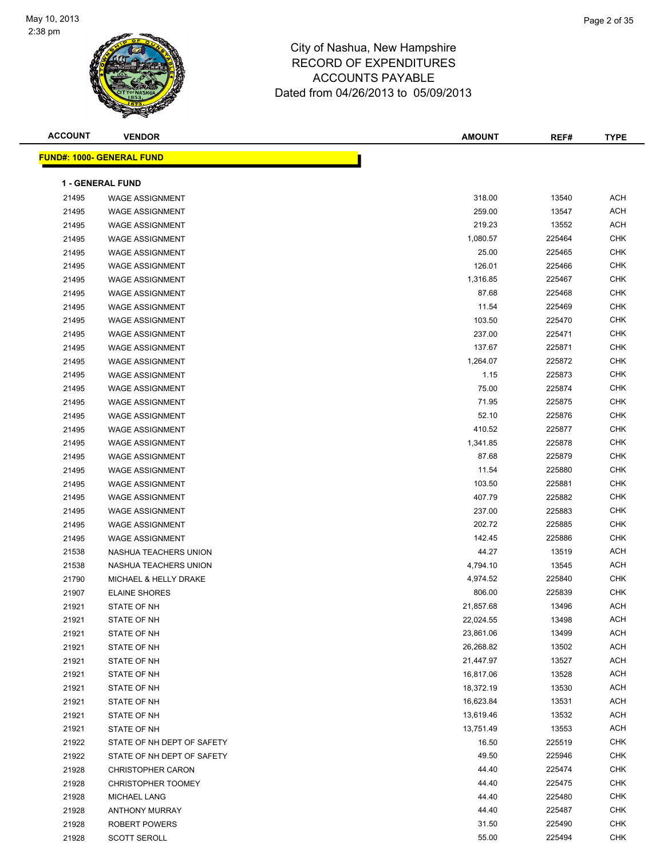

| <b>ACCOUNT</b> | <b>VENDOR</b>                    | <b>AMOUNT</b> | REF#   | <b>TYPE</b> |
|----------------|----------------------------------|---------------|--------|-------------|
|                | <b>FUND#: 1000- GENERAL FUND</b> |               |        |             |
|                |                                  |               |        |             |
|                | <b>1 - GENERAL FUND</b>          |               |        |             |
| 21495          | <b>WAGE ASSIGNMENT</b>           | 318.00        | 13540  | <b>ACH</b>  |
| 21495          | <b>WAGE ASSIGNMENT</b>           | 259.00        | 13547  | <b>ACH</b>  |
| 21495          | <b>WAGE ASSIGNMENT</b>           | 219.23        | 13552  | <b>ACH</b>  |
| 21495          | <b>WAGE ASSIGNMENT</b>           | 1,080.57      | 225464 | <b>CHK</b>  |
| 21495          | <b>WAGE ASSIGNMENT</b>           | 25.00         | 225465 | <b>CHK</b>  |
| 21495          | <b>WAGE ASSIGNMENT</b>           | 126.01        | 225466 | <b>CHK</b>  |
| 21495          | <b>WAGE ASSIGNMENT</b>           | 1,316.85      | 225467 | <b>CHK</b>  |
| 21495          | <b>WAGE ASSIGNMENT</b>           | 87.68         | 225468 | <b>CHK</b>  |
| 21495          | <b>WAGE ASSIGNMENT</b>           | 11.54         | 225469 | <b>CHK</b>  |
| 21495          | <b>WAGE ASSIGNMENT</b>           | 103.50        | 225470 | <b>CHK</b>  |
| 21495          | <b>WAGE ASSIGNMENT</b>           | 237.00        | 225471 | <b>CHK</b>  |
| 21495          | <b>WAGE ASSIGNMENT</b>           | 137.67        | 225871 | CHK         |
| 21495          | <b>WAGE ASSIGNMENT</b>           | 1,264.07      | 225872 | CHK         |
| 21495          | <b>WAGE ASSIGNMENT</b>           | 1.15          | 225873 | CHK         |
| 21495          | <b>WAGE ASSIGNMENT</b>           | 75.00         | 225874 | <b>CHK</b>  |
| 21495          | <b>WAGE ASSIGNMENT</b>           | 71.95         | 225875 | <b>CHK</b>  |
| 21495          | <b>WAGE ASSIGNMENT</b>           | 52.10         | 225876 | CHK         |
| 21495          | <b>WAGE ASSIGNMENT</b>           | 410.52        | 225877 | <b>CHK</b>  |
| 21495          | <b>WAGE ASSIGNMENT</b>           | 1,341.85      | 225878 | CHK         |
| 21495          | <b>WAGE ASSIGNMENT</b>           | 87.68         | 225879 | CHK         |
| 21495          | <b>WAGE ASSIGNMENT</b>           | 11.54         | 225880 | <b>CHK</b>  |
| 21495          | <b>WAGE ASSIGNMENT</b>           | 103.50        | 225881 | <b>CHK</b>  |
| 21495          | <b>WAGE ASSIGNMENT</b>           | 407.79        | 225882 | <b>CHK</b>  |
| 21495          | <b>WAGE ASSIGNMENT</b>           | 237.00        | 225883 | <b>CHK</b>  |
| 21495          | <b>WAGE ASSIGNMENT</b>           | 202.72        | 225885 | CHK         |
| 21495          | <b>WAGE ASSIGNMENT</b>           | 142.45        | 225886 | <b>CHK</b>  |
| 21538          | NASHUA TEACHERS UNION            | 44.27         | 13519  | <b>ACH</b>  |
| 21538          | NASHUA TEACHERS UNION            | 4,794.10      | 13545  | <b>ACH</b>  |
| 21790          | MICHAEL & HELLY DRAKE            | 4,974.52      | 225840 | <b>CHK</b>  |
| 21907          | <b>ELAINE SHORES</b>             | 806.00        | 225839 | CHK         |
| 21921          | STATE OF NH                      | 21,857.68     | 13496  | <b>ACH</b>  |
| 21921          | STATE OF NH                      | 22,024.55     | 13498  | ACH         |
| 21921          | STATE OF NH                      | 23,861.06     | 13499  | ACH         |
| 21921          | STATE OF NH                      | 26,268.82     | 13502  | <b>ACH</b>  |
| 21921          | STATE OF NH                      | 21,447.97     | 13527  | <b>ACH</b>  |
| 21921          | STATE OF NH                      | 16,817.06     | 13528  | ACH         |
| 21921          | STATE OF NH                      | 18,372.19     | 13530  | ACH         |
| 21921          | STATE OF NH                      | 16,623.84     | 13531  | ACH         |
| 21921          | STATE OF NH                      | 13,619.46     | 13532  | ACH         |
| 21921          | STATE OF NH                      | 13,751.49     | 13553  | ACH         |
| 21922          | STATE OF NH DEPT OF SAFETY       | 16.50         | 225519 | CHK         |
| 21922          | STATE OF NH DEPT OF SAFETY       | 49.50         | 225946 | <b>CHK</b>  |
| 21928          | <b>CHRISTOPHER CARON</b>         | 44.40         | 225474 | <b>CHK</b>  |
| 21928          | CHRISTOPHER TOOMEY               | 44.40         | 225475 | CHK         |
| 21928          | <b>MICHAEL LANG</b>              | 44.40         | 225480 | <b>CHK</b>  |
| 21928          | <b>ANTHONY MURRAY</b>            | 44.40         | 225487 | <b>CHK</b>  |
| 21928          | ROBERT POWERS                    | 31.50         | 225490 | CHK         |
| 21928          | <b>SCOTT SEROLL</b>              | 55.00         | 225494 | <b>CHK</b>  |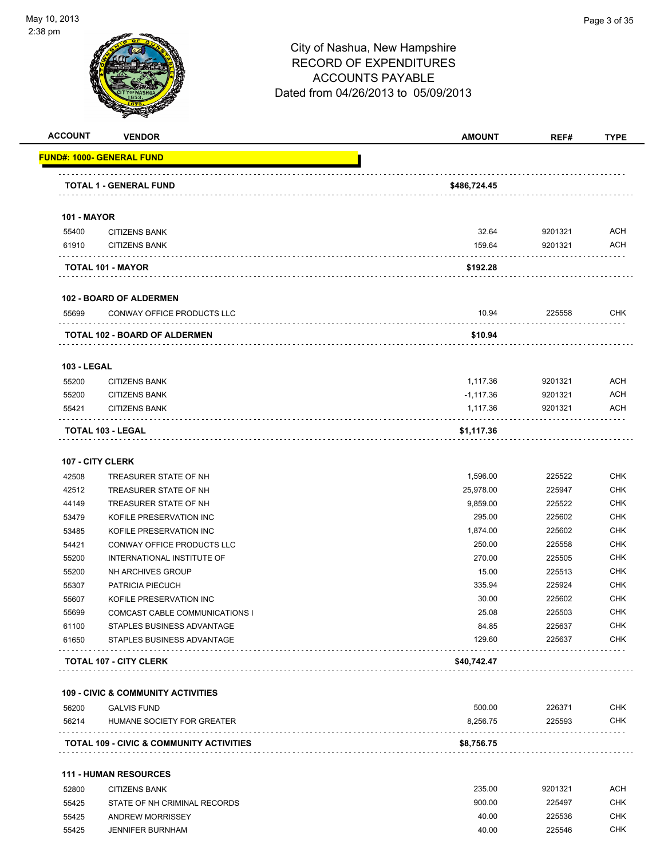

| <b>ACCOUNT</b>     | <b>VENDOR</b>                                 | <b>AMOUNT</b> | REF#    | <b>TYPE</b> |
|--------------------|-----------------------------------------------|---------------|---------|-------------|
|                    | <u> FUND#: 1000- GENERAL FUND</u>             |               |         |             |
|                    | <b>TOTAL 1 - GENERAL FUND</b>                 | \$486,724.45  |         |             |
| <b>101 - MAYOR</b> |                                               |               |         |             |
| 55400              | <b>CITIZENS BANK</b>                          | 32.64         | 9201321 | ACH         |
| 61910              | <b>CITIZENS BANK</b>                          | 159.64        | 9201321 | ACH         |
|                    | TOTAL 101 - MAYOR                             | \$192.28      |         |             |
|                    | <b>102 - BOARD OF ALDERMEN</b>                |               |         |             |
| 55699              | CONWAY OFFICE PRODUCTS LLC                    | 10.94         | 225558  | CHK         |
|                    | TOTAL 102 - BOARD OF ALDERMEN                 | \$10.94       |         |             |
| <b>103 - LEGAL</b> |                                               |               |         |             |
| 55200              | <b>CITIZENS BANK</b>                          | 1,117.36      | 9201321 | <b>ACH</b>  |
| 55200              | <b>CITIZENS BANK</b>                          | $-1,117.36$   | 9201321 | ACH         |
| 55421              | <b>CITIZENS BANK</b>                          | 1,117.36      | 9201321 | ACH         |
|                    | <b>TOTAL 103 - LEGAL</b>                      | \$1,117.36    |         |             |
| 107 - CITY CLERK   |                                               |               |         |             |
| 42508              | TREASURER STATE OF NH                         | 1,596.00      | 225522  | <b>CHK</b>  |
| 42512              | TREASURER STATE OF NH                         | 25,978.00     | 225947  | CHK         |
| 44149              | TREASURER STATE OF NH                         | 9,859.00      | 225522  | CHK         |
| 53479              | KOFILE PRESERVATION INC                       | 295.00        | 225602  | <b>CHK</b>  |
| 53485              | KOFILE PRESERVATION INC                       | 1,874.00      | 225602  | <b>CHK</b>  |
| 54421              | CONWAY OFFICE PRODUCTS LLC                    | 250.00        | 225558  | <b>CHK</b>  |
| 55200              | INTERNATIONAL INSTITUTE OF                    | 270.00        | 225505  | <b>CHK</b>  |
| 55200              | NH ARCHIVES GROUP                             | 15.00         | 225513  | <b>CHK</b>  |
| 55307              | PATRICIA PIECUCH                              | 335.94        | 225924  | <b>CHK</b>  |
| 55607              | KOFILE PRESERVATION INC                       | 30.00         | 225602  | CHK         |
| 55699              | COMCAST CABLE COMMUNICATIONS I                | 25.08         | 225503  | <b>CHK</b>  |
| 61100              | STAPLES BUSINESS ADVANTAGE                    | 84.85         | 225637  | CHK.        |
| 61650              | STAPLES BUSINESS ADVANTAGE                    | 129.60        | 225637  | CHK         |
|                    | <b>TOTAL 107 - CITY CLERK</b>                 | \$40,742.47   |         |             |
|                    | <b>109 - CIVIC &amp; COMMUNITY ACTIVITIES</b> |               |         |             |
| 56200              | <b>GALVIS FUND</b>                            | 500.00        | 226371  | CHK         |
| 56214              | HUMANE SOCIETY FOR GREATER                    | 8,256.75      | 225593  | CHK         |
|                    |                                               |               |         |             |

| 52800 | <b>CITIZENS BANK</b>         | 235.00 | 9201321 | ACH        |
|-------|------------------------------|--------|---------|------------|
| 55425 | STATE OF NH CRIMINAL RECORDS | 900.00 | 225497  | CHK        |
| 55425 | ANDREW MORRISSEY             | 40.00  | 225536  | CHK        |
| 55425 | JENNIFER BURNHAM             | 40.00  | 225546  | <b>CHK</b> |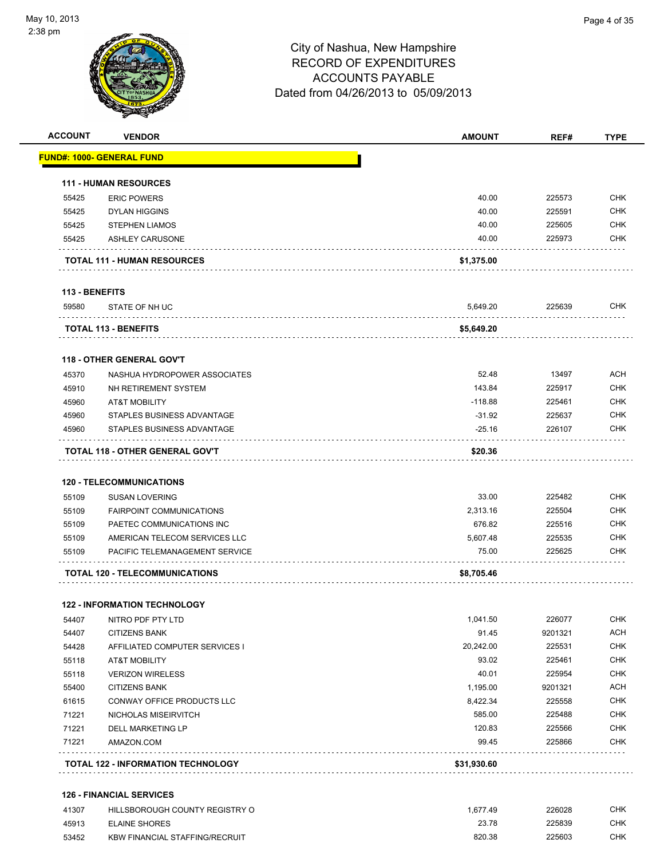

| <b>ACCOUNT</b> | <b>VENDOR</b>                         | <b>AMOUNT</b> | REF#    | <b>TYPE</b> |
|----------------|---------------------------------------|---------------|---------|-------------|
|                | <u> FUND#: 1000- GENERAL FUND</u>     |               |         |             |
|                | <b>111 - HUMAN RESOURCES</b>          |               |         |             |
| 55425          | <b>ERIC POWERS</b>                    | 40.00         | 225573  | <b>CHK</b>  |
| 55425          | <b>DYLAN HIGGINS</b>                  | 40.00         | 225591  | <b>CHK</b>  |
| 55425          | <b>STEPHEN LIAMOS</b>                 | 40.00         | 225605  | <b>CHK</b>  |
| 55425          | <b>ASHLEY CARUSONE</b>                | 40.00         | 225973  | <b>CHK</b>  |
|                | <b>TOTAL 111 - HUMAN RESOURCES</b>    | \$1,375.00    |         |             |
| 113 - BENEFITS |                                       |               |         |             |
| 59580          | STATE OF NH UC                        | 5,649.20      | 225639  | CHK         |
|                | <b>TOTAL 113 - BENEFITS</b>           | \$5,649.20    |         |             |
|                | <b>118 - OTHER GENERAL GOV'T</b>      |               |         |             |
| 45370          | NASHUA HYDROPOWER ASSOCIATES          | 52.48         | 13497   | <b>ACH</b>  |
| 45910          | NH RETIREMENT SYSTEM                  | 143.84        | 225917  | <b>CHK</b>  |
| 45960          | <b>AT&amp;T MOBILITY</b>              | $-118.88$     | 225461  | <b>CHK</b>  |
| 45960          | STAPLES BUSINESS ADVANTAGE            | $-31.92$      | 225637  | <b>CHK</b>  |
| 45960          | STAPLES BUSINESS ADVANTAGE            | $-25.16$      | 226107  | <b>CHK</b>  |
|                | TOTAL 118 - OTHER GENERAL GOV'T       | \$20.36       |         |             |
|                | <b>120 - TELECOMMUNICATIONS</b>       |               |         |             |
| 55109          | <b>SUSAN LOVERING</b>                 | 33.00         | 225482  | CHK         |
| 55109          | <b>FAIRPOINT COMMUNICATIONS</b>       | 2,313.16      | 225504  | <b>CHK</b>  |
| 55109          | PAETEC COMMUNICATIONS INC             | 676.82        | 225516  | <b>CHK</b>  |
| 55109          | AMERICAN TELECOM SERVICES LLC         | 5,607.48      | 225535  | <b>CHK</b>  |
| 55109          | <b>PACIFIC TELEMANAGEMENT SERVICE</b> | 75.00         | 225625  | <b>CHK</b>  |
|                | <b>TOTAL 120 - TELECOMMUNICATIONS</b> | \$8,705.46    |         |             |
|                | <b>122 - INFORMATION TECHNOLOGY</b>   |               |         |             |
| 54407          | NITRO PDF PTY LTD                     | 1,041.50      | 226077  | <b>CHK</b>  |
| 54407          | <b>CITIZENS BANK</b>                  | 91.45         | 9201321 | ACH         |
| 54428          | AFFILIATED COMPUTER SERVICES I        | 20,242.00     | 225531  | <b>CHK</b>  |
| 55118          | <b>AT&amp;T MOBILITY</b>              | 93.02         | 225461  | <b>CHK</b>  |
| 55118          | <b>VERIZON WIRELESS</b>               | 40.01         | 225954  | <b>CHK</b>  |
| 55400          | <b>CITIZENS BANK</b>                  | 1,195.00      | 9201321 | ACH         |
| 61615          | CONWAY OFFICE PRODUCTS LLC            | 8,422.34      | 225558  | <b>CHK</b>  |
| 71221          | NICHOLAS MISEIRVITCH                  | 585.00        | 225488  | <b>CHK</b>  |
| 71221          | DELL MARKETING LP                     | 120.83        | 225566  | <b>CHK</b>  |
| 71221          | AMAZON.COM                            | 99.45         | 225866  | <b>CHK</b>  |
|                |                                       |               |         |             |

### **126 - FINANCIAL SERVICES**

| 41307 | HILLSBOROUGH COUNTY REGISTRY O        | .677.49 | 226028 | СНК |
|-------|---------------------------------------|---------|--------|-----|
| 45913 | ELAINE SHORES                         | 23.78   | 225839 | СНК |
| 53452 | <b>KBW FINANCIAL STAFFING/RECRUIT</b> | 820.38  | 225603 | СНК |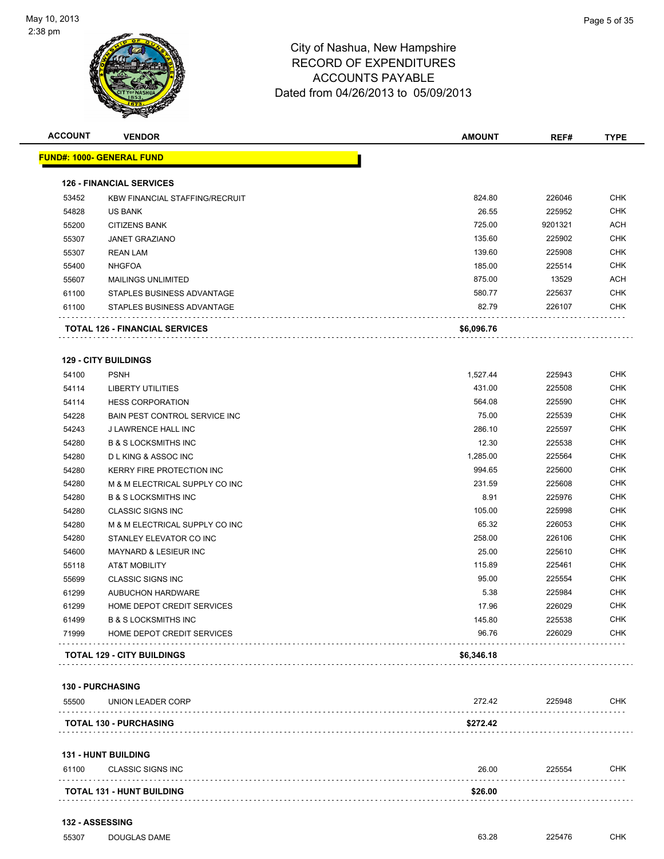

| <b>ACCOUNT</b> | <b>VENDOR</b>                         | <b>AMOUNT</b> | REF#    | <b>TYPE</b>      |
|----------------|---------------------------------------|---------------|---------|------------------|
|                | <u> FUND#: 1000- GENERAL FUND</u>     |               |         |                  |
|                | <b>126 - FINANCIAL SERVICES</b>       |               |         |                  |
| 53452          | <b>KBW FINANCIAL STAFFING/RECRUIT</b> | 824.80        | 226046  | CHK              |
| 54828          | US BANK                               | 26.55         | 225952  | <b>CHK</b>       |
| 55200          | <b>CITIZENS BANK</b>                  | 725.00        | 9201321 | ACH              |
| 55307          | <b>JANET GRAZIANO</b>                 | 135.60        | 225902  | <b>CHK</b>       |
| 55307          | <b>REAN LAM</b>                       | 139.60        | 225908  | CHK              |
| 55400          | <b>NHGFOA</b>                         | 185.00        | 225514  | CHK              |
| 55607          | <b>MAILINGS UNLIMITED</b>             | 875.00        | 13529   | ACH              |
| 61100          | STAPLES BUSINESS ADVANTAGE            | 580.77        | 225637  | <b>CHK</b>       |
| 61100          | STAPLES BUSINESS ADVANTAGE            | 82.79         | 226107  | CHK              |
|                | <b>TOTAL 126 - FINANCIAL SERVICES</b> | \$6,096.76    |         |                  |
|                | <b>129 - CITY BUILDINGS</b>           |               |         |                  |
| 54100          | <b>PSNH</b>                           | 1,527.44      | 225943  | CHK              |
| 54114          | <b>LIBERTY UTILITIES</b>              | 431.00        | 225508  | <b>CHK</b>       |
| 54114          | <b>HESS CORPORATION</b>               | 564.08        | 225590  | CHK              |
| 54228          | BAIN PEST CONTROL SERVICE INC         | 75.00         | 225539  | CHK              |
| 54243          | J LAWRENCE HALL INC                   | 286.10        | 225597  | CHK              |
| 54280          | <b>B &amp; S LOCKSMITHS INC</b>       | 12.30         | 225538  | CHK              |
| 54280          | <b>DLKING &amp; ASSOC INC</b>         | 1,285.00      | 225564  | CHK              |
| 54280          | <b>KERRY FIRE PROTECTION INC</b>      | 994.65        | 225600  | CHK              |
| 54280          | M & M ELECTRICAL SUPPLY CO INC        | 231.59        | 225608  | CHK              |
| 54280          | <b>B &amp; S LOCKSMITHS INC</b>       | 8.91          | 225976  | CHK              |
| 54280          | <b>CLASSIC SIGNS INC</b>              | 105.00        | 225998  | CHK              |
| 54280          | M & M ELECTRICAL SUPPLY CO INC        | 65.32         | 226053  | CHK              |
| 54280          | STANLEY ELEVATOR CO INC               | 258.00        | 226106  | <b>CHK</b>       |
| 54600          | <b>MAYNARD &amp; LESIEUR INC</b>      | 25.00         | 225610  | <b>CHK</b>       |
| 55118          | <b>AT&amp;T MOBILITY</b>              | 115.89        | 225461  | CHK              |
| 55699          | <b>CLASSIC SIGNS INC</b>              | 95.00         | 225554  | <b>CHK</b>       |
| 61299          | <b>AUBUCHON HARDWARE</b>              | 5.38          | 225984  | CHK              |
| 61299          | HOME DEPOT CREDIT SERVICES            | 17.96         | 226029  | CHK              |
| 61499          | <b>B &amp; S LOCKSMITHS INC</b>       | 145.80        | 225538  | $\textsf{CHK}{}$ |
| 71999          | HOME DEPOT CREDIT SERVICES            | 96.76         | 226029  | CHK              |
|                | <b>TOTAL 129 - CITY BUILDINGS</b>     | \$6,346.18    |         |                  |
|                | <b>130 - PURCHASING</b>               |               |         |                  |
| 55500          | UNION LEADER CORP                     | 272.42        | 225948  | <b>CHK</b>       |
|                | <b>TOTAL 130 - PURCHASING</b>         | \$272.42      |         |                  |
|                | 131 - HUNT BUILDING                   |               |         |                  |
| 61100          | <b>CLASSIC SIGNS INC</b>              | 26.00         | 225554  | <b>CHK</b>       |
|                |                                       |               |         |                  |

| <b>TOTAL 131 - HUNT BUILDING</b> |  |
|----------------------------------|--|
|                                  |  |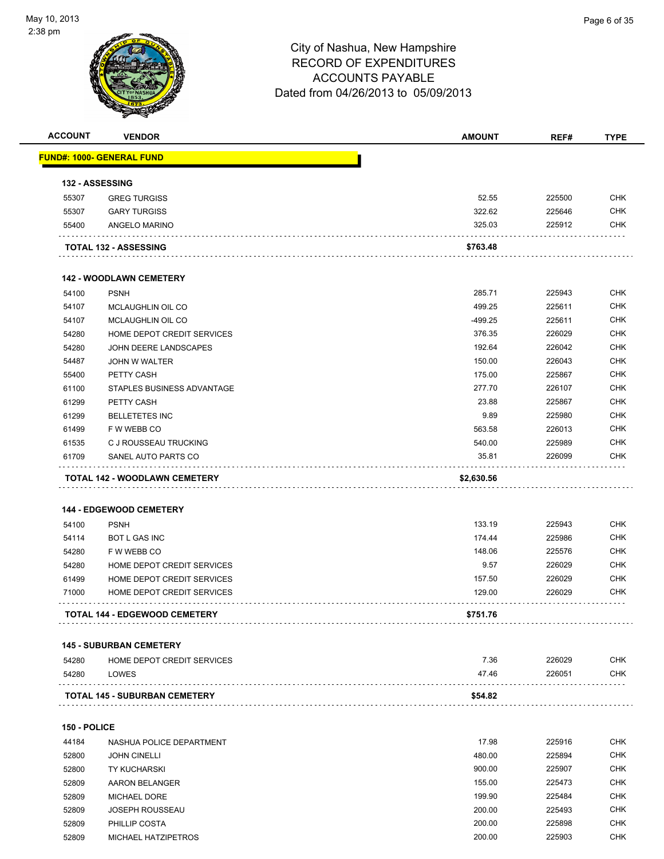

| <b>ACCOUNT</b> | <b>VENDOR</b>                                 | <b>AMOUNT</b> | REF#   | <b>TYPE</b> |
|----------------|-----------------------------------------------|---------------|--------|-------------|
|                | <u> FUND#: 1000- GENERAL FUND</u>             |               |        |             |
|                | 132 - ASSESSING                               |               |        |             |
| 55307          | <b>GREG TURGISS</b>                           | 52.55         | 225500 | <b>CHK</b>  |
| 55307          | <b>GARY TURGISS</b>                           | 322.62        | 225646 | <b>CHK</b>  |
| 55400          | ANGELO MARINO                                 | 325.03        | 225912 | CHK         |
|                |                                               |               |        |             |
|                | <b>TOTAL 132 - ASSESSING</b>                  | \$763.48      |        |             |
|                | <b>142 - WOODLAWN CEMETERY</b>                |               |        |             |
| 54100          | <b>PSNH</b>                                   | 285.71        | 225943 | <b>CHK</b>  |
| 54107          | MCLAUGHLIN OIL CO                             | 499.25        | 225611 | <b>CHK</b>  |
| 54107          | MCLAUGHLIN OIL CO                             | $-499.25$     | 225611 | <b>CHK</b>  |
| 54280          | HOME DEPOT CREDIT SERVICES                    | 376.35        | 226029 | <b>CHK</b>  |
| 54280          | JOHN DEERE LANDSCAPES                         | 192.64        | 226042 | <b>CHK</b>  |
| 54487          | JOHN W WALTER                                 | 150.00        | 226043 | <b>CHK</b>  |
| 55400          | PETTY CASH                                    | 175.00        | 225867 | <b>CHK</b>  |
| 61100          | STAPLES BUSINESS ADVANTAGE                    | 277.70        | 226107 | <b>CHK</b>  |
| 61299          | PETTY CASH                                    | 23.88         | 225867 | <b>CHK</b>  |
| 61299          | <b>BELLETETES INC</b>                         | 9.89          | 225980 | <b>CHK</b>  |
| 61499          | F W WEBB CO                                   | 563.58        | 226013 | <b>CHK</b>  |
| 61535          | C J ROUSSEAU TRUCKING                         | 540.00        | 225989 | <b>CHK</b>  |
| 61709          | SANEL AUTO PARTS CO                           | 35.81         | 226099 | CHK         |
|                | TOTAL 142 - WOODLAWN CEMETERY                 | \$2,630.56    |        |             |
| 54100          | <b>144 - EDGEWOOD CEMETERY</b><br><b>PSNH</b> | 133.19        | 225943 | <b>CHK</b>  |
| 54114          | <b>BOT L GAS INC</b>                          | 174.44        | 225986 | <b>CHK</b>  |
| 54280          | F W WEBB CO                                   | 148.06        | 225576 | <b>CHK</b>  |
| 54280          | HOME DEPOT CREDIT SERVICES                    | 9.57          | 226029 | CHK         |
| 61499          | HOME DEPOT CREDIT SERVICES                    | 157.50        | 226029 | <b>CHK</b>  |
| 71000          | HOME DEPOT CREDIT SERVICES                    | 129.00        | 226029 | <b>CHK</b>  |
|                | <b>TOTAL 144 - EDGEWOOD CEMETERY</b>          | \$751.76      |        |             |
|                | <b>145 - SUBURBAN CEMETERY</b>                |               |        |             |
| 54280          | HOME DEPOT CREDIT SERVICES                    | 7.36          | 226029 | <b>CHK</b>  |
| 54280          | LOWES                                         | 47.46         | 226051 | <b>CHK</b>  |
|                | <b>TOTAL 145 - SUBURBAN CEMETERY</b>          | \$54.82       |        |             |
|                |                                               |               |        |             |
| 150 - POLICE   |                                               |               |        |             |
| 44184          | NASHUA POLICE DEPARTMENT                      | 17.98         | 225916 | <b>CHK</b>  |
| 52800          | <b>JOHN CINELLI</b>                           | 480.00        | 225894 | <b>CHK</b>  |
| 52800          | <b>TY KUCHARSKI</b>                           | 900.00        | 225907 | <b>CHK</b>  |
| 52809          | AARON BELANGER                                | 155.00        | 225473 | <b>CHK</b>  |
| 52809          | <b>MICHAEL DORE</b>                           | 199.90        | 225484 | CHK         |
| 52809          | <b>JOSEPH ROUSSEAU</b>                        | 200.00        | 225493 | <b>CHK</b>  |
| 52809          | PHILLIP COSTA                                 | 200.00        | 225898 | CHK         |
| 52809          | MICHAEL HATZIPETROS                           | 200.00        | 225903 | <b>CHK</b>  |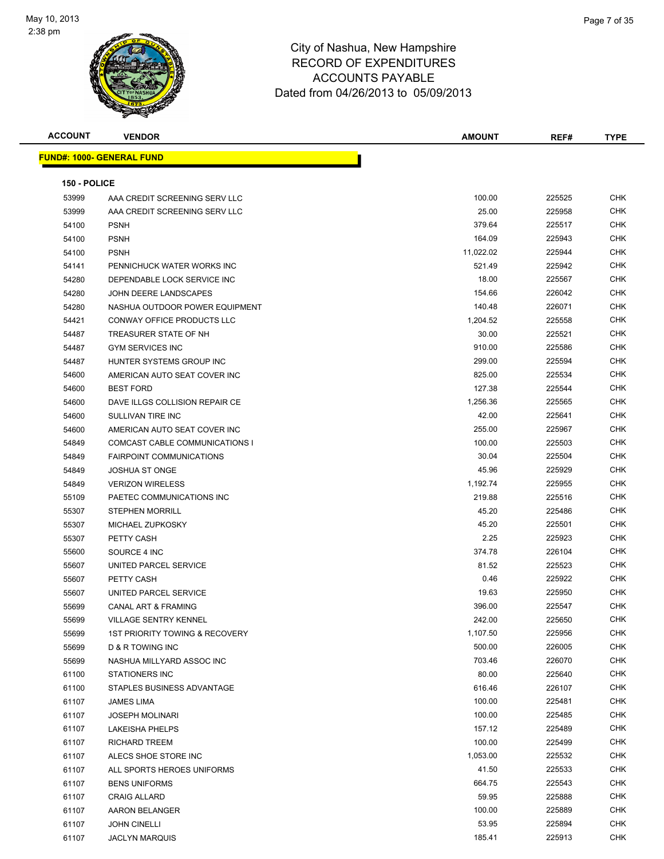

| <b>ACCOUNT</b> | <b>VENDOR</b>                    | AMOUNT    | REF#   | <b>TYPE</b> |
|----------------|----------------------------------|-----------|--------|-------------|
|                | <b>FUND#: 1000- GENERAL FUND</b> |           |        |             |
|                |                                  |           |        |             |
| 150 - POLICE   |                                  |           |        |             |
| 53999          | AAA CREDIT SCREENING SERV LLC    | 100.00    | 225525 | CHK         |
| 53999          | AAA CREDIT SCREENING SERV LLC    | 25.00     | 225958 | CHK         |
| 54100          | <b>PSNH</b>                      | 379.64    | 225517 | CHK         |
| 54100          | <b>PSNH</b>                      | 164.09    | 225943 | CHK         |
| 54100          | <b>PSNH</b>                      | 11,022.02 | 225944 | CHK         |
| 54141          | PENNICHUCK WATER WORKS INC       | 521.49    | 225942 | CHK         |
| 54280          | DEPENDABLE LOCK SERVICE INC      | 18.00     | 225567 | CHK         |
| 54280          | JOHN DEERE LANDSCAPES            | 154.66    | 226042 | <b>CHK</b>  |
| 54280          | NASHUA OUTDOOR POWER EQUIPMENT   | 140.48    | 226071 | CHK         |
| 54421          | CONWAY OFFICE PRODUCTS LLC       | 1,204.52  | 225558 | CHK         |
| 54487          | TREASURER STATE OF NH            | 30.00     | 225521 | CHK         |
| 54487          | <b>GYM SERVICES INC</b>          | 910.00    | 225586 | CHK         |
| 54487          | HUNTER SYSTEMS GROUP INC         | 299.00    | 225594 | CHK         |
| 54600          | AMERICAN AUTO SEAT COVER INC     | 825.00    | 225534 | CHK         |
| 54600          | <b>BEST FORD</b>                 | 127.38    | 225544 | CHK         |
| 54600          | DAVE ILLGS COLLISION REPAIR CE   | 1,256.36  | 225565 | CHK         |
| 54600          | SULLIVAN TIRE INC                | 42.00     | 225641 | CHK         |
| 54600          | AMERICAN AUTO SEAT COVER INC     | 255.00    | 225967 | CHK         |
| 54849          | COMCAST CABLE COMMUNICATIONS I   | 100.00    | 225503 | <b>CHK</b>  |
| 54849          | <b>FAIRPOINT COMMUNICATIONS</b>  | 30.04     | 225504 | <b>CHK</b>  |
| 54849          | <b>JOSHUA ST ONGE</b>            | 45.96     | 225929 | CHK         |
| 54849          | <b>VERIZON WIRELESS</b>          | 1,192.74  | 225955 | <b>CHK</b>  |
| 55109          | PAETEC COMMUNICATIONS INC        | 219.88    | 225516 | CHK         |
| 55307          | <b>STEPHEN MORRILL</b>           | 45.20     | 225486 | <b>CHK</b>  |
| 55307          | MICHAEL ZUPKOSKY                 | 45.20     | 225501 | <b>CHK</b>  |
| 55307          | PETTY CASH                       | 2.25      | 225923 | CHK         |
| 55600          | SOURCE 4 INC                     | 374.78    | 226104 | CHK         |
| 55607          | UNITED PARCEL SERVICE            | 81.52     | 225523 | CHK         |
| 55607          | PETTY CASH                       | 0.46      | 225922 | CHK         |
| 55607          | UNITED PARCEL SERVICE            | 19.63     | 225950 | CHK         |
| 55699          | <b>CANAL ART &amp; FRAMING</b>   | 396.00    | 225547 | CHK         |
| 55699          | <b>VILLAGE SENTRY KENNEL</b>     | 242.00    | 225650 | CHK         |
| 55699          | 1ST PRIORITY TOWING & RECOVERY   | 1,107.50  | 225956 | <b>CHK</b>  |
| 55699          | D & R TOWING INC                 | 500.00    | 226005 | <b>CHK</b>  |
| 55699          | NASHUA MILLYARD ASSOC INC        | 703.46    | 226070 | <b>CHK</b>  |
| 61100          | <b>STATIONERS INC</b>            | 80.00     | 225640 | <b>CHK</b>  |
| 61100          | STAPLES BUSINESS ADVANTAGE       | 616.46    | 226107 | <b>CHK</b>  |
| 61107          | <b>JAMES LIMA</b>                | 100.00    | 225481 | <b>CHK</b>  |
| 61107          | <b>JOSEPH MOLINARI</b>           | 100.00    | 225485 | <b>CHK</b>  |
| 61107          | LAKEISHA PHELPS                  | 157.12    | 225489 | <b>CHK</b>  |
| 61107          | <b>RICHARD TREEM</b>             | 100.00    | 225499 | <b>CHK</b>  |
| 61107          | ALECS SHOE STORE INC             | 1,053.00  | 225532 | <b>CHK</b>  |
| 61107          | ALL SPORTS HEROES UNIFORMS       | 41.50     | 225533 | <b>CHK</b>  |
| 61107          | <b>BENS UNIFORMS</b>             | 664.75    | 225543 | <b>CHK</b>  |
| 61107          | <b>CRAIG ALLARD</b>              | 59.95     | 225888 | CHK         |
| 61107          | AARON BELANGER                   | 100.00    | 225889 | <b>CHK</b>  |
| 61107          | <b>JOHN CINELLI</b>              | 53.95     | 225894 | <b>CHK</b>  |
| 61107          | <b>JACLYN MARQUIS</b>            | 185.41    | 225913 | CHK         |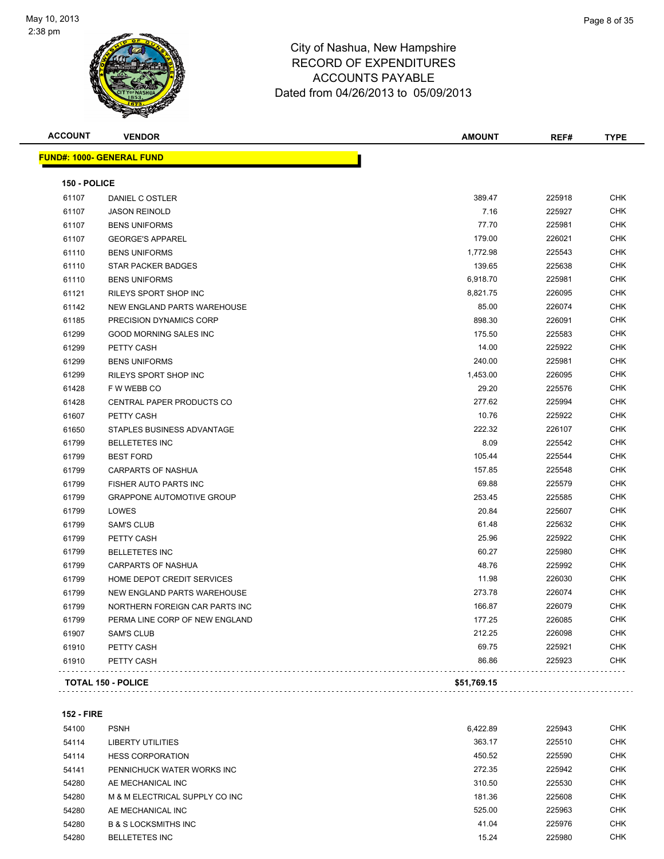

| <b>ACCOUNT</b> | <b>VENDOR</b>                      | <b>AMOUNT</b> | REF#   | <b>TYPE</b> |
|----------------|------------------------------------|---------------|--------|-------------|
|                | <b>FUND#: 1000- GENERAL FUND</b>   |               |        |             |
| 150 - POLICE   |                                    |               |        |             |
| 61107          | DANIEL C OSTLER                    | 389.47        | 225918 | <b>CHK</b>  |
| 61107          | <b>JASON REINOLD</b>               | 7.16          | 225927 | <b>CHK</b>  |
| 61107          | <b>BENS UNIFORMS</b>               | 77.70         | 225981 | <b>CHK</b>  |
| 61107          | <b>GEORGE'S APPAREL</b>            | 179.00        | 226021 | <b>CHK</b>  |
| 61110          | <b>BENS UNIFORMS</b>               | 1,772.98      | 225543 | <b>CHK</b>  |
| 61110          | <b>STAR PACKER BADGES</b>          | 139.65        | 225638 | <b>CHK</b>  |
| 61110          | <b>BENS UNIFORMS</b>               | 6,918.70      | 225981 | <b>CHK</b>  |
| 61121          | RILEYS SPORT SHOP INC              | 8,821.75      | 226095 | <b>CHK</b>  |
| 61142          | <b>NEW ENGLAND PARTS WAREHOUSE</b> | 85.00         | 226074 | <b>CHK</b>  |
| 61185          | PRECISION DYNAMICS CORP            | 898.30        | 226091 | <b>CHK</b>  |
| 61299          | <b>GOOD MORNING SALES INC</b>      | 175.50        | 225583 | <b>CHK</b>  |
| 61299          | PETTY CASH                         | 14.00         | 225922 | <b>CHK</b>  |
| 61299          | <b>BENS UNIFORMS</b>               | 240.00        | 225981 | <b>CHK</b>  |
| 61299          | RILEYS SPORT SHOP INC              | 1,453.00      | 226095 | <b>CHK</b>  |
| 61428          | F W WEBB CO                        | 29.20         | 225576 | <b>CHK</b>  |
| 61428          | CENTRAL PAPER PRODUCTS CO          | 277.62        | 225994 | <b>CHK</b>  |
| 61607          | PETTY CASH                         | 10.76         | 225922 | <b>CHK</b>  |
| 61650          | STAPLES BUSINESS ADVANTAGE         | 222.32        | 226107 | <b>CHK</b>  |
| 61799          | <b>BELLETETES INC</b>              | 8.09          | 225542 | <b>CHK</b>  |
| 61799          | <b>BEST FORD</b>                   | 105.44        | 225544 | <b>CHK</b>  |
| 61799          | <b>CARPARTS OF NASHUA</b>          | 157.85        | 225548 | <b>CHK</b>  |
| 61799          | FISHER AUTO PARTS INC              | 69.88         | 225579 | <b>CHK</b>  |
| 61799          | <b>GRAPPONE AUTOMOTIVE GROUP</b>   | 253.45        | 225585 | <b>CHK</b>  |
| 61799          | LOWES                              | 20.84         | 225607 | <b>CHK</b>  |
| 61799          | <b>SAM'S CLUB</b>                  | 61.48         | 225632 | <b>CHK</b>  |
| 61799          | PETTY CASH                         | 25.96         | 225922 | <b>CHK</b>  |
| 61799          | <b>BELLETETES INC</b>              | 60.27         | 225980 | <b>CHK</b>  |
| 61799          | <b>CARPARTS OF NASHUA</b>          | 48.76         | 225992 | <b>CHK</b>  |
| 61799          | HOME DEPOT CREDIT SERVICES         | 11.98         | 226030 | <b>CHK</b>  |
| 61799          | NEW ENGLAND PARTS WAREHOUSE        | 273.78        | 226074 | <b>CHK</b>  |
| 61799          | NORTHERN FOREIGN CAR PARTS INC     | 166.87        | 226079 | <b>CHK</b>  |
| 61799          | PERMA LINE CORP OF NEW ENGLAND     | 177.25        | 226085 | <b>CHK</b>  |
| 61907          | <b>SAM'S CLUB</b>                  | 212.25        | 226098 | <b>CHK</b>  |
| 61910          | PETTY CASH                         | 69.75         | 225921 | <b>CHK</b>  |
| 61910          | PETTY CASH                         | 86.86         | 225923 | <b>CHK</b>  |
|                | <b>TOTAL 150 - POLICE</b>          | \$51,769.15   |        |             |
|                |                                    |               |        |             |

### **152 - FIRE**

| 54100 | <b>PSNH</b>                     | 6.422.89 | 225943 | <b>CHK</b> |
|-------|---------------------------------|----------|--------|------------|
| 54114 | LIBERTY UTILITIES               | 363.17   | 225510 | <b>CHK</b> |
| 54114 | <b>HESS CORPORATION</b>         | 450.52   | 225590 | <b>CHK</b> |
| 54141 | PENNICHUCK WATER WORKS INC      | 272.35   | 225942 | <b>CHK</b> |
| 54280 | AE MECHANICAL INC               | 310.50   | 225530 | <b>CHK</b> |
| 54280 | M & M ELECTRICAL SUPPLY CO INC  | 181.36   | 225608 | <b>CHK</b> |
| 54280 | AE MECHANICAL INC               | 525.00   | 225963 | <b>CHK</b> |
| 54280 | <b>B &amp; S LOCKSMITHS INC</b> | 41.04    | 225976 | <b>CHK</b> |
| 54280 | <b>BELLETETES INC</b>           | 15.24    | 225980 | <b>CHK</b> |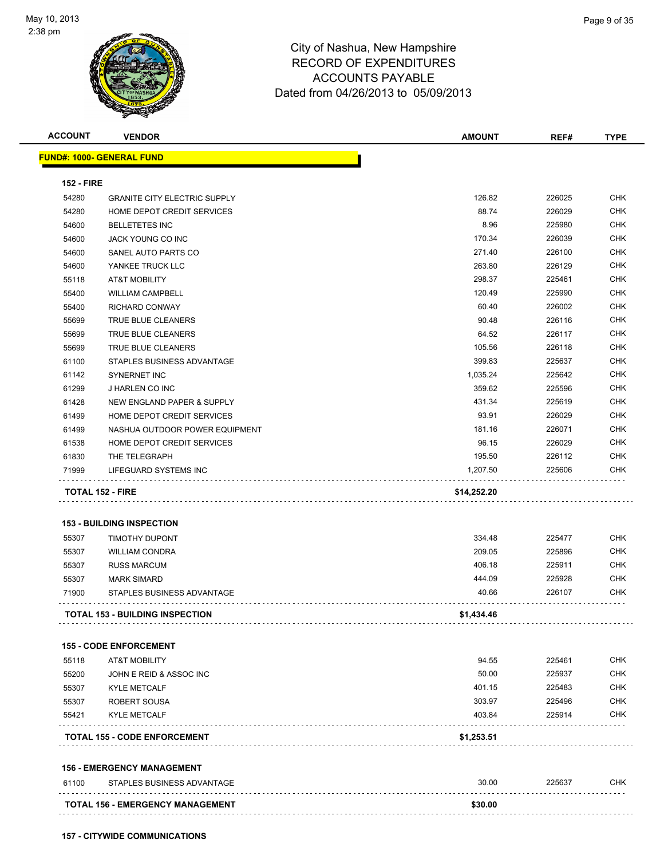

**157 - CITYWIDE COMMUNICATIONS**

|                   | <b>VENDOR</b>                          | <b>AMOUNT</b> | REF#   | <b>TYPE</b>                                                                                                                              |
|-------------------|----------------------------------------|---------------|--------|------------------------------------------------------------------------------------------------------------------------------------------|
|                   | <u> FUND#: 1000- GENERAL FUND</u>      |               |        |                                                                                                                                          |
| <b>152 - FIRE</b> |                                        |               |        |                                                                                                                                          |
| 54280             | <b>GRANITE CITY ELECTRIC SUPPLY</b>    | 126.82        | 226025 | <b>CHK</b>                                                                                                                               |
| 54280             | HOME DEPOT CREDIT SERVICES             | 88.74         | 226029 | <b>CHK</b>                                                                                                                               |
| 54600             | <b>BELLETETES INC</b>                  | 8.96          | 225980 | <b>CHK</b>                                                                                                                               |
| 54600             | JACK YOUNG CO INC                      | 170.34        | 226039 | <b>CHK</b>                                                                                                                               |
| 54600             | SANEL AUTO PARTS CO                    | 271.40        | 226100 | <b>CHK</b>                                                                                                                               |
| 54600             | YANKEE TRUCK LLC                       | 263.80        | 226129 | <b>CHK</b>                                                                                                                               |
| 55118             | AT&T MOBILITY                          | 298.37        | 225461 | <b>CHK</b>                                                                                                                               |
| 55400             | <b>WILLIAM CAMPBELL</b>                | 120.49        | 225990 | <b>CHK</b>                                                                                                                               |
| 55400             | <b>RICHARD CONWAY</b>                  | 60.40         | 226002 | <b>CHK</b>                                                                                                                               |
| 55699             | TRUE BLUE CLEANERS                     | 90.48         | 226116 | <b>CHK</b>                                                                                                                               |
| 55699             | TRUE BLUE CLEANERS                     | 64.52         | 226117 | CHK                                                                                                                                      |
| 55699             | TRUE BLUE CLEANERS                     | 105.56        | 226118 | CHK                                                                                                                                      |
| 61100             | STAPLES BUSINESS ADVANTAGE             | 399.83        | 225637 | CHK                                                                                                                                      |
| 61142             | <b>SYNERNET INC</b>                    | 1,035.24      | 225642 | <b>CHK</b>                                                                                                                               |
| 61299             | J HARLEN CO INC                        | 359.62        | 225596 | <b>CHK</b>                                                                                                                               |
| 61428             | NEW ENGLAND PAPER & SUPPLY             | 431.34        | 225619 | CHK                                                                                                                                      |
| 61499             | HOME DEPOT CREDIT SERVICES             | 93.91         | 226029 | CHK                                                                                                                                      |
| 61499             | NASHUA OUTDOOR POWER EQUIPMENT         | 181.16        | 226071 | <b>CHK</b>                                                                                                                               |
| 61538             | HOME DEPOT CREDIT SERVICES             | 96.15         | 226029 | CHK                                                                                                                                      |
| 61830             | THE TELEGRAPH                          | 195.50        | 226112 | CHK                                                                                                                                      |
|                   | LIFEGUARD SYSTEMS INC                  | 1,207.50      | 225606 | CHK                                                                                                                                      |
| 71999             |                                        |               |        |                                                                                                                                          |
|                   | <b>TOTAL 152 - FIRE</b>                | \$14,252.20   |        |                                                                                                                                          |
|                   | <b>153 - BUILDING INSPECTION</b>       |               |        |                                                                                                                                          |
| 55307             | TIMOTHY DUPONT                         | 334.48        | 225477 |                                                                                                                                          |
| 55307             | <b>WILLIAM CONDRA</b>                  | 209.05        | 225896 |                                                                                                                                          |
| 55307             | <b>RUSS MARCUM</b>                     | 406.18        | 225911 |                                                                                                                                          |
| 55307             | <b>MARK SIMARD</b>                     | 444.09        | 225928 |                                                                                                                                          |
| 71900             | STAPLES BUSINESS ADVANTAGE             | 40.66         | 226107 |                                                                                                                                          |
|                   | <b>TOTAL 153 - BUILDING INSPECTION</b> | \$1,434.46    |        |                                                                                                                                          |
|                   |                                        |               |        |                                                                                                                                          |
|                   | <b>155 - CODE ENFORCEMENT</b>          |               |        |                                                                                                                                          |
| 55118             | <b>AT&amp;T MOBILITY</b>               | 94.55         | 225461 |                                                                                                                                          |
| 55200             | JOHN E REID & ASSOC INC                | 50.00         | 225937 |                                                                                                                                          |
| 55307             | <b>KYLE METCALF</b>                    | 401.15        | 225483 |                                                                                                                                          |
| 55307             | ROBERT SOUSA                           | 303.97        | 225496 |                                                                                                                                          |
| 55421             | <b>KYLE METCALF</b>                    | 403.84        | 225914 |                                                                                                                                          |
|                   | <b>TOTAL 155 - CODE ENFORCEMENT</b>    | \$1,253.51    |        |                                                                                                                                          |
|                   | <b>156 - EMERGENCY MANAGEMENT</b>      |               |        |                                                                                                                                          |
| 61100             | STAPLES BUSINESS ADVANTAGE             | 30.00         | 225637 | <b>CHK</b><br><b>CHK</b><br>CHK<br><b>CHK</b><br><b>CHK</b><br><b>CHK</b><br>CHK<br><b>CHK</b><br><b>CHK</b><br><b>CHK</b><br><b>CHK</b> |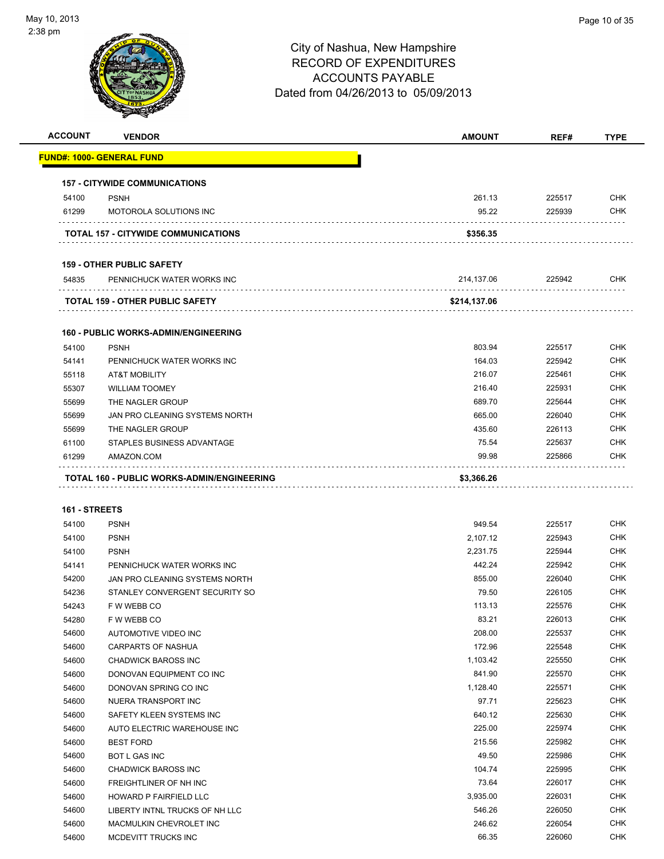

| <b>ACCOUNT</b> | <b>VENDOR</b>                               | <b>AMOUNT</b> | REF#   | <b>TYPE</b> |
|----------------|---------------------------------------------|---------------|--------|-------------|
|                | <u> FUND#: 1000- GENERAL FUND</u>           |               |        |             |
|                | <b>157 - CITYWIDE COMMUNICATIONS</b>        |               |        |             |
| 54100          | <b>PSNH</b>                                 | 261.13        | 225517 | <b>CHK</b>  |
| 61299          | <b>MOTOROLA SOLUTIONS INC</b>               | 95.22         | 225939 | <b>CHK</b>  |
|                | <b>TOTAL 157 - CITYWIDE COMMUNICATIONS</b>  | \$356.35      |        |             |
|                | <b>159 - OTHER PUBLIC SAFETY</b>            |               |        |             |
| 54835          | PENNICHUCK WATER WORKS INC                  | 214,137.06    | 225942 | <b>CHK</b>  |
|                | TOTAL 159 - OTHER PUBLIC SAFETY             | \$214,137.06  |        |             |
|                | <b>160 - PUBLIC WORKS-ADMIN/ENGINEERING</b> |               |        |             |
| 54100          | <b>PSNH</b>                                 | 803.94        | 225517 | <b>CHK</b>  |
| 54141          | PENNICHUCK WATER WORKS INC                  | 164.03        | 225942 | <b>CHK</b>  |
| 55118          | <b>AT&amp;T MOBILITY</b>                    | 216.07        | 225461 | <b>CHK</b>  |
| 55307          | <b>WILLIAM TOOMEY</b>                       | 216.40        | 225931 | <b>CHK</b>  |
| 55699          | THE NAGLER GROUP                            | 689.70        | 225644 | <b>CHK</b>  |
| 55699          | JAN PRO CLEANING SYSTEMS NORTH              | 665.00        | 226040 | <b>CHK</b>  |
| 55699          | THE NAGLER GROUP                            | 435.60        | 226113 | <b>CHK</b>  |
| 61100          | STAPLES BUSINESS ADVANTAGE                  | 75.54         | 225637 | <b>CHK</b>  |
| 61299          | AMAZON.COM                                  | 99.98         | 225866 | <b>CHK</b>  |
|                | TOTAL 160 - PUBLIC WORKS-ADMIN/ENGINEERING  | \$3,366.26    |        |             |
|                |                                             |               |        |             |
| 161 - STREETS  |                                             |               |        |             |
| 54100          | <b>PSNH</b>                                 | 949.54        | 225517 | <b>CHK</b>  |
| 54100          | <b>PSNH</b>                                 | 2,107.12      | 225943 | <b>CHK</b>  |
| 54100          | <b>PSNH</b>                                 | 2,231.75      | 225944 | <b>CHK</b>  |
| 54141          | PENNICHUCK WATER WORKS INC                  | 442.24        | 225942 | <b>CHK</b>  |
| 54200          | JAN PRO CLEANING SYSTEMS NORTH              | 855.00        | 226040 | <b>CHK</b>  |
| 54236          | STANLEY CONVERGENT SECURITY SO              | 79.50         | 226105 | <b>CHK</b>  |
| 54243          | F W WEBB CO                                 | 113.13        | 225576 | <b>CHK</b>  |
| 54280          | F W WEBB CO                                 | 83.21         | 226013 | <b>CHK</b>  |
| 54600          | AUTOMOTIVE VIDEO INC                        | 208.00        | 225537 | <b>CHK</b>  |
| 54600          | CARPARTS OF NASHUA                          | 172.96        | 225548 | <b>CHK</b>  |
| 54600          | CHADWICK BAROSS INC                         | 1,103.42      | 225550 | <b>CHK</b>  |
| 54600          | DONOVAN EQUIPMENT CO INC                    | 841.90        | 225570 | <b>CHK</b>  |
| 54600          | DONOVAN SPRING CO INC                       | 1,128.40      | 225571 | <b>CHK</b>  |
| 54600          | NUERA TRANSPORT INC                         | 97.71         | 225623 | <b>CHK</b>  |
| 54600          | SAFETY KLEEN SYSTEMS INC                    | 640.12        | 225630 | <b>CHK</b>  |
| 54600          | AUTO ELECTRIC WAREHOUSE INC                 | 225.00        | 225974 | <b>CHK</b>  |
| 54600          | <b>BEST FORD</b>                            | 215.56        | 225982 | <b>CHK</b>  |
| 54600          | BOT L GAS INC                               | 49.50         | 225986 | <b>CHK</b>  |
| 54600          | CHADWICK BAROSS INC                         | 104.74        | 225995 | <b>CHK</b>  |
| 54600          | FREIGHTLINER OF NH INC                      | 73.64         | 226017 | <b>CHK</b>  |
| 54600          | HOWARD P FAIRFIELD LLC                      | 3,935.00      | 226031 | <b>CHK</b>  |
| 54600          | LIBERTY INTNL TRUCKS OF NH LLC              | 546.26        | 226050 | <b>CHK</b>  |
| 54600          | MACMULKIN CHEVROLET INC                     | 246.62        | 226054 | <b>CHK</b>  |
| 54600          | MCDEVITT TRUCKS INC                         | 66.35         | 226060 | <b>CHK</b>  |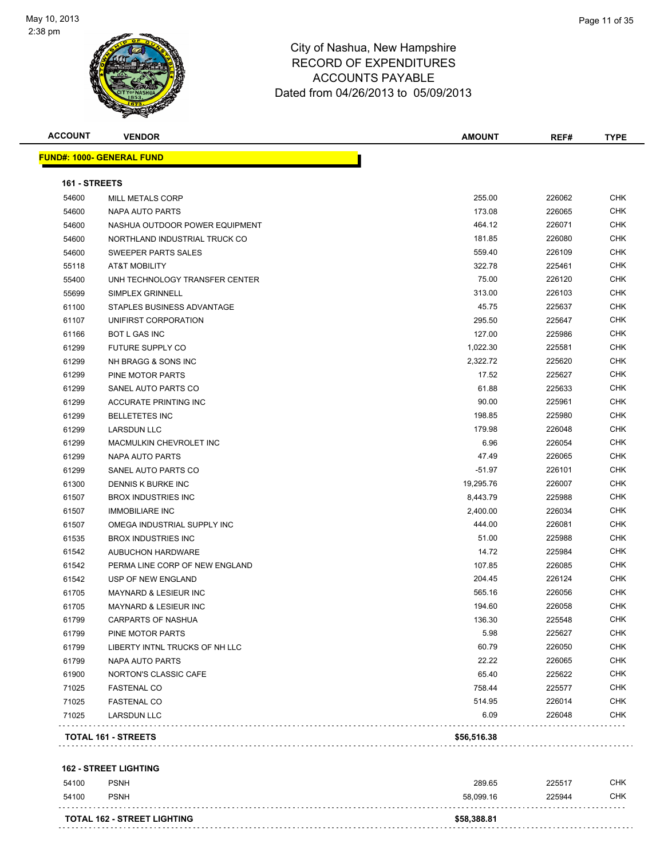

| <b>ACCOUNT</b> | <b>VENDOR</b>                    | <b>AMOUNT</b> | REF#   | <b>TYPE</b> |
|----------------|----------------------------------|---------------|--------|-------------|
|                | <b>FUND#: 1000- GENERAL FUND</b> |               |        |             |
| 161 - STREETS  |                                  |               |        |             |
| 54600          | <b>MILL METALS CORP</b>          | 255.00        | 226062 | <b>CHK</b>  |
| 54600          | NAPA AUTO PARTS                  | 173.08        | 226065 | <b>CHK</b>  |
| 54600          | NASHUA OUTDOOR POWER EQUIPMENT   | 464.12        | 226071 | CHK         |
| 54600          | NORTHLAND INDUSTRIAL TRUCK CO    | 181.85        | 226080 | <b>CHK</b>  |
| 54600          | SWEEPER PARTS SALES              | 559.40        | 226109 | <b>CHK</b>  |
| 55118          | <b>AT&amp;T MOBILITY</b>         | 322.78        | 225461 | CHK         |
| 55400          | UNH TECHNOLOGY TRANSFER CENTER   | 75.00         | 226120 | <b>CHK</b>  |
| 55699          | SIMPLEX GRINNELL                 | 313.00        | 226103 | <b>CHK</b>  |
| 61100          | STAPLES BUSINESS ADVANTAGE       | 45.75         | 225637 | <b>CHK</b>  |
| 61107          | UNIFIRST CORPORATION             | 295.50        | 225647 | <b>CHK</b>  |
| 61166          | <b>BOT L GAS INC</b>             | 127.00        | 225986 | <b>CHK</b>  |
| 61299          | <b>FUTURE SUPPLY CO</b>          | 1,022.30      | 225581 | <b>CHK</b>  |
| 61299          | NH BRAGG & SONS INC              | 2,322.72      | 225620 | <b>CHK</b>  |
| 61299          | PINE MOTOR PARTS                 | 17.52         | 225627 | CHK         |
| 61299          | SANEL AUTO PARTS CO              | 61.88         | 225633 | CHK         |
| 61299          | <b>ACCURATE PRINTING INC</b>     | 90.00         | 225961 | CHK         |
| 61299          | <b>BELLETETES INC</b>            | 198.85        | 225980 | CHK         |
| 61299          | <b>LARSDUN LLC</b>               | 179.98        | 226048 | CHK         |
| 61299          | MACMULKIN CHEVROLET INC          | 6.96          | 226054 | <b>CHK</b>  |
| 61299          | NAPA AUTO PARTS                  | 47.49         | 226065 | CHK         |
| 61299          | SANEL AUTO PARTS CO              | $-51.97$      | 226101 | <b>CHK</b>  |
| 61300          | DENNIS K BURKE INC               | 19,295.76     | 226007 | CHK         |
| 61507          | <b>BROX INDUSTRIES INC</b>       | 8,443.79      | 225988 | <b>CHK</b>  |
| 61507          | <b>IMMOBILIARE INC</b>           | 2,400.00      | 226034 | CHK         |
| 61507          | OMEGA INDUSTRIAL SUPPLY INC      | 444.00        | 226081 | CHK         |
| 61535          | <b>BROX INDUSTRIES INC</b>       | 51.00         | 225988 | <b>CHK</b>  |
| 61542          | <b>AUBUCHON HARDWARE</b>         | 14.72         | 225984 | CHK         |
| 61542          | PERMA LINE CORP OF NEW ENGLAND   | 107.85        | 226085 | CHK         |
| 61542          | USP OF NEW ENGLAND               | 204.45        | 226124 | CHK         |
| 61705          | <b>MAYNARD &amp; LESIEUR INC</b> | 565.16        | 226056 | <b>CHK</b>  |
| 61705          | <b>MAYNARD &amp; LESIEUR INC</b> | 194.60        | 226058 | CHK         |
| 61799          | CARPARTS OF NASHUA               | 136.30        | 225548 | <b>CHK</b>  |
| 61799          | PINE MOTOR PARTS                 | 5.98          | 225627 | <b>CHK</b>  |
| 61799          | LIBERTY INTNL TRUCKS OF NH LLC   | 60.79         | 226050 | <b>CHK</b>  |
| 61799          | <b>NAPA AUTO PARTS</b>           | 22.22         | 226065 | <b>CHK</b>  |
| 61900          | NORTON'S CLASSIC CAFE            | 65.40         | 225622 | <b>CHK</b>  |
| 71025          | <b>FASTENAL CO</b>               | 758.44        | 225577 | <b>CHK</b>  |
| 71025          | <b>FASTENAL CO</b>               | 514.95        | 226014 | <b>CHK</b>  |
| 71025          | LARSDUN LLC                      | 6.09          | 226048 | <b>CHK</b>  |
|                |                                  |               |        |             |
|                | TOTAL 161 - STREETS              | \$56,516.38   |        |             |

### **162 - STREET LIGHTING** PSNH 289.65 225517 CHK PSNH 58,099.16 225944 CHK . . . . . . . . . . . . . . . . . . . . **TOTAL 162 - STREET LIGHTING \$58,388.81**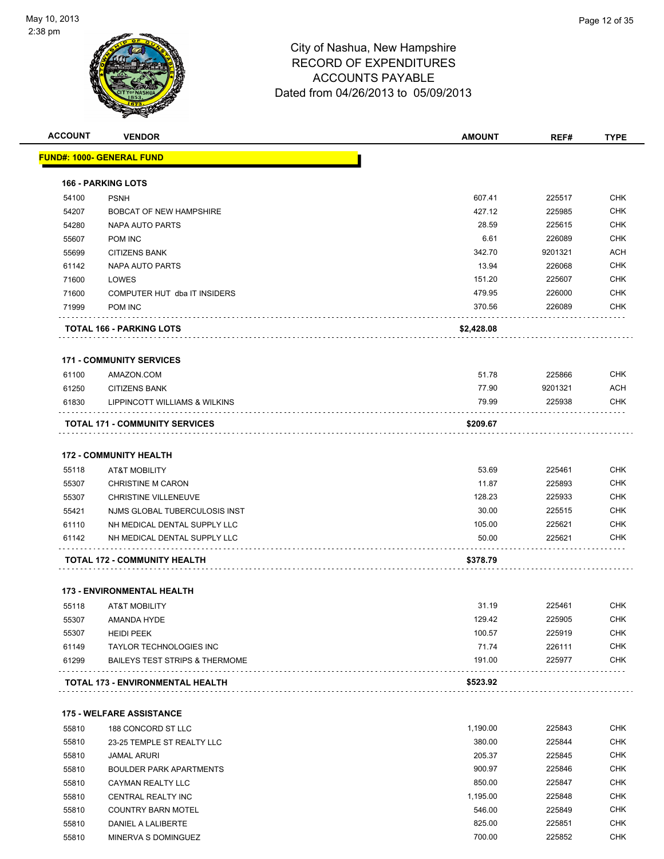

| <b>ACCOUNT</b> | <b>VENDOR</b>                                                        | <b>AMOUNT</b>   | REF#             | <b>TYPE</b>              |
|----------------|----------------------------------------------------------------------|-----------------|------------------|--------------------------|
|                | <u> FUND#: 1000- GENERAL FUND</u>                                    |                 |                  |                          |
|                | <b>166 - PARKING LOTS</b>                                            |                 |                  |                          |
| 54100          | <b>PSNH</b>                                                          | 607.41          | 225517           | <b>CHK</b>               |
| 54207          | <b>BOBCAT OF NEW HAMPSHIRE</b>                                       | 427.12          | 225985           | <b>CHK</b>               |
| 54280          | <b>NAPA AUTO PARTS</b>                                               | 28.59           | 225615           | <b>CHK</b>               |
| 55607          | POM INC                                                              | 6.61            | 226089           | <b>CHK</b>               |
| 55699          | <b>CITIZENS BANK</b>                                                 | 342.70          | 9201321          | <b>ACH</b>               |
| 61142          | <b>NAPA AUTO PARTS</b>                                               | 13.94           | 226068           | <b>CHK</b>               |
| 71600          | LOWES                                                                | 151.20          | 225607           | <b>CHK</b>               |
| 71600          | COMPUTER HUT dba IT INSIDERS                                         | 479.95          | 226000           | <b>CHK</b>               |
| 71999          | <b>POM INC</b>                                                       | 370.56          | 226089           | <b>CHK</b>               |
|                | <b>TOTAL 166 - PARKING LOTS</b>                                      | \$2,428.08      |                  |                          |
|                |                                                                      |                 |                  |                          |
|                | <b>171 - COMMUNITY SERVICES</b>                                      |                 |                  |                          |
| 61100          | AMAZON.COM                                                           | 51.78           | 225866           | <b>CHK</b>               |
| 61250          | <b>CITIZENS BANK</b>                                                 | 77.90           | 9201321          | <b>ACH</b>               |
| 61830          | LIPPINCOTT WILLIAMS & WILKINS                                        | 79.99           | 225938           | <b>CHK</b>               |
|                | <b>TOTAL 171 - COMMUNITY SERVICES</b>                                | \$209.67        |                  |                          |
|                | <b>172 - COMMUNITY HEALTH</b>                                        |                 |                  |                          |
| 55118          | <b>AT&amp;T MOBILITY</b>                                             | 53.69           | 225461           | <b>CHK</b>               |
| 55307          | <b>CHRISTINE M CARON</b>                                             | 11.87           | 225893           | <b>CHK</b>               |
| 55307          | <b>CHRISTINE VILLENEUVE</b>                                          | 128.23          | 225933           | <b>CHK</b>               |
| 55421          | NJMS GLOBAL TUBERCULOSIS INST                                        | 30.00           | 225515           | <b>CHK</b>               |
| 61110          | NH MEDICAL DENTAL SUPPLY LLC                                         | 105.00          | 225621           | <b>CHK</b>               |
| 61142          | NH MEDICAL DENTAL SUPPLY LLC                                         | 50.00           | 225621           | <b>CHK</b>               |
|                | TOTAL 172 - COMMUNITY HEALTH                                         | \$378.79        |                  |                          |
|                |                                                                      |                 |                  |                          |
|                | <b>173 - ENVIRONMENTAL HEALTH</b>                                    |                 |                  |                          |
| 55118          | <b>AT&amp;T MOBILITY</b>                                             | 31.19           | 225461           | CHK                      |
| 55307          | AMANDA HYDE                                                          | 129.42          | 225905           | <b>CHK</b>               |
| 55307          | <b>HEIDI PEEK</b>                                                    | 100.57          | 225919           | <b>CHK</b>               |
| 61149<br>61299 | TAYLOR TECHNOLOGIES INC<br><b>BAILEYS TEST STRIPS &amp; THERMOME</b> | 71.74<br>191.00 | 226111<br>225977 | <b>CHK</b><br><b>CHK</b> |
|                |                                                                      |                 |                  |                          |
|                | TOTAL 173 - ENVIRONMENTAL HEALTH                                     | \$523.92        |                  |                          |
|                | <b>175 - WELFARE ASSISTANCE</b>                                      |                 |                  |                          |
| 55810          | 188 CONCORD ST LLC                                                   | 1,190.00        | 225843           | <b>CHK</b>               |
| 55810          | 23-25 TEMPLE ST REALTY LLC                                           | 380.00          | 225844           | <b>CHK</b>               |
| 55810          | <b>JAMAL ARURI</b>                                                   | 205.37          | 225845           | <b>CHK</b>               |
| 55810          | <b>BOULDER PARK APARTMENTS</b>                                       | 900.97          | 225846           | <b>CHK</b>               |
| 55810          | CAYMAN REALTY LLC                                                    | 850.00          | 225847           | <b>CHK</b>               |
| 55810          | CENTRAL REALTY INC                                                   | 1,195.00        | 225848           | CHK                      |
| 55810          | <b>COUNTRY BARN MOTEL</b>                                            | 546.00          | 225849           | <b>CHK</b>               |
| 55810          | DANIEL A LALIBERTE                                                   | 825.00          | 225851           | <b>CHK</b>               |
| 55810          | MINERVA S DOMINGUEZ                                                  | 700.00          | 225852           | <b>CHK</b>               |
|                |                                                                      |                 |                  |                          |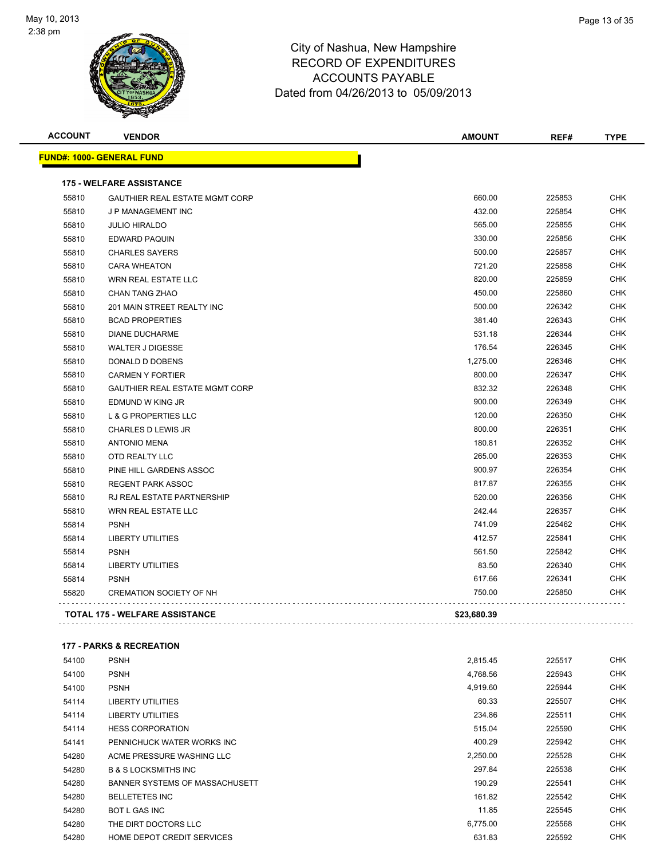

| <b>ACCOUNT</b> | <b>VENDOR</b>                         | <b>AMOUNT</b> | REF#   | <b>TYPE</b> |
|----------------|---------------------------------------|---------------|--------|-------------|
|                | <b>FUND#: 1000- GENERAL FUND</b>      |               |        |             |
|                | <b>175 - WELFARE ASSISTANCE</b>       |               |        |             |
| 55810          | <b>GAUTHIER REAL ESTATE MGMT CORP</b> | 660.00        | 225853 | <b>CHK</b>  |
| 55810          | J P MANAGEMENT INC                    | 432.00        | 225854 | <b>CHK</b>  |
| 55810          | <b>JULIO HIRALDO</b>                  | 565.00        | 225855 | <b>CHK</b>  |
| 55810          | <b>EDWARD PAQUIN</b>                  | 330.00        | 225856 | <b>CHK</b>  |
| 55810          | <b>CHARLES SAYERS</b>                 | 500.00        | 225857 | <b>CHK</b>  |
| 55810          | <b>CARA WHEATON</b>                   | 721.20        | 225858 | <b>CHK</b>  |
| 55810          | <b>WRN REAL ESTATE LLC</b>            | 820.00        | 225859 | <b>CHK</b>  |
| 55810          | <b>CHAN TANG ZHAO</b>                 | 450.00        | 225860 | <b>CHK</b>  |
| 55810          | 201 MAIN STREET REALTY INC            | 500.00        | 226342 | <b>CHK</b>  |
| 55810          | <b>BCAD PROPERTIES</b>                | 381.40        | 226343 | <b>CHK</b>  |
| 55810          | <b>DIANE DUCHARME</b>                 | 531.18        | 226344 | <b>CHK</b>  |
| 55810          | <b>WALTER J DIGESSE</b>               | 176.54        | 226345 | <b>CHK</b>  |
| 55810          | DONALD D DOBENS                       | 1,275.00      | 226346 | <b>CHK</b>  |
| 55810          | <b>CARMEN Y FORTIER</b>               | 800.00        | 226347 | <b>CHK</b>  |
| 55810          | <b>GAUTHIER REAL ESTATE MGMT CORP</b> | 832.32        | 226348 | <b>CHK</b>  |
| 55810          | EDMUND W KING JR                      | 900.00        | 226349 | <b>CHK</b>  |
| 55810          | <b>L &amp; G PROPERTIES LLC</b>       | 120.00        | 226350 | <b>CHK</b>  |
| 55810          | <b>CHARLES D LEWIS JR</b>             | 800.00        | 226351 | <b>CHK</b>  |
| 55810          | <b>ANTONIO MENA</b>                   | 180.81        | 226352 | <b>CHK</b>  |
| 55810          | OTD REALTY LLC                        | 265.00        | 226353 | <b>CHK</b>  |
| 55810          | PINE HILL GARDENS ASSOC               | 900.97        | 226354 | <b>CHK</b>  |
| 55810          | REGENT PARK ASSOC                     | 817.87        | 226355 | <b>CHK</b>  |
| 55810          | RJ REAL ESTATE PARTNERSHIP            | 520.00        | 226356 | <b>CHK</b>  |
| 55810          | WRN REAL ESTATE LLC                   | 242.44        | 226357 | <b>CHK</b>  |
| 55814          | <b>PSNH</b>                           | 741.09        | 225462 | <b>CHK</b>  |
| 55814          | <b>LIBERTY UTILITIES</b>              | 412.57        | 225841 | <b>CHK</b>  |
| 55814          | <b>PSNH</b>                           | 561.50        | 225842 | <b>CHK</b>  |
| 55814          | <b>LIBERTY UTILITIES</b>              | 83.50         | 226340 | <b>CHK</b>  |
| 55814          | <b>PSNH</b>                           | 617.66        | 226341 | CHK         |
| 55820          | <b>CREMATION SOCIETY OF NH</b>        | 750.00        | 225850 | <b>CHK</b>  |
|                | <b>TOTAL 175 - WELFARE ASSISTANCE</b> | \$23,680.39   |        |             |
|                |                                       |               |        |             |

### **177 - PARKS & RECREATION**

| 54100 | <b>PSNH</b>                       | 2,815.45 | 225517 | <b>CHK</b> |
|-------|-----------------------------------|----------|--------|------------|
| 54100 | <b>PSNH</b>                       | 4,768.56 | 225943 | <b>CHK</b> |
| 54100 | <b>PSNH</b>                       | 4,919.60 | 225944 | <b>CHK</b> |
| 54114 | <b>LIBERTY UTILITIES</b>          | 60.33    | 225507 | <b>CHK</b> |
| 54114 | LIBERTY UTILITIES                 | 234.86   | 225511 | <b>CHK</b> |
| 54114 | <b>HESS CORPORATION</b>           | 515.04   | 225590 | <b>CHK</b> |
| 54141 | PENNICHUCK WATER WORKS INC        | 400.29   | 225942 | <b>CHK</b> |
| 54280 | ACME PRESSURE WASHING LLC         | 2,250.00 | 225528 | <b>CHK</b> |
| 54280 | <b>B &amp; S LOCKSMITHS INC</b>   | 297.84   | 225538 | <b>CHK</b> |
| 54280 | BANNER SYSTEMS OF MASSACHUSETT    | 190.29   | 225541 | <b>CHK</b> |
| 54280 | <b>BELLETETES INC</b>             | 161.82   | 225542 | <b>CHK</b> |
| 54280 | <b>BOT L GAS INC</b>              | 11.85    | 225545 | <b>CHK</b> |
| 54280 | THE DIRT DOCTORS LLC              | 6,775.00 | 225568 | <b>CHK</b> |
| 54280 | <b>HOME DEPOT CREDIT SERVICES</b> | 631.83   | 225592 | <b>CHK</b> |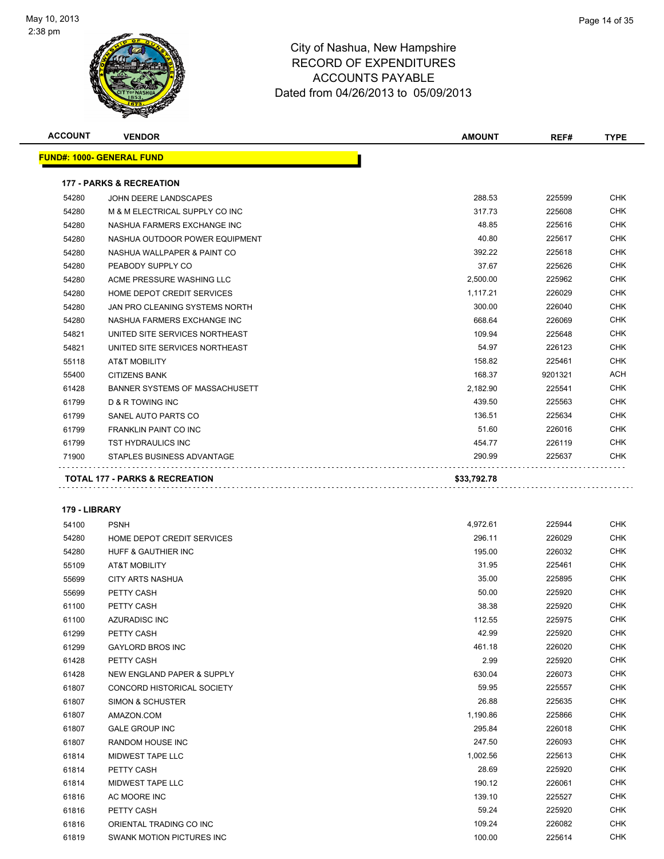

| <b>ACCOUNT</b> | <b>VENDOR</b>                                                        | <b>AMOUNT</b>      | REF#             | <b>TYPE</b> |
|----------------|----------------------------------------------------------------------|--------------------|------------------|-------------|
|                | <u> FUND#: 1000- GENERAL FUND</u>                                    |                    |                  |             |
|                |                                                                      |                    |                  |             |
| 54280          | <b>177 - PARKS &amp; RECREATION</b>                                  | 288.53             | 225599           | <b>CHK</b>  |
|                | JOHN DEERE LANDSCAPES                                                |                    |                  | <b>CHK</b>  |
| 54280          | M & M ELECTRICAL SUPPLY CO INC                                       | 317.73<br>48.85    | 225608           | <b>CHK</b>  |
| 54280          | NASHUA FARMERS EXCHANGE INC                                          |                    | 225616           | <b>CHK</b>  |
| 54280          | NASHUA OUTDOOR POWER EQUIPMENT                                       | 40.80<br>392.22    | 225617           | <b>CHK</b>  |
| 54280          | NASHUA WALLPAPER & PAINT CO                                          |                    | 225618           | <b>CHK</b>  |
| 54280          | PEABODY SUPPLY CO                                                    | 37.67              | 225626<br>225962 | <b>CHK</b>  |
| 54280          | ACME PRESSURE WASHING LLC                                            | 2,500.00           |                  | <b>CHK</b>  |
| 54280          | HOME DEPOT CREDIT SERVICES                                           | 1,117.21<br>300.00 | 226029<br>226040 | <b>CHK</b>  |
| 54280          | JAN PRO CLEANING SYSTEMS NORTH                                       | 668.64             |                  | <b>CHK</b>  |
| 54280          | NASHUA FARMERS EXCHANGE INC                                          | 109.94             | 226069<br>225648 | <b>CHK</b>  |
| 54821<br>54821 | UNITED SITE SERVICES NORTHEAST                                       | 54.97              | 226123           | <b>CHK</b>  |
|                | UNITED SITE SERVICES NORTHEAST                                       | 158.82             | 225461           | <b>CHK</b>  |
| 55118<br>55400 | <b>AT&amp;T MOBILITY</b><br><b>CITIZENS BANK</b>                     | 168.37             | 9201321          | ACH         |
|                |                                                                      | 2,182.90           | 225541           | <b>CHK</b>  |
| 61428<br>61799 | <b>BANNER SYSTEMS OF MASSACHUSETT</b><br><b>D &amp; R TOWING INC</b> | 439.50             | 225563           | <b>CHK</b>  |
| 61799          | SANEL AUTO PARTS CO                                                  | 136.51             | 225634           | <b>CHK</b>  |
| 61799          | FRANKLIN PAINT CO INC                                                | 51.60              | 226016           | <b>CHK</b>  |
| 61799          | <b>TST HYDRAULICS INC</b>                                            | 454.77             | 226119           | <b>CHK</b>  |
| 71900          | STAPLES BUSINESS ADVANTAGE                                           | 290.99             | 225637           | <b>CHK</b>  |
|                |                                                                      |                    |                  |             |
|                | TOTAL 177 - PARKS & RECREATION                                       | \$33,792.78        |                  |             |
|                |                                                                      |                    |                  |             |
| 179 - LIBRARY  |                                                                      |                    |                  |             |
| 54100          | <b>PSNH</b>                                                          | 4,972.61           | 225944           | CHK         |
| 54280          | HOME DEPOT CREDIT SERVICES                                           | 296.11             | 226029           | CHK         |
| 54280          | HUFF & GAUTHIER INC                                                  | 195.00             | 226032           | CHK         |
| 55109          | <b>AT&amp;T MOBILITY</b>                                             | 31.95              | 225461           | <b>CHK</b>  |
| 55699          | <b>CITY ARTS NASHUA</b>                                              | 35.00              | 225895           | <b>CHK</b>  |
| 55699          | PETTY CASH                                                           | 50.00              | 225920           | CHK         |
| 61100          | PETTY CASH                                                           | 38.38              | 225920           | <b>CHK</b>  |
| 61100          | AZURADISC INC                                                        | 112.55             | 225975           | <b>CHK</b>  |
| 61299          | PETTY CASH                                                           | 42.99              | 225920           | <b>CHK</b>  |
| 61299          | <b>GAYLORD BROS INC</b>                                              | 461.18             | 226020           | <b>CHK</b>  |
| 61428          | PETTY CASH                                                           | 2.99               | 225920           | <b>CHK</b>  |
| 61428          | NEW ENGLAND PAPER & SUPPLY                                           | 630.04             | 226073           | <b>CHK</b>  |
| 61807          | CONCORD HISTORICAL SOCIETY                                           | 59.95              | 225557           | <b>CHK</b>  |
| 61807          | SIMON & SCHUSTER                                                     | 26.88              | 225635           | <b>CHK</b>  |
| 61807          | AMAZON.COM                                                           | 1,190.86           | 225866           | <b>CHK</b>  |
| 61807          | <b>GALE GROUP INC</b>                                                | 295.84             | 226018           | <b>CHK</b>  |
| 61807          | RANDOM HOUSE INC                                                     | 247.50             | 226093           | <b>CHK</b>  |
| 61814          | MIDWEST TAPE LLC                                                     | 1,002.56           | 225613           | <b>CHK</b>  |
| 61814          | PETTY CASH                                                           | 28.69              | 225920           | <b>CHK</b>  |
| 61814          | MIDWEST TAPE LLC                                                     | 190.12             | 226061           | <b>CHK</b>  |
| 61816          | AC MOORE INC                                                         | 139.10             | 225527           | <b>CHK</b>  |
| 61816          | PETTY CASH                                                           | 59.24              | 225920           | <b>CHK</b>  |
| 61816          | ORIENTAL TRADING CO INC                                              | 109.24             | 226082           | <b>CHK</b>  |
| 61819          | SWANK MOTION PICTURES INC                                            | 100.00             | 225614           | <b>CHK</b>  |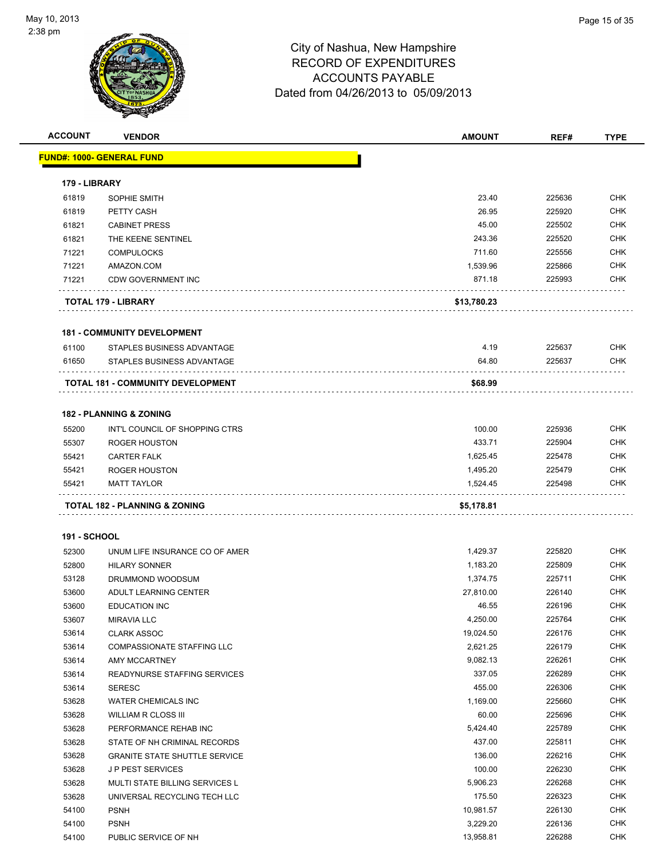

| <b>ACCOUNT</b>      | <b>VENDOR</b>                        | <b>AMOUNT</b> | REF#   | <b>TYPE</b> |
|---------------------|--------------------------------------|---------------|--------|-------------|
|                     | <u> FUND#: 1000- GENERAL FUND</u>    |               |        |             |
|                     |                                      |               |        |             |
| 179 - LIBRARY       |                                      |               |        |             |
| 61819               | SOPHIE SMITH                         | 23.40         | 225636 | <b>CHK</b>  |
| 61819               | PETTY CASH                           | 26.95         | 225920 | <b>CHK</b>  |
| 61821               | <b>CABINET PRESS</b>                 | 45.00         | 225502 | <b>CHK</b>  |
| 61821               | THE KEENE SENTINEL                   | 243.36        | 225520 | <b>CHK</b>  |
| 71221               | <b>COMPULOCKS</b>                    | 711.60        | 225556 | <b>CHK</b>  |
| 71221               | AMAZON.COM                           | 1,539.96      | 225866 | <b>CHK</b>  |
| 71221               | CDW GOVERNMENT INC                   | 871.18        | 225993 | <b>CHK</b>  |
|                     | TOTAL 179 - LIBRARY                  | \$13,780.23   |        |             |
|                     | <b>181 - COMMUNITY DEVELOPMENT</b>   |               |        |             |
| 61100               | STAPLES BUSINESS ADVANTAGE           | 4.19          | 225637 | <b>CHK</b>  |
| 61650               | STAPLES BUSINESS ADVANTAGE           | 64.80         | 225637 | <b>CHK</b>  |
|                     |                                      |               |        |             |
|                     | TOTAL 181 - COMMUNITY DEVELOPMENT    | \$68.99       |        |             |
|                     | <b>182 - PLANNING &amp; ZONING</b>   |               |        |             |
| 55200               | INT'L COUNCIL OF SHOPPING CTRS       | 100.00        | 225936 | <b>CHK</b>  |
| 55307               | <b>ROGER HOUSTON</b>                 | 433.71        | 225904 | <b>CHK</b>  |
| 55421               | <b>CARTER FALK</b>                   | 1,625.45      | 225478 | <b>CHK</b>  |
| 55421               | <b>ROGER HOUSTON</b>                 | 1,495.20      | 225479 | <b>CHK</b>  |
| 55421               | <b>MATT TAYLOR</b>                   | 1,524.45      | 225498 | CHK         |
|                     | TOTAL 182 - PLANNING & ZONING        | \$5,178.81    |        |             |
|                     |                                      |               |        |             |
| <b>191 - SCHOOL</b> |                                      |               |        |             |
| 52300               | UNUM LIFE INSURANCE CO OF AMER       | 1,429.37      | 225820 | <b>CHK</b>  |
| 52800               | <b>HILARY SONNER</b>                 | 1,183.20      | 225809 | <b>CHK</b>  |
| 53128               | DRUMMOND WOODSUM                     | 1,374.75      | 225711 | <b>CHK</b>  |
| 53600               | ADULT LEARNING CENTER                | 27,810.00     | 226140 | <b>CHK</b>  |
| 53600               | <b>EDUCATION INC</b>                 | 46.55         | 226196 | <b>CHK</b>  |
| 53607               | <b>MIRAVIA LLC</b>                   | 4,250.00      | 225764 | <b>CHK</b>  |
| 53614               | <b>CLARK ASSOC</b>                   | 19,024.50     | 226176 | CHK         |
| 53614               | <b>COMPASSIONATE STAFFING LLC</b>    | 2,621.25      | 226179 | <b>CHK</b>  |
| 53614               | AMY MCCARTNEY                        | 9,082.13      | 226261 | <b>CHK</b>  |
| 53614               | <b>READYNURSE STAFFING SERVICES</b>  | 337.05        | 226289 | <b>CHK</b>  |
| 53614               | <b>SERESC</b>                        | 455.00        | 226306 | <b>CHK</b>  |
| 53628               | <b>WATER CHEMICALS INC</b>           | 1,169.00      | 225660 | <b>CHK</b>  |
| 53628               | <b>WILLIAM R CLOSS III</b>           | 60.00         | 225696 | <b>CHK</b>  |
| 53628               | PERFORMANCE REHAB INC                | 5,424.40      | 225789 | <b>CHK</b>  |
| 53628               | STATE OF NH CRIMINAL RECORDS         | 437.00        | 225811 | <b>CHK</b>  |
| 53628               | <b>GRANITE STATE SHUTTLE SERVICE</b> | 136.00        | 226216 | <b>CHK</b>  |
| 53628               | JP PEST SERVICES                     | 100.00        | 226230 | <b>CHK</b>  |
| 53628               | MULTI STATE BILLING SERVICES L       | 5,906.23      | 226268 | <b>CHK</b>  |
| 53628               | UNIVERSAL RECYCLING TECH LLC         | 175.50        | 226323 | <b>CHK</b>  |
| 54100               | <b>PSNH</b>                          | 10,981.57     | 226130 | <b>CHK</b>  |
| 54100               | <b>PSNH</b>                          | 3,229.20      | 226136 | <b>CHK</b>  |
| 54100               | PUBLIC SERVICE OF NH                 | 13,958.81     | 226288 | <b>CHK</b>  |
|                     |                                      |               |        |             |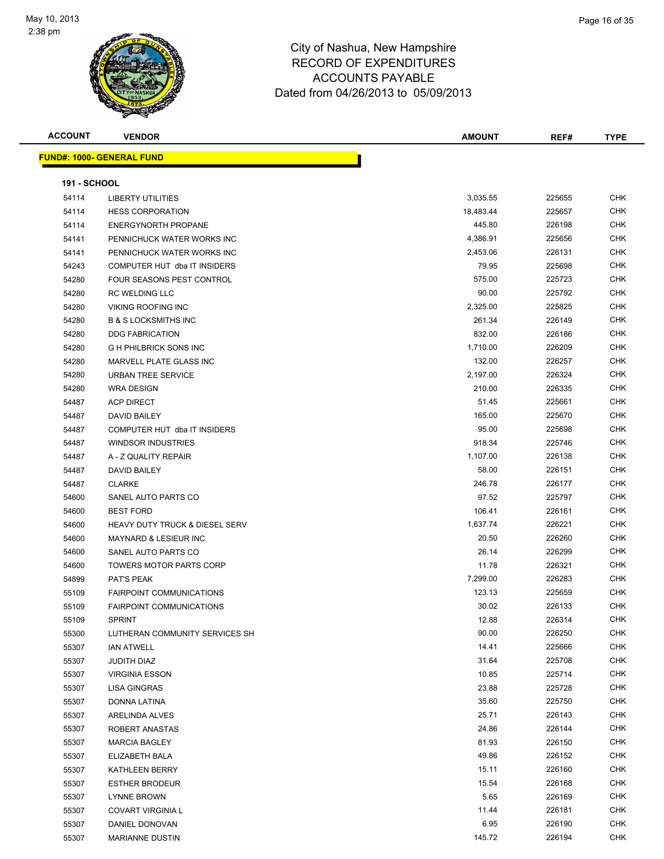

| <b>ACCOUNT</b>      | <b>VENDOR</b>                             | <b>AMOUNT</b> | REF#             | <b>TYPE</b>              |
|---------------------|-------------------------------------------|---------------|------------------|--------------------------|
|                     | FUND#: 1000- GENERAL FUND                 |               |                  |                          |
|                     |                                           |               |                  |                          |
| <b>191 - SCHOOL</b> |                                           |               |                  |                          |
| 54114               | <b>LIBERTY UTILITIES</b>                  | 3,035.55      | 225655           | <b>CHK</b>               |
| 54114               | <b>HESS CORPORATION</b>                   | 18,483.44     | 225657           | <b>CHK</b>               |
| 54114               | <b>ENERGYNORTH PROPANE</b>                | 445.80        | 226198           | CHK                      |
| 54141               | PENNICHUCK WATER WORKS INC                | 4,386.91      | 225656           | <b>CHK</b>               |
| 54141               | PENNICHUCK WATER WORKS INC                | 2,453.06      | 226131           | <b>CHK</b>               |
| 54243               | COMPUTER HUT dba IT INSIDERS              | 79.95         | 225698           | CHK                      |
| 54280               | FOUR SEASONS PEST CONTROL                 | 575.00        | 225723           | <b>CHK</b>               |
| 54280               | RC WELDING LLC                            | 90.00         | 225792           | CHK                      |
| 54280               | <b>VIKING ROOFING INC</b>                 | 2,325.00      | 225825           | CHK                      |
| 54280               | <b>B &amp; S LOCKSMITHS INC</b>           | 261.34        | 226149           | CHK                      |
| 54280               | <b>DDG FABRICATION</b>                    | 832.00        | 226186           | CHK                      |
| 54280               | <b>G H PHILBRICK SONS INC</b>             | 1,710.00      | 226209           | CHK                      |
| 54280               | MARVELL PLATE GLASS INC                   | 132.00        | 226257           | <b>CHK</b>               |
| 54280               | URBAN TREE SERVICE                        | 2,197.00      | 226324           | CHK                      |
| 54280               | <b>WRA DESIGN</b>                         | 210.00        | 226335           | <b>CHK</b>               |
| 54487               | <b>ACP DIRECT</b>                         | 51.45         | 225661           | CHK                      |
| 54487               | <b>DAVID BAILEY</b>                       | 165.00        | 225670           | <b>CHK</b>               |
| 54487               | COMPUTER HUT dba IT INSIDERS              | 95.00         | 225698           | <b>CHK</b>               |
| 54487               | <b>WINDSOR INDUSTRIES</b>                 | 918.34        | 225746           | CHK                      |
| 54487               | A - Z QUALITY REPAIR                      | 1,107.00      | 226138           | CHK                      |
| 54487               | <b>DAVID BAILEY</b>                       | 58.00         | 226151           | <b>CHK</b>               |
| 54487               | <b>CLARKE</b>                             | 246.78        | 226177           | <b>CHK</b>               |
| 54600               | SANEL AUTO PARTS CO                       | 97.52         | 225797           | CHK                      |
| 54600               | <b>BEST FORD</b>                          | 106.41        | 226161           | CHK                      |
| 54600               | <b>HEAVY DUTY TRUCK &amp; DIESEL SERV</b> | 1,637.74      | 226221           | CHK                      |
| 54600               | <b>MAYNARD &amp; LESIEUR INC</b>          | 20.50         | 226260           | <b>CHK</b>               |
| 54600               | SANEL AUTO PARTS CO                       | 26.14         | 226299           | CHK                      |
| 54600               | <b>TOWERS MOTOR PARTS CORP</b>            | 11.78         | 226321           | CHK                      |
| 54899               | PAT'S PEAK                                | 7,299.00      | 226283           | <b>CHK</b>               |
| 55109               | <b>FAIRPOINT COMMUNICATIONS</b>           | 123.13        | 225659           | CHK                      |
| 55109               | <b>FAIRPOINT COMMUNICATIONS</b>           | 30.02         | 226133           | CHK                      |
| 55109               | <b>SPRINT</b>                             | 12.88         | 226314           | <b>CHK</b>               |
| 55300               | LUTHERAN COMMUNITY SERVICES SH            | 90.00         | 226250           | <b>CHK</b>               |
| 55307               | <b>IAN ATWELL</b>                         | 14.41         | 225666           | <b>CHK</b>               |
| 55307               | JUDITH DIAZ                               | 31.64         | 225708           | <b>CHK</b>               |
| 55307               | <b>VIRGINIA ESSON</b>                     | 10.85         | 225714           | <b>CHK</b>               |
| 55307               | LISA GINGRAS                              | 23.88         | 225728           | <b>CHK</b>               |
| 55307               | DONNA LATINA                              | 35.60         | 225750           | <b>CHK</b>               |
| 55307               | ARELINDA ALVES                            | 25.71         | 226143           | <b>CHK</b>               |
| 55307               | ROBERT ANASTAS                            | 24.86         | 226144           | <b>CHK</b>               |
| 55307               | <b>MARCIA BAGLEY</b>                      | 81.93         | 226150           | <b>CHK</b>               |
| 55307               | ELIZABETH BALA                            | 49.86         | 226152           | <b>CHK</b>               |
| 55307               | KATHLEEN BERRY                            | 15.11         | 226160           | <b>CHK</b>               |
| 55307               | <b>ESTHER BRODEUR</b>                     | 15.54         | 226168           | <b>CHK</b>               |
| 55307               | <b>LYNNE BROWN</b>                        | 5.65<br>11.44 | 226169<br>226181 | <b>CHK</b><br><b>CHK</b> |
| 55307               | <b>COVART VIRGINIA L</b>                  | 6.95          | 226190           | CHK                      |
| 55307<br>55307      | DANIEL DONOVAN<br><b>MARIANNE DUSTIN</b>  | 145.72        | 226194           | CHK                      |
|                     |                                           |               |                  |                          |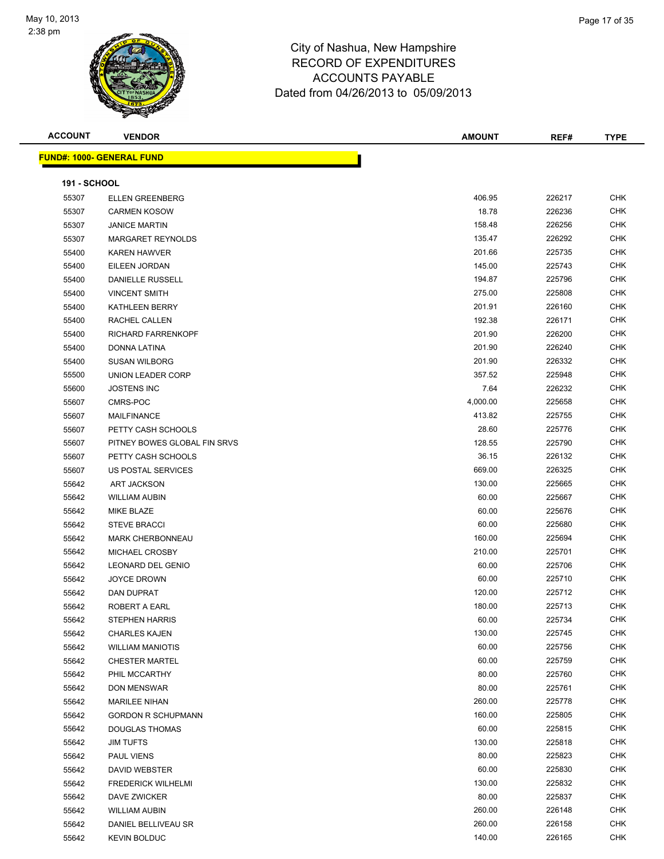

| <b>ACCOUNT</b>      | <b>VENDOR</b>                    | <b>AMOUNT</b> | REF#   | <b>TYPE</b> |
|---------------------|----------------------------------|---------------|--------|-------------|
|                     | <b>FUND#: 1000- GENERAL FUND</b> |               |        |             |
|                     |                                  |               |        |             |
| <b>191 - SCHOOL</b> |                                  |               |        |             |
| 55307               | <b>ELLEN GREENBERG</b>           | 406.95        | 226217 | <b>CHK</b>  |
| 55307               | <b>CARMEN KOSOW</b>              | 18.78         | 226236 | <b>CHK</b>  |
| 55307               | <b>JANICE MARTIN</b>             | 158.48        | 226256 | <b>CHK</b>  |
| 55307               | <b>MARGARET REYNOLDS</b>         | 135.47        | 226292 | <b>CHK</b>  |
| 55400               | <b>KAREN HAWVER</b>              | 201.66        | 225735 | <b>CHK</b>  |
| 55400               | EILEEN JORDAN                    | 145.00        | 225743 | <b>CHK</b>  |
| 55400               | DANIELLE RUSSELL                 | 194.87        | 225796 | CHK         |
| 55400               | <b>VINCENT SMITH</b>             | 275.00        | 225808 | CHK         |
| 55400               | KATHLEEN BERRY                   | 201.91        | 226160 | <b>CHK</b>  |
| 55400               | RACHEL CALLEN                    | 192.38        | 226171 | <b>CHK</b>  |
| 55400               | RICHARD FARRENKOPF               | 201.90        | 226200 | <b>CHK</b>  |
| 55400               | DONNA LATINA                     | 201.90        | 226240 | <b>CHK</b>  |
| 55400               | <b>SUSAN WILBORG</b>             | 201.90        | 226332 | CHK         |
| 55500               | UNION LEADER CORP                | 357.52        | 225948 | <b>CHK</b>  |
| 55600               | <b>JOSTENS INC</b>               | 7.64          | 226232 | <b>CHK</b>  |
| 55607               | CMRS-POC                         | 4,000.00      | 225658 | <b>CHK</b>  |
| 55607               | MAILFINANCE                      | 413.82        | 225755 | <b>CHK</b>  |
| 55607               | PETTY CASH SCHOOLS               | 28.60         | 225776 | CHK         |
| 55607               | PITNEY BOWES GLOBAL FIN SRVS     | 128.55        | 225790 | CHK         |
| 55607               | PETTY CASH SCHOOLS               | 36.15         | 226132 | CHK         |
| 55607               | US POSTAL SERVICES               | 669.00        | 226325 | CHK         |
| 55642               | <b>ART JACKSON</b>               | 130.00        | 225665 | <b>CHK</b>  |
| 55642               | <b>WILLIAM AUBIN</b>             | 60.00         | 225667 | <b>CHK</b>  |
| 55642               | <b>MIKE BLAZE</b>                | 60.00         | 225676 | CHK         |
| 55642               | <b>STEVE BRACCI</b>              | 60.00         | 225680 | <b>CHK</b>  |
| 55642               | <b>MARK CHERBONNEAU</b>          | 160.00        | 225694 | CHK         |
| 55642               | MICHAEL CROSBY                   | 210.00        | 225701 | <b>CHK</b>  |
| 55642               | <b>LEONARD DEL GENIO</b>         | 60.00         | 225706 | <b>CHK</b>  |
| 55642               | <b>JOYCE DROWN</b>               | 60.00         | 225710 | CHK         |
| 55642               | DAN DUPRAT                       | 120.00        | 225712 | CHK         |
| 55642               | ROBERT A EARL                    | 180.00        | 225713 | <b>CHK</b>  |
| 55642               | STEPHEN HARRIS                   | 60.00         | 225734 | <b>CHK</b>  |
| 55642               | <b>CHARLES KAJEN</b>             | 130.00        | 225745 | <b>CHK</b>  |
| 55642               | <b>WILLIAM MANIOTIS</b>          | 60.00         | 225756 | <b>CHK</b>  |
| 55642               | <b>CHESTER MARTEL</b>            | 60.00         | 225759 | CHK         |
| 55642               | PHIL MCCARTHY                    | 80.00         | 225760 | <b>CHK</b>  |
| 55642               | <b>DON MENSWAR</b>               | 80.00         | 225761 | <b>CHK</b>  |
| 55642               | <b>MARILEE NIHAN</b>             | 260.00        | 225778 | <b>CHK</b>  |
| 55642               | <b>GORDON R SCHUPMANN</b>        | 160.00        | 225805 | CHK         |
| 55642               | <b>DOUGLAS THOMAS</b>            | 60.00         | 225815 | CHK         |
| 55642               | <b>JIM TUFTS</b>                 | 130.00        | 225818 | CHK         |
| 55642               | PAUL VIENS                       | 80.00         | 225823 | <b>CHK</b>  |
| 55642               | DAVID WEBSTER                    | 60.00         | 225830 | <b>CHK</b>  |
| 55642               | <b>FREDERICK WILHELMI</b>        | 130.00        | 225832 | <b>CHK</b>  |
| 55642               | DAVE ZWICKER                     | 80.00         | 225837 | <b>CHK</b>  |
| 55642               | <b>WILLIAM AUBIN</b>             | 260.00        | 226148 | CHK         |
| 55642               | DANIEL BELLIVEAU SR              | 260.00        | 226158 | <b>CHK</b>  |
| 55642               | <b>KEVIN BOLDUC</b>              | 140.00        | 226165 | <b>CHK</b>  |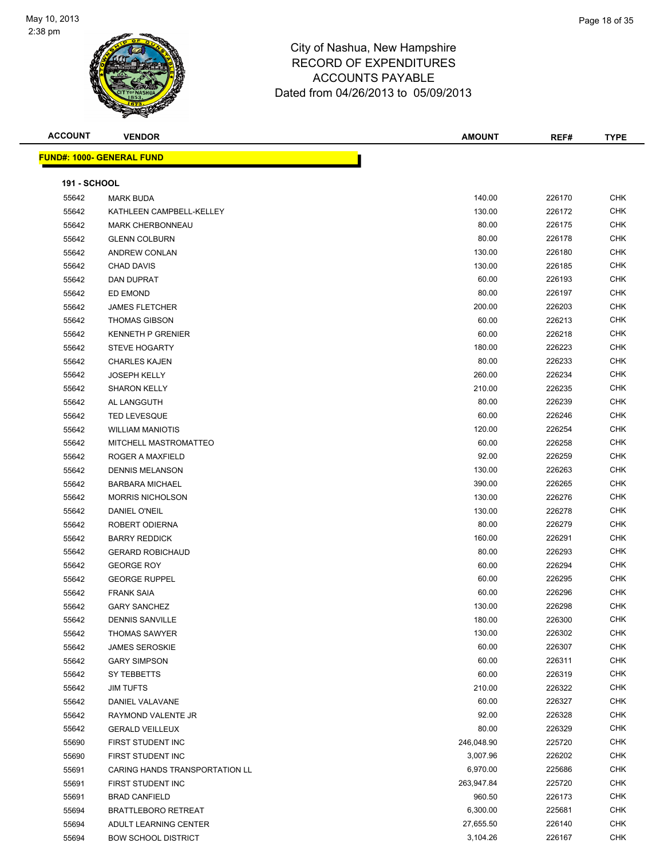

| <b>ACCOUNT</b>      | <b>VENDOR</b>                    | <b>AMOUNT</b> | REF#   | <b>TYPE</b> |
|---------------------|----------------------------------|---------------|--------|-------------|
|                     | <b>FUND#: 1000- GENERAL FUND</b> |               |        |             |
|                     |                                  |               |        |             |
| <b>191 - SCHOOL</b> |                                  |               |        |             |
| 55642               | <b>MARK BUDA</b>                 | 140.00        | 226170 | <b>CHK</b>  |
| 55642               | KATHLEEN CAMPBELL-KELLEY         | 130.00        | 226172 | <b>CHK</b>  |
| 55642               | <b>MARK CHERBONNEAU</b>          | 80.00         | 226175 | <b>CHK</b>  |
| 55642               | <b>GLENN COLBURN</b>             | 80.00         | 226178 | <b>CHK</b>  |
| 55642               | ANDREW CONLAN                    | 130.00        | 226180 | <b>CHK</b>  |
| 55642               | <b>CHAD DAVIS</b>                | 130.00        | 226185 | <b>CHK</b>  |
| 55642               | DAN DUPRAT                       | 60.00         | 226193 | <b>CHK</b>  |
| 55642               | ED EMOND                         | 80.00         | 226197 | <b>CHK</b>  |
| 55642               | <b>JAMES FLETCHER</b>            | 200.00        | 226203 | CHK         |
| 55642               | <b>THOMAS GIBSON</b>             | 60.00         | 226213 | <b>CHK</b>  |
| 55642               | <b>KENNETH P GRENIER</b>         | 60.00         | 226218 | <b>CHK</b>  |
| 55642               | <b>STEVE HOGARTY</b>             | 180.00        | 226223 | <b>CHK</b>  |
| 55642               | <b>CHARLES KAJEN</b>             | 80.00         | 226233 | <b>CHK</b>  |
| 55642               | <b>JOSEPH KELLY</b>              | 260.00        | 226234 | <b>CHK</b>  |
| 55642               | <b>SHARON KELLY</b>              | 210.00        | 226235 | <b>CHK</b>  |
| 55642               | AL LANGGUTH                      | 80.00         | 226239 | <b>CHK</b>  |
| 55642               | <b>TED LEVESQUE</b>              | 60.00         | 226246 | <b>CHK</b>  |
| 55642               | <b>WILLIAM MANIOTIS</b>          | 120.00        | 226254 | <b>CHK</b>  |
| 55642               | MITCHELL MASTROMATTEO            | 60.00         | 226258 | <b>CHK</b>  |
| 55642               | ROGER A MAXFIELD                 | 92.00         | 226259 | <b>CHK</b>  |
| 55642               | <b>DENNIS MELANSON</b>           | 130.00        | 226263 | <b>CHK</b>  |
| 55642               | <b>BARBARA MICHAEL</b>           | 390.00        | 226265 | <b>CHK</b>  |
| 55642               | <b>MORRIS NICHOLSON</b>          | 130.00        | 226276 | <b>CHK</b>  |
| 55642               | DANIEL O'NEIL                    | 130.00        | 226278 | <b>CHK</b>  |
| 55642               | ROBERT ODIERNA                   | 80.00         | 226279 | <b>CHK</b>  |
| 55642               | <b>BARRY REDDICK</b>             | 160.00        | 226291 | <b>CHK</b>  |
| 55642               | <b>GERARD ROBICHAUD</b>          | 80.00         | 226293 | <b>CHK</b>  |
| 55642               | <b>GEORGE ROY</b>                | 60.00         | 226294 | <b>CHK</b>  |
| 55642               | <b>GEORGE RUPPEL</b>             | 60.00         | 226295 | <b>CHK</b>  |
| 55642               | <b>FRANK SAIA</b>                | 60.00         | 226296 | CHK         |
| 55642               | <b>GARY SANCHEZ</b>              | 130.00        | 226298 | <b>CHK</b>  |
| 55642               | <b>DENNIS SANVILLE</b>           | 180.00        | 226300 | <b>CHK</b>  |
| 55642               | <b>THOMAS SAWYER</b>             | 130.00        | 226302 | <b>CHK</b>  |
| 55642               | <b>JAMES SEROSKIE</b>            | 60.00         | 226307 | <b>CHK</b>  |
| 55642               | <b>GARY SIMPSON</b>              | 60.00         | 226311 | <b>CHK</b>  |
| 55642               | SY TEBBETTS                      | 60.00         | 226319 | <b>CHK</b>  |
| 55642               | <b>JIM TUFTS</b>                 | 210.00        | 226322 | <b>CHK</b>  |
| 55642               | DANIEL VALAVANE                  | 60.00         | 226327 | <b>CHK</b>  |
| 55642               | RAYMOND VALENTE JR               | 92.00         | 226328 | <b>CHK</b>  |
| 55642               | <b>GERALD VEILLEUX</b>           | 80.00         | 226329 | <b>CHK</b>  |
| 55690               | FIRST STUDENT INC                | 246,048.90    | 225720 | CHK         |
| 55690               | FIRST STUDENT INC                | 3,007.96      | 226202 | <b>CHK</b>  |
| 55691               | CARING HANDS TRANSPORTATION LL   | 6,970.00      | 225686 | <b>CHK</b>  |
| 55691               | FIRST STUDENT INC                | 263,947.84    | 225720 | <b>CHK</b>  |
| 55691               | <b>BRAD CANFIELD</b>             | 960.50        | 226173 | <b>CHK</b>  |
| 55694               | <b>BRATTLEBORO RETREAT</b>       | 6,300.00      | 225681 | CHK         |
| 55694               | ADULT LEARNING CENTER            | 27,655.50     | 226140 | <b>CHK</b>  |
| 55694               | <b>BOW SCHOOL DISTRICT</b>       | 3,104.26      | 226167 | <b>CHK</b>  |
|                     |                                  |               |        |             |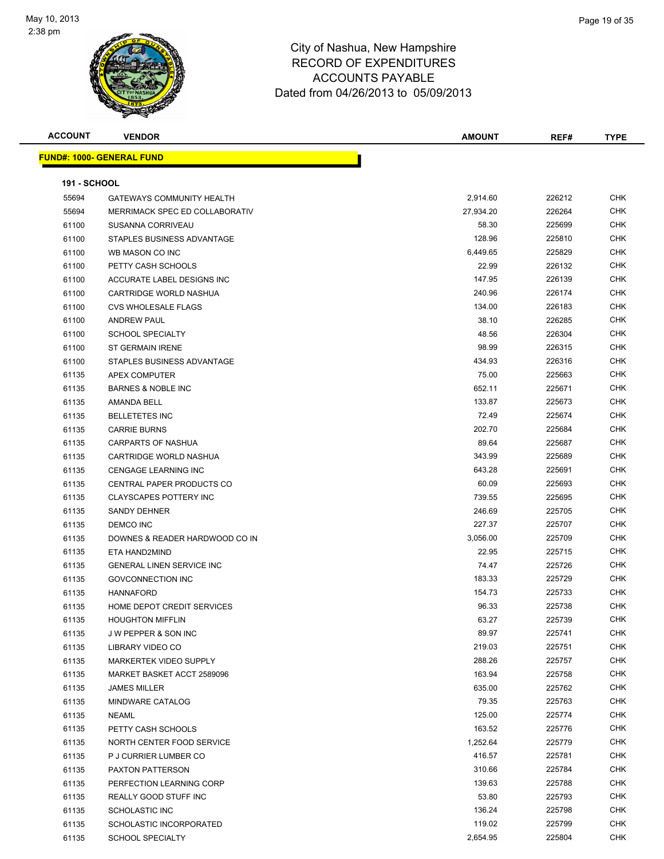

| <b>ACCOUNT</b>      | <b>VENDOR</b>                     | <b>AMOUNT</b> | REF#   | <b>TYPE</b> |
|---------------------|-----------------------------------|---------------|--------|-------------|
|                     | <u> FUND#: 1000- GENERAL FUND</u> |               |        |             |
|                     |                                   |               |        |             |
| <b>191 - SCHOOL</b> |                                   |               |        |             |
| 55694               | <b>GATEWAYS COMMUNITY HEALTH</b>  | 2,914.60      | 226212 | <b>CHK</b>  |
| 55694               | MERRIMACK SPEC ED COLLABORATIV    | 27,934.20     | 226264 | <b>CHK</b>  |
| 61100               | SUSANNA CORRIVEAU                 | 58.30         | 225699 | <b>CHK</b>  |
| 61100               | STAPLES BUSINESS ADVANTAGE        | 128.96        | 225810 | <b>CHK</b>  |
| 61100               | WB MASON CO INC                   | 6,449.65      | 225829 | <b>CHK</b>  |
| 61100               | PETTY CASH SCHOOLS                | 22.99         | 226132 | CHK         |
| 61100               | ACCURATE LABEL DESIGNS INC        | 147.95        | 226139 | <b>CHK</b>  |
| 61100               | CARTRIDGE WORLD NASHUA            | 240.96        | 226174 | <b>CHK</b>  |
| 61100               | <b>CVS WHOLESALE FLAGS</b>        | 134.00        | 226183 | <b>CHK</b>  |
| 61100               | <b>ANDREW PAUL</b>                | 38.10         | 226285 | CHK         |
| 61100               | <b>SCHOOL SPECIALTY</b>           | 48.56         | 226304 | <b>CHK</b>  |
| 61100               | <b>ST GERMAIN IRENE</b>           | 98.99         | 226315 | <b>CHK</b>  |
| 61100               | STAPLES BUSINESS ADVANTAGE        | 434.93        | 226316 | <b>CHK</b>  |
| 61135               | APEX COMPUTER                     | 75.00         | 225663 | CHK         |
| 61135               | <b>BARNES &amp; NOBLE INC</b>     | 652.11        | 225671 | <b>CHK</b>  |
| 61135               | <b>AMANDA BELL</b>                | 133.87        | 225673 | <b>CHK</b>  |
| 61135               | <b>BELLETETES INC</b>             | 72.49         | 225674 | CHK         |
| 61135               | <b>CARRIE BURNS</b>               | 202.70        | 225684 | <b>CHK</b>  |
| 61135               | <b>CARPARTS OF NASHUA</b>         | 89.64         | 225687 | <b>CHK</b>  |
| 61135               | CARTRIDGE WORLD NASHUA            | 343.99        | 225689 | <b>CHK</b>  |
| 61135               | <b>CENGAGE LEARNING INC</b>       | 643.28        | 225691 | CHK         |
| 61135               | CENTRAL PAPER PRODUCTS CO         | 60.09         | 225693 | CHK         |
| 61135               | <b>CLAYSCAPES POTTERY INC</b>     | 739.55        | 225695 | CHK         |
| 61135               | <b>SANDY DEHNER</b>               | 246.69        | 225705 | <b>CHK</b>  |
| 61135               | DEMCO INC                         | 227.37        | 225707 | CHK         |
| 61135               | DOWNES & READER HARDWOOD CO IN    | 3,056.00      | 225709 | <b>CHK</b>  |
| 61135               | ETA HAND2MIND                     | 22.95         | 225715 | <b>CHK</b>  |
| 61135               | <b>GENERAL LINEN SERVICE INC</b>  | 74.47         | 225726 | <b>CHK</b>  |
| 61135               | <b>GOVCONNECTION INC</b>          | 183.33        | 225729 | <b>CHK</b>  |
| 61135               | <b>HANNAFORD</b>                  | 154.73        | 225733 | <b>CHK</b>  |
| 61135               | HOME DEPOT CREDIT SERVICES        | 96.33         | 225738 | <b>CHK</b>  |
| 61135               | <b>HOUGHTON MIFFLIN</b>           | 63.27         | 225739 | CHK         |
| 61135               | J W PEPPER & SON INC              | 89.97         | 225741 | <b>CHK</b>  |
| 61135               | <b>LIBRARY VIDEO CO</b>           | 219.03        | 225751 | CHK         |
| 61135               | <b>MARKERTEK VIDEO SUPPLY</b>     | 288.26        | 225757 | <b>CHK</b>  |
| 61135               | MARKET BASKET ACCT 2589096        | 163.94        | 225758 | CHK         |
| 61135               | <b>JAMES MILLER</b>               | 635.00        | 225762 | CHK         |
| 61135               | MINDWARE CATALOG                  | 79.35         | 225763 | CHK         |
| 61135               | <b>NEAML</b>                      | 125.00        | 225774 | <b>CHK</b>  |
| 61135               | PETTY CASH SCHOOLS                | 163.52        | 225776 | <b>CHK</b>  |
| 61135               | NORTH CENTER FOOD SERVICE         | 1,252.64      | 225779 | <b>CHK</b>  |
| 61135               | P J CURRIER LUMBER CO             | 416.57        | 225781 | <b>CHK</b>  |
| 61135               | PAXTON PATTERSON                  | 310.66        | 225784 | CHK         |
| 61135               | PERFECTION LEARNING CORP          | 139.63        | 225788 | CHK         |
| 61135               | REALLY GOOD STUFF INC             | 53.80         | 225793 | CHK         |
| 61135               | SCHOLASTIC INC                    | 136.24        | 225798 | CHK         |
| 61135               | SCHOLASTIC INCORPORATED           | 119.02        | 225799 | CHK         |
| 61135               | <b>SCHOOL SPECIALTY</b>           | 2,654.95      | 225804 | CHK         |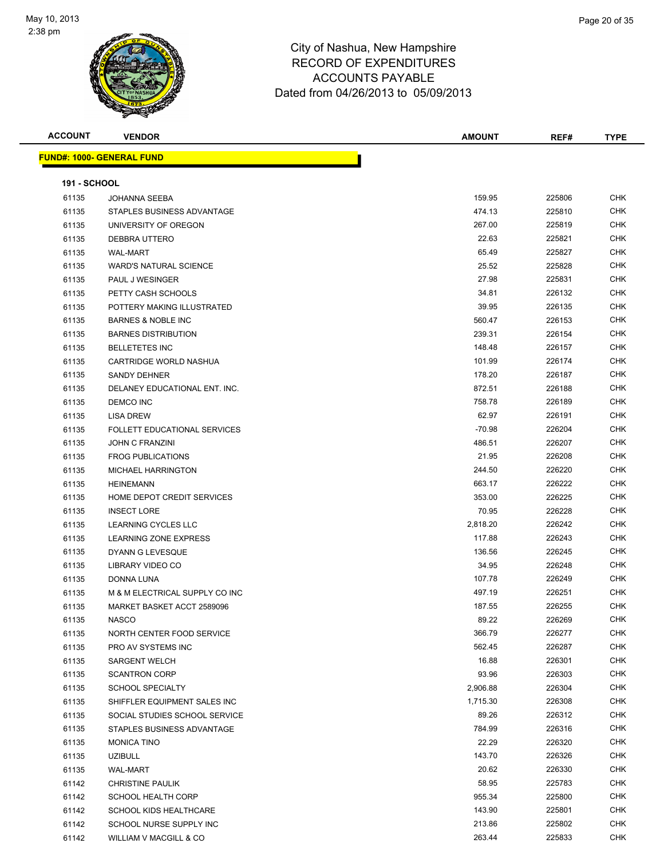

| <b>ACCOUNT</b>      | <b>VENDOR</b>                       | AMOUNT   | REF#   | <b>TYPE</b> |
|---------------------|-------------------------------------|----------|--------|-------------|
|                     | <b>FUND#: 1000- GENERAL FUND</b>    |          |        |             |
|                     |                                     |          |        |             |
| <b>191 - SCHOOL</b> |                                     |          |        |             |
| 61135               | <b>JOHANNA SEEBA</b>                | 159.95   | 225806 | CHK         |
| 61135               | STAPLES BUSINESS ADVANTAGE          | 474.13   | 225810 | CHK         |
| 61135               | UNIVERSITY OF OREGON                | 267.00   | 225819 | CHK         |
| 61135               | DEBBRA UTTERO                       | 22.63    | 225821 | CHK         |
| 61135               | <b>WAL-MART</b>                     | 65.49    | 225827 | CHK         |
| 61135               | <b>WARD'S NATURAL SCIENCE</b>       | 25.52    | 225828 | CHK         |
| 61135               | PAUL J WESINGER                     | 27.98    | 225831 | CHK         |
| 61135               | PETTY CASH SCHOOLS                  | 34.81    | 226132 | CHK         |
| 61135               | POTTERY MAKING ILLUSTRATED          | 39.95    | 226135 | CHK         |
| 61135               | <b>BARNES &amp; NOBLE INC</b>       | 560.47   | 226153 | CHK         |
| 61135               | <b>BARNES DISTRIBUTION</b>          | 239.31   | 226154 | CHK         |
| 61135               | <b>BELLETETES INC</b>               | 148.48   | 226157 | CHK         |
| 61135               | CARTRIDGE WORLD NASHUA              | 101.99   | 226174 | CHK         |
| 61135               | <b>SANDY DEHNER</b>                 | 178.20   | 226187 | CHK         |
| 61135               | DELANEY EDUCATIONAL ENT. INC.       | 872.51   | 226188 | CHK         |
| 61135               | <b>DEMCO INC</b>                    | 758.78   | 226189 | CHK         |
| 61135               | <b>LISA DREW</b>                    | 62.97    | 226191 | CHK         |
| 61135               | <b>FOLLETT EDUCATIONAL SERVICES</b> | $-70.98$ | 226204 | CHK         |
| 61135               | <b>JOHN C FRANZINI</b>              | 486.51   | 226207 | <b>CHK</b>  |
| 61135               | <b>FROG PUBLICATIONS</b>            | 21.95    | 226208 | CHK         |
| 61135               | <b>MICHAEL HARRINGTON</b>           | 244.50   | 226220 | <b>CHK</b>  |
| 61135               | <b>HEINEMANN</b>                    | 663.17   | 226222 | <b>CHK</b>  |
| 61135               | HOME DEPOT CREDIT SERVICES          | 353.00   | 226225 | CHK         |
| 61135               | <b>INSECT LORE</b>                  | 70.95    | 226228 | <b>CHK</b>  |
| 61135               | LEARNING CYCLES LLC                 | 2,818.20 | 226242 | CHK         |
| 61135               | LEARNING ZONE EXPRESS               | 117.88   | 226243 | CHK         |
| 61135               | DYANN G LEVESQUE                    | 136.56   | 226245 | CHK         |
| 61135               | LIBRARY VIDEO CO                    | 34.95    | 226248 | <b>CHK</b>  |
| 61135               | DONNA LUNA                          | 107.78   | 226249 | CHK         |
| 61135               | M & M ELECTRICAL SUPPLY CO INC      | 497.19   | 226251 | CHK         |
| 61135               | MARKET BASKET ACCT 2589096          | 187.55   | 226255 | CHK         |
| 61135               | <b>NASCO</b>                        | 89.22    | 226269 | <b>CHK</b>  |
| 61135               | NORTH CENTER FOOD SERVICE           | 366.79   | 226277 | <b>CHK</b>  |
| 61135               | PRO AV SYSTEMS INC                  | 562.45   | 226287 | <b>CHK</b>  |
| 61135               | <b>SARGENT WELCH</b>                | 16.88    | 226301 | <b>CHK</b>  |
| 61135               | <b>SCANTRON CORP</b>                | 93.96    | 226303 | <b>CHK</b>  |
| 61135               | <b>SCHOOL SPECIALTY</b>             | 2,906.88 | 226304 | <b>CHK</b>  |
| 61135               | SHIFFLER EQUIPMENT SALES INC        | 1,715.30 | 226308 | <b>CHK</b>  |
| 61135               | SOCIAL STUDIES SCHOOL SERVICE       | 89.26    | 226312 | <b>CHK</b>  |
| 61135               | STAPLES BUSINESS ADVANTAGE          | 784.99   | 226316 | <b>CHK</b>  |
| 61135               | <b>MONICA TINO</b>                  | 22.29    | 226320 | <b>CHK</b>  |
| 61135               | <b>UZIBULL</b>                      | 143.70   | 226326 | CHK         |
| 61135               | <b>WAL-MART</b>                     | 20.62    | 226330 | <b>CHK</b>  |
| 61142               | <b>CHRISTINE PAULIK</b>             | 58.95    | 225783 | CHK         |
| 61142               | SCHOOL HEALTH CORP                  | 955.34   | 225800 | CHK         |
| 61142               | <b>SCHOOL KIDS HEALTHCARE</b>       | 143.90   | 225801 | CHK         |
| 61142               | SCHOOL NURSE SUPPLY INC             | 213.86   | 225802 | CHK         |
| 61142               | WILLIAM V MACGILL & CO              | 263.44   | 225833 | <b>CHK</b>  |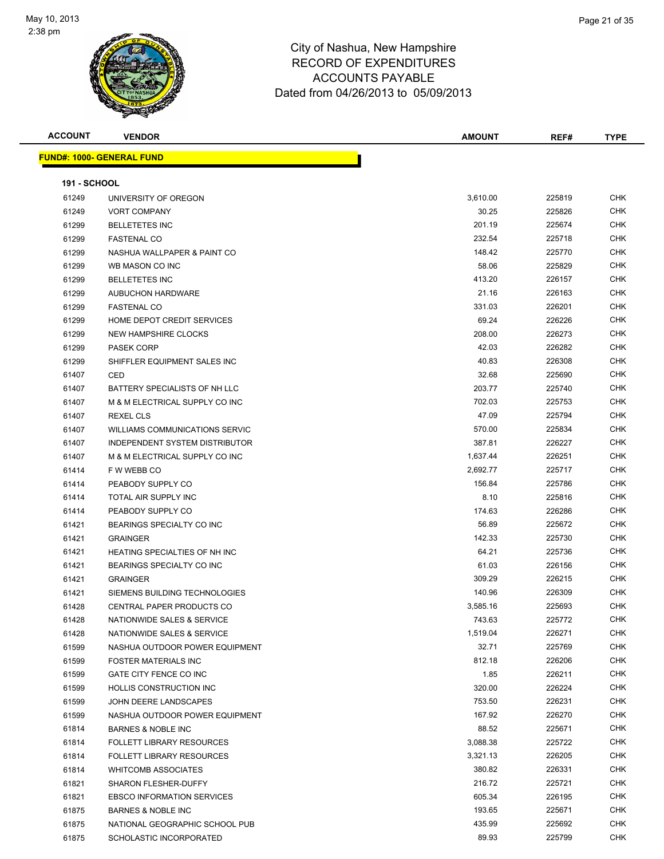

| <b>ACCOUNT</b>      | <b>VENDOR</b>                         | <b>AMOUNT</b> | REF#   | <b>TYPE</b> |
|---------------------|---------------------------------------|---------------|--------|-------------|
|                     | <b>FUND#: 1000- GENERAL FUND</b>      |               |        |             |
|                     |                                       |               |        |             |
| <b>191 - SCHOOL</b> |                                       |               |        |             |
| 61249               | UNIVERSITY OF OREGON                  | 3,610.00      | 225819 | <b>CHK</b>  |
| 61249               | <b>VORT COMPANY</b>                   | 30.25         | 225826 | CHK         |
| 61299               | <b>BELLETETES INC</b>                 | 201.19        | 225674 | <b>CHK</b>  |
| 61299               | <b>FASTENAL CO</b>                    | 232.54        | 225718 | CHK         |
| 61299               | NASHUA WALLPAPER & PAINT CO           | 148.42        | 225770 | CHK         |
| 61299               | WB MASON CO INC                       | 58.06         | 225829 | CHK         |
| 61299               | <b>BELLETETES INC</b>                 | 413.20        | 226157 | CHK         |
| 61299               | <b>AUBUCHON HARDWARE</b>              | 21.16         | 226163 | <b>CHK</b>  |
| 61299               | <b>FASTENAL CO</b>                    | 331.03        | 226201 | CHK         |
| 61299               | HOME DEPOT CREDIT SERVICES            | 69.24         | 226226 | CHK         |
| 61299               | NEW HAMPSHIRE CLOCKS                  | 208.00        | 226273 | CHK         |
| 61299               | <b>PASEK CORP</b>                     | 42.03         | 226282 | CHK         |
| 61299               | SHIFFLER EQUIPMENT SALES INC          | 40.83         | 226308 | CHK         |
| 61407               | CED                                   | 32.68         | 225690 | CHK         |
| 61407               | BATTERY SPECIALISTS OF NH LLC         | 203.77        | 225740 | <b>CHK</b>  |
| 61407               | M & M ELECTRICAL SUPPLY CO INC        | 702.03        | 225753 | CHK         |
| 61407               | <b>REXEL CLS</b>                      | 47.09         | 225794 | CHK         |
| 61407               | <b>WILLIAMS COMMUNICATIONS SERVIC</b> | 570.00        | 225834 | CHK         |
| 61407               | INDEPENDENT SYSTEM DISTRIBUTOR        | 387.81        | 226227 | CHK         |
| 61407               | M & M ELECTRICAL SUPPLY CO INC        | 1,637.44      | 226251 | <b>CHK</b>  |
| 61414               | F W WEBB CO                           | 2,692.77      | 225717 | CHK         |
| 61414               | PEABODY SUPPLY CO                     | 156.84        | 225786 | <b>CHK</b>  |
| 61414               | TOTAL AIR SUPPLY INC                  | 8.10          | 225816 | CHK         |
| 61414               | PEABODY SUPPLY CO                     | 174.63        | 226286 | <b>CHK</b>  |
| 61421               | BEARINGS SPECIALTY CO INC             | 56.89         | 225672 | <b>CHK</b>  |
| 61421               | <b>GRAINGER</b>                       | 142.33        | 225730 | CHK         |
| 61421               | <b>HEATING SPECIALTIES OF NH INC</b>  | 64.21         | 225736 | CHK         |
| 61421               | BEARINGS SPECIALTY CO INC             | 61.03         | 226156 | CHK         |
| 61421               | <b>GRAINGER</b>                       | 309.29        | 226215 | <b>CHK</b>  |
| 61421               | SIEMENS BUILDING TECHNOLOGIES         | 140.96        | 226309 | CHK         |
| 61428               | <b>CENTRAL PAPER PRODUCTS CO</b>      | 3,585.16      | 225693 | CHK         |
| 61428               | NATIONWIDE SALES & SERVICE            | 743.63        | 225772 | <b>CHK</b>  |
| 61428               | NATIONWIDE SALES & SERVICE            | 1,519.04      | 226271 | <b>CHK</b>  |
| 61599               | NASHUA OUTDOOR POWER EQUIPMENT        | 32.71         | 225769 | <b>CHK</b>  |
| 61599               | <b>FOSTER MATERIALS INC</b>           | 812.18        | 226206 | <b>CHK</b>  |
| 61599               | GATE CITY FENCE CO INC                | 1.85          | 226211 | <b>CHK</b>  |
| 61599               | HOLLIS CONSTRUCTION INC               | 320.00        | 226224 | <b>CHK</b>  |
| 61599               | JOHN DEERE LANDSCAPES                 | 753.50        | 226231 | <b>CHK</b>  |
| 61599               | NASHUA OUTDOOR POWER EQUIPMENT        | 167.92        | 226270 | CHK         |
| 61814               | <b>BARNES &amp; NOBLE INC</b>         | 88.52         | 225671 | CHK         |
| 61814               | <b>FOLLETT LIBRARY RESOURCES</b>      | 3,088.38      | 225722 | CHK         |
| 61814               | <b>FOLLETT LIBRARY RESOURCES</b>      | 3,321.13      | 226205 | CHK         |
| 61814               | <b>WHITCOMB ASSOCIATES</b>            | 380.82        | 226331 | CHK         |
| 61821               | SHARON FLESHER-DUFFY                  | 216.72        | 225721 | <b>CHK</b>  |
| 61821               | <b>EBSCO INFORMATION SERVICES</b>     | 605.34        | 226195 | CHK         |
| 61875               | <b>BARNES &amp; NOBLE INC</b>         | 193.65        | 225671 | CHK         |
| 61875               | NATIONAL GEOGRAPHIC SCHOOL PUB        | 435.99        | 225692 | <b>CHK</b>  |
| 61875               | SCHOLASTIC INCORPORATED               | 89.93         | 225799 | CHK         |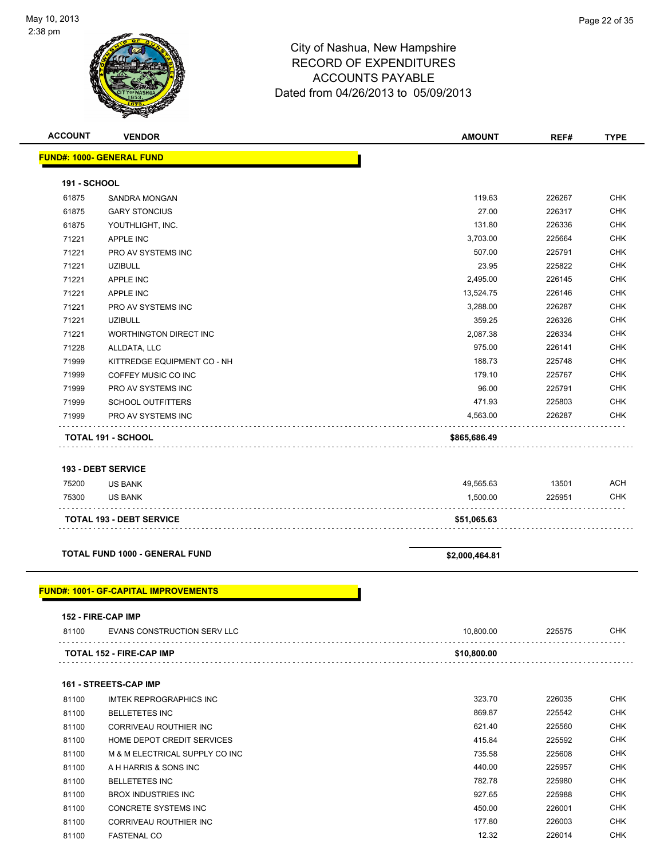| <b>ACCOUNT</b> | <b>VENDOR</b>                    | <b>AMOUNT</b> | REF#   | <b>TYPE</b> |
|----------------|----------------------------------|---------------|--------|-------------|
|                | <b>FUND#: 1000- GENERAL FUND</b> |               |        |             |
|                |                                  |               |        |             |
| 191 - SCHOOL   |                                  |               |        |             |
| 61875          | SANDRA MONGAN                    | 119.63        | 226267 | <b>CHK</b>  |
| 61875          | <b>GARY STONCIUS</b>             | 27.00         | 226317 | <b>CHK</b>  |
| 61875          | YOUTHLIGHT, INC.                 | 131.80        | 226336 | <b>CHK</b>  |
| 71221          | <b>APPLE INC</b>                 | 3,703.00      | 225664 | <b>CHK</b>  |
| 71221          | PRO AV SYSTEMS INC               | 507.00        | 225791 | <b>CHK</b>  |
| 71221          | <b>UZIBULL</b>                   | 23.95         | 225822 | <b>CHK</b>  |
| 71221          | <b>APPLE INC</b>                 | 2,495.00      | 226145 | <b>CHK</b>  |
| 71221          | <b>APPLE INC</b>                 | 13,524.75     | 226146 | <b>CHK</b>  |
| 71221          | PRO AV SYSTEMS INC               | 3,288.00      | 226287 | <b>CHK</b>  |
| 71221          | <b>UZIBULL</b>                   | 359.25        | 226326 | <b>CHK</b>  |
| 71221          | <b>WORTHINGTON DIRECT INC</b>    | 2,087.38      | 226334 | <b>CHK</b>  |
| 71228          | ALLDATA, LLC                     | 975.00        | 226141 | <b>CHK</b>  |
| 71999          | KITTREDGE EQUIPMENT CO - NH      | 188.73        | 225748 | <b>CHK</b>  |
| 71999          | COFFEY MUSIC CO INC              | 179.10        | 225767 | <b>CHK</b>  |
| 71999          | PRO AV SYSTEMS INC               | 96.00         | 225791 | <b>CHK</b>  |
| 71999          | <b>SCHOOL OUTFITTERS</b>         | 471.93        | 225803 | <b>CHK</b>  |
| 71999          | PRO AV SYSTEMS INC               | 4,563.00      | 226287 | <b>CHK</b>  |
|                | <b>TOTAL 191 - SCHOOL</b>        | \$865,686.49  |        |             |
|                | <b>193 - DEBT SERVICE</b>        |               |        |             |
| 75200          | <b>US BANK</b>                   | 49,565.63     | 13501  | <b>ACH</b>  |

|       | <b>TOTAL 193 - DEBT SERVICE</b> | \$51,065.63 |        |     |
|-------|---------------------------------|-------------|--------|-----|
| 75300 | US BANK                         | 1.500.00    | 225951 | CHK |
| 75200 | <b>US BANK</b>                  | 49.565.63   | 13501  | ACH |

**TOTAL FUND 1000 - GENERAL FUND \$2,000,464.81**

### **FUND#: 1001- GF-CAPITAL IMPROVEMENTS**

### **152 - FIRE-CAP IMP**

| 81100 | EVANS CONSTRUCTION SERV LLC     | 10.800.00   | 225575 | CHK |
|-------|---------------------------------|-------------|--------|-----|
|       | <b>TOTAL 152 - FIRE-CAP IMP</b> | \$10.800.00 |        |     |

### **161 - STREETS-CAP IMP**

| 81100 | IMTEK REPROGRAPHICS INC        | 323.70 | 226035 | <b>CHK</b> |
|-------|--------------------------------|--------|--------|------------|
| 81100 | <b>BELLETETES INC</b>          | 869.87 | 225542 | <b>CHK</b> |
| 81100 | CORRIVEAU ROUTHIER INC         | 621.40 | 225560 | <b>CHK</b> |
| 81100 | HOME DEPOT CREDIT SERVICES     | 415.84 | 225592 | <b>CHK</b> |
| 81100 | M & M ELECTRICAL SUPPLY CO INC | 735.58 | 225608 | <b>CHK</b> |
| 81100 | A H HARRIS & SONS INC          | 440.00 | 225957 | <b>CHK</b> |
| 81100 | <b>BELLETETES INC</b>          | 782.78 | 225980 | <b>CHK</b> |
| 81100 | <b>BROX INDUSTRIES INC.</b>    | 927.65 | 225988 | <b>CHK</b> |
| 81100 | CONCRETE SYSTEMS INC           | 450.00 | 226001 | <b>CHK</b> |
| 81100 | CORRIVEAU ROUTHIER INC         | 177.80 | 226003 | <b>CHK</b> |
| 81100 | <b>FASTENAL CO</b>             | 12.32  | 226014 | <b>CHK</b> |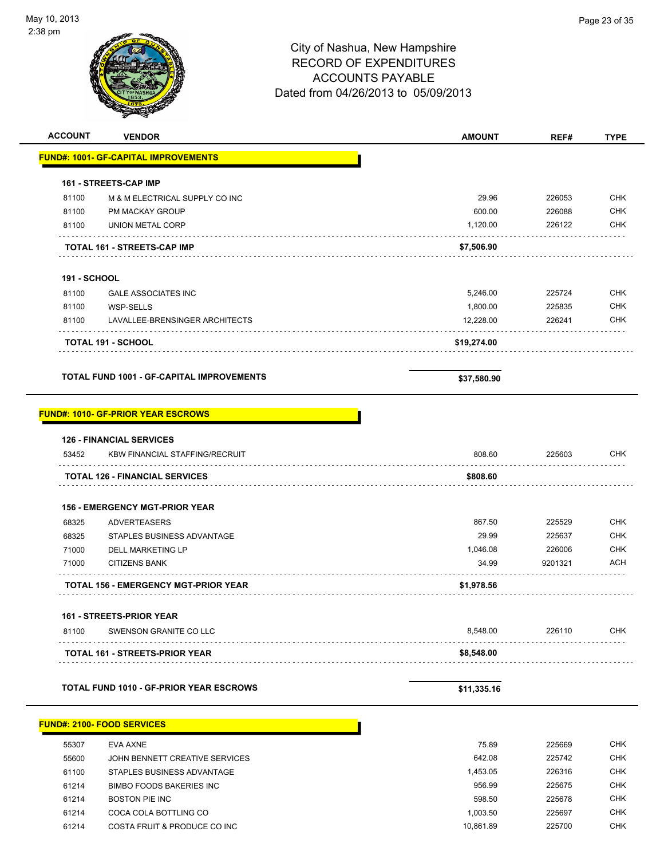. . . . . . . . . . . . . . . .

. . . . . .

. . . . . . . . . .

# City of Nashua, New Hampshire RECORD OF EXPENDITURES ACCOUNTS PAYABLE Dated from 04/26/2013 to 05/09/2013 **ACCOUNT VENDOR AMOUNT REF# TYPE**

|                     | <b>FUND#: 1001- GF-CAPITAL IMPROVEMENTS</b> |             |        |            |
|---------------------|---------------------------------------------|-------------|--------|------------|
|                     | <b>161 - STREETS-CAP IMP</b>                |             |        |            |
| 81100               | M & M ELECTRICAL SUPPLY CO INC              | 29.96       | 226053 | <b>CHK</b> |
| 81100               | <b>PM MACKAY GROUP</b>                      | 600.00      | 226088 | <b>CHK</b> |
| 81100               | UNION METAL CORP                            | 1,120.00    | 226122 | <b>CHK</b> |
|                     | <b>TOTAL 161 - STREETS-CAP IMP</b>          | \$7,506.90  |        |            |
| <b>191 - SCHOOL</b> |                                             |             |        |            |
| 81100               | <b>GALE ASSOCIATES INC</b>                  | 5,246.00    | 225724 | <b>CHK</b> |
| 81100               | WSP-SELLS                                   | 1.800.00    | 225835 | <b>CHK</b> |
| 81100               | LAVALLEE-BRENSINGER ARCHITECTS              | 12,228.00   | 226241 | <b>CHK</b> |
|                     | <b>TOTAL 191 - SCHOOL</b>                   | \$19,274.00 |        |            |

**TOTAL FUND 1001 - GF-CAPITAL IMPROVEMENTS** \$37,580.90

### **FUND#: 1010- GF-PRIOR YEAR ESCROWS**

|       | <b>126 - FINANCIAL SERVICES</b>       |          |         |            |
|-------|---------------------------------------|----------|---------|------------|
| 53452 | <b>KBW FINANCIAL STAFFING/RECRUIT</b> | 808.60   | 225603  | <b>CHK</b> |
|       | <b>TOTAL 126 - FINANCIAL SERVICES</b> | \$808.60 |         |            |
|       | <b>156 - EMERGENCY MGT-PRIOR YEAR</b> |          |         |            |
| 68325 | <b>ADVERTEASERS</b>                   | 867.50   | 225529  | <b>CHK</b> |
| 68325 | STAPLES BUSINESS ADVANTAGE            | 29.99    | 225637  | <b>CHK</b> |
| 71000 | DELL MARKETING LP                     | 1.046.08 | 226006  | <b>CHK</b> |
| 71000 | <b>CITIZENS BANK</b>                  | 34.99    | 9201321 | <b>ACH</b> |

**161 - STREETS-PRIOR YEAR**

| 81100 | SWENSON GRANITE CO LLC                | 8.548.00   | 226110 | СНК |
|-------|---------------------------------------|------------|--------|-----|
|       | <b>TOTAL 161 - STREETS-PRIOR YEAR</b> | \$8,548.00 |        |     |

**TOTAL 156 - EMERGENCY MGT-PRIOR YEAR \$1,978.56**

**TOTAL FUND 1010 - GF-PRIOR YEAR ESCROWS \$11,335.16** 

|       | <b>FUND#: 2100- FOOD SERVICES</b> |           |        |            |  |
|-------|-----------------------------------|-----------|--------|------------|--|
| 55307 | EVA AXNE                          | 75.89     | 225669 | <b>CHK</b> |  |
| 55600 | JOHN BENNETT CREATIVE SERVICES    | 642.08    | 225742 | <b>CHK</b> |  |
| 61100 | STAPLES BUSINESS ADVANTAGE        | 1.453.05  | 226316 | <b>CHK</b> |  |
| 61214 | BIMBO FOODS BAKERIES INC          | 956.99    | 225675 | <b>CHK</b> |  |
| 61214 | <b>BOSTON PIE INC</b>             | 598.50    | 225678 | <b>CHK</b> |  |
| 61214 | COCA COLA BOTTLING CO             | 1.003.50  | 225697 | <b>CHK</b> |  |
| 61214 | COSTA FRUIT & PRODUCE CO INC      | 10.861.89 | 225700 | <b>CHK</b> |  |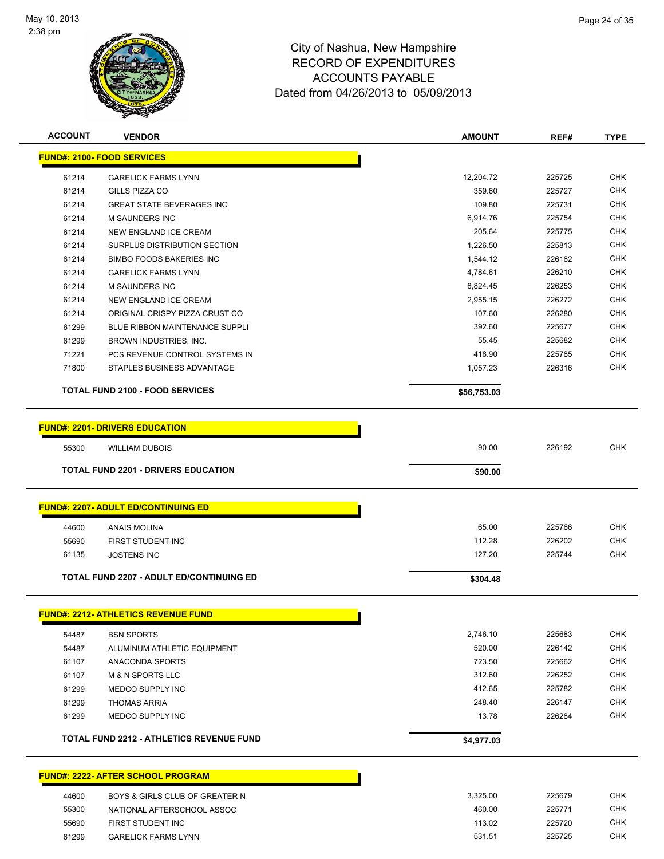

| <b>ACCOUNT</b> | <b>VENDOR</b>                                   | <b>AMOUNT</b> | REF#   | <b>TYPE</b> |
|----------------|-------------------------------------------------|---------------|--------|-------------|
|                | <b>FUND#: 2100- FOOD SERVICES</b>               |               |        |             |
| 61214          | <b>GARELICK FARMS LYNN</b>                      | 12,204.72     | 225725 | <b>CHK</b>  |
| 61214          | <b>GILLS PIZZA CO</b>                           | 359.60        | 225727 | <b>CHK</b>  |
| 61214          | <b>GREAT STATE BEVERAGES INC</b>                | 109.80        | 225731 | <b>CHK</b>  |
| 61214          | M SAUNDERS INC                                  | 6,914.76      | 225754 | <b>CHK</b>  |
| 61214          | NEW ENGLAND ICE CREAM                           | 205.64        | 225775 | <b>CHK</b>  |
| 61214          | SURPLUS DISTRIBUTION SECTION                    | 1,226.50      | 225813 | <b>CHK</b>  |
| 61214          | <b>BIMBO FOODS BAKERIES INC</b>                 | 1,544.12      | 226162 | <b>CHK</b>  |
| 61214          | <b>GARELICK FARMS LYNN</b>                      | 4,784.61      | 226210 | <b>CHK</b>  |
| 61214          | M SAUNDERS INC                                  | 8,824.45      | 226253 | <b>CHK</b>  |
| 61214          | NEW ENGLAND ICE CREAM                           | 2,955.15      | 226272 | CHK         |
| 61214          | ORIGINAL CRISPY PIZZA CRUST CO                  | 107.60        | 226280 | <b>CHK</b>  |
| 61299          | BLUE RIBBON MAINTENANCE SUPPLI                  | 392.60        | 225677 | <b>CHK</b>  |
| 61299          | BROWN INDUSTRIES, INC.                          | 55.45         | 225682 | <b>CHK</b>  |
| 71221          | PCS REVENUE CONTROL SYSTEMS IN                  | 418.90        | 225785 | <b>CHK</b>  |
| 71800          | STAPLES BUSINESS ADVANTAGE                      | 1,057.23      | 226316 | <b>CHK</b>  |
|                | <b>TOTAL FUND 2100 - FOOD SERVICES</b>          | \$56,753.03   |        |             |
|                |                                                 |               |        |             |
|                | <b>FUND#: 2201- DRIVERS EDUCATION</b>           |               |        |             |
| 55300          | <b>WILLIAM DUBOIS</b>                           | 90.00         | 226192 | <b>CHK</b>  |
|                | <b>TOTAL FUND 2201 - DRIVERS EDUCATION</b>      | \$90.00       |        |             |
|                |                                                 |               |        |             |
|                | <b>FUND#: 2207- ADULT ED/CONTINUING ED</b>      |               |        |             |
| 44600          | <b>ANAIS MOLINA</b>                             | 65.00         | 225766 | CHK         |
| 55690          | FIRST STUDENT INC                               | 112.28        | 226202 | <b>CHK</b>  |
| 61135          | <b>JOSTENS INC</b>                              | 127.20        | 225744 | <b>CHK</b>  |
|                | <b>TOTAL FUND 2207 - ADULT ED/CONTINUING ED</b> | \$304.48      |        |             |
|                | <b>FUND#: 2212- ATHLETICS REVENUE FUND</b>      |               |        |             |
|                |                                                 |               |        |             |
| 54487          | <b>BSN SPORTS</b>                               | 2,746.10      | 225683 | <b>CHK</b>  |
| 54487          | ALUMINUM ATHLETIC EQUIPMENT                     | 520.00        | 226142 | <b>CHK</b>  |
| 61107          | ANACONDA SPORTS                                 | 723.50        | 225662 | <b>CHK</b>  |
| 61107          | <b>M &amp; N SPORTS LLC</b>                     | 312.60        | 226252 | CHK         |
| 61299          | MEDCO SUPPLY INC                                | 412.65        | 225782 | CHK         |
| 61299          | <b>THOMAS ARRIA</b>                             | 248.40        | 226147 | <b>CHK</b>  |
| 61299          | MEDCO SUPPLY INC                                | 13.78         | 226284 | <b>CHK</b>  |
|                | <b>TOTAL FUND 2212 - ATHLETICS REVENUE FUND</b> | \$4,977.03    |        |             |
|                | <b>FUND#: 2222- AFTER SCHOOL PROGRAM</b>        |               |        |             |
| 44600          | BOYS & GIRLS CLUB OF GREATER N                  | 3,325.00      | 225679 | <b>CHK</b>  |
| 55300          | NATIONAL AFTERSCHOOL ASSOC                      | 460.00        | 225771 | <b>CHK</b>  |
| 55690          | FIRST STUDENT INC                               | 113.02        | 225720 | <b>CHK</b>  |
|                | <b>GARELICK FARMS LYNN</b>                      | 531.51        | 225725 | <b>CHK</b>  |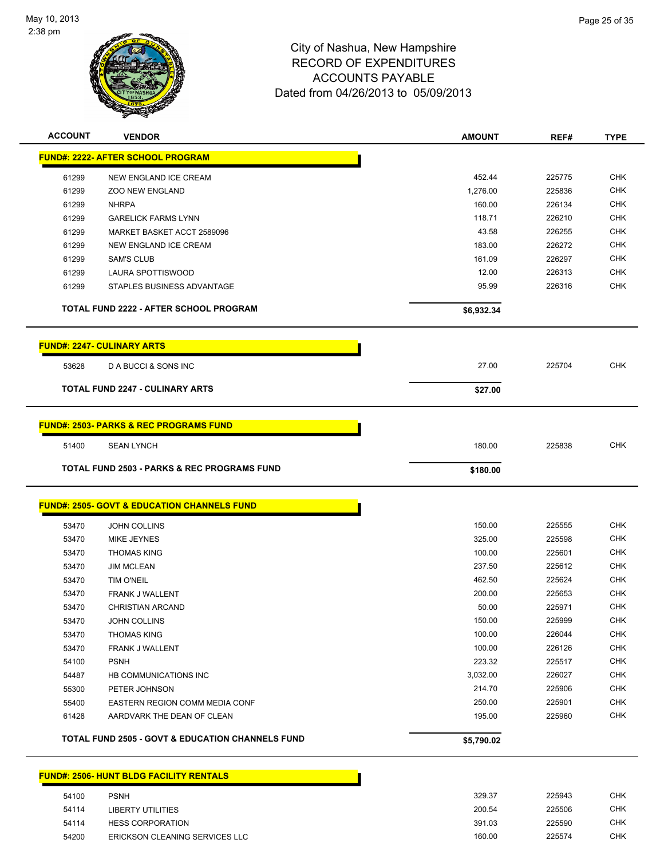

| <b>ACCOUNT</b> | <b>VENDOR</b>                                               | <b>AMOUNT</b> | REF#   | <b>TYPE</b> |
|----------------|-------------------------------------------------------------|---------------|--------|-------------|
|                | <b>FUND#: 2222- AFTER SCHOOL PROGRAM</b>                    |               |        |             |
| 61299          | NEW ENGLAND ICE CREAM                                       | 452.44        | 225775 | <b>CHK</b>  |
| 61299          | <b>ZOO NEW ENGLAND</b>                                      | 1,276.00      | 225836 | <b>CHK</b>  |
| 61299          | <b>NHRPA</b>                                                | 160.00        | 226134 | <b>CHK</b>  |
| 61299          | <b>GARELICK FARMS LYNN</b>                                  | 118.71        | 226210 | <b>CHK</b>  |
| 61299          | MARKET BASKET ACCT 2589096                                  | 43.58         | 226255 | CHK         |
| 61299          | NEW ENGLAND ICE CREAM                                       | 183.00        | 226272 | <b>CHK</b>  |
| 61299          | <b>SAM'S CLUB</b>                                           | 161.09        | 226297 | CHK         |
| 61299          | LAURA SPOTTISWOOD                                           | 12.00         | 226313 | <b>CHK</b>  |
| 61299          | STAPLES BUSINESS ADVANTAGE                                  | 95.99         | 226316 | <b>CHK</b>  |
|                | TOTAL FUND 2222 - AFTER SCHOOL PROGRAM                      | \$6,932.34    |        |             |
|                | <b>FUND#: 2247- CULINARY ARTS</b>                           |               |        |             |
| 53628          | D A BUCCI & SONS INC                                        | 27.00         | 225704 | <b>CHK</b>  |
|                | <b>TOTAL FUND 2247 - CULINARY ARTS</b>                      | \$27.00       |        |             |
|                | <b>FUND#: 2503- PARKS &amp; REC PROGRAMS FUND</b>           |               |        |             |
| 51400          | <b>SEAN LYNCH</b>                                           | 180.00        | 225838 | <b>CHK</b>  |
|                | <b>TOTAL FUND 2503 - PARKS &amp; REC PROGRAMS FUND</b>      | \$180.00      |        |             |
|                |                                                             |               |        |             |
|                | <b>FUND#: 2505- GOVT &amp; EDUCATION CHANNELS FUND</b>      |               |        |             |
| 53470          | <b>JOHN COLLINS</b>                                         | 150.00        | 225555 | <b>CHK</b>  |
| 53470          | MIKE JEYNES                                                 | 325.00        | 225598 | <b>CHK</b>  |
| 53470          | <b>THOMAS KING</b>                                          | 100.00        | 225601 | <b>CHK</b>  |
| 53470          | <b>JIM MCLEAN</b>                                           | 237.50        | 225612 | <b>CHK</b>  |
| 53470          | <b>TIM O'NEIL</b>                                           | 462.50        | 225624 | <b>CHK</b>  |
| 53470          | FRANK J WALLENT                                             | 200.00        | 225653 | <b>CHK</b>  |
| 53470          | <b>CHRISTIAN ARCAND</b>                                     | 50.00         | 225971 | <b>CHK</b>  |
| 53470          | JOHN COLLINS                                                | 150.00        | 225999 | <b>CHK</b>  |
| 53470          | <b>THOMAS KING</b>                                          | 100.00        | 226044 | <b>CHK</b>  |
| 53470          | <b>FRANK J WALLENT</b>                                      | 100.00        | 226126 | <b>CHK</b>  |
| 54100          | <b>PSNH</b>                                                 | 223.32        | 225517 | <b>CHK</b>  |
| 54487          | HB COMMUNICATIONS INC                                       | 3,032.00      | 226027 | <b>CHK</b>  |
| 55300          | PETER JOHNSON                                               | 214.70        | 225906 | <b>CHK</b>  |
| 55400          | EASTERN REGION COMM MEDIA CONF                              | 250.00        | 225901 | <b>CHK</b>  |
| 61428          | AARDVARK THE DEAN OF CLEAN                                  | 195.00        | 225960 | <b>CHK</b>  |
|                | <b>TOTAL FUND 2505 - GOVT &amp; EDUCATION CHANNELS FUND</b> | \$5,790.02    |        |             |
|                | <b>FUND#: 2506- HUNT BLDG FACILITY RENTALS</b>              |               |        |             |
| 54100          | <b>PSNH</b>                                                 | 329.37        | 225943 | CHK         |

 LIBERTY UTILITIES 200.54 225506 CHK HESS CORPORATION 391.03 225590 CHK ERICKSON CLEANING SERVICES LLC 160.00 225574 CHK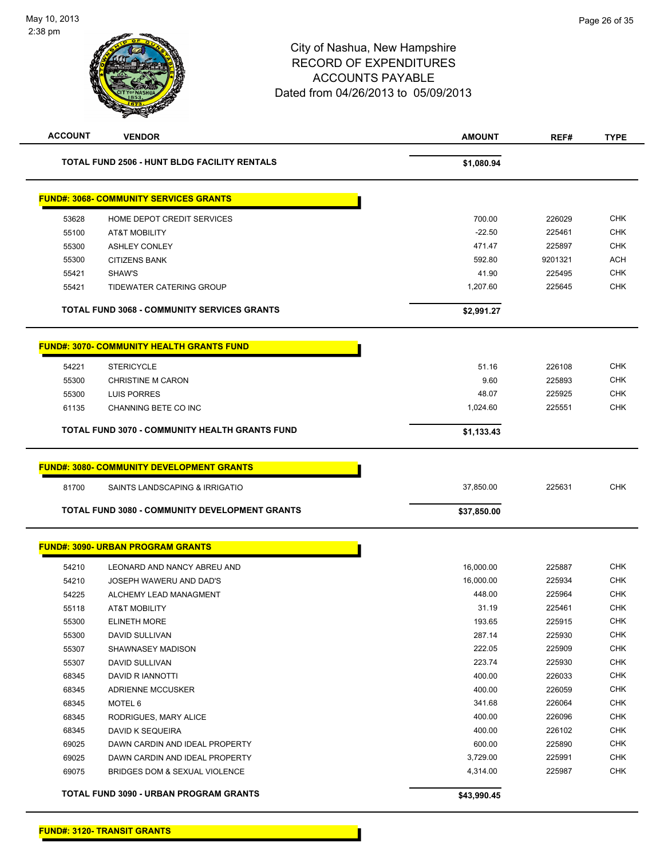| <b>ACCOUNT</b><br><b>VENDOR</b>                     |                                                    | <b>AMOUNT</b> | REF#    | <b>TYPE</b> |
|-----------------------------------------------------|----------------------------------------------------|---------------|---------|-------------|
| <b>TOTAL FUND 2506 - HUNT BLDG FACILITY RENTALS</b> |                                                    | \$1,080.94    |         |             |
|                                                     | <b>FUND#: 3068- COMMUNITY SERVICES GRANTS</b>      |               |         |             |
| 53628                                               | HOME DEPOT CREDIT SERVICES                         | 700.00        | 226029  | <b>CHK</b>  |
| 55100                                               | AT&T MOBILITY                                      | $-22.50$      | 225461  | <b>CHK</b>  |
| 55300                                               | <b>ASHLEY CONLEY</b>                               | 471.47        | 225897  | <b>CHK</b>  |
| 55300                                               | <b>CITIZENS BANK</b>                               | 592.80        | 9201321 | <b>ACH</b>  |
| 55421                                               | SHAW'S                                             | 41.90         | 225495  | <b>CHK</b>  |
| 55421                                               | TIDEWATER CATERING GROUP                           | 1,207.60      | 225645  | <b>CHK</b>  |
|                                                     | <b>TOTAL FUND 3068 - COMMUNITY SERVICES GRANTS</b> | \$2,991.27    |         |             |
|                                                     | <b>FUND#: 3070- COMMUNITY HEALTH GRANTS FUND</b>   |               |         |             |
| 54221                                               | <b>STERICYCLE</b>                                  | 51.16         | 226108  | <b>CHK</b>  |
| 55300                                               | <b>CHRISTINE M CARON</b>                           | 9.60          | 225893  | <b>CHK</b>  |
| 55300                                               | <b>LUIS PORRES</b>                                 | 48.07         | 225925  | <b>CHK</b>  |
| 61135                                               | CHANNING BETE CO INC                               | 1,024.60      | 225551  | <b>CHK</b>  |
| TOTAL FUND 3070 - COMMUNITY HEALTH GRANTS FUND      |                                                    | \$1,133.43    |         |             |
|                                                     | <b>FUND#: 3080- COMMUNITY DEVELOPMENT GRANTS</b>   |               |         |             |
| 81700                                               | SAINTS LANDSCAPING & IRRIGATIO                     | 37,850.00     | 225631  | CHK         |
|                                                     |                                                    |               |         |             |
|                                                     | TOTAL FUND 3080 - COMMUNITY DEVELOPMENT GRANTS     | \$37,850.00   |         |             |
|                                                     | <b>FUND#: 3090- URBAN PROGRAM GRANTS</b>           |               |         |             |
| 54210                                               | LEONARD AND NANCY ABREU AND                        | 16,000.00     | 225887  | <b>CHK</b>  |
| 54210                                               | JOSEPH WAWERU AND DAD'S                            | 16,000.00     | 225934  | <b>CHK</b>  |
| 54225                                               | ALCHEMY LEAD MANAGMENT                             | 448.00        | 225964  | <b>CHK</b>  |
| 55118                                               | <b>AT&amp;T MOBILITY</b>                           | 31.19         | 225461  | <b>CHK</b>  |
| 55300                                               | <b>ELINETH MORE</b>                                | 193.65        | 225915  | <b>CHK</b>  |
| 55300                                               | DAVID SULLIVAN                                     | 287.14        | 225930  | <b>CHK</b>  |
| 55307                                               | SHAWNASEY MADISON                                  | 222.05        | 225909  | <b>CHK</b>  |
| 55307                                               | DAVID SULLIVAN                                     | 223.74        | 225930  | <b>CHK</b>  |
| 68345                                               | DAVID R IANNOTTI                                   | 400.00        | 226033  | <b>CHK</b>  |
| 68345                                               | <b>ADRIENNE MCCUSKER</b>                           | 400.00        | 226059  | <b>CHK</b>  |
| 68345                                               | MOTEL 6                                            | 341.68        | 226064  | <b>CHK</b>  |
| 68345                                               | RODRIGUES, MARY ALICE                              | 400.00        | 226096  | <b>CHK</b>  |
| 68345                                               | DAVID K SEQUEIRA                                   | 400.00        | 226102  | <b>CHK</b>  |
| 69025                                               | DAWN CARDIN AND IDEAL PROPERTY                     | 600.00        | 225890  | <b>CHK</b>  |
| 69025                                               | DAWN CARDIN AND IDEAL PROPERTY                     | 3,729.00      | 225991  | CHK         |
| 69075                                               | BRIDGES DOM & SEXUAL VIOLENCE                      | 4,314.00      | 225987  | <b>CHK</b>  |
|                                                     | TOTAL FUND 3090 - URBAN PROGRAM GRANTS             | \$43,990.45   |         |             |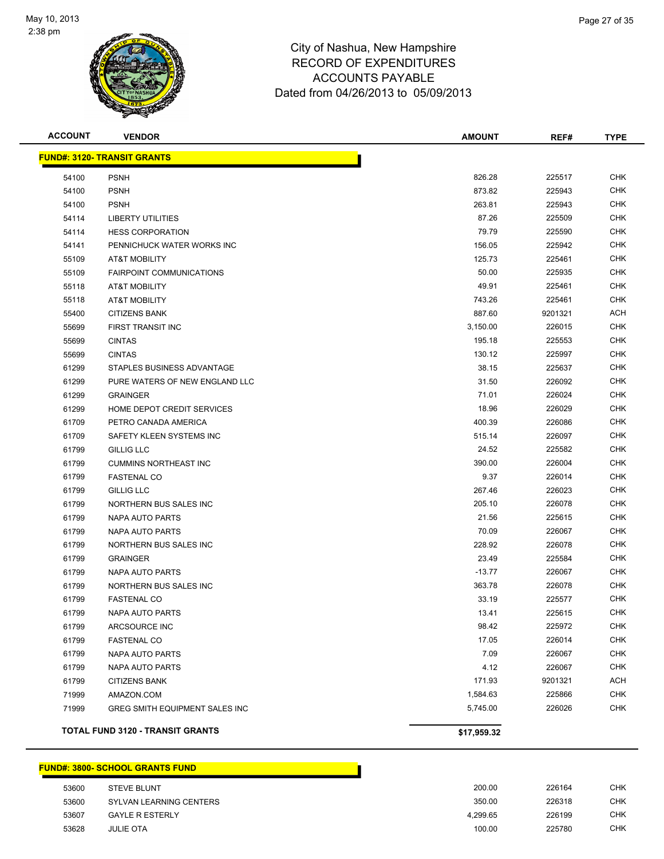

| <b>ACCOUNT</b> | <b>VENDOR</b>                           | <b>AMOUNT</b> | REF#    | <b>TYPE</b> |
|----------------|-----------------------------------------|---------------|---------|-------------|
|                | <b>FUND#: 3120- TRANSIT GRANTS</b>      |               |         |             |
| 54100          | <b>PSNH</b>                             | 826.28        | 225517  | CHK         |
| 54100          | <b>PSNH</b>                             | 873.82        | 225943  | <b>CHK</b>  |
| 54100          | <b>PSNH</b>                             | 263.81        | 225943  | <b>CHK</b>  |
| 54114          | <b>LIBERTY UTILITIES</b>                | 87.26         | 225509  | <b>CHK</b>  |
| 54114          | <b>HESS CORPORATION</b>                 | 79.79         | 225590  | <b>CHK</b>  |
| 54141          | PENNICHUCK WATER WORKS INC              | 156.05        | 225942  | <b>CHK</b>  |
| 55109          | AT&T MOBILITY                           | 125.73        | 225461  | <b>CHK</b>  |
| 55109          | <b>FAIRPOINT COMMUNICATIONS</b>         | 50.00         | 225935  | <b>CHK</b>  |
| 55118          | AT&T MOBILITY                           | 49.91         | 225461  | <b>CHK</b>  |
| 55118          | AT&T MOBILITY                           | 743.26        | 225461  | <b>CHK</b>  |
| 55400          | <b>CITIZENS BANK</b>                    | 887.60        | 9201321 | ACH         |
| 55699          | FIRST TRANSIT INC                       | 3,150.00      | 226015  | CHK         |
| 55699          | <b>CINTAS</b>                           | 195.18        | 225553  | <b>CHK</b>  |
| 55699          | <b>CINTAS</b>                           | 130.12        | 225997  | <b>CHK</b>  |
| 61299          | STAPLES BUSINESS ADVANTAGE              | 38.15         | 225637  | <b>CHK</b>  |
| 61299          | PURE WATERS OF NEW ENGLAND LLC          | 31.50         | 226092  | <b>CHK</b>  |
| 61299          | <b>GRAINGER</b>                         | 71.01         | 226024  | <b>CHK</b>  |
| 61299          | HOME DEPOT CREDIT SERVICES              | 18.96         | 226029  | <b>CHK</b>  |
| 61709          | PETRO CANADA AMERICA                    | 400.39        | 226086  | <b>CHK</b>  |
| 61709          | SAFETY KLEEN SYSTEMS INC                | 515.14        | 226097  | <b>CHK</b>  |
| 61799          | <b>GILLIG LLC</b>                       | 24.52         | 225582  | <b>CHK</b>  |
| 61799          | <b>CUMMINS NORTHEAST INC</b>            | 390.00        | 226004  | CHK         |
| 61799          | <b>FASTENAL CO</b>                      | 9.37          | 226014  | <b>CHK</b>  |
| 61799          | <b>GILLIG LLC</b>                       | 267.46        | 226023  | <b>CHK</b>  |
| 61799          | NORTHERN BUS SALES INC                  | 205.10        | 226078  | <b>CHK</b>  |
| 61799          | NAPA AUTO PARTS                         | 21.56         | 225615  | <b>CHK</b>  |
| 61799          | NAPA AUTO PARTS                         | 70.09         | 226067  | <b>CHK</b>  |
| 61799          | NORTHERN BUS SALES INC                  | 228.92        | 226078  | <b>CHK</b>  |
| 61799          | <b>GRAINGER</b>                         | 23.49         | 225584  | <b>CHK</b>  |
| 61799          | NAPA AUTO PARTS                         | $-13.77$      | 226067  | <b>CHK</b>  |
| 61799          | NORTHERN BUS SALES INC                  | 363.78        | 226078  | <b>CHK</b>  |
| 61799          | <b>FASTENAL CO</b>                      | 33.19         | 225577  | CHK         |
| 61799          | NAPA AUTO PARTS                         | 13.41         | 225615  | <b>CHK</b>  |
| 61799          | ARCSOURCE INC                           | 98.42         | 225972  | <b>CHK</b>  |
| 61799          | <b>FASTENAL CO</b>                      | 17.05         | 226014  | <b>CHK</b>  |
| 61799          | <b>NAPA AUTO PARTS</b>                  | 7.09          | 226067  | <b>CHK</b>  |
| 61799          | NAPA AUTO PARTS                         | 4.12          | 226067  | <b>CHK</b>  |
| 61799          | <b>CITIZENS BANK</b>                    | 171.93        | 9201321 | <b>ACH</b>  |
| 71999          | AMAZON.COM                              | 1,584.63      | 225866  | <b>CHK</b>  |
| 71999          | GREG SMITH EQUIPMENT SALES INC          | 5,745.00      | 226026  | <b>CHK</b>  |
|                | <b>TOTAL FUND 3120 - TRANSIT GRANTS</b> | \$17,959.32   |         |             |

### **FUND#: 3800- SCHOOL GRANTS FUND**

| 53600 | <b>STEVE BLUNT</b>      | 200.00   | 226164 | <b>CHK</b> |
|-------|-------------------------|----------|--------|------------|
| 53600 | SYLVAN LEARNING CENTERS | 350.00   | 226318 | <b>CHK</b> |
| 53607 | <b>GAYLE R ESTERLY</b>  | 4.299.65 | 226199 | CHK        |
| 53628 | <b>JULIE OTA</b>        | 100.00   | 225780 | CHK        |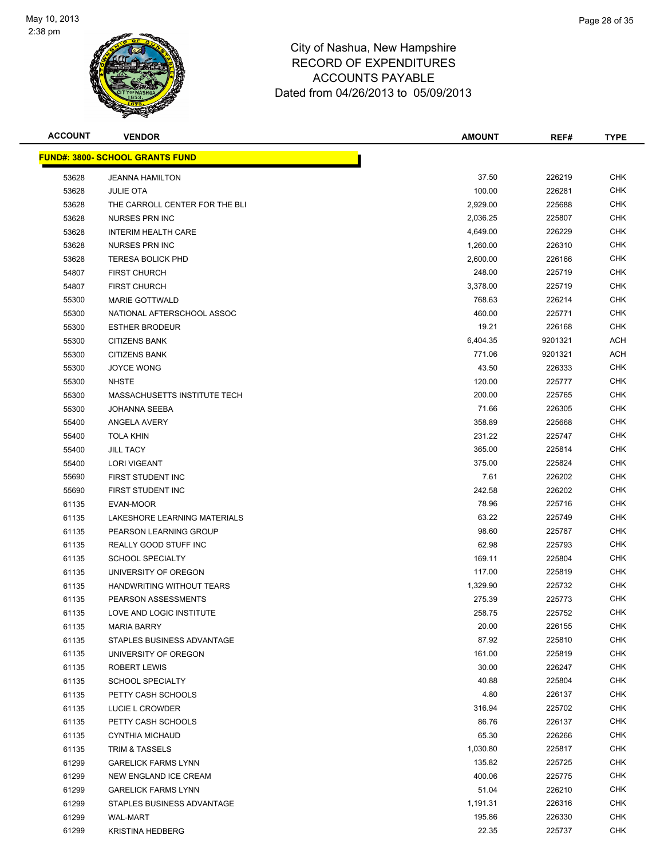

| <b>ACCOUNT</b> | <b>VENDOR</b>                           | <b>AMOUNT</b> | REF#    | <b>TYPE</b> |
|----------------|-----------------------------------------|---------------|---------|-------------|
|                | <u> FUND#: 3800- SCHOOL GRANTS FUND</u> |               |         |             |
| 53628          | <b>JEANNA HAMILTON</b>                  | 37.50         | 226219  | <b>CHK</b>  |
| 53628          | <b>JULIE OTA</b>                        | 100.00        | 226281  | <b>CHK</b>  |
| 53628          | THE CARROLL CENTER FOR THE BLI          | 2,929.00      | 225688  | <b>CHK</b>  |
| 53628          | NURSES PRN INC                          | 2,036.25      | 225807  | <b>CHK</b>  |
| 53628          | <b>INTERIM HEALTH CARE</b>              | 4,649.00      | 226229  | CHK         |
| 53628          | NURSES PRN INC                          | 1,260.00      | 226310  | <b>CHK</b>  |
| 53628          | <b>TERESA BOLICK PHD</b>                | 2,600.00      | 226166  | <b>CHK</b>  |
| 54807          | <b>FIRST CHURCH</b>                     | 248.00        | 225719  | CHK         |
| 54807          | <b>FIRST CHURCH</b>                     | 3,378.00      | 225719  | CHK         |
| 55300          | <b>MARIE GOTTWALD</b>                   | 768.63        | 226214  | CHK         |
| 55300          | NATIONAL AFTERSCHOOL ASSOC              | 460.00        | 225771  | CHK         |
| 55300          | <b>ESTHER BRODEUR</b>                   | 19.21         | 226168  | <b>CHK</b>  |
| 55300          | <b>CITIZENS BANK</b>                    | 6,404.35      | 9201321 | ACH         |
| 55300          | <b>CITIZENS BANK</b>                    | 771.06        | 9201321 | ACH         |
| 55300          | <b>JOYCE WONG</b>                       | 43.50         | 226333  | <b>CHK</b>  |
| 55300          | <b>NHSTE</b>                            | 120.00        | 225777  | <b>CHK</b>  |
| 55300          | MASSACHUSETTS INSTITUTE TECH            | 200.00        | 225765  | <b>CHK</b>  |
| 55300          | <b>JOHANNA SEEBA</b>                    | 71.66         | 226305  | CHK         |
| 55400          | ANGELA AVERY                            | 358.89        | 225668  | CHK         |
| 55400          | <b>TOLA KHIN</b>                        | 231.22        | 225747  | <b>CHK</b>  |
| 55400          | <b>JILL TACY</b>                        | 365.00        | 225814  | <b>CHK</b>  |
| 55400          | <b>LORI VIGEANT</b>                     | 375.00        | 225824  | <b>CHK</b>  |
| 55690          | FIRST STUDENT INC                       | 7.61          | 226202  | <b>CHK</b>  |
| 55690          | FIRST STUDENT INC                       | 242.58        | 226202  | <b>CHK</b>  |
| 61135          | EVAN-MOOR                               | 78.96         | 225716  | <b>CHK</b>  |
| 61135          | LAKESHORE LEARNING MATERIALS            | 63.22         | 225749  | CHK         |
| 61135          | PEARSON LEARNING GROUP                  | 98.60         | 225787  | <b>CHK</b>  |
| 61135          | REALLY GOOD STUFF INC                   | 62.98         | 225793  | <b>CHK</b>  |
| 61135          | <b>SCHOOL SPECIALTY</b>                 | 169.11        | 225804  | <b>CHK</b>  |
| 61135          | UNIVERSITY OF OREGON                    | 117.00        | 225819  | <b>CHK</b>  |
| 61135          | HANDWRITING WITHOUT TEARS               | 1,329.90      | 225732  | CHK         |
| 61135          | PEARSON ASSESSMENTS                     | 275.39        | 225773  | CHK         |
| 61135          | LOVE AND LOGIC INSTITUTE                | 258.75        | 225752  | CHK         |
| 61135          | <b>MARIA BARRY</b>                      | 20.00         | 226155  | <b>CHK</b>  |
| 61135          | STAPLES BUSINESS ADVANTAGE              | 87.92         | 225810  | <b>CHK</b>  |
| 61135          | UNIVERSITY OF OREGON                    | 161.00        | 225819  | <b>CHK</b>  |
| 61135          | <b>ROBERT LEWIS</b>                     | 30.00         | 226247  | <b>CHK</b>  |
| 61135          | <b>SCHOOL SPECIALTY</b>                 | 40.88         | 225804  | <b>CHK</b>  |
| 61135          | PETTY CASH SCHOOLS                      | 4.80          | 226137  | <b>CHK</b>  |
| 61135          | LUCIE L CROWDER                         | 316.94        | 225702  | <b>CHK</b>  |
| 61135          | PETTY CASH SCHOOLS                      | 86.76         | 226137  | <b>CHK</b>  |
| 61135          | <b>CYNTHIA MICHAUD</b>                  | 65.30         | 226266  | CHK         |
| 61135          | TRIM & TASSELS                          | 1,030.80      | 225817  | <b>CHK</b>  |
| 61299          | <b>GARELICK FARMS LYNN</b>              | 135.82        | 225725  | CHK         |
| 61299          | NEW ENGLAND ICE CREAM                   | 400.06        | 225775  | CHK         |
| 61299          | <b>GARELICK FARMS LYNN</b>              | 51.04         | 226210  | CHK         |
| 61299          | STAPLES BUSINESS ADVANTAGE              | 1,191.31      | 226316  | <b>CHK</b>  |
| 61299          | <b>WAL-MART</b>                         | 195.86        | 226330  | <b>CHK</b>  |
| 61299          | <b>KRISTINA HEDBERG</b>                 | 22.35         | 225737  | <b>CHK</b>  |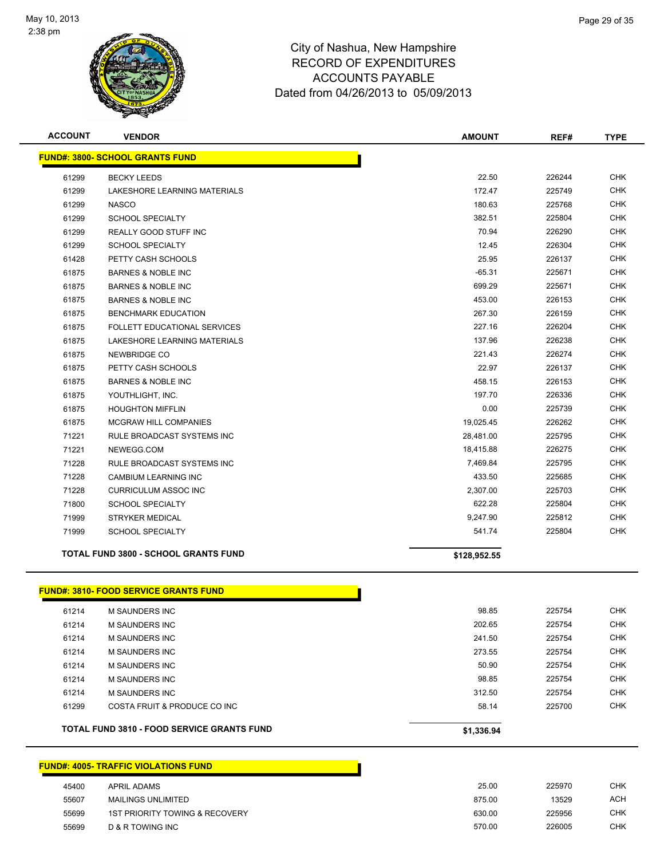

| <b>ACCOUNT</b> | <b>VENDOR</b>                                | <b>AMOUNT</b> | REF#   | <b>TYPE</b> |
|----------------|----------------------------------------------|---------------|--------|-------------|
|                | <b>FUND#: 3800- SCHOOL GRANTS FUND</b>       |               |        |             |
| 61299          | <b>BECKY LEEDS</b>                           | 22.50         | 226244 | <b>CHK</b>  |
| 61299          | LAKESHORE LEARNING MATERIALS                 | 172.47        | 225749 | <b>CHK</b>  |
| 61299          | <b>NASCO</b>                                 | 180.63        | 225768 | <b>CHK</b>  |
| 61299          | <b>SCHOOL SPECIALTY</b>                      | 382.51        | 225804 | <b>CHK</b>  |
| 61299          | REALLY GOOD STUFF INC                        | 70.94         | 226290 | <b>CHK</b>  |
| 61299          | <b>SCHOOL SPECIALTY</b>                      | 12.45         | 226304 | <b>CHK</b>  |
| 61428          | PETTY CASH SCHOOLS                           | 25.95         | 226137 | <b>CHK</b>  |
| 61875          | <b>BARNES &amp; NOBLE INC</b>                | $-65.31$      | 225671 | <b>CHK</b>  |
| 61875          | <b>BARNES &amp; NOBLE INC</b>                | 699.29        | 225671 | <b>CHK</b>  |
| 61875          | <b>BARNES &amp; NOBLE INC</b>                | 453.00        | 226153 | CHK         |
| 61875          | <b>BENCHMARK EDUCATION</b>                   | 267.30        | 226159 | <b>CHK</b>  |
| 61875          | FOLLETT EDUCATIONAL SERVICES                 | 227.16        | 226204 | <b>CHK</b>  |
| 61875          | LAKESHORE LEARNING MATERIALS                 | 137.96        | 226238 | <b>CHK</b>  |
| 61875          | NEWBRIDGE CO                                 | 221.43        | 226274 | <b>CHK</b>  |
| 61875          | PETTY CASH SCHOOLS                           | 22.97         | 226137 | <b>CHK</b>  |
| 61875          | <b>BARNES &amp; NOBLE INC</b>                | 458.15        | 226153 | <b>CHK</b>  |
| 61875          | YOUTHLIGHT, INC.                             | 197.70        | 226336 | <b>CHK</b>  |
| 61875          | <b>HOUGHTON MIFFLIN</b>                      | 0.00          | 225739 | <b>CHK</b>  |
| 61875          | <b>MCGRAW HILL COMPANIES</b>                 | 19,025.45     | 226262 | <b>CHK</b>  |
| 71221          | RULE BROADCAST SYSTEMS INC                   | 28,481.00     | 225795 | <b>CHK</b>  |
| 71221          | NEWEGG.COM                                   | 18,415.88     | 226275 | <b>CHK</b>  |
| 71228          | RULE BROADCAST SYSTEMS INC                   | 7,469.84      | 225795 | <b>CHK</b>  |
| 71228          | <b>CAMBIUM LEARNING INC</b>                  | 433.50        | 225685 | <b>CHK</b>  |
| 71228          | <b>CURRICULUM ASSOC INC</b>                  | 2,307.00      | 225703 | <b>CHK</b>  |
| 71800          | <b>SCHOOL SPECIALTY</b>                      | 622.28        | 225804 | <b>CHK</b>  |
| 71999          | STRYKER MEDICAL                              | 9,247.90      | 225812 | <b>CHK</b>  |
| 71999          | <b>SCHOOL SPECIALTY</b>                      | 541.74        | 225804 | <b>CHK</b>  |
|                | <b>TOTAL FUND 3800 - SCHOOL GRANTS FUND</b>  | \$128,952.55  |        |             |
|                | <b>FUND#: 3810- FOOD SERVICE GRANTS FUND</b> |               |        |             |
| 61214          | M SAUNDERS INC                               | 98.85         | 225754 | <b>CHK</b>  |
| 61214          | <b>M SAUNDERS INC</b>                        | 202.65        | 225754 | <b>CHK</b>  |
| 61214          | <b>M SAUNDERS INC</b>                        | 241.50        | 225754 | <b>CHK</b>  |
| 61214          | M SAUNDERS INC                               | 273.55        | 225754 | <b>CHK</b>  |
| 61214          | <b>M SAUNDERS INC</b>                        | 50.90         | 225754 | <b>CHK</b>  |
| 61214          | M SAUNDERS INC                               | 98.85         | 225754 | <b>CHK</b>  |
| 61214          | M SAUNDERS INC                               | 312.50        | 225754 | <b>CHK</b>  |
| 61299          | COSTA FRUIT & PRODUCE CO INC                 | 58.14         | 225700 | <b>CHK</b>  |
|                | TOTAL FUND 3810 - FOOD SERVICE GRANTS FUND   | \$1,336.94    |        |             |
|                |                                              |               |        |             |
|                | <b>FUND#: 4005- TRAFFIC VIOLATIONS FUND</b>  |               |        |             |
|                |                                              |               |        |             |

# APRIL ADAMS 25.00 225970 CHK 55607 MAILINGS UNLIMITED **13529** ACH 1ST PRIORITY TOWING & RECOVERY 630.00 225956 CHK D & R TOWING INC 570.00 226005 CHK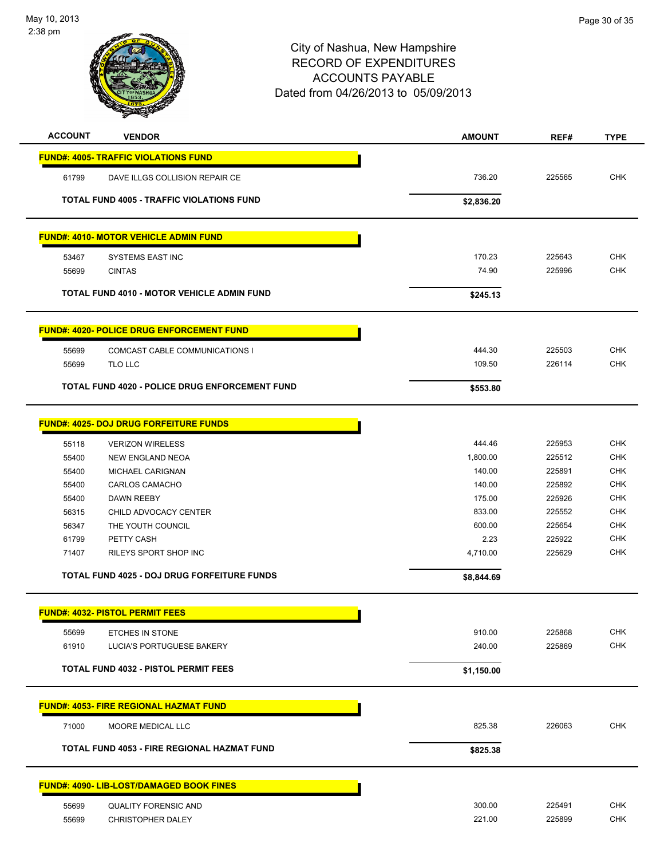

| <b>ACCOUNT</b> | <b>VENDOR</b>                                    | <b>AMOUNT</b>    | REF#   | <b>TYPE</b> |
|----------------|--------------------------------------------------|------------------|--------|-------------|
|                | <b>FUND#: 4005- TRAFFIC VIOLATIONS FUND</b>      |                  |        |             |
| 61799          | DAVE ILLGS COLLISION REPAIR CE                   | 736.20           | 225565 | <b>CHK</b>  |
|                |                                                  |                  |        |             |
|                | <b>TOTAL FUND 4005 - TRAFFIC VIOLATIONS FUND</b> | \$2,836.20       |        |             |
|                | <b>FUND#: 4010- MOTOR VEHICLE ADMIN FUND</b>     |                  |        |             |
| 53467          | SYSTEMS EAST INC                                 | 170.23           | 225643 | <b>CHK</b>  |
| 55699          | <b>CINTAS</b>                                    | 74.90            | 225996 | <b>CHK</b>  |
|                | TOTAL FUND 4010 - MOTOR VEHICLE ADMIN FUND       | \$245.13         |        |             |
|                |                                                  |                  |        |             |
|                | <b>FUND#: 4020- POLICE DRUG ENFORCEMENT FUND</b> |                  |        |             |
| 55699          | COMCAST CABLE COMMUNICATIONS I                   | 444.30           | 225503 | <b>CHK</b>  |
| 55699          | TLO LLC                                          | 109.50           | 226114 | <b>CHK</b>  |
|                | TOTAL FUND 4020 - POLICE DRUG ENFORCEMENT FUND   | \$553.80         |        |             |
|                |                                                  |                  |        |             |
|                | <b>FUND#: 4025- DOJ DRUG FORFEITURE FUNDS</b>    |                  |        |             |
| 55118          | <b>VERIZON WIRELESS</b>                          | 444.46           | 225953 | <b>CHK</b>  |
| 55400          | <b>NEW ENGLAND NEOA</b>                          | 1,800.00         | 225512 | <b>CHK</b>  |
| 55400          | MICHAEL CARIGNAN                                 | 140.00           | 225891 | <b>CHK</b>  |
| 55400          | <b>CARLOS CAMACHO</b>                            | 140.00           | 225892 | <b>CHK</b>  |
| 55400          | DAWN REEBY                                       | 175.00           | 225926 | <b>CHK</b>  |
| 56315          | CHILD ADVOCACY CENTER                            | 833.00           | 225552 | <b>CHK</b>  |
| 56347          | THE YOUTH COUNCIL                                | 600.00           | 225654 | <b>CHK</b>  |
| 61799          | PETTY CASH                                       | 2.23             | 225922 | <b>CHK</b>  |
| 71407          | RILEYS SPORT SHOP INC                            | 4,710.00         | 225629 | <b>CHK</b>  |
|                | TOTAL FUND 4025 - DOJ DRUG FORFEITURE FUNDS      | \$8,844.69       |        |             |
|                | <b>FUND#: 4032- PISTOL PERMIT FEES</b>           |                  |        |             |
|                |                                                  |                  |        |             |
| 55699          | ETCHES IN STONE                                  | 910.00           | 225868 | <b>CHK</b>  |
| 61910          | LUCIA'S PORTUGUESE BAKERY                        | 240.00           | 225869 | <b>CHK</b>  |
|                | <b>TOTAL FUND 4032 - PISTOL PERMIT FEES</b>      | \$1,150.00       |        |             |
|                | <b>FUND#: 4053- FIRE REGIONAL HAZMAT FUND</b>    |                  |        |             |
|                |                                                  |                  |        |             |
| 71000          | MOORE MEDICAL LLC                                | 825.38           | 226063 | <b>CHK</b>  |
|                | TOTAL FUND 4053 - FIRE REGIONAL HAZMAT FUND      | \$825.38         |        |             |
|                | <b>FUND#: 4090- LIB-LOST/DAMAGED BOOK FINES</b>  |                  |        |             |
|                |                                                  |                  |        |             |
| 55699          | <b>QUALITY FORENSIC AND</b>                      | 300.00<br>221.00 | 225491 | <b>CHK</b>  |
| 55699          | <b>CHRISTOPHER DALEY</b>                         |                  | 225899 | <b>CHK</b>  |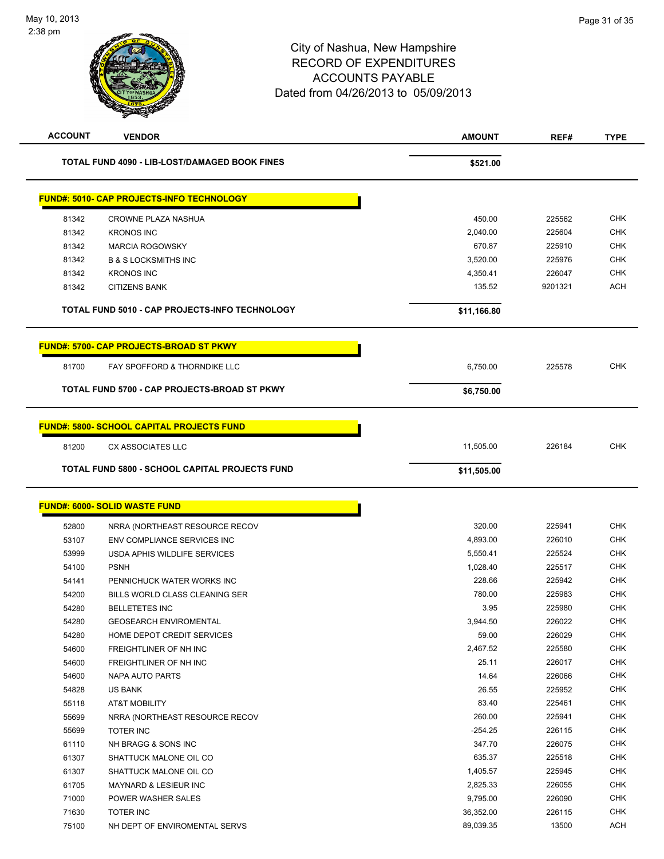| <b>ACCOUNT</b>                                | <b>VENDOR</b>                                         | <b>AMOUNT</b> | REF#    | <b>TYPE</b> |
|-----------------------------------------------|-------------------------------------------------------|---------------|---------|-------------|
| TOTAL FUND 4090 - LIB-LOST/DAMAGED BOOK FINES |                                                       | \$521.00      |         |             |
|                                               | <b>FUND#: 5010- CAP PROJECTS-INFO TECHNOLOGY</b>      |               |         |             |
| 81342                                         | CROWNE PLAZA NASHUA                                   | 450.00        | 225562  | <b>CHK</b>  |
| 81342                                         | <b>KRONOS INC</b>                                     | 2,040.00      | 225604  | CHK         |
| 81342                                         | <b>MARCIA ROGOWSKY</b>                                | 670.87        | 225910  | <b>CHK</b>  |
| 81342                                         | <b>B &amp; S LOCKSMITHS INC</b>                       | 3,520.00      | 225976  | <b>CHK</b>  |
| 81342                                         | <b>KRONOS INC</b>                                     | 4,350.41      | 226047  | <b>CHK</b>  |
| 81342                                         | <b>CITIZENS BANK</b>                                  | 135.52        | 9201321 | <b>ACH</b>  |
|                                               | TOTAL FUND 5010 - CAP PROJECTS-INFO TECHNOLOGY        | \$11,166.80   |         |             |
|                                               | <b>FUND#: 5700- CAP PROJECTS-BROAD ST PKWY</b>        |               |         |             |
| 81700                                         | FAY SPOFFORD & THORNDIKE LLC                          | 6,750.00      | 225578  | <b>CHK</b>  |
|                                               | TOTAL FUND 5700 - CAP PROJECTS-BROAD ST PKWY          | \$6,750.00    |         |             |
|                                               | <b>FUND#: 5800- SCHOOL CAPITAL PROJECTS FUND</b>      |               |         |             |
| 81200                                         | CX ASSOCIATES LLC                                     | 11,505.00     | 226184  | <b>CHK</b>  |
|                                               | <b>TOTAL FUND 5800 - SCHOOL CAPITAL PROJECTS FUND</b> | \$11,505.00   |         |             |
|                                               | <b>FUND#: 6000- SOLID WASTE FUND</b>                  |               |         |             |
| 52800                                         | NRRA (NORTHEAST RESOURCE RECOV                        | 320.00        | 225941  | <b>CHK</b>  |
| 53107                                         | ENV COMPLIANCE SERVICES INC                           | 4,893.00      | 226010  | CHK         |
| 53999                                         | USDA APHIS WILDLIFE SERVICES                          | 5,550.41      | 225524  | <b>CHK</b>  |
| 54100                                         | <b>PSNH</b>                                           | 1,028.40      | 225517  | <b>CHK</b>  |
| 54141                                         | PENNICHUCK WATER WORKS INC                            | 228.66        | 225942  | <b>CHK</b>  |
| 54200                                         | BILLS WORLD CLASS CLEANING SER                        | 780.00        | 225983  | <b>CHK</b>  |
| 54280                                         | <b>BELLETETES INC</b>                                 | 3.95          | 225980  | <b>CHK</b>  |
| 54280                                         | <b>GEOSEARCH ENVIROMENTAL</b>                         | 3,944.50      | 226022  | CHK         |
| 54280                                         | HOME DEPOT CREDIT SERVICES                            | 59.00         | 226029  | <b>CHK</b>  |
| 54600                                         | FREIGHTLINER OF NH INC                                | 2,467.52      | 225580  | <b>CHK</b>  |
| 54600                                         | FREIGHTLINER OF NH INC                                | 25.11         | 226017  | <b>CHK</b>  |
| 54600                                         | <b>NAPA AUTO PARTS</b>                                | 14.64         | 226066  | <b>CHK</b>  |
| 54828                                         | US BANK                                               | 26.55         | 225952  | CHK         |
| 55118                                         | <b>AT&amp;T MOBILITY</b>                              | 83.40         | 225461  | <b>CHK</b>  |
| 55699                                         | NRRA (NORTHEAST RESOURCE RECOV                        | 260.00        | 225941  | <b>CHK</b>  |
| 55699                                         | TOTER INC                                             | $-254.25$     | 226115  | <b>CHK</b>  |
| 61110                                         | NH BRAGG & SONS INC                                   | 347.70        | 226075  | <b>CHK</b>  |
| 61307                                         | SHATTUCK MALONE OIL CO                                | 635.37        | 225518  | <b>CHK</b>  |
| 61307                                         | SHATTUCK MALONE OIL CO                                | 1,405.57      | 225945  | <b>CHK</b>  |
| 61705                                         | MAYNARD & LESIEUR INC                                 | 2,825.33      | 226055  | <b>CHK</b>  |
| 71000                                         | POWER WASHER SALES                                    | 9,795.00      | 226090  | <b>CHK</b>  |
| 71630                                         | <b>TOTER INC</b>                                      | 36,352.00     | 226115  | <b>CHK</b>  |
| 75100                                         | NH DEPT OF ENVIROMENTAL SERVS                         | 89,039.35     | 13500   | <b>ACH</b>  |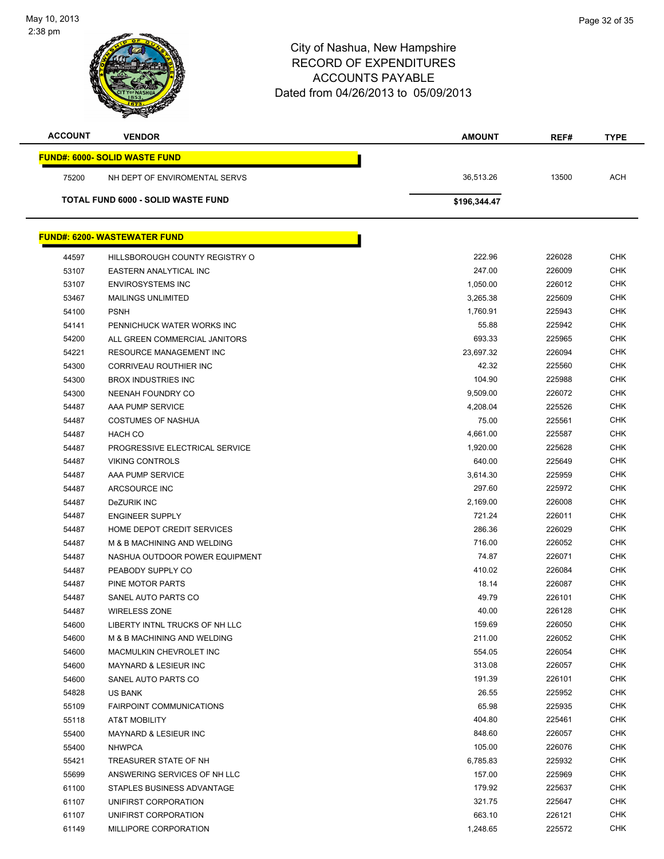$\overline{a}$ 



| <b>ACCOUNT</b> | <b>VENDOR</b>                             | AMOUNT       | REF#   | <b>TYPE</b> |
|----------------|-------------------------------------------|--------------|--------|-------------|
|                | <b>FUND#: 6000- SOLID WASTE FUND</b>      |              |        |             |
| 75200          | NH DEPT OF ENVIROMENTAL SERVS             | 36,513.26    | 13500  | <b>ACH</b>  |
|                | <b>TOTAL FUND 6000 - SOLID WASTE FUND</b> | \$196,344.47 |        |             |
|                |                                           |              |        |             |
|                | <b>FUND#: 6200- WASTEWATER FUND</b>       |              |        |             |
| 44597          | HILLSBOROUGH COUNTY REGISTRY O            | 222.96       | 226028 | <b>CHK</b>  |
| 53107          | EASTERN ANALYTICAL INC                    | 247.00       | 226009 | <b>CHK</b>  |
| 53107          | <b>ENVIROSYSTEMS INC</b>                  | 1,050.00     | 226012 | CHK         |
| 53467          | <b>MAILINGS UNLIMITED</b>                 | 3,265.38     | 225609 | <b>CHK</b>  |
| 54100          | <b>PSNH</b>                               | 1,760.91     | 225943 | <b>CHK</b>  |
| 54141          | PENNICHUCK WATER WORKS INC                | 55.88        | 225942 | <b>CHK</b>  |
| 54200          | ALL GREEN COMMERCIAL JANITORS             | 693.33       | 225965 | <b>CHK</b>  |
| 54221          | RESOURCE MANAGEMENT INC                   | 23,697.32    | 226094 | <b>CHK</b>  |
| 54300          | <b>CORRIVEAU ROUTHIER INC</b>             | 42.32        | 225560 | <b>CHK</b>  |
| 54300          | <b>BROX INDUSTRIES INC</b>                | 104.90       | 225988 | <b>CHK</b>  |
| 54300          | NEENAH FOUNDRY CO                         | 9,509.00     | 226072 | <b>CHK</b>  |
| 54487          | AAA PUMP SERVICE                          | 4,208.04     | 225526 | <b>CHK</b>  |
| 54487          | <b>COSTUMES OF NASHUA</b>                 | 75.00        | 225561 | <b>CHK</b>  |
| 54487          | <b>HACH CO</b>                            | 4,661.00     | 225587 | <b>CHK</b>  |
| 54487          | PROGRESSIVE ELECTRICAL SERVICE            | 1,920.00     | 225628 | <b>CHK</b>  |
| 54487          | <b>VIKING CONTROLS</b>                    | 640.00       | 225649 | <b>CHK</b>  |
| 54487          | AAA PUMP SERVICE                          | 3,614.30     | 225959 | <b>CHK</b>  |
| 54487          | ARCSOURCE INC                             | 297.60       | 225972 | <b>CHK</b>  |
| 54487          | DeZURIK INC                               | 2,169.00     | 226008 | <b>CHK</b>  |
| 54487          | <b>ENGINEER SUPPLY</b>                    | 721.24       | 226011 | <b>CHK</b>  |
| 54487          | HOME DEPOT CREDIT SERVICES                | 286.36       | 226029 | <b>CHK</b>  |
| 54487          | M & B MACHINING AND WELDING               | 716.00       | 226052 | CHK         |
| 54487          | NASHUA OUTDOOR POWER EQUIPMENT            | 74.87        | 226071 | <b>CHK</b>  |
| 54487          | PEABODY SUPPLY CO                         | 410.02       | 226084 | <b>CHK</b>  |
| 54487          | PINE MOTOR PARTS                          | 18.14        | 226087 | <b>CHK</b>  |
| 54487          | SANEL AUTO PARTS CO                       | 49.79        | 226101 | <b>CHK</b>  |
| 54487          | WIRELESS ZONE                             | 40.00        | 226128 | <b>CHK</b>  |
| 54600          | LIBERTY INTNL TRUCKS OF NH LLC            | 159.69       | 226050 | <b>CHK</b>  |
| 54600          | M & B MACHINING AND WELDING               | 211.00       | 226052 | <b>CHK</b>  |
| 54600          | MACMULKIN CHEVROLET INC                   | 554.05       | 226054 | <b>CHK</b>  |
| 54600          | MAYNARD & LESIEUR INC                     | 313.08       | 226057 | <b>CHK</b>  |
| 54600          | SANEL AUTO PARTS CO                       | 191.39       | 226101 | <b>CHK</b>  |
| 54828          | US BANK                                   | 26.55        | 225952 | <b>CHK</b>  |
| 55109          | <b>FAIRPOINT COMMUNICATIONS</b>           | 65.98        | 225935 | <b>CHK</b>  |
| 55118          | AT&T MOBILITY                             | 404.80       | 225461 | <b>CHK</b>  |
| 55400          | MAYNARD & LESIEUR INC                     | 848.60       | 226057 | <b>CHK</b>  |
| 55400          | <b>NHWPCA</b>                             | 105.00       | 226076 | <b>CHK</b>  |
| 55421          | TREASURER STATE OF NH                     | 6,785.83     | 225932 | <b>CHK</b>  |
| 55699          | ANSWERING SERVICES OF NH LLC              | 157.00       | 225969 | <b>CHK</b>  |
| 61100          | STAPLES BUSINESS ADVANTAGE                | 179.92       | 225637 | <b>CHK</b>  |
| 61107          | UNIFIRST CORPORATION                      | 321.75       | 225647 | <b>CHK</b>  |
| 61107          | UNIFIRST CORPORATION                      | 663.10       | 226121 | <b>CHK</b>  |
| 61149          | MILLIPORE CORPORATION                     |              | 225572 | <b>CHK</b>  |
|                |                                           | 1,248.65     |        |             |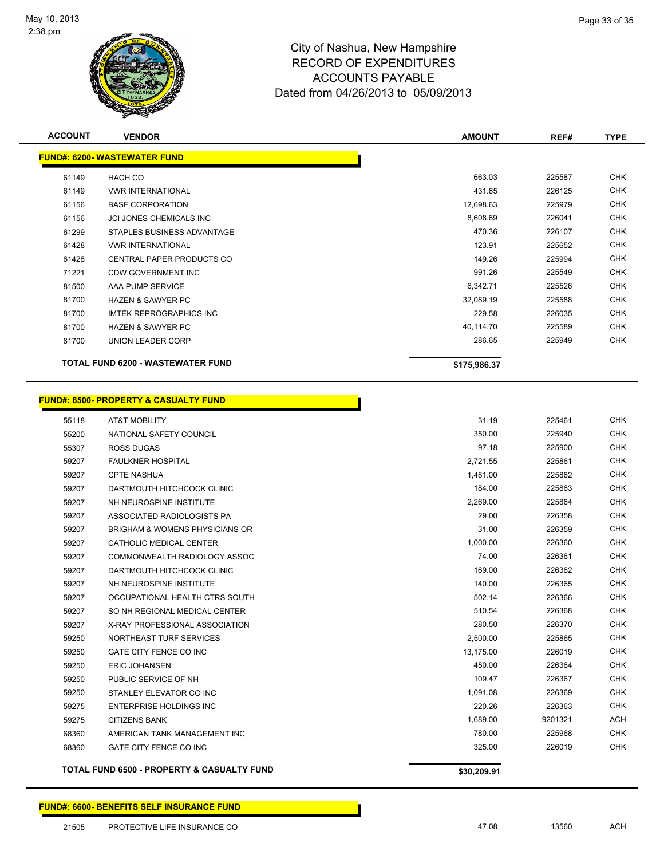

**ACCOUNT VENDOR AMOUNT REF# TYPE**

|       | <b>FUND#: 6200- WASTEWATER FUND</b>                   |              |         |            |
|-------|-------------------------------------------------------|--------------|---------|------------|
| 61149 | <b>HACH CO</b>                                        | 663.03       | 225587  | <b>CHK</b> |
| 61149 | <b>VWR INTERNATIONAL</b>                              | 431.65       | 226125  | <b>CHK</b> |
| 61156 | <b>BASF CORPORATION</b>                               | 12,698.63    | 225979  | <b>CHK</b> |
| 61156 | JCI JONES CHEMICALS INC                               | 8,608.69     | 226041  | <b>CHK</b> |
| 61299 | STAPLES BUSINESS ADVANTAGE                            | 470.36       | 226107  | <b>CHK</b> |
| 61428 | <b>VWR INTERNATIONAL</b>                              | 123.91       | 225652  | <b>CHK</b> |
| 61428 | CENTRAL PAPER PRODUCTS CO                             | 149.26       | 225994  | <b>CHK</b> |
| 71221 | <b>CDW GOVERNMENT INC</b>                             | 991.26       | 225549  | <b>CHK</b> |
| 81500 | AAA PUMP SERVICE                                      | 6,342.71     | 225526  | <b>CHK</b> |
| 81700 | <b>HAZEN &amp; SAWYER PC</b>                          | 32,089.19    | 225588  | <b>CHK</b> |
| 81700 | <b>IMTEK REPROGRAPHICS INC</b>                        | 229.58       | 226035  | <b>CHK</b> |
| 81700 | <b>HAZEN &amp; SAWYER PC</b>                          | 40,114.70    | 225589  | <b>CHK</b> |
| 81700 | UNION LEADER CORP                                     | 286.65       | 225949  | <b>CHK</b> |
|       | TOTAL FUND 6200 - WASTEWATER FUND                     | \$175,986.37 |         |            |
|       | <b>FUND#: 6500- PROPERTY &amp; CASUALTY FUND</b>      |              |         |            |
| 55118 | <b>AT&amp;T MOBILITY</b>                              | 31.19        | 225461  | <b>CHK</b> |
| 55200 | NATIONAL SAFETY COUNCIL                               | 350.00       | 225940  | <b>CHK</b> |
| 55307 | <b>ROSS DUGAS</b>                                     | 97.18        | 225900  | <b>CHK</b> |
| 59207 | <b>FAULKNER HOSPITAL</b>                              | 2,721.55     | 225861  | <b>CHK</b> |
| 59207 | <b>CPTE NASHUA</b>                                    | 1,481.00     | 225862  | <b>CHK</b> |
| 59207 | DARTMOUTH HITCHCOCK CLINIC                            | 184.00       | 225863  | <b>CHK</b> |
| 59207 | NH NEUROSPINE INSTITUTE                               | 2,269.00     | 225864  | <b>CHK</b> |
| 59207 | ASSOCIATED RADIOLOGISTS PA                            | 29.00        | 226358  | <b>CHK</b> |
| 59207 | <b>BRIGHAM &amp; WOMENS PHYSICIANS OR</b>             | 31.00        | 226359  | CHK        |
| 59207 | CATHOLIC MEDICAL CENTER                               | 1,000.00     | 226360  | <b>CHK</b> |
| 59207 | COMMONWEALTH RADIOLOGY ASSOC                          | 74.00        | 226361  | CHK        |
| 59207 | DARTMOUTH HITCHCOCK CLINIC                            | 169.00       | 226362  | CHK        |
| 59207 | NH NEUROSPINE INSTITUTE                               | 140.00       | 226365  | <b>CHK</b> |
| 59207 | OCCUPATIONAL HEALTH CTRS SOUTH                        | 502.14       | 226366  | <b>CHK</b> |
| 59207 | SO NH REGIONAL MEDICAL CENTER                         | 510.54       | 226368  | <b>CHK</b> |
| 59207 | X-RAY PROFESSIONAL ASSOCIATION                        | 280.50       | 226370  | <b>CHK</b> |
| 59250 | NORTHEAST TURF SERVICES                               | 2,500.00     | 225865  | <b>CHK</b> |
| 59250 | GATE CITY FENCE CO INC                                | 13,175.00    | 226019  | <b>CHK</b> |
| 59250 | <b>ERIC JOHANSEN</b>                                  | 450.00       | 226364  | <b>CHK</b> |
| 59250 | PUBLIC SERVICE OF NH                                  | 109.47       | 226367  | <b>CHK</b> |
| 59250 | STANLEY ELEVATOR CO INC                               | 1,091.08     | 226369  | <b>CHK</b> |
| 59275 | ENTERPRISE HOLDINGS INC                               | 220.26       | 226363  | <b>CHK</b> |
| 59275 | <b>CITIZENS BANK</b>                                  | 1,689.00     | 9201321 | <b>ACH</b> |
| 68360 | AMERICAN TANK MANAGEMENT INC                          | 780.00       | 225968  | <b>CHK</b> |
| 68360 | GATE CITY FENCE CO INC                                | 325.00       | 226019  | <b>CHK</b> |
|       | <b>TOTAL FUND 6500 - PROPERTY &amp; CASUALTY FUND</b> | \$30,209.91  |         |            |

**FUND#: 6600- BENEFITS SELF INSURANCE FUND**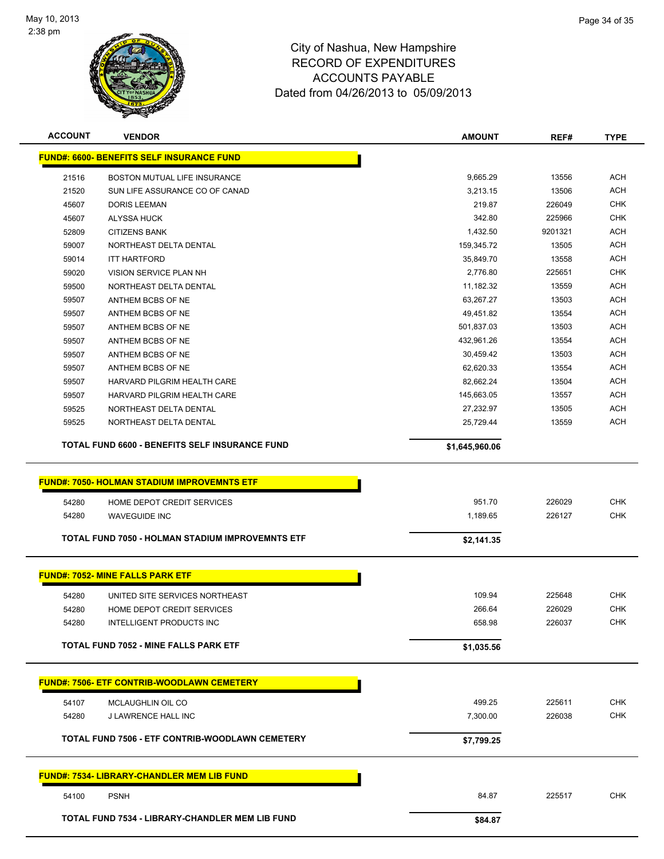

| <b>ACCOUNT</b>                  | <b>VENDOR</b>                                          | <b>AMOUNT</b>  | REF#    | <b>TYPE</b> |  |  |  |
|---------------------------------|--------------------------------------------------------|----------------|---------|-------------|--|--|--|
|                                 | <b>FUND#: 6600- BENEFITS SELF INSURANCE FUND</b>       |                |         |             |  |  |  |
| 21516                           | BOSTON MUTUAL LIFE INSURANCE                           | 9,665.29       | 13556   | <b>ACH</b>  |  |  |  |
| 21520                           | SUN LIFE ASSURANCE CO OF CANAD                         | 3,213.15       | 13506   | <b>ACH</b>  |  |  |  |
| 45607                           | <b>DORIS LEEMAN</b>                                    | 219.87         | 226049  | <b>CHK</b>  |  |  |  |
| 45607                           | <b>ALYSSA HUCK</b>                                     | 342.80         | 225966  | <b>CHK</b>  |  |  |  |
| 52809                           | <b>CITIZENS BANK</b>                                   | 1,432.50       | 9201321 | <b>ACH</b>  |  |  |  |
| 59007                           | NORTHEAST DELTA DENTAL                                 | 159,345.72     | 13505   | <b>ACH</b>  |  |  |  |
| 59014                           | <b>ITT HARTFORD</b>                                    | 35,849.70      | 13558   | <b>ACH</b>  |  |  |  |
| 59020                           | VISION SERVICE PLAN NH                                 | 2,776.80       | 225651  | <b>CHK</b>  |  |  |  |
| 59500<br>NORTHEAST DELTA DENTAL |                                                        | 11,182.32      | 13559   | <b>ACH</b>  |  |  |  |
| 59507                           | ANTHEM BCBS OF NE                                      | 63,267.27      | 13503   | <b>ACH</b>  |  |  |  |
| 59507                           | ANTHEM BCBS OF NE                                      | 49,451.82      | 13554   | <b>ACH</b>  |  |  |  |
| 59507                           | ANTHEM BCBS OF NE                                      | 501,837.03     | 13503   | <b>ACH</b>  |  |  |  |
| 59507                           | ANTHEM BCBS OF NE                                      | 432,961.26     | 13554   | <b>ACH</b>  |  |  |  |
| 59507                           | ANTHEM BCBS OF NE                                      | 30,459.42      | 13503   | <b>ACH</b>  |  |  |  |
| 59507                           | ANTHEM BCBS OF NE                                      | 62,620.33      | 13554   | <b>ACH</b>  |  |  |  |
| 59507                           | HARVARD PILGRIM HEALTH CARE                            | 82,662.24      | 13504   | <b>ACH</b>  |  |  |  |
| 59507                           | HARVARD PILGRIM HEALTH CARE                            | 145,663.05     | 13557   | <b>ACH</b>  |  |  |  |
| 59525                           | NORTHEAST DELTA DENTAL                                 | 27,232.97      | 13505   | <b>ACH</b>  |  |  |  |
| 59525                           | NORTHEAST DELTA DENTAL                                 | 25,729.44      | 13559   | <b>ACH</b>  |  |  |  |
|                                 | <b>TOTAL FUND 6600 - BENEFITS SELF INSURANCE FUND</b>  | \$1,645,960.06 |         |             |  |  |  |
|                                 |                                                        |                |         |             |  |  |  |
|                                 |                                                        |                |         |             |  |  |  |
|                                 | <b>FUND#: 7050- HOLMAN STADIUM IMPROVEMNTS ETF</b>     |                |         |             |  |  |  |
| 54280                           | HOME DEPOT CREDIT SERVICES                             | 951.70         | 226029  | <b>CHK</b>  |  |  |  |
| 54280                           | <b>WAVEGUIDE INC</b>                                   | 1,189.65       | 226127  | <b>CHK</b>  |  |  |  |
|                                 | TOTAL FUND 7050 - HOLMAN STADIUM IMPROVEMNTS ETF       | \$2,141.35     |         |             |  |  |  |
|                                 | <b>FUND#: 7052- MINE FALLS PARK ETF</b>                |                |         |             |  |  |  |
|                                 |                                                        |                |         |             |  |  |  |
| 54280                           | UNITED SITE SERVICES NORTHEAST                         | 109.94         | 225648  | <b>CHK</b>  |  |  |  |
| 54280                           | HOME DEPOT CREDIT SERVICES                             | 266.64         | 226029  | <b>CHK</b>  |  |  |  |
| 54280                           | INTELLIGENT PRODUCTS INC                               | 658.98         | 226037  | <b>CHK</b>  |  |  |  |
|                                 | <b>TOTAL FUND 7052 - MINE FALLS PARK ETF</b>           | \$1,035.56     |         |             |  |  |  |
|                                 | <b>FUND#: 7506- ETF CONTRIB-WOODLAWN CEMETERY</b>      |                |         |             |  |  |  |
|                                 |                                                        |                |         |             |  |  |  |
| 54107                           | MCLAUGHLIN OIL CO                                      | 499.25         | 225611  | <b>CHK</b>  |  |  |  |
| 54280                           | J LAWRENCE HALL INC                                    | 7,300.00       | 226038  | <b>CHK</b>  |  |  |  |
|                                 | TOTAL FUND 7506 - ETF CONTRIB-WOODLAWN CEMETERY        | \$7,799.25     |         |             |  |  |  |
|                                 | <u> FUND#: 7534- LIBRARY-CHANDLER MEM LIB FUND</u>     |                |         |             |  |  |  |
| 54100                           | <b>PSNH</b>                                            | 84.87          | 225517  | <b>CHK</b>  |  |  |  |
|                                 | <b>TOTAL FUND 7534 - LIBRARY-CHANDLER MEM LIB FUND</b> | \$84.87        |         |             |  |  |  |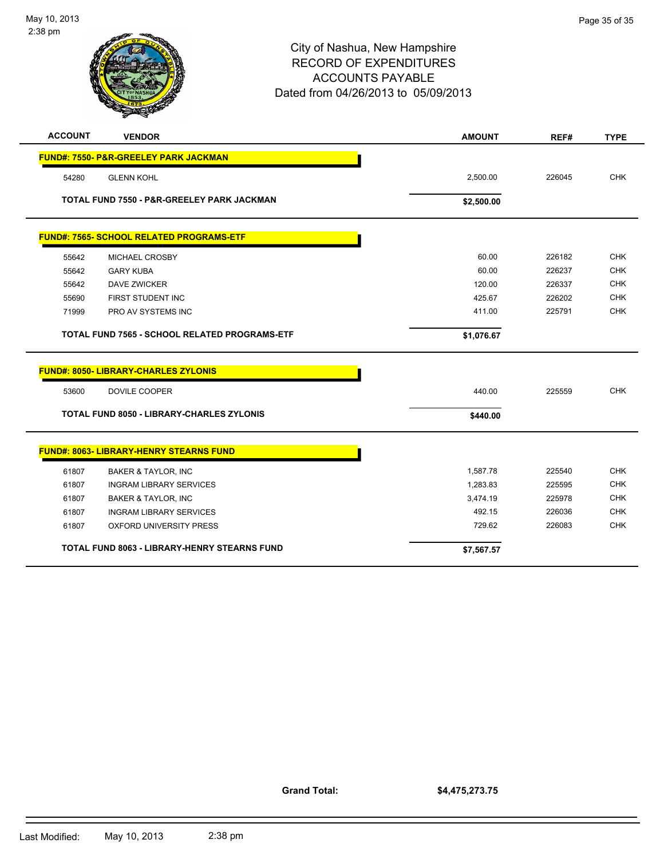| <b>ACCOUNT</b> | <b>VENDOR</b>                                         | <b>AMOUNT</b> | REF#   | <b>TYPE</b> |
|----------------|-------------------------------------------------------|---------------|--------|-------------|
|                | <b>FUND#: 7550- P&amp;R-GREELEY PARK JACKMAN</b>      |               |        |             |
| 54280          | <b>GLENN KOHL</b>                                     | 2,500.00      | 226045 | <b>CHK</b>  |
|                | TOTAL FUND 7550 - P&R-GREELEY PARK JACKMAN            | \$2,500.00    |        |             |
|                | <b>FUND#: 7565- SCHOOL RELATED PROGRAMS-ETF</b>       |               |        |             |
| 55642          | <b>MICHAEL CROSBY</b>                                 | 60.00         | 226182 | <b>CHK</b>  |
| 55642          | <b>GARY KUBA</b>                                      | 60.00         | 226237 | <b>CHK</b>  |
| 55642          | <b>DAVE ZWICKER</b>                                   | 120.00        | 226337 | <b>CHK</b>  |
| 55690          | FIRST STUDENT INC                                     | 425.67        | 226202 | <b>CHK</b>  |
| 71999          | <b>PRO AV SYSTEMS INC</b>                             | 411.00        | 225791 | <b>CHK</b>  |
|                | TOTAL FUND 7565 - SCHOOL RELATED PROGRAMS-ETF         | \$1,076.67    |        |             |
|                | <b>FUND#: 8050- LIBRARY-CHARLES ZYLONIS</b>           |               |        |             |
| 53600          | DOVILE COOPER                                         | 440.00        | 225559 | <b>CHK</b>  |
|                | <b>TOTAL FUND 8050 - LIBRARY-CHARLES ZYLONIS</b>      | \$440.00      |        |             |
|                | <b>FUND#: 8063- LIBRARY-HENRY STEARNS FUND</b>        |               |        |             |
| 61807          |                                                       | 1.587.78      | 225540 | <b>CHK</b>  |
| 61807          | BAKER & TAYLOR, INC<br><b>INGRAM LIBRARY SERVICES</b> | 1,283.83      | 225595 | <b>CHK</b>  |
| 61807          | <b>BAKER &amp; TAYLOR, INC</b>                        | 3,474.19      | 225978 | <b>CHK</b>  |
| 61807          | <b>INGRAM LIBRARY SERVICES</b>                        | 492.15        | 226036 | <b>CHK</b>  |
| 61807          | <b>OXFORD UNIVERSITY PRESS</b>                        | 729.62        | 226083 | <b>CHK</b>  |
|                |                                                       |               |        |             |
|                | TOTAL FUND 8063 - LIBRARY-HENRY STEARNS FUND          | \$7,567.57    |        |             |

**Grand Total:**

**\$4,475,273.75**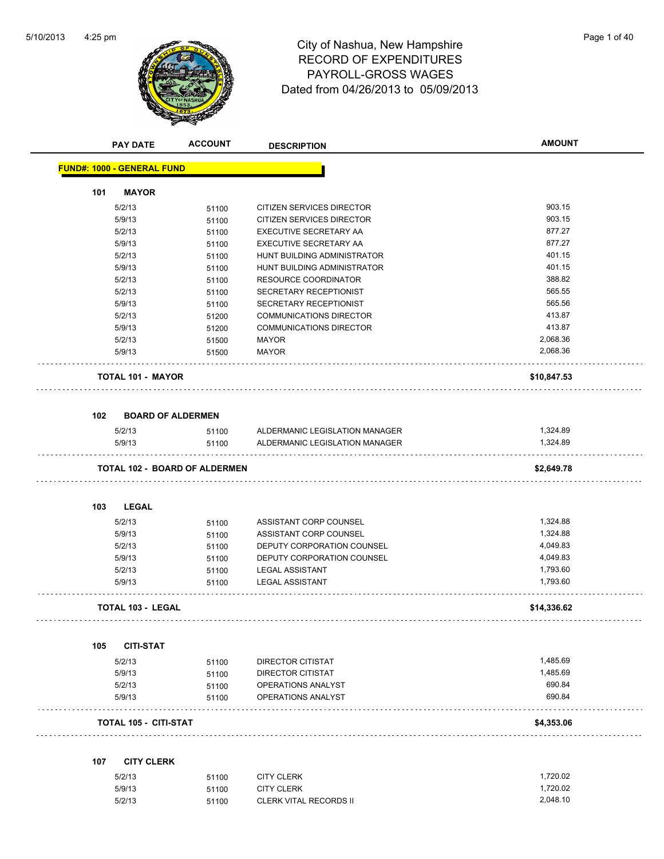

# 4:25 pm<br> **City of Nashua, New Hampshire** Page 1 of 40 RECORD OF EXPENDITURES PAYROLL-GROSS WAGES Dated from 04/26/2013 to 05/09/2013

| <b>PAY DATE</b>                   | <b>ACCOUNT</b>                       | <b>DESCRIPTION</b>             | <b>AMOUNT</b> |
|-----------------------------------|--------------------------------------|--------------------------------|---------------|
| <b>FUND#: 1000 - GENERAL FUND</b> |                                      |                                |               |
| <b>MAYOR</b><br>101               |                                      |                                |               |
| 5/2/13                            | 51100                                | CITIZEN SERVICES DIRECTOR      | 903.15        |
| 5/9/13                            | 51100                                | CITIZEN SERVICES DIRECTOR      | 903.15        |
| 5/2/13                            | 51100                                | EXECUTIVE SECRETARY AA         | 877.27        |
| 5/9/13                            | 51100                                | <b>EXECUTIVE SECRETARY AA</b>  | 877.27        |
| 5/2/13                            | 51100                                | HUNT BUILDING ADMINISTRATOR    | 401.15        |
| 5/9/13                            | 51100                                | HUNT BUILDING ADMINISTRATOR    | 401.15        |
| 5/2/13                            | 51100                                | <b>RESOURCE COORDINATOR</b>    | 388.82        |
| 5/2/13                            | 51100                                | SECRETARY RECEPTIONIST         | 565.55        |
| 5/9/13                            | 51100                                | SECRETARY RECEPTIONIST         | 565.56        |
| 5/2/13                            | 51200                                | <b>COMMUNICATIONS DIRECTOR</b> | 413.87        |
| 5/9/13                            | 51200                                | <b>COMMUNICATIONS DIRECTOR</b> | 413.87        |
| 5/2/13                            | 51500                                | MAYOR                          | 2,068.36      |
| 5/9/13                            | 51500                                | <b>MAYOR</b>                   | 2,068.36      |
| <b>TOTAL 101 - MAYOR</b>          |                                      |                                | \$10,847.53   |
| 102                               | <b>BOARD OF ALDERMEN</b>             |                                |               |
| 5/2/13                            | 51100                                | ALDERMANIC LEGISLATION MANAGER | 1,324.89      |
| 5/9/13                            | 51100                                | ALDERMANIC LEGISLATION MANAGER | 1,324.89      |
|                                   | <b>TOTAL 102 - BOARD OF ALDERMEN</b> |                                | \$2,649.78    |
| 103<br><b>LEGAL</b>               |                                      |                                |               |
| 5/2/13                            | 51100                                | ASSISTANT CORP COUNSEL         | 1,324.88      |
| 5/9/13                            | 51100                                | ASSISTANT CORP COUNSEL         | 1,324.88      |
| 5/2/13                            | 51100                                | DEPUTY CORPORATION COUNSEL     | 4,049.83      |
| 5/9/13                            | 51100                                | DEPUTY CORPORATION COUNSEL     | 4,049.83      |
| 5/2/13                            | 51100                                | <b>LEGAL ASSISTANT</b>         | 1,793.60      |
| 5/9/13                            | 51100                                | <b>LEGAL ASSISTANT</b>         | 1,793.60      |
| <b>TOTAL 103 - LEGAL</b>          |                                      |                                | \$14,336.62   |
| 105<br><b>CITI-STAT</b>           |                                      |                                |               |
| 5/2/13                            | 51100                                | DIRECTOR CITISTAT              | 1,485.69      |
| 5/9/13                            | 51100                                | DIRECTOR CITISTAT              | 1,485.69      |
| 5/2/13                            | 51100                                | OPERATIONS ANALYST             | 690.84        |
| 5/9/13                            | 51100                                | OPERATIONS ANALYST             | 690.84        |
| TOTAL 105 - CITI-STAT             |                                      |                                | \$4,353.06    |
| 107<br><b>CITY CLERK</b>          |                                      |                                |               |
| 5/2/13                            | 51100                                | <b>CITY CLERK</b>              | 1,720.02      |
| 5/9/13                            | 51100                                | <b>CITY CLERK</b>              | 1,720.02      |
| 5/2/13                            | 51100                                | CLERK VITAL RECORDS II         | 2,048.10      |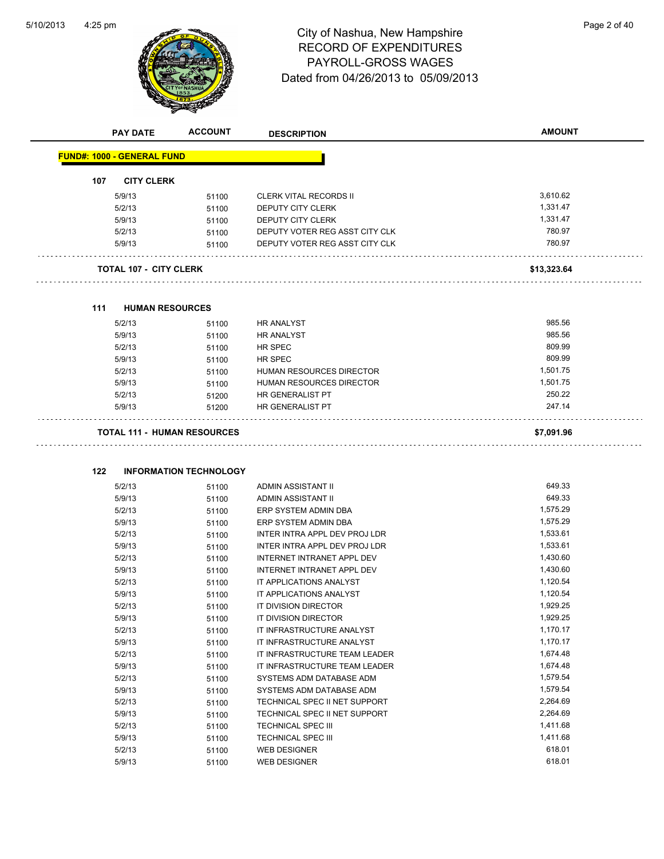

# 4:25 pm<br> **City of Nashua, New Hampshire** Page 2 of 40 RECORD OF EXPENDITURES PAYROLL-GROSS WAGES Dated from 04/26/2013 to 05/09/2013

|     | <b>PAY DATE</b>                    | <b>ACCOUNT</b>                | <b>DESCRIPTION</b>             | <b>AMOUNT</b> |
|-----|------------------------------------|-------------------------------|--------------------------------|---------------|
|     | <b>FUND#: 1000 - GENERAL FUND</b>  |                               |                                |               |
| 107 | <b>CITY CLERK</b>                  |                               |                                |               |
|     | 5/9/13                             | 51100                         | <b>CLERK VITAL RECORDS II</b>  | 3,610.62      |
|     | 5/2/13                             | 51100                         | DEPUTY CITY CLERK              | 1,331.47      |
|     | 5/9/13                             | 51100                         | DEPUTY CITY CLERK              | 1,331.47      |
|     | 5/2/13                             |                               | DEPUTY VOTER REG ASST CITY CLK | 780.97        |
|     | 5/9/13                             | 51100<br>51100                | DEPUTY VOTER REG ASST CITY CLK | 780.97        |
|     | <b>TOTAL 107 - CITY CLERK</b>      |                               |                                | \$13,323.64   |
|     |                                    |                               |                                |               |
| 111 | <b>HUMAN RESOURCES</b>             |                               |                                |               |
|     | 5/2/13                             | 51100                         | <b>HR ANALYST</b>              | 985.56        |
|     | 5/9/13                             | 51100                         | <b>HR ANALYST</b>              | 985.56        |
|     | 5/2/13                             | 51100                         | HR SPEC                        | 809.99        |
|     | 5/9/13                             | 51100                         | HR SPEC                        | 809.99        |
|     | 5/2/13                             | 51100                         | HUMAN RESOURCES DIRECTOR       | 1,501.75      |
|     | 5/9/13                             | 51100                         | HUMAN RESOURCES DIRECTOR       | 1,501.75      |
|     | 5/2/13                             | 51200                         | HR GENERALIST PT               | 250.22        |
|     | 5/9/13                             | 51200                         | HR GENERALIST PT               | 247.14        |
|     | <b>TOTAL 111 - HUMAN RESOURCES</b> |                               |                                | \$7,091.96    |
| 122 |                                    | <b>INFORMATION TECHNOLOGY</b> |                                |               |
|     | 5/2/13                             | 51100                         | ADMIN ASSISTANT II             | 649.33        |
|     | 5/9/13                             | 51100                         | ADMIN ASSISTANT II             | 649.33        |
|     | 5/2/13                             | 51100                         | ERP SYSTEM ADMIN DBA           | 1,575.29      |
|     | 5/9/13                             | 51100                         | ERP SYSTEM ADMIN DBA           | 1,575.29      |
|     | 5/2/13                             | 51100                         | INTER INTRA APPL DEV PROJ LDR  | 1,533.61      |
|     | 5/9/13                             |                               | INTER INTRA APPL DEV PROJ LDR  | 1,533.61      |
|     |                                    | 51100                         | INTERNET INTRANET APPL DEV     | 1,430.60      |
|     | 5/2/13                             | 51100                         |                                | 1,430.60      |
|     | 5/9/13                             | 51100                         | INTERNET INTRANET APPL DEV     | 1,120.54      |
|     | 5/2/13                             | 51100                         | IT APPLICATIONS ANALYST        | 1,120.54      |
|     | 5/9/13                             | 51100                         | IT APPLICATIONS ANALYST        |               |
|     | 5/2/13                             | 51100                         | IT DIVISION DIRECTOR           | 1,929.25      |
|     | 5/9/13                             | 51100                         | IT DIVISION DIRECTOR           | 1,929.25      |
|     | 5/2/13                             | 51100                         | IT INFRASTRUCTURE ANALYST      | 1,170.17      |
|     | 5/9/13                             | 51100                         | IT INFRASTRUCTURE ANALYST      | 1,170.17      |
|     | 5/2/13                             | 51100                         | IT INFRASTRUCTURE TEAM LEADER  | 1,674.48      |
|     | 5/9/13                             | 51100                         | IT INFRASTRUCTURE TEAM LEADER  | 1,674.48      |
|     | 5/2/13                             | 51100                         | SYSTEMS ADM DATABASE ADM       | 1,579.54      |
|     | 5/9/13                             | 51100                         | SYSTEMS ADM DATABASE ADM       | 1,579.54      |
|     | 5/2/13                             | 51100                         | TECHNICAL SPEC II NET SUPPORT  | 2,264.69      |
|     | 5/9/13                             | 51100                         | TECHNICAL SPEC II NET SUPPORT  | 2,264.69      |
|     | 5/2/13                             | 51100                         | <b>TECHNICAL SPEC III</b>      | 1,411.68      |
|     | 5/9/13                             | 51100                         | <b>TECHNICAL SPEC III</b>      | 1,411.68      |
|     | 5/2/13                             | 51100                         | <b>WEB DESIGNER</b>            | 618.01        |
|     | 5/9/13                             | 51100                         | <b>WEB DESIGNER</b>            | 618.01        |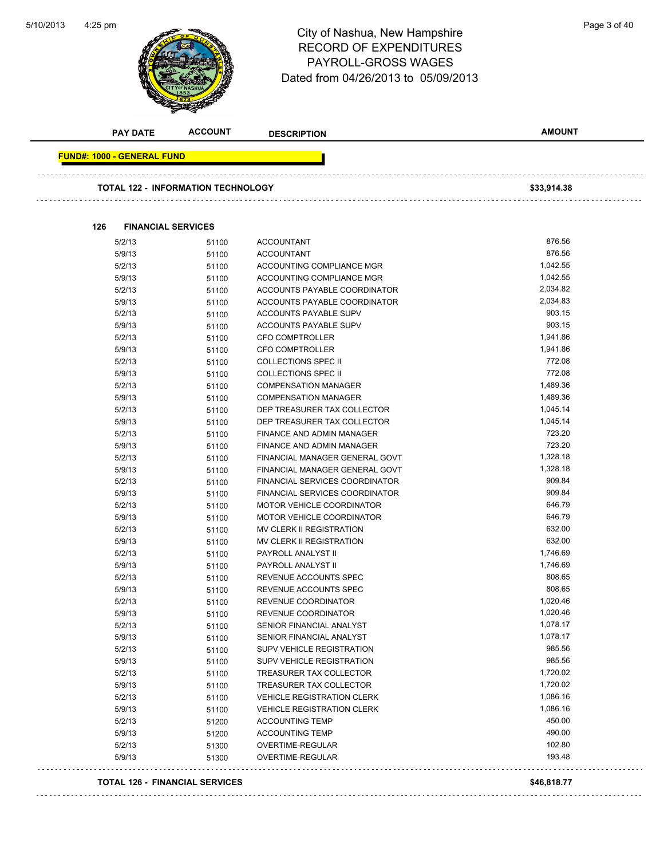

# 4:25 pm<br>
City of Nashua, New Hampshire<br>
City of Nashua, New Hampshire RECORD OF EXPENDITURES PAYROLL-GROSS WAGES Dated from 04/26/2013 to 05/09/2013

| <b>PAY DATE</b>                   | <b>ACCOUNT</b>                            | <b>DESCRIPTION</b>                | <b>AMOUNT</b> |
|-----------------------------------|-------------------------------------------|-----------------------------------|---------------|
| <b>FUND#: 1000 - GENERAL FUND</b> |                                           |                                   |               |
|                                   | <b>TOTAL 122 - INFORMATION TECHNOLOGY</b> |                                   | \$33,914.38   |
|                                   |                                           |                                   |               |
| 126                               | <b>FINANCIAL SERVICES</b>                 |                                   |               |
| 5/2/13                            | 51100                                     | <b>ACCOUNTANT</b>                 | 876.56        |
| 5/9/13                            | 51100                                     | <b>ACCOUNTANT</b>                 | 876.56        |
| 5/2/13                            | 51100                                     | ACCOUNTING COMPLIANCE MGR         | 1,042.55      |
| 5/9/13                            | 51100                                     | ACCOUNTING COMPLIANCE MGR         | 1,042.55      |
| 5/2/13                            | 51100                                     | ACCOUNTS PAYABLE COORDINATOR      | 2,034.82      |
| 5/9/13                            | 51100                                     | ACCOUNTS PAYABLE COORDINATOR      | 2,034.83      |
| 5/2/13                            | 51100                                     | ACCOUNTS PAYABLE SUPV             | 903.15        |
| 5/9/13                            | 51100                                     | ACCOUNTS PAYABLE SUPV             | 903.15        |
| 5/2/13                            | 51100                                     | <b>CFO COMPTROLLER</b>            | 1,941.86      |
| 5/9/13                            | 51100                                     | <b>CFO COMPTROLLER</b>            | 1,941.86      |
| 5/2/13                            | 51100                                     | <b>COLLECTIONS SPEC II</b>        | 772.08        |
| 5/9/13                            | 51100                                     | <b>COLLECTIONS SPEC II</b>        | 772.08        |
| 5/2/13                            | 51100                                     | <b>COMPENSATION MANAGER</b>       | 1,489.36      |
| 5/9/13                            | 51100                                     | <b>COMPENSATION MANAGER</b>       | 1,489.36      |
| 5/2/13                            | 51100                                     | DEP TREASURER TAX COLLECTOR       | 1,045.14      |
| 5/9/13                            | 51100                                     | DEP TREASURER TAX COLLECTOR       | 1,045.14      |
| 5/2/13                            | 51100                                     | FINANCE AND ADMIN MANAGER         | 723.20        |
| 5/9/13                            | 51100                                     | FINANCE AND ADMIN MANAGER         | 723.20        |
| 5/2/13                            | 51100                                     | FINANCIAL MANAGER GENERAL GOVT    | 1,328.18      |
| 5/9/13                            | 51100                                     | FINANCIAL MANAGER GENERAL GOVT    | 1,328.18      |
| 5/2/13                            | 51100                                     | FINANCIAL SERVICES COORDINATOR    | 909.84        |
| 5/9/13                            | 51100                                     | FINANCIAL SERVICES COORDINATOR    | 909.84        |
| 5/2/13                            | 51100                                     | <b>MOTOR VEHICLE COORDINATOR</b>  | 646.79        |
| 5/9/13                            | 51100                                     | <b>MOTOR VEHICLE COORDINATOR</b>  | 646.79        |
| 5/2/13                            | 51100                                     | MV CLERK II REGISTRATION          | 632.00        |
| 5/9/13                            | 51100                                     | <b>MV CLERK II REGISTRATION</b>   | 632.00        |
| 5/2/13                            | 51100                                     | PAYROLL ANALYST II                | 1,746.69      |
| 5/9/13                            | 51100                                     | PAYROLL ANALYST II                | 1,746.69      |
| 5/2/13                            | 51100                                     | REVENUE ACCOUNTS SPEC             | 808.65        |
| 5/9/13                            | 51100                                     | REVENUE ACCOUNTS SPEC             | 808.65        |
| 5/2/13                            | 51100                                     | REVENUE COORDINATOR               | 1,020.46      |
| 5/9/13                            | 51100                                     | REVENUE COORDINATOR               | 1,020.46      |
| 5/2/13                            | 51100                                     | SENIOR FINANCIAL ANALYST          | 1,078.17      |
| 5/9/13                            | 51100                                     | SENIOR FINANCIAL ANALYST          | 1,078.17      |
| 5/2/13                            | 51100                                     | SUPV VEHICLE REGISTRATION         | 985.56        |
| 5/9/13                            | 51100                                     | SUPV VEHICLE REGISTRATION         | 985.56        |
| 5/2/13                            | 51100                                     | TREASURER TAX COLLECTOR           | 1,720.02      |
| 5/9/13                            | 51100                                     | <b>TREASURER TAX COLLECTOR</b>    | 1,720.02      |
| 5/2/13                            | 51100                                     | <b>VEHICLE REGISTRATION CLERK</b> | 1,086.16      |
| 5/9/13                            | 51100                                     | <b>VEHICLE REGISTRATION CLERK</b> | 1,086.16      |
| 5/2/13                            | 51200                                     | <b>ACCOUNTING TEMP</b>            | 450.00        |
| 5/9/13                            | 51200                                     | <b>ACCOUNTING TEMP</b>            | 490.00        |
| 5/2/13                            | 51300                                     | OVERTIME-REGULAR                  | 102.80        |
| 5/9/13                            | 51300                                     | OVERTIME-REGULAR                  | 193.48        |
|                                   | <b>TOTAL 126 - FINANCIAL SERVICES</b>     |                                   | \$46,818.77   |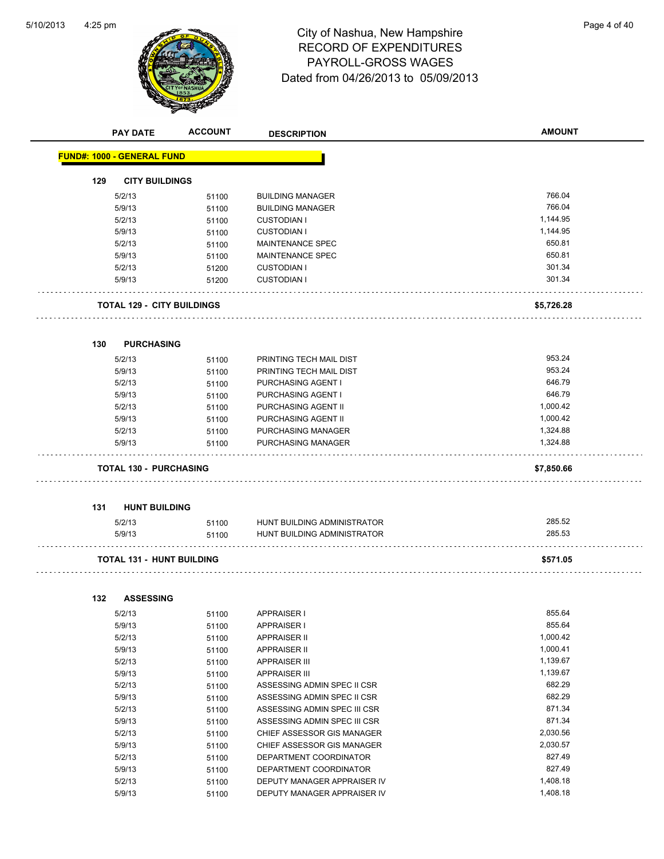

# 4:25 pm<br> **City of Nashua, New Hampshire** Page 4 of 40 RECORD OF EXPENDITURES PAYROLL-GROSS WAGES Dated from 04/26/2013 to 05/09/2013

|     | <b>PAY DATE</b>                   | <b>ACCOUNT</b> | <b>DESCRIPTION</b>           | <b>AMOUNT</b> |
|-----|-----------------------------------|----------------|------------------------------|---------------|
|     | <b>FUND#: 1000 - GENERAL FUND</b> |                |                              |               |
|     |                                   |                |                              |               |
| 129 | <b>CITY BUILDINGS</b>             |                |                              |               |
|     | 5/2/13                            | 51100          | <b>BUILDING MANAGER</b>      | 766.04        |
|     | 5/9/13                            | 51100          | <b>BUILDING MANAGER</b>      | 766.04        |
|     | 5/2/13                            | 51100          | <b>CUSTODIAN I</b>           | 1,144.95      |
|     | 5/9/13                            | 51100          | <b>CUSTODIAN I</b>           | 1,144.95      |
|     | 5/2/13                            | 51100          | <b>MAINTENANCE SPEC</b>      | 650.81        |
|     | 5/9/13                            | 51100          | MAINTENANCE SPEC             | 650.81        |
|     | 5/2/13                            | 51200          | <b>CUSTODIAN I</b>           | 301.34        |
|     | 5/9/13                            | 51200          | <b>CUSTODIAN I</b>           | 301.34        |
|     | <b>TOTAL 129 - CITY BUILDINGS</b> |                |                              | \$5,726.28    |
|     |                                   |                |                              |               |
| 130 | <b>PURCHASING</b>                 |                |                              |               |
|     | 5/2/13                            | 51100          | PRINTING TECH MAIL DIST      | 953.24        |
|     | 5/9/13                            | 51100          | PRINTING TECH MAIL DIST      | 953.24        |
|     | 5/2/13                            | 51100          | PURCHASING AGENT I           | 646.79        |
|     | 5/9/13                            | 51100          | PURCHASING AGENT I           | 646.79        |
|     | 5/2/13                            | 51100          | PURCHASING AGENT II          | 1,000.42      |
|     | 5/9/13                            | 51100          | PURCHASING AGENT II          | 1,000.42      |
|     | 5/2/13                            | 51100          | PURCHASING MANAGER           | 1,324.88      |
|     | 5/9/13                            | 51100          | PURCHASING MANAGER           | 1,324.88      |
|     | <b>TOTAL 130 - PURCHASING</b>     |                |                              | \$7,850.66    |
|     |                                   |                |                              |               |
| 131 | <b>HUNT BUILDING</b>              |                |                              |               |
|     | 5/2/13                            | 51100          | HUNT BUILDING ADMINISTRATOR  | 285.52        |
|     | 5/9/13                            | 51100          | HUNT BUILDING ADMINISTRATOR  | 285.53        |
|     | <b>TOTAL 131 - HUNT BUILDING</b>  |                |                              | \$571.05      |
|     |                                   |                |                              |               |
| 132 | <b>ASSESSING</b>                  |                |                              |               |
|     | 5/2/13                            | 51100          | <b>APPRAISER I</b>           | 855.64        |
|     | 5/9/13                            | 51100          | <b>APPRAISER I</b>           | 855.64        |
|     | 5/2/13                            | 51100          | <b>APPRAISER II</b>          | 1,000.42      |
|     | 5/9/13                            | 51100          | <b>APPRAISER II</b>          | 1,000.41      |
|     | 5/2/13                            | 51100          | <b>APPRAISER III</b>         | 1,139.67      |
|     | 5/9/13                            | 51100          | <b>APPRAISER III</b>         | 1,139.67      |
|     | 5/2/13                            | 51100          | ASSESSING ADMIN SPEC II CSR  | 682.29        |
|     | 5/9/13                            | 51100          | ASSESSING ADMIN SPEC II CSR  | 682.29        |
|     | 5/2/13                            | 51100          | ASSESSING ADMIN SPEC III CSR | 871.34        |
|     | 5/9/13                            | 51100          | ASSESSING ADMIN SPEC III CSR | 871.34        |
|     | 5/2/13                            | 51100          | CHIEF ASSESSOR GIS MANAGER   | 2,030.56      |
|     | 5/9/13                            | 51100          | CHIEF ASSESSOR GIS MANAGER   | 2,030.57      |
|     | 5/2/13                            | 51100          | DEPARTMENT COORDINATOR       | 827.49        |
|     | 5/9/13                            | 51100          | DEPARTMENT COORDINATOR       | 827.49        |
|     | 5/2/13                            | 51100          | DEPUTY MANAGER APPRAISER IV  | 1,408.18      |
|     | 5/9/13                            | 51100          | DEPUTY MANAGER APPRAISER IV  | 1,408.18      |
|     |                                   |                |                              |               |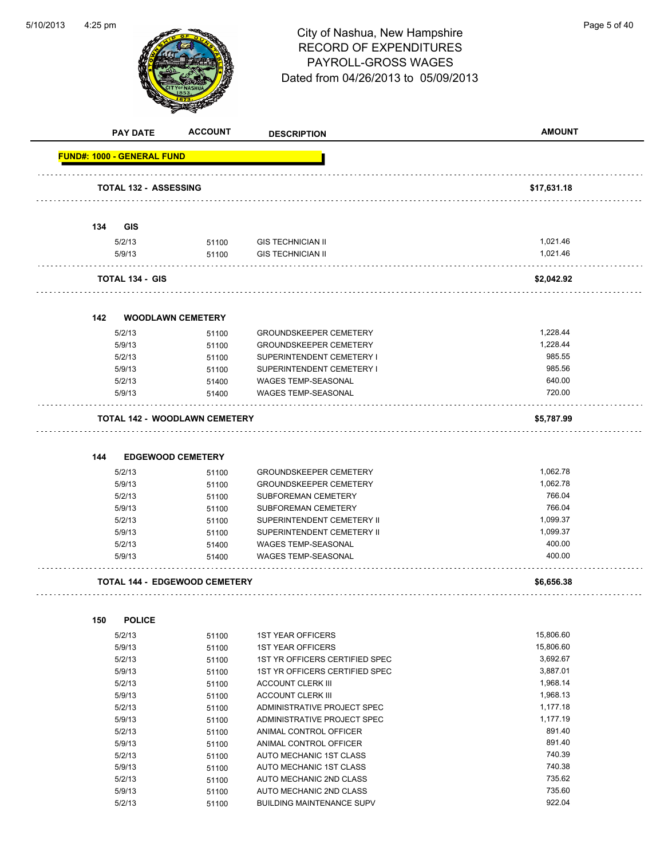

|     | <b>PAY DATE</b>                   | <b>ACCOUNT</b>                       | <b>DESCRIPTION</b>               | <b>AMOUNT</b> |
|-----|-----------------------------------|--------------------------------------|----------------------------------|---------------|
|     | <b>FUND#: 1000 - GENERAL FUND</b> |                                      |                                  |               |
|     | <b>TOTAL 132 - ASSESSING</b>      |                                      |                                  | \$17,631.18   |
|     |                                   |                                      |                                  |               |
| 134 | <b>GIS</b>                        |                                      |                                  |               |
|     | 5/2/13                            | 51100                                | <b>GIS TECHNICIAN II</b>         | 1,021.46      |
|     | 5/9/13                            | 51100                                | <b>GIS TECHNICIAN II</b>         | 1,021.46      |
|     | <b>TOTAL 134 - GIS</b>            |                                      |                                  | \$2,042.92    |
|     |                                   |                                      |                                  |               |
| 142 |                                   | <b>WOODLAWN CEMETERY</b>             |                                  |               |
|     | 5/2/13                            | 51100                                | <b>GROUNDSKEEPER CEMETERY</b>    | 1,228.44      |
|     | 5/9/13                            | 51100                                | <b>GROUNDSKEEPER CEMETERY</b>    | 1,228.44      |
|     | 5/2/13                            | 51100                                | SUPERINTENDENT CEMETERY I        | 985.55        |
|     | 5/9/13                            | 51100                                | SUPERINTENDENT CEMETERY I        | 985.56        |
|     | 5/2/13                            | 51400                                | WAGES TEMP-SEASONAL              | 640.00        |
|     | 5/9/13                            | 51400                                | WAGES TEMP-SEASONAL              | 720.00        |
|     |                                   | <b>TOTAL 142 - WOODLAWN CEMETERY</b> |                                  | \$5,787.99    |
|     |                                   |                                      |                                  |               |
| 144 |                                   | <b>EDGEWOOD CEMETERY</b>             |                                  |               |
|     | 5/2/13                            | 51100                                | <b>GROUNDSKEEPER CEMETERY</b>    | 1,062.78      |
|     | 5/9/13                            | 51100                                | <b>GROUNDSKEEPER CEMETERY</b>    | 1,062.78      |
|     | 5/2/13                            | 51100                                | <b>SUBFOREMAN CEMETERY</b>       | 766.04        |
|     | 5/9/13                            | 51100                                | SUBFOREMAN CEMETERY              | 766.04        |
|     | 5/2/13                            | 51100                                | SUPERINTENDENT CEMETERY II       | 1,099.37      |
|     | 5/9/13                            | 51100                                | SUPERINTENDENT CEMETERY II       | 1,099.37      |
|     | 5/2/13                            | 51400                                | <b>WAGES TEMP-SEASONAL</b>       | 400.00        |
|     | 5/9/13                            | 51400                                | <b>WAGES TEMP-SEASONAL</b>       | 400.00        |
|     |                                   | <b>TOTAL 144 - EDGEWOOD CEMETERY</b> |                                  | \$6,656.38    |
|     |                                   |                                      |                                  |               |
| 150 | <b>POLICE</b>                     |                                      |                                  |               |
|     | 5/2/13                            | 51100                                | <b>1ST YEAR OFFICERS</b>         | 15,806.60     |
|     | 5/9/13                            | 51100                                | <b>1ST YEAR OFFICERS</b>         | 15,806.60     |
|     | 5/2/13                            | 51100                                | 1ST YR OFFICERS CERTIFIED SPEC   | 3,692.67      |
|     | 5/9/13                            | 51100                                | 1ST YR OFFICERS CERTIFIED SPEC   | 3,887.01      |
|     | 5/2/13                            | 51100                                | <b>ACCOUNT CLERK III</b>         | 1,968.14      |
|     | 5/9/13                            | 51100                                | <b>ACCOUNT CLERK III</b>         | 1,968.13      |
|     | 5/2/13                            | 51100                                | ADMINISTRATIVE PROJECT SPEC      | 1,177.18      |
|     | 5/9/13                            | 51100                                | ADMINISTRATIVE PROJECT SPEC      | 1,177.19      |
|     | 5/2/13                            | 51100                                | ANIMAL CONTROL OFFICER           | 891.40        |
|     | 5/9/13                            | 51100                                | ANIMAL CONTROL OFFICER           | 891.40        |
|     | 5/2/13                            | 51100                                | AUTO MECHANIC 1ST CLASS          | 740.39        |
|     | 5/9/13                            | 51100                                | AUTO MECHANIC 1ST CLASS          | 740.38        |
|     | 5/2/13                            | 51100                                | AUTO MECHANIC 2ND CLASS          | 735.62        |
|     | 5/9/13                            | 51100                                | AUTO MECHANIC 2ND CLASS          | 735.60        |
|     | 5/2/13                            | 51100                                | <b>BUILDING MAINTENANCE SUPV</b> | 922.04        |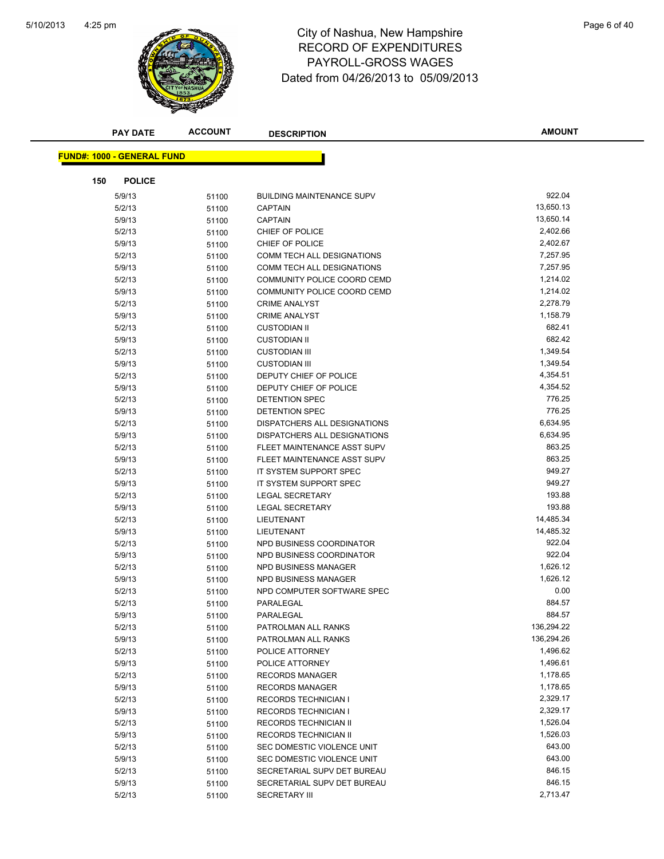

|     | <b>PAY DATE</b>                   | <b>ACCOUNT</b> | <b>DESCRIPTION</b>                                  | <b>AMOUNT</b>        |
|-----|-----------------------------------|----------------|-----------------------------------------------------|----------------------|
|     |                                   |                |                                                     |                      |
|     | <b>FUND#: 1000 - GENERAL FUND</b> |                |                                                     |                      |
| 150 | <b>POLICE</b>                     |                |                                                     |                      |
|     | 5/9/13                            | 51100          | <b>BUILDING MAINTENANCE SUPV</b>                    | 922.04               |
|     | 5/2/13                            | 51100          | <b>CAPTAIN</b>                                      | 13,650.13            |
|     | 5/9/13                            | 51100          | <b>CAPTAIN</b>                                      | 13,650.14            |
|     | 5/2/13                            | 51100          | CHIEF OF POLICE                                     | 2,402.66             |
|     | 5/9/13                            | 51100          | CHIEF OF POLICE                                     | 2,402.67             |
|     | 5/2/13                            | 51100          | <b>COMM TECH ALL DESIGNATIONS</b>                   | 7,257.95             |
|     | 5/9/13                            | 51100          | <b>COMM TECH ALL DESIGNATIONS</b>                   | 7,257.95             |
|     | 5/2/13                            | 51100          | COMMUNITY POLICE COORD CEMD                         | 1,214.02             |
|     | 5/9/13                            | 51100          | COMMUNITY POLICE COORD CEMD                         | 1,214.02             |
|     | 5/2/13                            | 51100          | <b>CRIME ANALYST</b>                                | 2,278.79             |
|     | 5/9/13                            | 51100          | <b>CRIME ANALYST</b>                                | 1,158.79             |
|     | 5/2/13                            | 51100          | <b>CUSTODIAN II</b>                                 | 682.41               |
|     | 5/9/13                            | 51100          | <b>CUSTODIAN II</b>                                 | 682.42               |
|     | 5/2/13                            | 51100          | <b>CUSTODIAN III</b>                                | 1,349.54             |
|     | 5/9/13                            | 51100          | <b>CUSTODIAN III</b>                                | 1,349.54             |
|     | 5/2/13                            | 51100          | DEPUTY CHIEF OF POLICE                              | 4,354.51             |
|     | 5/9/13                            | 51100          | DEPUTY CHIEF OF POLICE                              | 4,354.52             |
|     | 5/2/13                            | 51100          | DETENTION SPEC                                      | 776.25               |
|     | 5/9/13                            | 51100          | DETENTION SPEC                                      | 776.25               |
|     | 5/2/13                            | 51100          | DISPATCHERS ALL DESIGNATIONS                        | 6,634.95             |
|     | 5/9/13                            | 51100          | DISPATCHERS ALL DESIGNATIONS                        | 6,634.95             |
|     | 5/2/13                            | 51100          | FLEET MAINTENANCE ASST SUPV                         | 863.25               |
|     | 5/9/13                            | 51100          | FLEET MAINTENANCE ASST SUPV                         | 863.25               |
|     | 5/2/13                            | 51100          | IT SYSTEM SUPPORT SPEC                              | 949.27               |
|     | 5/9/13                            | 51100          | IT SYSTEM SUPPORT SPEC                              | 949.27               |
|     | 5/2/13                            | 51100          | LEGAL SECRETARY                                     | 193.88               |
|     | 5/9/13                            | 51100          | <b>LEGAL SECRETARY</b>                              | 193.88               |
|     | 5/2/13                            | 51100          | LIEUTENANT                                          | 14,485.34            |
|     | 5/9/13                            | 51100          | LIEUTENANT                                          | 14,485.32            |
|     | 5/2/13                            | 51100          | NPD BUSINESS COORDINATOR                            | 922.04               |
|     | 5/9/13                            | 51100          | NPD BUSINESS COORDINATOR                            | 922.04               |
|     | 5/2/13                            | 51100          | NPD BUSINESS MANAGER                                | 1,626.12             |
|     | 5/9/13                            | 51100          | NPD BUSINESS MANAGER                                | 1,626.12             |
|     | 5/2/13                            | 51100          | NPD COMPUTER SOFTWARE SPEC                          | 0.00                 |
|     | 5/2/13                            | 51100          | PARALEGAL                                           | 884.57               |
|     | 5/9/13                            | 51100          | PARALEGAL                                           | 884.57               |
|     | 5/2/13                            | 51100          | PATROLMAN ALL RANKS                                 | 136,294.22           |
|     | 5/9/13                            | 51100          | PATROLMAN ALL RANKS                                 | 136,294.26           |
|     | 5/2/13                            | 51100          | POLICE ATTORNEY                                     | 1,496.62             |
|     | 5/9/13                            | 51100          | POLICE ATTORNEY                                     | 1,496.61<br>1,178.65 |
|     | 5/2/13                            | 51100          | <b>RECORDS MANAGER</b>                              |                      |
|     | 5/9/13                            | 51100          | <b>RECORDS MANAGER</b>                              | 1,178.65             |
|     | 5/2/13                            | 51100          | <b>RECORDS TECHNICIAN I</b>                         | 2,329.17             |
|     | 5/9/13                            | 51100          | <b>RECORDS TECHNICIAN I</b>                         | 2,329.17             |
|     | 5/2/13                            | 51100          | RECORDS TECHNICIAN II                               | 1,526.04<br>1,526.03 |
|     | 5/9/13                            | 51100          | RECORDS TECHNICIAN II<br>SEC DOMESTIC VIOLENCE UNIT | 643.00               |
|     | 5/2/13<br>5/9/13                  | 51100          | SEC DOMESTIC VIOLENCE UNIT                          | 643.00               |
|     | 5/2/13                            | 51100          | SECRETARIAL SUPV DET BUREAU                         | 846.15               |
|     | 5/9/13                            | 51100          | SECRETARIAL SUPV DET BUREAU                         | 846.15               |
|     | 5/2/13                            | 51100<br>51100 | <b>SECRETARY III</b>                                | 2,713.47             |
|     |                                   |                |                                                     |                      |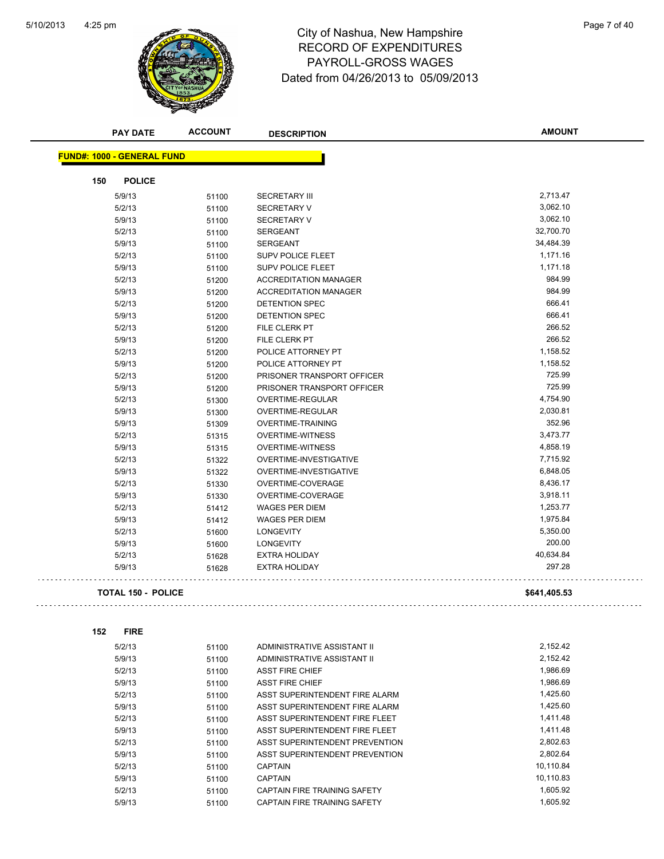$\bar{z}$  is a

 $\sim$  .  $\sim$ 



| <b>FUND#: 1000 - GENERAL FUND</b> |       |                              |              |
|-----------------------------------|-------|------------------------------|--------------|
|                                   |       |                              |              |
| 150<br><b>POLICE</b>              |       |                              |              |
| 5/9/13                            | 51100 | <b>SECRETARY III</b>         | 2,713.47     |
| 5/2/13                            | 51100 | <b>SECRETARY V</b>           | 3,062.10     |
| 5/9/13                            | 51100 | <b>SECRETARY V</b>           | 3,062.10     |
| 5/2/13                            | 51100 | <b>SERGEANT</b>              | 32,700.70    |
| 5/9/13                            | 51100 | <b>SERGEANT</b>              | 34,484.39    |
| 5/2/13                            | 51100 | <b>SUPV POLICE FLEET</b>     | 1,171.16     |
| 5/9/13                            | 51100 | <b>SUPV POLICE FLEET</b>     | 1,171.18     |
| 5/2/13                            | 51200 | <b>ACCREDITATION MANAGER</b> | 984.99       |
| 5/9/13                            | 51200 | <b>ACCREDITATION MANAGER</b> | 984.99       |
| 5/2/13                            | 51200 | DETENTION SPEC               | 666.41       |
| 5/9/13                            | 51200 | DETENTION SPEC               | 666.41       |
| 5/2/13                            | 51200 | FILE CLERK PT                | 266.52       |
| 5/9/13                            | 51200 | FILE CLERK PT                | 266.52       |
| 5/2/13                            | 51200 | POLICE ATTORNEY PT           | 1,158.52     |
| 5/9/13                            | 51200 | POLICE ATTORNEY PT           | 1,158.52     |
| 5/2/13                            | 51200 | PRISONER TRANSPORT OFFICER   | 725.99       |
| 5/9/13                            | 51200 | PRISONER TRANSPORT OFFICER   | 725.99       |
| 5/2/13                            | 51300 | OVERTIME-REGULAR             | 4,754.90     |
| 5/9/13                            | 51300 | <b>OVERTIME-REGULAR</b>      | 2,030.81     |
| 5/9/13                            | 51309 | <b>OVERTIME-TRAINING</b>     | 352.96       |
| 5/2/13                            | 51315 | <b>OVERTIME-WITNESS</b>      | 3,473.77     |
| 5/9/13                            | 51315 | <b>OVERTIME-WITNESS</b>      | 4,858.19     |
| 5/2/13                            | 51322 | OVERTIME-INVESTIGATIVE       | 7,715.92     |
| 5/9/13                            | 51322 | OVERTIME-INVESTIGATIVE       | 6,848.05     |
| 5/2/13                            | 51330 | OVERTIME-COVERAGE            | 8,436.17     |
| 5/9/13                            | 51330 | OVERTIME-COVERAGE            | 3,918.11     |
| 5/2/13                            | 51412 | <b>WAGES PER DIEM</b>        | 1,253.77     |
| 5/9/13                            | 51412 | <b>WAGES PER DIEM</b>        | 1,975.84     |
| 5/2/13                            | 51600 | <b>LONGEVITY</b>             | 5,350.00     |
| 5/9/13                            | 51600 | <b>LONGEVITY</b>             | 200.00       |
| 5/2/13                            | 51628 | <b>EXTRA HOLIDAY</b>         | 40,634.84    |
| 5/9/13                            | 51628 | <b>EXTRA HOLIDAY</b>         | 297.28       |
| <b>TOTAL 150 - POLICE</b>         |       |                              | \$641,405.53 |
|                                   |       |                              |              |

| 5/2/13 | 51100 | ADMINISTRATIVE ASSISTANT II    | 2,152.42  |
|--------|-------|--------------------------------|-----------|
| 5/9/13 | 51100 | ADMINISTRATIVE ASSISTANT II    | 2,152.42  |
| 5/2/13 | 51100 | <b>ASST FIRE CHIEF</b>         | 1,986.69  |
| 5/9/13 | 51100 | <b>ASST FIRE CHIEF</b>         | 1,986.69  |
| 5/2/13 | 51100 | ASST SUPERINTENDENT FIRE ALARM | 1.425.60  |
| 5/9/13 | 51100 | ASST SUPERINTENDENT FIRE ALARM | 1,425.60  |
| 5/2/13 | 51100 | ASST SUPERINTENDENT FIRE FLEET | 1,411.48  |
| 5/9/13 | 51100 | ASST SUPERINTENDENT FIRE FLEET | 1,411.48  |
| 5/2/13 | 51100 | ASST SUPERINTENDENT PREVENTION | 2,802.63  |
| 5/9/13 | 51100 | ASST SUPERINTENDENT PREVENTION | 2,802.64  |
| 5/2/13 | 51100 | <b>CAPTAIN</b>                 | 10,110.84 |
| 5/9/13 | 51100 | <b>CAPTAIN</b>                 | 10.110.83 |
| 5/2/13 | 51100 | CAPTAIN FIRE TRAINING SAFETY   | 1.605.92  |
| 5/9/13 | 51100 | CAPTAIN FIRE TRAINING SAFETY   | 1.605.92  |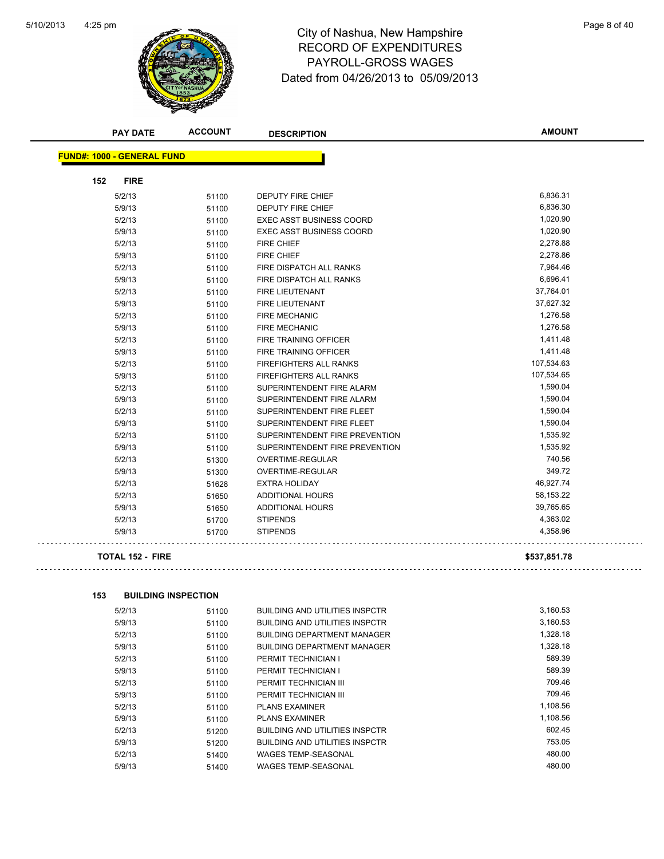

| <b>PAY DATE</b>                   | <b>ACCOUNT</b> | <b>DESCRIPTION</b>              | <b>AMOUNT</b> |
|-----------------------------------|----------------|---------------------------------|---------------|
| <b>FUND#: 1000 - GENERAL FUND</b> |                |                                 |               |
| <b>FIRE</b><br>152                |                |                                 |               |
| 5/2/13                            | 51100          | DEPUTY FIRE CHIEF               | 6,836.31      |
| 5/9/13                            | 51100          | DEPUTY FIRE CHIEF               | 6,836.30      |
| 5/2/13                            | 51100          | <b>EXEC ASST BUSINESS COORD</b> | 1,020.90      |
| 5/9/13                            | 51100          | <b>EXEC ASST BUSINESS COORD</b> | 1,020.90      |
| 5/2/13                            | 51100          | <b>FIRE CHIEF</b>               | 2,278.88      |
| 5/9/13                            | 51100          | <b>FIRE CHIEF</b>               | 2,278.86      |
| 5/2/13                            | 51100          | FIRE DISPATCH ALL RANKS         | 7,964.46      |
| 5/9/13                            | 51100          | FIRE DISPATCH ALL RANKS         | 6,696.41      |
| 5/2/13                            | 51100          | <b>FIRE LIEUTENANT</b>          | 37,764.01     |
| 5/9/13                            | 51100          | <b>FIRE LIEUTENANT</b>          | 37,627.32     |
| 5/2/13                            | 51100          | <b>FIRE MECHANIC</b>            | 1,276.58      |
| 5/9/13                            | 51100          | <b>FIRE MECHANIC</b>            | 1,276.58      |
| 5/2/13                            | 51100          | FIRE TRAINING OFFICER           | 1,411.48      |
| 5/9/13                            | 51100          | FIRE TRAINING OFFICER           | 1,411.48      |
| 5/2/13                            | 51100          | <b>FIREFIGHTERS ALL RANKS</b>   | 107,534.63    |
| 5/9/13                            | 51100          | <b>FIREFIGHTERS ALL RANKS</b>   | 107,534.65    |
| 5/2/13                            | 51100          | SUPERINTENDENT FIRE ALARM       | 1,590.04      |
| 5/9/13                            | 51100          | SUPERINTENDENT FIRE ALARM       | 1,590.04      |
| 5/2/13                            | 51100          | SUPERINTENDENT FIRE FLEET       | 1,590.04      |
| 5/9/13                            | 51100          | SUPERINTENDENT FIRE FLEET       | 1,590.04      |
| 5/2/13                            | 51100          | SUPERINTENDENT FIRE PREVENTION  | 1,535.92      |
| 5/9/13                            | 51100          | SUPERINTENDENT FIRE PREVENTION  | 1,535.92      |
| 5/2/13                            | 51300          | OVERTIME-REGULAR                | 740.56        |
| 5/9/13                            | 51300          | OVERTIME-REGULAR                | 349.72        |
| 5/2/13                            | 51628          | <b>EXTRA HOLIDAY</b>            | 46,927.74     |
| 5/2/13                            | 51650          | ADDITIONAL HOURS                | 58,153.22     |
| 5/9/13                            | 51650          | ADDITIONAL HOURS                | 39,765.65     |
| 5/2/13                            | 51700          | <b>STIPENDS</b>                 | 4,363.02      |
| 5/9/13                            | 51700          | <b>STIPENDS</b>                 | 4,358.96      |
| <b>TOTAL 152 - FIRE</b>           |                |                                 | \$537,851.78  |
|                                   |                |                                 |               |
| 153<br><b>BUILDING INSPECTION</b> |                |                                 |               |
|                                   |                |                                 |               |

| 5/2/13 | 51100 | <b>BUILDING AND UTILITIES INSPCTR</b> | 3,160.53 |
|--------|-------|---------------------------------------|----------|
| 5/9/13 | 51100 | <b>BUILDING AND UTILITIES INSPCTR</b> | 3,160.53 |
| 5/2/13 | 51100 | <b>BUILDING DEPARTMENT MANAGER</b>    | 1,328.18 |
| 5/9/13 | 51100 | <b>BUILDING DEPARTMENT MANAGER</b>    | 1.328.18 |
| 5/2/13 | 51100 | PERMIT TECHNICIAN I                   | 589.39   |
| 5/9/13 | 51100 | PERMIT TECHNICIAN I                   | 589.39   |
| 5/2/13 | 51100 | PERMIT TECHNICIAN III                 | 709.46   |
| 5/9/13 | 51100 | PERMIT TECHNICIAN III                 | 709.46   |
| 5/2/13 | 51100 | <b>PLANS EXAMINER</b>                 | 1,108.56 |
| 5/9/13 | 51100 | <b>PLANS EXAMINER</b>                 | 1,108.56 |
| 5/2/13 | 51200 | <b>BUILDING AND UTILITIES INSPCTR</b> | 602.45   |
| 5/9/13 | 51200 | <b>BUILDING AND UTILITIES INSPCTR</b> | 753.05   |
| 5/2/13 | 51400 | <b>WAGES TEMP-SEASONAL</b>            | 480.00   |
| 5/9/13 | 51400 | <b>WAGES TEMP-SEASONAL</b>            | 480.00   |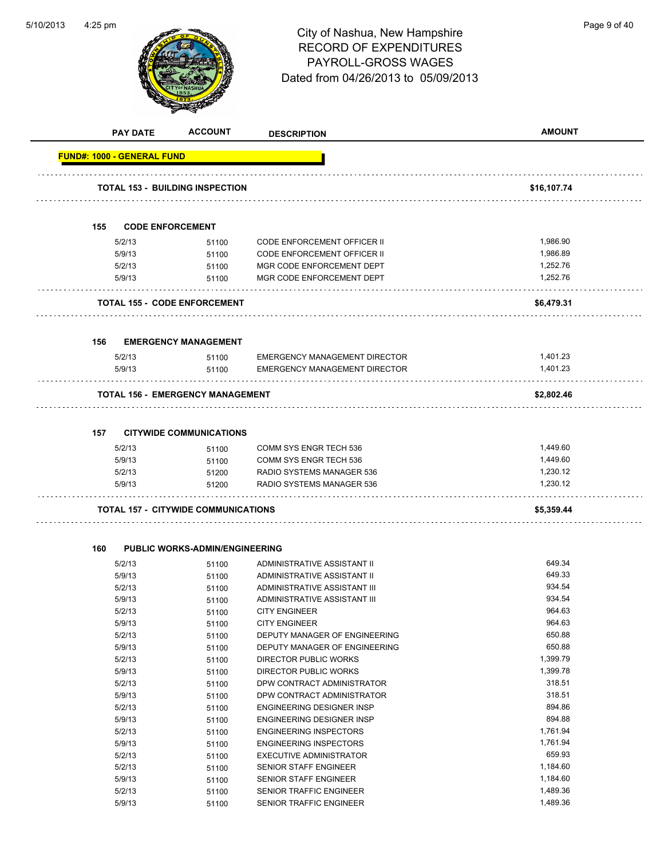

|                                   | <b>PAY DATE</b>  | <b>ACCOUNT</b>                             | <b>DESCRIPTION</b>                                                                                                                                                                                                                                                                                                                                                                                                                                                                                                                            | <b>AMOUNT</b>        |  |
|-----------------------------------|------------------|--------------------------------------------|-----------------------------------------------------------------------------------------------------------------------------------------------------------------------------------------------------------------------------------------------------------------------------------------------------------------------------------------------------------------------------------------------------------------------------------------------------------------------------------------------------------------------------------------------|----------------------|--|
| <b>FUND#: 1000 - GENERAL FUND</b> |                  |                                            | \$16,107.74<br><b>CODE ENFORCEMENT</b><br>1,986.90<br>51100<br><b>CODE ENFORCEMENT OFFICER II</b><br><b>CODE ENFORCEMENT OFFICER II</b><br>1,986.89<br>51100<br>1,252.76<br>MGR CODE ENFORCEMENT DEPT<br>51100<br>1,252.76<br>MGR CODE ENFORCEMENT DEPT<br>51100<br>\$6,479.31<br><b>EMERGENCY MANAGEMENT</b><br>1,401.23<br><b>EMERGENCY MANAGEMENT DIRECTOR</b><br>51100<br>1,401.23<br><b>EMERGENCY MANAGEMENT DIRECTOR</b><br>51100<br>\$2,802.46<br><b>CITYWIDE COMMUNICATIONS</b><br>1,449.60<br><b>COMM SYS ENGR TECH 536</b><br>51100 |                      |  |
|                                   |                  | <b>TOTAL 153 - BUILDING INSPECTION</b>     |                                                                                                                                                                                                                                                                                                                                                                                                                                                                                                                                               |                      |  |
| 155                               |                  |                                            |                                                                                                                                                                                                                                                                                                                                                                                                                                                                                                                                               |                      |  |
|                                   |                  |                                            |                                                                                                                                                                                                                                                                                                                                                                                                                                                                                                                                               |                      |  |
|                                   | 5/2/13           |                                            |                                                                                                                                                                                                                                                                                                                                                                                                                                                                                                                                               |                      |  |
|                                   | 5/9/13           |                                            |                                                                                                                                                                                                                                                                                                                                                                                                                                                                                                                                               |                      |  |
|                                   | 5/2/13<br>5/9/13 |                                            |                                                                                                                                                                                                                                                                                                                                                                                                                                                                                                                                               |                      |  |
|                                   |                  |                                            |                                                                                                                                                                                                                                                                                                                                                                                                                                                                                                                                               |                      |  |
|                                   |                  | <b>TOTAL 155 - CODE ENFORCEMENT</b>        |                                                                                                                                                                                                                                                                                                                                                                                                                                                                                                                                               |                      |  |
| 156                               |                  |                                            |                                                                                                                                                                                                                                                                                                                                                                                                                                                                                                                                               |                      |  |
|                                   |                  |                                            |                                                                                                                                                                                                                                                                                                                                                                                                                                                                                                                                               |                      |  |
|                                   | 5/2/13<br>5/9/13 |                                            |                                                                                                                                                                                                                                                                                                                                                                                                                                                                                                                                               |                      |  |
|                                   |                  |                                            |                                                                                                                                                                                                                                                                                                                                                                                                                                                                                                                                               |                      |  |
|                                   |                  | <b>TOTAL 156 - EMERGENCY MANAGEMENT</b>    |                                                                                                                                                                                                                                                                                                                                                                                                                                                                                                                                               |                      |  |
|                                   |                  |                                            |                                                                                                                                                                                                                                                                                                                                                                                                                                                                                                                                               |                      |  |
| 157                               |                  |                                            |                                                                                                                                                                                                                                                                                                                                                                                                                                                                                                                                               |                      |  |
|                                   | 5/2/13           |                                            |                                                                                                                                                                                                                                                                                                                                                                                                                                                                                                                                               |                      |  |
|                                   | 5/9/13           | 51100                                      | COMM SYS ENGR TECH 536                                                                                                                                                                                                                                                                                                                                                                                                                                                                                                                        | 1,449.60             |  |
|                                   | 5/2/13<br>5/9/13 | 51200                                      | RADIO SYSTEMS MANAGER 536<br>RADIO SYSTEMS MANAGER 536                                                                                                                                                                                                                                                                                                                                                                                                                                                                                        | 1,230.12<br>1,230.12 |  |
|                                   |                  | 51200                                      |                                                                                                                                                                                                                                                                                                                                                                                                                                                                                                                                               |                      |  |
|                                   |                  | <b>TOTAL 157 - CITYWIDE COMMUNICATIONS</b> |                                                                                                                                                                                                                                                                                                                                                                                                                                                                                                                                               | \$5,359.44           |  |
| 160                               |                  | <b>PUBLIC WORKS-ADMIN/ENGINEERING</b>      |                                                                                                                                                                                                                                                                                                                                                                                                                                                                                                                                               |                      |  |
|                                   |                  |                                            |                                                                                                                                                                                                                                                                                                                                                                                                                                                                                                                                               | 649.34               |  |
|                                   | 5/2/13<br>5/9/13 | 51100<br>51100                             | ADMINISTRATIVE ASSISTANT II<br>ADMINISTRATIVE ASSISTANT II                                                                                                                                                                                                                                                                                                                                                                                                                                                                                    | 649.33               |  |
|                                   | 5/2/13           | 51100                                      | ADMINISTRATIVE ASSISTANT III                                                                                                                                                                                                                                                                                                                                                                                                                                                                                                                  | 934.54               |  |
|                                   | 5/9/13           | 51100                                      | ADMINISTRATIVE ASSISTANT III                                                                                                                                                                                                                                                                                                                                                                                                                                                                                                                  | 934.54               |  |
|                                   | 5/2/13           | 51100                                      | <b>CITY ENGINEER</b>                                                                                                                                                                                                                                                                                                                                                                                                                                                                                                                          | 964.63               |  |
|                                   | 5/9/13           | 51100                                      | <b>CITY ENGINEER</b>                                                                                                                                                                                                                                                                                                                                                                                                                                                                                                                          | 964.63               |  |
|                                   | 5/2/13           | 51100                                      | DEPUTY MANAGER OF ENGINEERING                                                                                                                                                                                                                                                                                                                                                                                                                                                                                                                 | 650.88               |  |
|                                   | 5/9/13           | 51100                                      | DEPUTY MANAGER OF ENGINEERING                                                                                                                                                                                                                                                                                                                                                                                                                                                                                                                 | 650.88               |  |
|                                   | 5/2/13           | 51100                                      | DIRECTOR PUBLIC WORKS                                                                                                                                                                                                                                                                                                                                                                                                                                                                                                                         | 1,399.79             |  |
|                                   | 5/9/13           | 51100                                      | DIRECTOR PUBLIC WORKS                                                                                                                                                                                                                                                                                                                                                                                                                                                                                                                         | 1,399.78             |  |
|                                   | 5/2/13           | 51100                                      | DPW CONTRACT ADMINISTRATOR                                                                                                                                                                                                                                                                                                                                                                                                                                                                                                                    | 318.51               |  |
|                                   | 5/9/13           | 51100                                      | DPW CONTRACT ADMINISTRATOR                                                                                                                                                                                                                                                                                                                                                                                                                                                                                                                    | 318.51               |  |
|                                   | 5/2/13           | 51100                                      | ENGINEERING DESIGNER INSP                                                                                                                                                                                                                                                                                                                                                                                                                                                                                                                     | 894.86               |  |
|                                   | 5/9/13           | 51100                                      | ENGINEERING DESIGNER INSP                                                                                                                                                                                                                                                                                                                                                                                                                                                                                                                     | 894.88               |  |
|                                   | 5/2/13           | 51100                                      | <b>ENGINEERING INSPECTORS</b>                                                                                                                                                                                                                                                                                                                                                                                                                                                                                                                 | 1,761.94             |  |
|                                   | 5/9/13           | 51100                                      | <b>ENGINEERING INSPECTORS</b>                                                                                                                                                                                                                                                                                                                                                                                                                                                                                                                 | 1,761.94             |  |
|                                   | 5/2/13           | 51100                                      | <b>EXECUTIVE ADMINISTRATOR</b>                                                                                                                                                                                                                                                                                                                                                                                                                                                                                                                | 659.93               |  |
|                                   | 5/2/13           | 51100                                      | SENIOR STAFF ENGINEER                                                                                                                                                                                                                                                                                                                                                                                                                                                                                                                         | 1,184.60             |  |
|                                   | 5/9/13           | 51100                                      | SENIOR STAFF ENGINEER                                                                                                                                                                                                                                                                                                                                                                                                                                                                                                                         | 1,184.60             |  |
|                                   | 5/2/13           | 51100                                      | SENIOR TRAFFIC ENGINEER                                                                                                                                                                                                                                                                                                                                                                                                                                                                                                                       | 1,489.36             |  |
|                                   | 5/9/13           | 51100                                      | SENIOR TRAFFIC ENGINEER                                                                                                                                                                                                                                                                                                                                                                                                                                                                                                                       | 1,489.36             |  |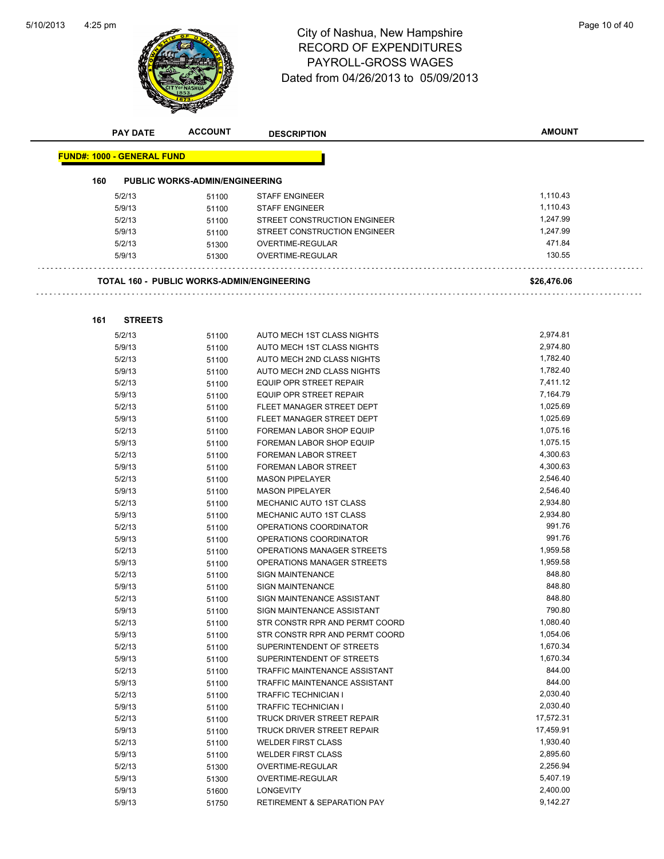$\bar{z}$  .

 $\sim$   $\sim$ 



# 4:25 pm<br> **City of Nashua, New Hampshire** Page 10 of 40 RECORD OF EXPENDITURES PAYROLL-GROSS WAGES Dated from 04/26/2013 to 05/09/2013

| <b>PAY DATE</b>                   | <b>ACCOUNT</b>                                    | <b>DESCRIPTION</b>              | <b>AMOUNT</b> |
|-----------------------------------|---------------------------------------------------|---------------------------------|---------------|
|                                   |                                                   |                                 |               |
| <b>FUND#: 1000 - GENERAL FUND</b> |                                                   |                                 |               |
| 160                               | <b>PUBLIC WORKS-ADMIN/ENGINEERING</b>             |                                 |               |
| 5/2/13                            | 51100                                             | <b>STAFF ENGINEER</b>           | 1,110.43      |
| 5/9/13                            | 51100                                             | <b>STAFF ENGINEER</b>           | 1,110.43      |
| 5/2/13                            | 51100                                             | STREET CONSTRUCTION ENGINEER    | 1,247.99      |
| 5/9/13                            | 51100                                             | STREET CONSTRUCTION ENGINEER    | 1,247.99      |
| 5/2/13                            | 51300                                             | OVERTIME-REGULAR                | 471.84        |
| 5/9/13                            | 51300                                             | OVERTIME-REGULAR                | 130.55        |
|                                   |                                                   |                                 |               |
|                                   | <b>TOTAL 160 - PUBLIC WORKS-ADMIN/ENGINEERING</b> |                                 | \$26,476.06   |
|                                   |                                                   |                                 |               |
|                                   |                                                   |                                 |               |
| <b>STREETS</b><br>161             |                                                   |                                 |               |
| 5/2/13                            | 51100                                             | AUTO MECH 1ST CLASS NIGHTS      | 2,974.81      |
| 5/9/13                            | 51100                                             | AUTO MECH 1ST CLASS NIGHTS      | 2,974.80      |
| 5/2/13                            | 51100                                             | AUTO MECH 2ND CLASS NIGHTS      | 1,782.40      |
| 5/9/13                            | 51100                                             | AUTO MECH 2ND CLASS NIGHTS      | 1,782.40      |
| 5/2/13                            | 51100                                             | <b>EQUIP OPR STREET REPAIR</b>  | 7,411.12      |
| 5/9/13                            | 51100                                             | EQUIP OPR STREET REPAIR         | 7,164.79      |
| 5/2/13                            | 51100                                             | FLEET MANAGER STREET DEPT       | 1,025.69      |
| 5/9/13                            | 51100                                             | FLEET MANAGER STREET DEPT       | 1,025.69      |
| 5/2/13                            | 51100                                             | <b>FOREMAN LABOR SHOP EQUIP</b> | 1,075.16      |
| 5/9/13                            | 51100                                             | <b>FOREMAN LABOR SHOP EQUIP</b> | 1,075.15      |
| 5/2/13                            | 51100                                             | <b>FOREMAN LABOR STREET</b>     | 4,300.63      |
| 5/9/13                            | 51100                                             | <b>FOREMAN LABOR STREET</b>     | 4,300.63      |
| 5/2/13                            | 51100                                             | <b>MASON PIPELAYER</b>          | 2,546.40      |
| 5/9/13                            | 51100                                             | <b>MASON PIPELAYER</b>          | 2,546.40      |
| 5/2/13                            | 51100                                             | <b>MECHANIC AUTO 1ST CLASS</b>  | 2,934.80      |
| 5/9/13                            | 51100                                             | <b>MECHANIC AUTO 1ST CLASS</b>  | 2,934.80      |
| 5/2/13                            | 51100                                             | OPERATIONS COORDINATOR          | 991.76        |
| 5/9/13                            | 51100                                             | OPERATIONS COORDINATOR          | 991.76        |
| 5/2/13                            | 51100                                             | OPERATIONS MANAGER STREETS      | 1,959.58      |
| 5/9/13                            | 51100                                             | OPERATIONS MANAGER STREETS      | 1,959.58      |
| 5/2/13                            | 51100                                             | <b>SIGN MAINTENANCE</b>         | 848.80        |
| 5/9/13                            | 51100                                             | <b>SIGN MAINTENANCE</b>         | 848.80        |
| 5/2/13                            | 51100                                             | SIGN MAINTENANCE ASSISTANT      | 848.80        |
| 5/9/13                            | 51100                                             | SIGN MAINTENANCE ASSISTANT      | 790.80        |
| 5/2/13                            | 51100                                             | STR CONSTR RPR AND PERMT COORD  | 1,080.40      |
| 5/9/13                            | 51100                                             | STR CONSTR RPR AND PERMT COORD  | 1,054.06      |
| 5/2/13                            | 51100                                             | SUPERINTENDENT OF STREETS       | 1,670.34      |
| 5/9/13                            | 51100                                             | SUPERINTENDENT OF STREETS       | 1,670.34      |
| 5/2/13                            | 51100                                             | TRAFFIC MAINTENANCE ASSISTANT   | 844.00        |
| 5/9/13                            | 51100                                             | TRAFFIC MAINTENANCE ASSISTANT   | 844.00        |
| 5/2/13                            | 51100                                             | TRAFFIC TECHNICIAN I            | 2,030.40      |
| 5/9/13                            | 51100                                             | TRAFFIC TECHNICIAN I            | 2,030.40      |
| 5/2/13                            | 51100                                             | TRUCK DRIVER STREET REPAIR      | 17,572.31     |
| 5/9/13                            | 51100                                             | TRUCK DRIVER STREET REPAIR      | 17,459.91     |
| 5/2/13                            | 51100                                             | <b>WELDER FIRST CLASS</b>       | 1,930.40      |
| 5/9/13                            | 51100                                             | <b>WELDER FIRST CLASS</b>       | 2,895.60      |
| 5/2/13                            | 51300                                             | OVERTIME-REGULAR                | 2,256.94      |
| 5/9/13                            | 51300                                             | OVERTIME-REGULAR                | 5,407.19      |
| 5/9/13                            | 51600                                             | <b>LONGEVITY</b>                | 2,400.00      |
| 5/9/13                            | 51750                                             | RETIREMENT & SEPARATION PAY     | 9,142.27      |
|                                   |                                                   |                                 |               |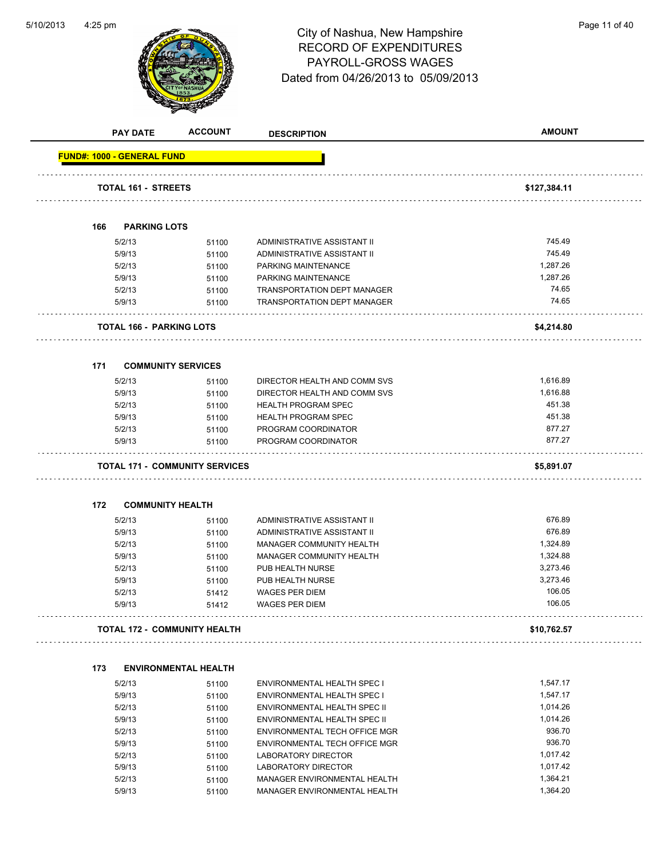

# 4:25 pm<br> **City of Nashua, New Hampshire** Page 11 of 40 RECORD OF EXPENDITURES PAYROLL-GROSS WAGES Dated from 04/26/2013 to 05/09/2013

|     | <b>PAY DATE</b>                   | <b>ACCOUNT</b>                        | <b>DESCRIPTION</b>                 | <b>AMOUNT</b> |
|-----|-----------------------------------|---------------------------------------|------------------------------------|---------------|
|     | <b>FUND#: 1000 - GENERAL FUND</b> |                                       |                                    |               |
|     | <b>TOTAL 161 - STREETS</b>        |                                       |                                    | \$127,384.11  |
|     |                                   |                                       |                                    |               |
| 166 | <b>PARKING LOTS</b>               |                                       |                                    |               |
|     | 5/2/13                            | 51100                                 | ADMINISTRATIVE ASSISTANT II        | 745.49        |
|     | 5/9/13                            | 51100                                 | ADMINISTRATIVE ASSISTANT II        | 745.49        |
|     | 5/2/13                            | 51100                                 | PARKING MAINTENANCE                | 1,287.26      |
|     | 5/9/13                            | 51100                                 | PARKING MAINTENANCE                | 1,287.26      |
|     | 5/2/13                            | 51100                                 | <b>TRANSPORTATION DEPT MANAGER</b> | 74.65         |
|     | 5/9/13                            | 51100                                 | TRANSPORTATION DEPT MANAGER        | 74.65         |
|     | <b>TOTAL 166 - PARKING LOTS</b>   |                                       |                                    | \$4,214.80    |
| 171 |                                   | <b>COMMUNITY SERVICES</b>             |                                    |               |
|     | 5/2/13                            | 51100                                 | DIRECTOR HEALTH AND COMM SVS       | 1,616.89      |
|     | 5/9/13                            | 51100                                 | DIRECTOR HEALTH AND COMM SVS       | 1,616.88      |
|     | 5/2/13                            | 51100                                 | <b>HEALTH PROGRAM SPEC</b>         | 451.38        |
|     | 5/9/13                            | 51100                                 | <b>HEALTH PROGRAM SPEC</b>         | 451.38        |
|     | 5/2/13                            | 51100                                 | PROGRAM COORDINATOR                | 877.27        |
|     | 5/9/13                            | 51100                                 | PROGRAM COORDINATOR                | 877.27        |
|     |                                   | <b>TOTAL 171 - COMMUNITY SERVICES</b> |                                    | \$5,891.07    |
|     |                                   |                                       |                                    |               |
| 172 | <b>COMMUNITY HEALTH</b>           |                                       |                                    |               |
|     | 5/2/13                            | 51100                                 | ADMINISTRATIVE ASSISTANT II        | 676.89        |
|     | 5/9/13                            | 51100                                 | ADMINISTRATIVE ASSISTANT II        | 676.89        |
|     | 5/2/13                            | 51100                                 | MANAGER COMMUNITY HEALTH           | 1,324.89      |
|     | 5/9/13                            | 51100                                 | MANAGER COMMUNITY HEALTH           | 1,324.88      |
|     | 5/2/13                            | 51100                                 | PUB HEALTH NURSE                   | 3,273.46      |
|     | 5/9/13                            | 51100                                 | PUB HEALTH NURSE                   | 3,273.46      |
|     | 5/2/13                            | 51412                                 | <b>WAGES PER DIEM</b>              | 106.05        |
|     | 5/9/13                            | 51412                                 | <b>WAGES PER DIEM</b>              | 106.05        |
|     |                                   | <b>TOTAL 172 - COMMUNITY HEALTH</b>   |                                    | \$10,762.57   |
| 173 |                                   | <b>ENVIRONMENTAL HEALTH</b>           |                                    |               |
|     | 5/2/13                            |                                       | ENVIRONMENTAL HEALTH SPEC I        | 1,547.17      |
|     | 5/9/13                            | 51100                                 | ENVIRONMENTAL HEALTH SPEC I        | 1,547.17      |
|     | 5/2/13                            | 51100                                 | ENVIRONMENTAL HEALTH SPEC II       | 1,014.26      |
|     | 5/9/13                            | 51100<br>51100                        | ENVIRONMENTAL HEALTH SPEC II       | 1,014.26      |
|     | 5/2/13                            |                                       | ENVIRONMENTAL TECH OFFICE MGR      | 936.70        |
|     | 5/9/13                            | 51100<br>51100                        | ENVIRONMENTAL TECH OFFICE MGR      | 936.70        |
|     | 5/2/13                            |                                       | LABORATORY DIRECTOR                | 1,017.42      |
|     | 5/9/13                            | 51100                                 | LABORATORY DIRECTOR                | 1,017.42      |
|     | 5/2/13                            | 51100<br>51100                        | MANAGER ENVIRONMENTAL HEALTH       | 1,364.21      |
|     | 5/9/13                            | 51100                                 | MANAGER ENVIRONMENTAL HEALTH       | 1,364.20      |
|     |                                   |                                       |                                    |               |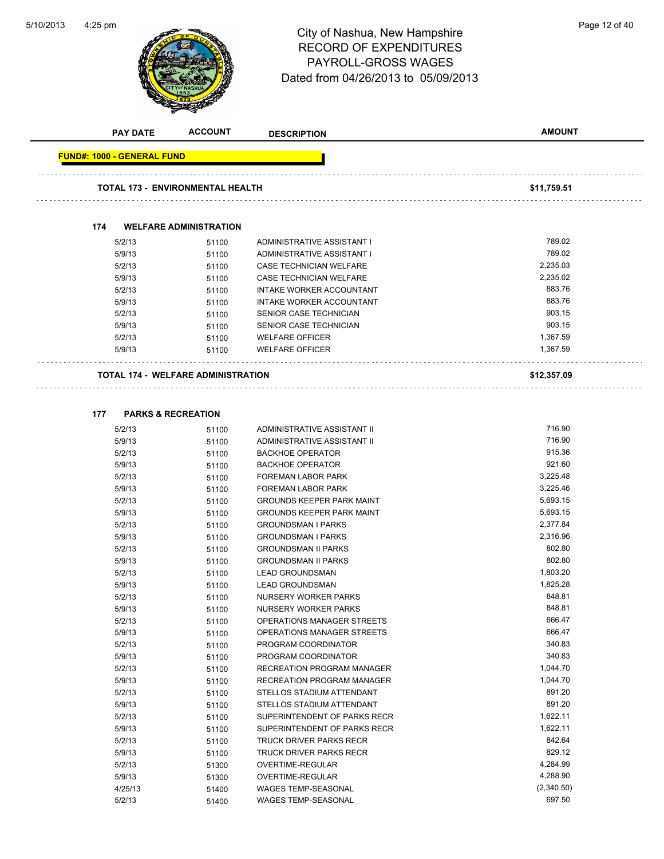

# 4:25 pm<br> **City of Nashua, New Hampshire** Page 12 of 40 RECORD OF EXPENDITURES PAYROLL-GROSS WAGES Dated from 04/26/2013 to 05/09/2013

| <b>PAY DATE</b>                           | <b>ACCOUNT</b>                | <b>DESCRIPTION</b>               | <b>AMOUNT</b>        |
|-------------------------------------------|-------------------------------|----------------------------------|----------------------|
| <b>FUND#: 1000 - GENERAL FUND</b>         |                               |                                  |                      |
| <b>TOTAL 173 - ENVIRONMENTAL HEALTH</b>   |                               |                                  | \$11,759.51          |
|                                           |                               |                                  |                      |
| 174                                       | <b>WELFARE ADMINISTRATION</b> |                                  |                      |
| 5/2/13                                    | 51100                         | ADMINISTRATIVE ASSISTANT I       | 789.02               |
| 5/9/13                                    | 51100                         | ADMINISTRATIVE ASSISTANT I       | 789.02               |
| 5/2/13                                    | 51100                         | CASE TECHNICIAN WELFARE          | 2,235.03             |
| 5/9/13                                    | 51100                         | CASE TECHNICIAN WELFARE          | 2,235.02             |
| 5/2/13                                    | 51100                         | INTAKE WORKER ACCOUNTANT         | 883.76               |
| 5/9/13                                    | 51100                         | INTAKE WORKER ACCOUNTANT         | 883.76               |
| 5/2/13                                    | 51100                         | SENIOR CASE TECHNICIAN           | 903.15               |
| 5/9/13                                    | 51100                         | SENIOR CASE TECHNICIAN           | 903.15               |
| 5/2/13                                    | 51100                         | <b>WELFARE OFFICER</b>           | 1,367.59             |
| 5/9/13                                    | 51100                         | <b>WELFARE OFFICER</b>           | 1,367.59             |
| <b>TOTAL 174 - WELFARE ADMINISTRATION</b> |                               |                                  | \$12,357.09          |
|                                           |                               |                                  |                      |
| 177                                       | <b>PARKS &amp; RECREATION</b> |                                  |                      |
| 5/2/13                                    | 51100                         | ADMINISTRATIVE ASSISTANT II      | 716.90               |
| 5/9/13                                    | 51100                         | ADMINISTRATIVE ASSISTANT II      | 716.90               |
| 5/2/13                                    | 51100                         | <b>BACKHOE OPERATOR</b>          | 915.36               |
| 5/9/13                                    | 51100                         | <b>BACKHOE OPERATOR</b>          | 921.60               |
| 5/2/13                                    | 51100                         | <b>FOREMAN LABOR PARK</b>        | 3,225.48             |
| 5/9/13                                    | 51100                         | <b>FOREMAN LABOR PARK</b>        | 3,225.46             |
| 5/2/13                                    | 51100                         | <b>GROUNDS KEEPER PARK MAINT</b> | 5,693.15             |
| 5/9/13                                    | 51100                         | <b>GROUNDS KEEPER PARK MAINT</b> | 5,693.15             |
| 5/2/13                                    | 51100                         | <b>GROUNDSMAN I PARKS</b>        | 2,377.84             |
| 5/9/13                                    | 51100                         | <b>GROUNDSMAN I PARKS</b>        | 2,316.96             |
| 5/2/13                                    | 51100                         | <b>GROUNDSMAN II PARKS</b>       | 802.80               |
| 5/9/13                                    | 51100                         | <b>GROUNDSMAN II PARKS</b>       | 802.80               |
| 5/2/13                                    | 51100                         | <b>LEAD GROUNDSMAN</b>           | 1,803.20             |
| 5/9/13                                    | 51100                         | <b>LEAD GROUNDSMAN</b>           | 1,825.28             |
| 5/2/13                                    | 51100                         | NURSERY WORKER PARKS             | 848.81               |
| 5/9/13                                    | 51100                         | NURSERY WORKER PARKS             | 848.81               |
| 5/2/13                                    | 51100                         | OPERATIONS MANAGER STREETS       | 666.47               |
| 5/9/13                                    | 51100                         | OPERATIONS MANAGER STREETS       | 666.47               |
| 5/2/13                                    | 51100                         | PROGRAM COORDINATOR              | 340.83               |
| 5/9/13                                    | 51100                         | PROGRAM COORDINATOR              | 340.83               |
| 5/2/13                                    | 51100                         | RECREATION PROGRAM MANAGER       | 1,044.70             |
| 5/9/13                                    | 51100                         | RECREATION PROGRAM MANAGER       | 1,044.70             |
| 5/2/13                                    | 51100                         | STELLOS STADIUM ATTENDANT        | 891.20               |
| 5/9/13                                    | 51100                         | STELLOS STADIUM ATTENDANT        | 891.20               |
| 5/2/13                                    | 51100                         | SUPERINTENDENT OF PARKS RECR     | 1,622.11             |
| 5/9/13                                    | 51100                         | SUPERINTENDENT OF PARKS RECR     | 1,622.11             |
| 5/2/13                                    | 51100                         | <b>TRUCK DRIVER PARKS RECR</b>   | 842.64               |
| 5/9/13                                    | 51100                         | TRUCK DRIVER PARKS RECR          | 829.12               |
| 5/2/13                                    | 51300                         | OVERTIME-REGULAR                 | 4,284.99             |
| 5/9/13                                    | 51300                         | OVERTIME-REGULAR                 | 4,288.90             |
| 4/25/13                                   | 51400                         | WAGES TEMP-SEASONAL              | (2,340.50)<br>697.50 |
| 5/2/13                                    | 51400                         | WAGES TEMP-SEASONAL              |                      |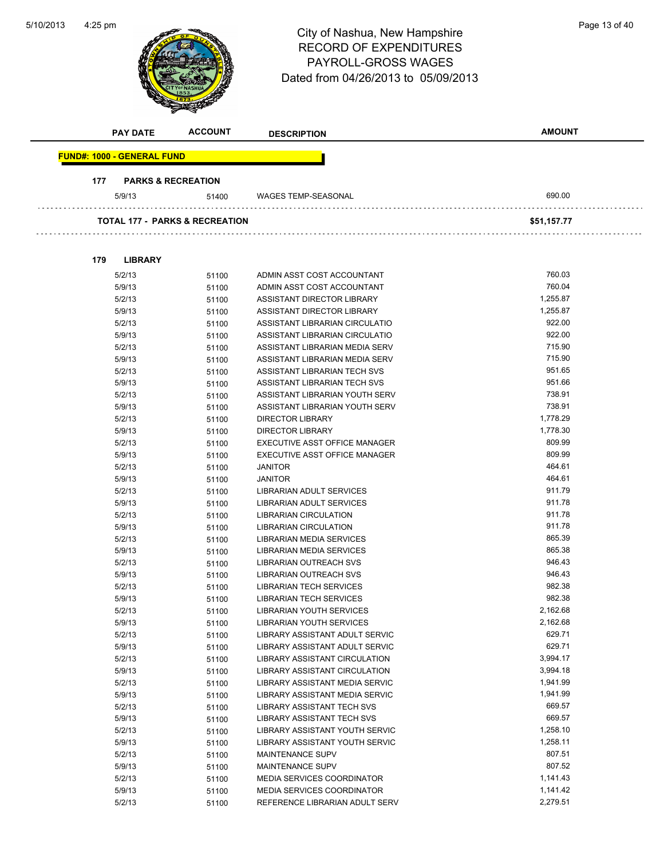| 5/10/2013 | $4:25$ pm                                 |                               | City of Nashua, New Hampshire<br><b>RECORD OF EXPENDITURES</b><br>PAYROLL-GROSS WAGES<br>Dated from 04/26/2013 to 05/09/2013 | Page 13 of 40 |
|-----------|-------------------------------------------|-------------------------------|------------------------------------------------------------------------------------------------------------------------------|---------------|
|           | <b>PAY DATE</b>                           | <b>ACCOUNT</b>                | <b>DESCRIPTION</b>                                                                                                           | <b>AMOUNT</b> |
|           | <b>FUND#: 1000 - GENERAL FUND</b>         |                               |                                                                                                                              |               |
|           | 177                                       | <b>PARKS &amp; RECREATION</b> |                                                                                                                              |               |
|           | 5/9/13                                    | 51400                         | WAGES TEMP-SEASONAL                                                                                                          | 690.00        |
|           | <b>TOTAL 177 - PARKS &amp; RECREATION</b> |                               |                                                                                                                              | \$51,157.77   |
|           | <b>LIBRARY</b><br>179                     |                               |                                                                                                                              |               |
|           | 5/2/13                                    | 51100                         | ADMIN ASST COST ACCOUNTANT                                                                                                   | 760.03        |
|           | 5/9/13                                    | 51100                         | ADMIN ASST COST ACCOUNTANT                                                                                                   | 760.04        |
|           | 5/2/13                                    | 51100                         | ASSISTANT DIRECTOR LIBRARY                                                                                                   | 1,255.87      |
|           | 5/9/13                                    | 51100                         | ASSISTANT DIRECTOR LIBRARY                                                                                                   | 1,255.87      |
|           | 5/2/13                                    | 51100                         | ASSISTANT LIBRARIAN CIRCULATIO                                                                                               | 922.00        |
|           | 5/9/13                                    | 51100                         | ASSISTANT LIBRARIAN CIRCULATIO                                                                                               | 922.00        |
|           | 5/2/13                                    | 51100                         | ASSISTANT LIBRARIAN MEDIA SERV                                                                                               | 715.90        |
|           | 5/9/13                                    | 51100                         | ASSISTANT LIBRARIAN MEDIA SERV                                                                                               | 715.90        |
|           | 5/2/13                                    | 51100                         | ASSISTANT LIBRARIAN TECH SVS                                                                                                 | 951.65        |
|           | 5/9/13                                    | 51100                         | ASSISTANT LIBRARIAN TECH SVS                                                                                                 | 951.66        |
|           | 5/2/13                                    | 51100                         | ASSISTANT LIBRARIAN YOUTH SERV                                                                                               | 738.91        |
|           | 5/9/13                                    | 51100                         | ASSISTANT LIBRARIAN YOUTH SERV                                                                                               | 738.91        |
|           | 5/2/13                                    | 51100                         | <b>DIRECTOR LIBRARY</b>                                                                                                      | 1,778.29      |
|           | 5/9/13                                    | 51100                         | <b>DIRECTOR LIBRARY</b>                                                                                                      | 1,778.30      |
|           | 5/2/13                                    | 51100                         | EXECUTIVE ASST OFFICE MANAGER                                                                                                | 809.99        |
|           | 5/9/13                                    | 51100                         | <b>EXECUTIVE ASST OFFICE MANAGER</b>                                                                                         | 809.99        |
|           | 5/2/13                                    | 51100                         | <b>JANITOR</b>                                                                                                               | 464.61        |
|           | 5/9/13                                    | 51100                         | <b>JANITOR</b>                                                                                                               | 464.61        |
|           | 5/2/13                                    | 51100                         | LIBRARIAN ADULT SERVICES                                                                                                     | 911.79        |
|           | 5/9/13                                    | 51100                         | LIBRARIAN ADULT SERVICES                                                                                                     | 911.78        |
|           | 5/2/13                                    | 51100                         | LIBRARIAN CIRCULATION                                                                                                        | 911.78        |
|           | 5/9/13                                    | 51100                         | LIBRARIAN CIRCULATION                                                                                                        | 911.78        |
|           | 5/2/13                                    | 51100                         | LIBRARIAN MEDIA SERVICES                                                                                                     | 865.39        |
|           | 5/9/13                                    | 51100                         | LIBRARIAN MEDIA SERVICES                                                                                                     | 865.38        |
|           | 5/2/13                                    | 51100                         | LIBRARIAN OUTREACH SVS                                                                                                       | 946.43        |
|           | 5/9/13                                    | 51100                         | <b>LIBRARIAN OUTREACH SVS</b>                                                                                                | 946.43        |
|           | 5/2/13                                    | 51100                         | LIBRARIAN TECH SERVICES                                                                                                      | 982.38        |
|           | 5/9/13                                    | 51100                         | <b>LIBRARIAN TECH SERVICES</b>                                                                                               | 982.38        |
|           | 5/2/13                                    | 51100                         | <b>LIBRARIAN YOUTH SERVICES</b>                                                                                              | 2,162.68      |
|           | 5/9/13                                    | 51100                         | LIBRARIAN YOUTH SERVICES                                                                                                     | 2,162.68      |
|           | 5/2/13                                    | 51100                         | LIBRARY ASSISTANT ADULT SERVIC                                                                                               | 629.71        |
|           | 5/9/13                                    | 51100                         | LIBRARY ASSISTANT ADULT SERVIC                                                                                               | 629.71        |
|           | 5/2/13                                    | 51100                         | LIBRARY ASSISTANT CIRCULATION                                                                                                | 3,994.17      |
|           | 5/9/13                                    | 51100                         | LIBRARY ASSISTANT CIRCULATION                                                                                                | 3,994.18      |
|           | 5/2/13                                    | 51100                         | LIBRARY ASSISTANT MEDIA SERVIC                                                                                               | 1,941.99      |
|           | 5/9/13                                    | 51100                         | LIBRARY ASSISTANT MEDIA SERVIC                                                                                               | 1,941.99      |
|           | 5/2/13                                    | 51100                         | LIBRARY ASSISTANT TECH SVS                                                                                                   | 669.57        |
|           | 5/9/13                                    | 51100                         | LIBRARY ASSISTANT TECH SVS                                                                                                   | 669.57        |
|           | 5/2/13                                    | 51100                         | LIBRARY ASSISTANT YOUTH SERVIC                                                                                               | 1,258.10      |
|           | 5/9/13                                    | 51100                         | LIBRARY ASSISTANT YOUTH SERVIC                                                                                               | 1,258.11      |
|           | 5/2/13                                    | 51100                         | MAINTENANCE SUPV                                                                                                             | 807.51        |
|           | 5/9/13                                    | 51100                         | MAINTENANCE SUPV                                                                                                             | 807.52        |
|           | 5/2/13                                    | 51100                         | MEDIA SERVICES COORDINATOR                                                                                                   | 1,141.43      |
|           | 5/9/13                                    | 51100                         | MEDIA SERVICES COORDINATOR                                                                                                   | 1,141.42      |
|           | 5/2/13                                    | 51100                         | REFERENCE LIBRARIAN ADULT SERV                                                                                               | 2,279.51      |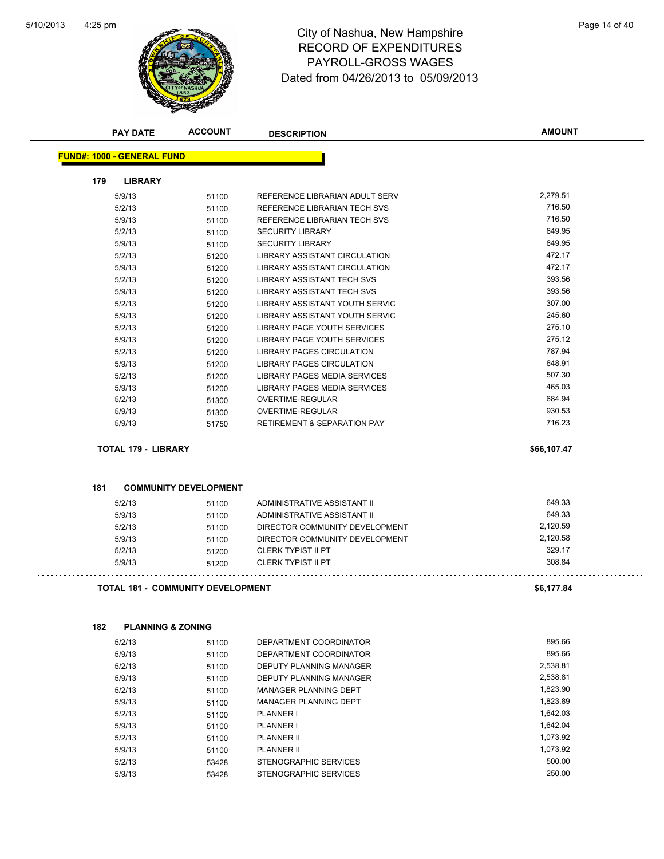$\Box$ 

 $\Box$ 

 $\sim$  .

 $\bar{z}$  .



# 4:25 pm<br> **City of Nashua, New Hampshire** Page 14 of 40 RECORD OF EXPENDITURES PAYROLL-GROSS WAGES Dated from 04/26/2013 to 05/09/2013

|     | <b>PAY DATE</b>                   | <b>ACCOUNT</b>                           | <b>DESCRIPTION</b>                     | <b>AMOUNT</b>        |
|-----|-----------------------------------|------------------------------------------|----------------------------------------|----------------------|
|     | <b>FUND#: 1000 - GENERAL FUND</b> |                                          |                                        |                      |
| 179 | <b>LIBRARY</b>                    |                                          |                                        |                      |
|     | 5/9/13                            | 51100                                    | REFERENCE LIBRARIAN ADULT SERV         | 2,279.51             |
|     | 5/2/13                            | 51100                                    | REFERENCE LIBRARIAN TECH SVS           | 716.50               |
|     | 5/9/13                            | 51100                                    | REFERENCE LIBRARIAN TECH SVS           | 716.50               |
|     | 5/2/13                            | 51100                                    | <b>SECURITY LIBRARY</b>                | 649.95               |
|     | 5/9/13                            | 51100                                    | <b>SECURITY LIBRARY</b>                | 649.95               |
|     | 5/2/13                            | 51200                                    | <b>LIBRARY ASSISTANT CIRCULATION</b>   | 472.17               |
|     | 5/9/13                            | 51200                                    | LIBRARY ASSISTANT CIRCULATION          | 472.17               |
|     | 5/2/13                            | 51200                                    | LIBRARY ASSISTANT TECH SVS             | 393.56               |
|     | 5/9/13                            | 51200                                    | <b>LIBRARY ASSISTANT TECH SVS</b>      | 393.56               |
|     | 5/2/13                            | 51200                                    | LIBRARY ASSISTANT YOUTH SERVIC         | 307.00               |
|     | 5/9/13                            | 51200                                    | LIBRARY ASSISTANT YOUTH SERVIC         | 245.60               |
|     | 5/2/13                            | 51200                                    | LIBRARY PAGE YOUTH SERVICES            | 275.10               |
|     | 5/9/13                            | 51200                                    | LIBRARY PAGE YOUTH SERVICES            | 275.12               |
|     | 5/2/13                            | 51200                                    | <b>LIBRARY PAGES CIRCULATION</b>       | 787.94               |
|     | 5/9/13                            | 51200                                    | LIBRARY PAGES CIRCULATION              | 648.91               |
|     | 5/2/13                            | 51200                                    | LIBRARY PAGES MEDIA SERVICES           | 507.30               |
|     | 5/9/13                            | 51200                                    | LIBRARY PAGES MEDIA SERVICES           | 465.03               |
|     | 5/2/13                            |                                          | OVERTIME-REGULAR                       | 684.94               |
|     | 5/9/13                            | 51300                                    | OVERTIME-REGULAR                       | 930.53               |
|     | 5/9/13                            | 51300                                    | <b>RETIREMENT &amp; SEPARATION PAY</b> | 716.23               |
|     |                                   | 51750                                    |                                        |                      |
|     | <b>TOTAL 179 - LIBRARY</b>        |                                          |                                        | \$66,107.47          |
| 181 |                                   | <b>COMMUNITY DEVELOPMENT</b>             |                                        |                      |
|     | 5/2/13                            | 51100                                    | ADMINISTRATIVE ASSISTANT II            | 649.33               |
|     | 5/9/13                            | 51100                                    | ADMINISTRATIVE ASSISTANT II            | 649.33               |
|     | 5/2/13                            | 51100                                    | DIRECTOR COMMUNITY DEVELOPMENT         | 2,120.59             |
|     | 5/9/13                            | 51100                                    | DIRECTOR COMMUNITY DEVELOPMENT         | 2,120.58             |
|     | 5/2/13                            | 51200                                    | <b>CLERK TYPIST II PT</b>              | 329.17               |
|     | 5/9/13                            | 51200                                    | <b>CLERK TYPIST II PT</b>              | 308.84               |
|     |                                   | <b>TOTAL 181 - COMMUNITY DEVELOPMENT</b> |                                        | \$6,177.84           |
|     |                                   |                                          |                                        |                      |
| 182 | <b>PLANNING &amp; ZONING</b>      |                                          |                                        |                      |
|     | 5/2/13                            | 51100                                    | DEPARTMENT COORDINATOR                 | 895.66               |
|     | 5/9/13                            | 51100                                    | DEPARTMENT COORDINATOR                 | 895.66               |
|     | 5/2/13                            | 51100                                    | <b>DEPUTY PLANNING MANAGER</b>         | 2,538.81             |
|     | 5/9/13                            | 51100                                    | DEPUTY PLANNING MANAGER                | 2,538.81             |
|     | 5/2/13                            | 51100                                    | MANAGER PLANNING DEPT                  | 1,823.90             |
|     |                                   |                                          | <b>MANAGER PLANNING DEPT</b>           | 1,823.89             |
|     | 5/9/13                            | 51100                                    |                                        | 1,642.03             |
|     | 5/2/13                            | 51100                                    | PLANNER I                              |                      |
|     | 5/9/13                            | 51100                                    | <b>PLANNER I</b>                       | 1,642.04             |
|     | 5/2/13                            | 51100                                    | <b>PLANNER II</b>                      | 1,073.92<br>1,073.92 |
|     | 5/9/13                            | 51100                                    | <b>PLANNER II</b>                      |                      |
|     | 5/2/13                            | 53428                                    | STENOGRAPHIC SERVICES                  | 500.00<br>250.00     |
|     | 5/9/13                            | 53428                                    | STENOGRAPHIC SERVICES                  |                      |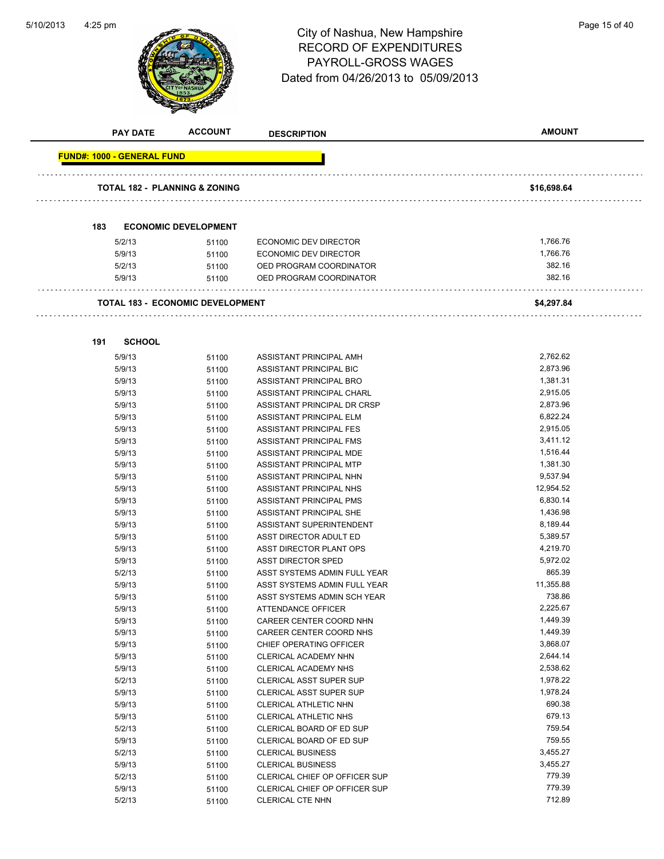

# 4:25 pm<br> **City of Nashua, New Hampshire** Page 15 of 40 RECORD OF EXPENDITURES PAYROLL-GROSS WAGES Dated from 04/26/2013 to 05/09/2013

| <b>PAY DATE</b>                   | <b>ACCOUNT</b>                          | <b>DESCRIPTION</b>             | <b>AMOUNT</b> |
|-----------------------------------|-----------------------------------------|--------------------------------|---------------|
| <b>FUND#: 1000 - GENERAL FUND</b> |                                         |                                |               |
|                                   | TOTAL 182 - PLANNING & ZONING           |                                | \$16,698.64   |
|                                   |                                         |                                |               |
| 183                               | <b>ECONOMIC DEVELOPMENT</b>             |                                |               |
| 5/2/13                            | 51100                                   | <b>ECONOMIC DEV DIRECTOR</b>   | 1,766.76      |
| 5/9/13                            | 51100                                   | <b>ECONOMIC DEV DIRECTOR</b>   | 1,766.76      |
| 5/2/13                            | 51100                                   | OED PROGRAM COORDINATOR        | 382.16        |
| 5/9/13                            | 51100                                   | OED PROGRAM COORDINATOR        | 382.16        |
|                                   | <b>TOTAL 183 - ECONOMIC DEVELOPMENT</b> | .                              | \$4,297.84    |
|                                   |                                         |                                |               |
| 191<br><b>SCHOOL</b>              |                                         |                                |               |
| 5/9/13                            | 51100                                   | ASSISTANT PRINCIPAL AMH        | 2,762.62      |
| 5/9/13                            | 51100                                   | ASSISTANT PRINCIPAL BIC        | 2,873.96      |
| 5/9/13                            | 51100                                   | ASSISTANT PRINCIPAL BRO        | 1,381.31      |
| 5/9/13                            | 51100                                   | ASSISTANT PRINCIPAL CHARL      | 2,915.05      |
| 5/9/13                            | 51100                                   | ASSISTANT PRINCIPAL DR CRSP    | 2,873.96      |
| 5/9/13                            | 51100                                   | ASSISTANT PRINCIPAL ELM        | 6,822.24      |
| 5/9/13                            | 51100                                   | ASSISTANT PRINCIPAL FES        | 2,915.05      |
| 5/9/13                            | 51100                                   | ASSISTANT PRINCIPAL FMS        | 3,411.12      |
| 5/9/13                            | 51100                                   | ASSISTANT PRINCIPAL MDE        | 1,516.44      |
| 5/9/13                            | 51100                                   | ASSISTANT PRINCIPAL MTP        | 1,381.30      |
| 5/9/13                            | 51100                                   | ASSISTANT PRINCIPAL NHN        | 9,537.94      |
| 5/9/13                            | 51100                                   | ASSISTANT PRINCIPAL NHS        | 12,954.52     |
| 5/9/13                            | 51100                                   | ASSISTANT PRINCIPAL PMS        | 6,830.14      |
| 5/9/13                            | 51100                                   | ASSISTANT PRINCIPAL SHE        | 1,436.98      |
| 5/9/13                            | 51100                                   | ASSISTANT SUPERINTENDENT       | 8,189.44      |
| 5/9/13                            | 51100                                   | ASST DIRECTOR ADULT ED         | 5,389.57      |
| 5/9/13                            | 51100                                   | ASST DIRECTOR PLANT OPS        | 4,219.70      |
| 5/9/13                            | 51100                                   | <b>ASST DIRECTOR SPED</b>      | 5,972.02      |
| 5/2/13                            | 51100                                   | ASST SYSTEMS ADMIN FULL YEAR   | 865.39        |
| 5/9/13                            | 51100                                   | ASST SYSTEMS ADMIN FULL YEAR   | 11,355.88     |
| 5/9/13                            | 51100                                   | ASST SYSTEMS ADMIN SCH YEAR    | 738.86        |
| 5/9/13                            | 51100                                   | ATTENDANCE OFFICER             | 2.225.67      |
| 5/9/13                            | 51100                                   | CAREER CENTER COORD NHN        | 1,449.39      |
| 5/9/13                            | 51100                                   | CAREER CENTER COORD NHS        | 1,449.39      |
| 5/9/13                            | 51100                                   | CHIEF OPERATING OFFICER        | 3,868.07      |
| 5/9/13                            | 51100                                   | CLERICAL ACADEMY NHN           | 2,644.14      |
| 5/9/13                            | 51100                                   | CLERICAL ACADEMY NHS           | 2,538.62      |
| 5/2/13                            | 51100                                   | <b>CLERICAL ASST SUPER SUP</b> | 1,978.22      |
| 5/9/13                            | 51100                                   | <b>CLERICAL ASST SUPER SUP</b> | 1,978.24      |
| 5/9/13                            | 51100                                   | CLERICAL ATHLETIC NHN          | 690.38        |
| 5/9/13                            | 51100                                   | CLERICAL ATHLETIC NHS          | 679.13        |
| 5/2/13                            | 51100                                   | CLERICAL BOARD OF ED SUP       | 759.54        |
| 5/9/13                            | 51100                                   | CLERICAL BOARD OF ED SUP       | 759.55        |
| 5/2/13                            | 51100                                   | <b>CLERICAL BUSINESS</b>       | 3,455.27      |
| 5/9/13                            | 51100                                   | <b>CLERICAL BUSINESS</b>       | 3,455.27      |
| 5/2/13                            | 51100                                   | CLERICAL CHIEF OP OFFICER SUP  | 779.39        |
| 5/9/13                            | 51100                                   | CLERICAL CHIEF OP OFFICER SUP  | 779.39        |
| 5/2/13                            | 51100                                   | CLERICAL CTE NHN               | 712.89        |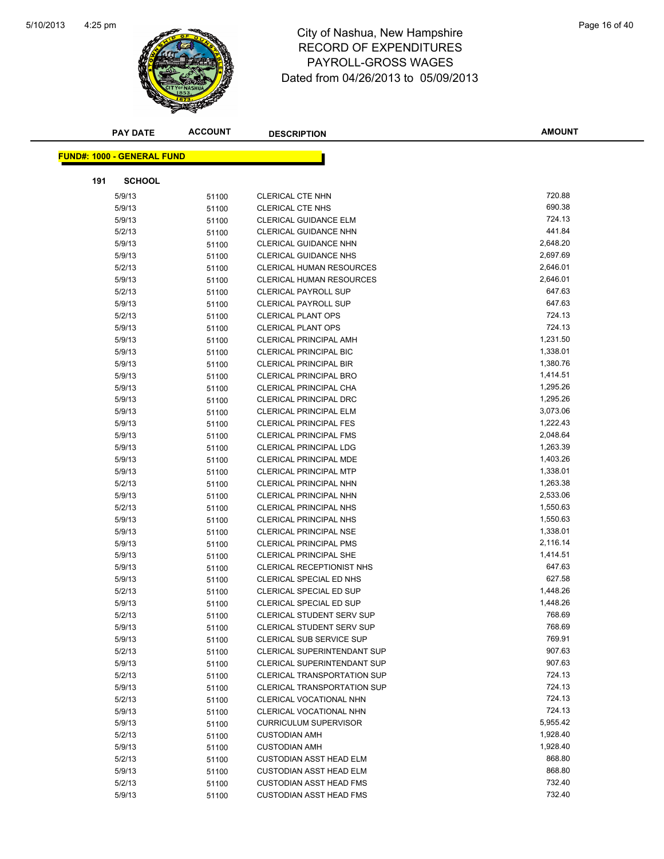

# 4:25 pm<br> **City of Nashua, New Hampshire** Page 16 of 40 RECORD OF EXPENDITURES PAYROLL-GROSS WAGES Dated from 04/26/2013 to 05/09/2013

|     | <b>PAY DATE</b>                   | <b>ACCOUNT</b> | <b>DESCRIPTION</b>                 | <b>AMOUNT</b>    |
|-----|-----------------------------------|----------------|------------------------------------|------------------|
|     | <b>FUND#: 1000 - GENERAL FUND</b> |                |                                    |                  |
|     |                                   |                |                                    |                  |
| 191 | <b>SCHOOL</b>                     |                |                                    |                  |
|     | 5/9/13                            | 51100          | <b>CLERICAL CTE NHN</b>            | 720.88           |
|     | 5/9/13                            | 51100          | <b>CLERICAL CTE NHS</b>            | 690.38           |
|     | 5/9/13                            | 51100          | <b>CLERICAL GUIDANCE ELM</b>       | 724.13           |
|     | 5/2/13                            | 51100          | CLERICAL GUIDANCE NHN              | 441.84           |
|     | 5/9/13                            | 51100          | <b>CLERICAL GUIDANCE NHN</b>       | 2,648.20         |
|     | 5/9/13                            | 51100          | <b>CLERICAL GUIDANCE NHS</b>       | 2,697.69         |
|     | 5/2/13                            | 51100          | <b>CLERICAL HUMAN RESOURCES</b>    | 2,646.01         |
|     | 5/9/13                            | 51100          | <b>CLERICAL HUMAN RESOURCES</b>    | 2,646.01         |
|     | 5/2/13                            | 51100          | <b>CLERICAL PAYROLL SUP</b>        | 647.63           |
|     | 5/9/13                            | 51100          | <b>CLERICAL PAYROLL SUP</b>        | 647.63           |
|     | 5/2/13                            | 51100          | <b>CLERICAL PLANT OPS</b>          | 724.13           |
|     | 5/9/13                            | 51100          | <b>CLERICAL PLANT OPS</b>          | 724.13           |
|     | 5/9/13                            | 51100          | <b>CLERICAL PRINCIPAL AMH</b>      | 1,231.50         |
|     | 5/9/13                            | 51100          | <b>CLERICAL PRINCIPAL BIC</b>      | 1,338.01         |
|     | 5/9/13                            | 51100          | <b>CLERICAL PRINCIPAL BIR</b>      | 1,380.76         |
|     | 5/9/13                            | 51100          | <b>CLERICAL PRINCIPAL BRO</b>      | 1,414.51         |
|     | 5/9/13                            | 51100          | CLERICAL PRINCIPAL CHA             | 1,295.26         |
|     | 5/9/13                            | 51100          | <b>CLERICAL PRINCIPAL DRC</b>      | 1,295.26         |
|     | 5/9/13                            | 51100          | <b>CLERICAL PRINCIPAL ELM</b>      | 3,073.06         |
|     | 5/9/13                            | 51100          | <b>CLERICAL PRINCIPAL FES</b>      | 1,222.43         |
|     | 5/9/13                            | 51100          | <b>CLERICAL PRINCIPAL FMS</b>      | 2,048.64         |
|     | 5/9/13                            | 51100          | <b>CLERICAL PRINCIPAL LDG</b>      | 1,263.39         |
|     | 5/9/13                            | 51100          | <b>CLERICAL PRINCIPAL MDE</b>      | 1,403.26         |
|     | 5/9/13                            | 51100          | <b>CLERICAL PRINCIPAL MTP</b>      | 1,338.01         |
|     | 5/2/13                            | 51100          | <b>CLERICAL PRINCIPAL NHN</b>      | 1,263.38         |
|     | 5/9/13                            | 51100          | CLERICAL PRINCIPAL NHN             | 2,533.06         |
|     | 5/2/13                            | 51100          | <b>CLERICAL PRINCIPAL NHS</b>      | 1,550.63         |
|     | 5/9/13                            | 51100          | <b>CLERICAL PRINCIPAL NHS</b>      | 1,550.63         |
|     | 5/9/13                            | 51100          | <b>CLERICAL PRINCIPAL NSE</b>      | 1,338.01         |
|     | 5/9/13                            | 51100          | <b>CLERICAL PRINCIPAL PMS</b>      | 2,116.14         |
|     | 5/9/13                            | 51100          | <b>CLERICAL PRINCIPAL SHE</b>      | 1,414.51         |
|     | 5/9/13                            | 51100          | <b>CLERICAL RECEPTIONIST NHS</b>   | 647.63           |
|     | 5/9/13                            | 51100          | CLERICAL SPECIAL ED NHS            | 627.58           |
|     | 5/2/13                            | 51100          | CLERICAL SPECIAL ED SUP            | 1,448.26         |
|     | 5/9/13                            | 51100          | CLERICAL SPECIAL ED SUP            | 1,448.26         |
|     | 5/2/13                            | 51100          | CLERICAL STUDENT SERV SUP          | 768.69           |
|     | 5/9/13                            | 51100          | <b>CLERICAL STUDENT SERV SUP</b>   | 768.69           |
|     | 5/9/13                            | 51100          | CLERICAL SUB SERVICE SUP           | 769.91           |
|     | 5/2/13                            | 51100          | <b>CLERICAL SUPERINTENDANT SUP</b> | 907.63           |
|     | 5/9/13                            | 51100          | <b>CLERICAL SUPERINTENDANT SUP</b> | 907.63           |
|     | 5/2/13                            | 51100          | <b>CLERICAL TRANSPORTATION SUP</b> | 724.13           |
|     | 5/9/13                            | 51100          | <b>CLERICAL TRANSPORTATION SUP</b> | 724.13           |
|     | 5/2/13                            | 51100          | CLERICAL VOCATIONAL NHN            | 724.13           |
|     | 5/9/13                            | 51100          | CLERICAL VOCATIONAL NHN            | 724.13           |
|     | 5/9/13                            | 51100          | <b>CURRICULUM SUPERVISOR</b>       | 5,955.42         |
|     | 5/2/13                            | 51100          | <b>CUSTODIAN AMH</b>               | 1,928.40         |
|     | 5/9/13                            | 51100          | <b>CUSTODIAN AMH</b>               | 1,928.40         |
|     | 5/2/13                            | 51100          | <b>CUSTODIAN ASST HEAD ELM</b>     | 868.80           |
|     | 5/9/13                            | 51100          | <b>CUSTODIAN ASST HEAD ELM</b>     | 868.80<br>732.40 |
|     | 5/2/13                            | 51100          | <b>CUSTODIAN ASST HEAD FMS</b>     | 732.40           |
|     | 5/9/13                            | 51100          | <b>CUSTODIAN ASST HEAD FMS</b>     |                  |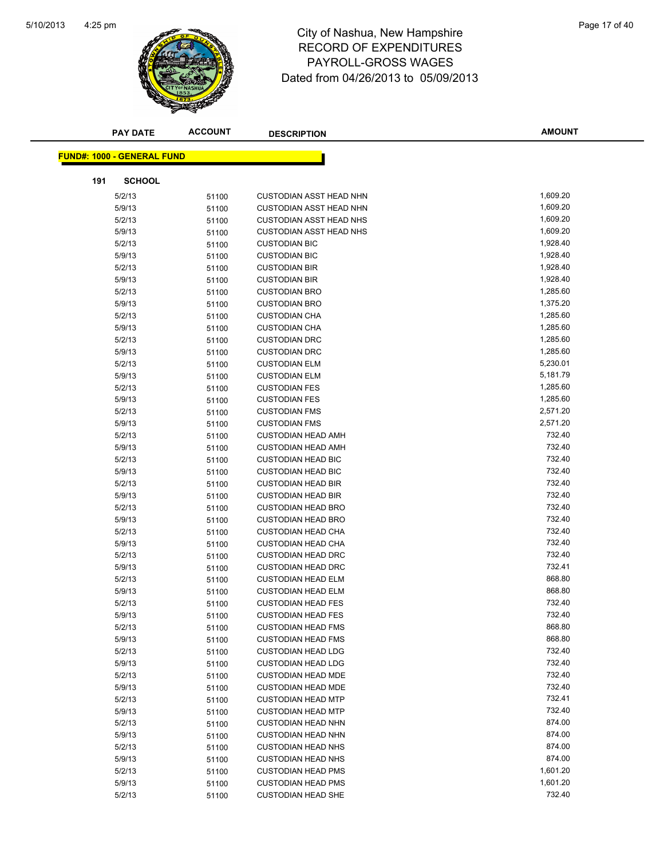

# 4:25 pm<br> **City of Nashua, New Hampshire** Page 17 of 40 RECORD OF EXPENDITURES PAYROLL-GROSS WAGES Dated from 04/26/2013 to 05/09/2013

|     | <b>PAY DATE</b>                   | <b>ACCOUNT</b> | <b>DESCRIPTION</b>                                     | <b>AMOUNT</b>      |
|-----|-----------------------------------|----------------|--------------------------------------------------------|--------------------|
|     | <b>FUND#: 1000 - GENERAL FUND</b> |                |                                                        |                    |
|     |                                   |                |                                                        |                    |
| 191 | <b>SCHOOL</b>                     |                |                                                        |                    |
|     | 5/2/13                            | 51100          | <b>CUSTODIAN ASST HEAD NHN</b>                         | 1,609.20           |
|     | 5/9/13                            | 51100          | <b>CUSTODIAN ASST HEAD NHN</b>                         | 1,609.20           |
|     | 5/2/13                            | 51100          | <b>CUSTODIAN ASST HEAD NHS</b>                         | 1,609.20           |
|     | 5/9/13                            | 51100          | <b>CUSTODIAN ASST HEAD NHS</b>                         | 1,609.20           |
|     | 5/2/13                            | 51100          | <b>CUSTODIAN BIC</b>                                   | 1,928.40           |
|     | 5/9/13                            | 51100          | <b>CUSTODIAN BIC</b>                                   | 1,928.40           |
|     | 5/2/13                            | 51100          | <b>CUSTODIAN BIR</b>                                   | 1,928.40           |
|     | 5/9/13                            | 51100          | <b>CUSTODIAN BIR</b>                                   | 1,928.40           |
|     | 5/2/13                            | 51100          | <b>CUSTODIAN BRO</b>                                   | 1,285.60           |
|     | 5/9/13                            | 51100          | <b>CUSTODIAN BRO</b>                                   | 1,375.20           |
|     | 5/2/13                            | 51100          | <b>CUSTODIAN CHA</b>                                   | 1,285.60           |
|     | 5/9/13                            | 51100          | <b>CUSTODIAN CHA</b>                                   | 1,285.60           |
|     | 5/2/13                            | 51100          | <b>CUSTODIAN DRC</b>                                   | 1,285.60           |
|     | 5/9/13                            | 51100          | <b>CUSTODIAN DRC</b>                                   | 1,285.60           |
|     | 5/2/13                            | 51100          | <b>CUSTODIAN ELM</b>                                   | 5,230.01           |
|     | 5/9/13                            | 51100          | <b>CUSTODIAN ELM</b>                                   | 5,181.79           |
|     | 5/2/13                            | 51100          | <b>CUSTODIAN FES</b>                                   | 1,285.60           |
|     | 5/9/13                            | 51100          | <b>CUSTODIAN FES</b>                                   | 1,285.60           |
|     | 5/2/13                            | 51100          | <b>CUSTODIAN FMS</b>                                   | 2,571.20           |
|     | 5/9/13                            | 51100          | <b>CUSTODIAN FMS</b>                                   | 2,571.20<br>732.40 |
|     | 5/2/13                            | 51100          | <b>CUSTODIAN HEAD AMH</b>                              | 732.40             |
|     | 5/9/13<br>5/2/13                  | 51100          | <b>CUSTODIAN HEAD AMH</b><br><b>CUSTODIAN HEAD BIC</b> | 732.40             |
|     | 5/9/13                            | 51100<br>51100 | <b>CUSTODIAN HEAD BIC</b>                              | 732.40             |
|     | 5/2/13                            | 51100          | <b>CUSTODIAN HEAD BIR</b>                              | 732.40             |
|     | 5/9/13                            | 51100          | <b>CUSTODIAN HEAD BIR</b>                              | 732.40             |
|     | 5/2/13                            | 51100          | <b>CUSTODIAN HEAD BRO</b>                              | 732.40             |
|     | 5/9/13                            | 51100          | <b>CUSTODIAN HEAD BRO</b>                              | 732.40             |
|     | 5/2/13                            | 51100          | <b>CUSTODIAN HEAD CHA</b>                              | 732.40             |
|     | 5/9/13                            | 51100          | <b>CUSTODIAN HEAD CHA</b>                              | 732.40             |
|     | 5/2/13                            | 51100          | <b>CUSTODIAN HEAD DRC</b>                              | 732.40             |
|     | 5/9/13                            | 51100          | <b>CUSTODIAN HEAD DRC</b>                              | 732.41             |
|     | 5/2/13                            | 51100          | <b>CUSTODIAN HEAD ELM</b>                              | 868.80             |
|     | 5/9/13                            | 51100          | <b>CUSTODIAN HEAD ELM</b>                              | 868.80             |
|     | 5/2/13                            | 51100          | <b>CUSTODIAN HEAD FES</b>                              | 732.40             |
|     | 5/9/13                            | 51100          | <b>CUSTODIAN HEAD FES</b>                              | 732.40             |
|     | 5/2/13                            | 51100          | <b>CUSTODIAN HEAD FMS</b>                              | 868.80             |
|     | 5/9/13                            | 51100          | <b>CUSTODIAN HEAD FMS</b>                              | 868.80             |
|     | 5/2/13                            | 51100          | <b>CUSTODIAN HEAD LDG</b>                              | 732.40             |
|     | 5/9/13                            | 51100          | <b>CUSTODIAN HEAD LDG</b>                              | 732.40             |
|     | 5/2/13                            | 51100          | <b>CUSTODIAN HEAD MDE</b>                              | 732.40             |
|     | 5/9/13                            | 51100          | <b>CUSTODIAN HEAD MDE</b>                              | 732.40             |
|     | 5/2/13                            | 51100          | <b>CUSTODIAN HEAD MTP</b>                              | 732.41             |
|     | 5/9/13                            | 51100          | <b>CUSTODIAN HEAD MTP</b>                              | 732.40             |
|     | 5/2/13                            | 51100          | <b>CUSTODIAN HEAD NHN</b>                              | 874.00             |
|     | 5/9/13                            | 51100          | <b>CUSTODIAN HEAD NHN</b>                              | 874.00             |
|     | 5/2/13                            | 51100          | <b>CUSTODIAN HEAD NHS</b>                              | 874.00             |
|     | 5/9/13                            | 51100          | <b>CUSTODIAN HEAD NHS</b>                              | 874.00             |
|     | 5/2/13                            | 51100          | <b>CUSTODIAN HEAD PMS</b>                              | 1,601.20           |
|     | 5/9/13                            | 51100          | <b>CUSTODIAN HEAD PMS</b>                              | 1,601.20           |
|     | 5/2/13                            | 51100          | <b>CUSTODIAN HEAD SHE</b>                              | 732.40             |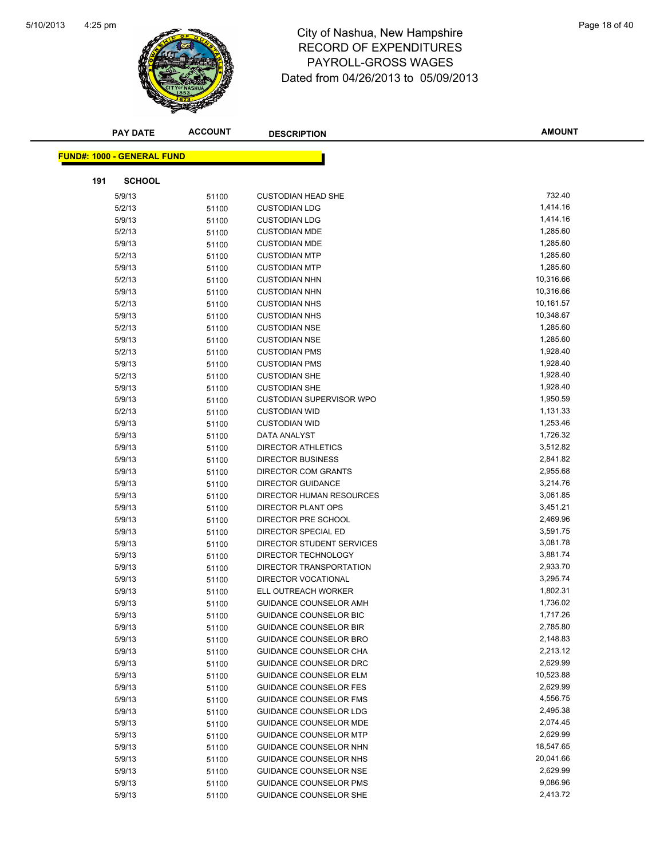

# 4:25 pm<br> **City of Nashua, New Hampshire** Page 18 of 40 RECORD OF EXPENDITURES PAYROLL-GROSS WAGES Dated from 04/26/2013 to 05/09/2013

|     | <b>PAY DATE</b>                   | <b>ACCOUNT</b> | <b>DESCRIPTION</b>              | <b>AMOUNT</b> |
|-----|-----------------------------------|----------------|---------------------------------|---------------|
|     |                                   |                |                                 |               |
|     | <b>FUND#: 1000 - GENERAL FUND</b> |                |                                 |               |
| 191 | <b>SCHOOL</b>                     |                |                                 |               |
|     | 5/9/13                            | 51100          | <b>CUSTODIAN HEAD SHE</b>       | 732.40        |
|     | 5/2/13                            | 51100          | <b>CUSTODIAN LDG</b>            | 1,414.16      |
|     | 5/9/13                            | 51100          | <b>CUSTODIAN LDG</b>            | 1,414.16      |
|     | 5/2/13                            | 51100          | <b>CUSTODIAN MDE</b>            | 1,285.60      |
|     | 5/9/13                            | 51100          | <b>CUSTODIAN MDE</b>            | 1,285.60      |
|     | 5/2/13                            | 51100          | <b>CUSTODIAN MTP</b>            | 1,285.60      |
|     | 5/9/13                            | 51100          | <b>CUSTODIAN MTP</b>            | 1,285.60      |
|     | 5/2/13                            | 51100          | <b>CUSTODIAN NHN</b>            | 10,316.66     |
|     | 5/9/13                            | 51100          | <b>CUSTODIAN NHN</b>            | 10,316.66     |
|     | 5/2/13                            | 51100          | <b>CUSTODIAN NHS</b>            | 10,161.57     |
|     | 5/9/13                            | 51100          | <b>CUSTODIAN NHS</b>            | 10,348.67     |
|     | 5/2/13                            | 51100          | <b>CUSTODIAN NSE</b>            | 1,285.60      |
|     | 5/9/13                            | 51100          | <b>CUSTODIAN NSE</b>            | 1,285.60      |
|     | 5/2/13                            | 51100          | <b>CUSTODIAN PMS</b>            | 1,928.40      |
|     | 5/9/13                            | 51100          | <b>CUSTODIAN PMS</b>            | 1,928.40      |
|     | 5/2/13                            | 51100          | <b>CUSTODIAN SHE</b>            | 1,928.40      |
|     | 5/9/13                            | 51100          | <b>CUSTODIAN SHE</b>            | 1,928.40      |
|     | 5/9/13                            | 51100          | <b>CUSTODIAN SUPERVISOR WPO</b> | 1,950.59      |
|     | 5/2/13                            | 51100          | <b>CUSTODIAN WID</b>            | 1,131.33      |
|     | 5/9/13                            | 51100          | <b>CUSTODIAN WID</b>            | 1,253.46      |
|     | 5/9/13                            | 51100          | DATA ANALYST                    | 1,726.32      |
|     | 5/9/13                            | 51100          | DIRECTOR ATHLETICS              | 3,512.82      |
|     | 5/9/13                            | 51100          | <b>DIRECTOR BUSINESS</b>        | 2,841.82      |
|     | 5/9/13                            | 51100          | <b>DIRECTOR COM GRANTS</b>      | 2,955.68      |
|     | 5/9/13                            | 51100          | <b>DIRECTOR GUIDANCE</b>        | 3,214.76      |
|     | 5/9/13                            | 51100          | DIRECTOR HUMAN RESOURCES        | 3,061.85      |
|     | 5/9/13                            | 51100          | DIRECTOR PLANT OPS              | 3,451.21      |
|     | 5/9/13                            | 51100          | DIRECTOR PRE SCHOOL             | 2,469.96      |
|     | 5/9/13                            | 51100          | DIRECTOR SPECIAL ED             | 3,591.75      |
|     | 5/9/13                            | 51100          | DIRECTOR STUDENT SERVICES       | 3,081.78      |
|     | 5/9/13                            | 51100          | DIRECTOR TECHNOLOGY             | 3,881.74      |
|     | 5/9/13                            | 51100          | DIRECTOR TRANSPORTATION         | 2,933.70      |
|     | 5/9/13                            | 51100          | DIRECTOR VOCATIONAL             | 3,295.74      |
|     | 5/9/13                            | 51100          | ELL OUTREACH WORKER             | 1,802.31      |
|     | 5/9/13                            | 51100          | GUIDANCE COUNSELOR AMH          | 1,736.02      |
|     | 5/9/13                            | 51100          | <b>GUIDANCE COUNSELOR BIC</b>   | 1,717.26      |
|     | 5/9/13                            | 51100          | <b>GUIDANCE COUNSELOR BIR</b>   | 2,785.80      |
|     | 5/9/13                            | 51100          | <b>GUIDANCE COUNSELOR BRO</b>   | 2,148.83      |
|     | 5/9/13                            | 51100          | GUIDANCE COUNSELOR CHA          | 2,213.12      |
|     | 5/9/13                            | 51100          | GUIDANCE COUNSELOR DRC          | 2,629.99      |
|     | 5/9/13                            | 51100          | <b>GUIDANCE COUNSELOR ELM</b>   | 10,523.88     |
|     | 5/9/13                            | 51100          | <b>GUIDANCE COUNSELOR FES</b>   | 2,629.99      |
|     | 5/9/13                            | 51100          | <b>GUIDANCE COUNSELOR FMS</b>   | 4,556.75      |
|     | 5/9/13                            | 51100          | GUIDANCE COUNSELOR LDG          | 2,495.38      |
|     | 5/9/13                            | 51100          | GUIDANCE COUNSELOR MDE          | 2,074.45      |
|     | 5/9/13                            | 51100          | <b>GUIDANCE COUNSELOR MTP</b>   | 2,629.99      |
|     | 5/9/13                            | 51100          | GUIDANCE COUNSELOR NHN          | 18,547.65     |
|     | 5/9/13                            | 51100          | GUIDANCE COUNSELOR NHS          | 20,041.66     |
|     | 5/9/13                            | 51100          | <b>GUIDANCE COUNSELOR NSE</b>   | 2,629.99      |
|     | 5/9/13                            | 51100          | <b>GUIDANCE COUNSELOR PMS</b>   | 9,086.96      |
|     | 5/9/13                            | 51100          | GUIDANCE COUNSELOR SHE          | 2,413.72      |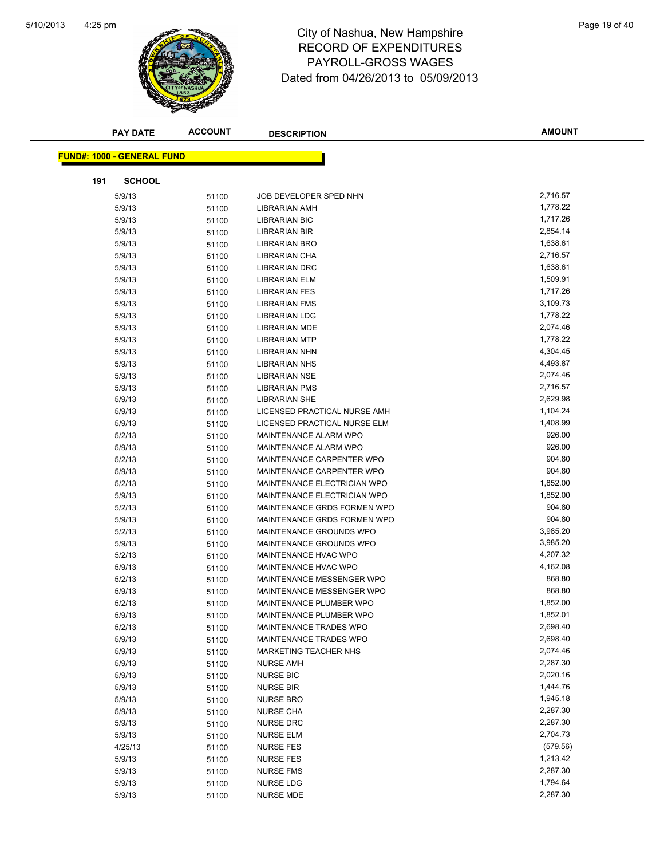

# 4:25 pm<br> **City of Nashua, New Hampshire** Page 19 of 40 RECORD OF EXPENDITURES PAYROLL-GROSS WAGES Dated from 04/26/2013 to 05/09/2013

| <b>PAY DATE</b>                   | <b>ACCOUNT</b> | <b>DESCRIPTION</b>                                   | <b>AMOUNT</b>      |
|-----------------------------------|----------------|------------------------------------------------------|--------------------|
| <b>FUND#: 1000 - GENERAL FUND</b> |                |                                                      |                    |
|                                   |                |                                                      |                    |
| 191                               | <b>SCHOOL</b>  |                                                      |                    |
| 5/9/13                            | 51100          | JOB DEVELOPER SPED NHN                               | 2,716.57           |
| 5/9/13                            | 51100          | <b>LIBRARIAN AMH</b>                                 | 1,778.22           |
| 5/9/13                            | 51100          | <b>LIBRARIAN BIC</b>                                 | 1,717.26           |
| 5/9/13                            | 51100          | <b>LIBRARIAN BIR</b>                                 | 2,854.14           |
| 5/9/13                            | 51100          | <b>LIBRARIAN BRO</b>                                 | 1,638.61           |
| 5/9/13                            | 51100          | LIBRARIAN CHA                                        | 2,716.57           |
| 5/9/13                            | 51100          | <b>LIBRARIAN DRC</b>                                 | 1,638.61           |
| 5/9/13                            | 51100          | LIBRARIAN ELM                                        | 1,509.91           |
| 5/9/13                            | 51100          | <b>LIBRARIAN FES</b>                                 | 1,717.26           |
| 5/9/13                            | 51100          | <b>LIBRARIAN FMS</b>                                 | 3,109.73           |
| 5/9/13                            | 51100          | <b>LIBRARIAN LDG</b>                                 | 1,778.22           |
| 5/9/13                            | 51100          | <b>LIBRARIAN MDE</b>                                 | 2,074.46           |
| 5/9/13                            | 51100          | <b>LIBRARIAN MTP</b>                                 | 1,778.22           |
| 5/9/13                            | 51100          | <b>LIBRARIAN NHN</b>                                 | 4,304.45           |
| 5/9/13                            | 51100          | <b>LIBRARIAN NHS</b>                                 | 4,493.87           |
| 5/9/13                            | 51100          | <b>LIBRARIAN NSE</b>                                 | 2,074.46           |
| 5/9/13                            | 51100          | <b>LIBRARIAN PMS</b>                                 | 2,716.57           |
| 5/9/13                            | 51100          | <b>LIBRARIAN SHE</b>                                 | 2,629.98           |
| 5/9/13                            | 51100          | LICENSED PRACTICAL NURSE AMH                         | 1,104.24           |
| 5/9/13                            | 51100          | LICENSED PRACTICAL NURSE ELM                         | 1,408.99           |
| 5/2/13                            | 51100          | <b>MAINTENANCE ALARM WPO</b>                         | 926.00             |
| 5/9/13                            | 51100          | MAINTENANCE ALARM WPO                                | 926.00             |
| 5/2/13                            | 51100          | MAINTENANCE CARPENTER WPO                            | 904.80             |
| 5/9/13                            | 51100          | MAINTENANCE CARPENTER WPO                            | 904.80             |
| 5/2/13                            | 51100          | MAINTENANCE ELECTRICIAN WPO                          | 1,852.00           |
| 5/9/13                            | 51100          | MAINTENANCE ELECTRICIAN WPO                          | 1,852.00           |
| 5/2/13                            | 51100          | MAINTENANCE GRDS FORMEN WPO                          | 904.80             |
| 5/9/13                            | 51100          | MAINTENANCE GRDS FORMEN WPO                          | 904.80             |
| 5/2/13                            | 51100          | MAINTENANCE GROUNDS WPO                              | 3,985.20           |
| 5/9/13                            | 51100          | MAINTENANCE GROUNDS WPO                              | 3,985.20           |
| 5/2/13                            | 51100          | MAINTENANCE HVAC WPO                                 | 4,207.32           |
| 5/9/13                            | 51100          | MAINTENANCE HVAC WPO                                 | 4,162.08<br>868.80 |
| 5/2/13                            | 51100          | MAINTENANCE MESSENGER WPO                            | 868.80             |
| 5/9/13<br>5/2/13                  | 51100          | MAINTENANCE MESSENGER WPO<br>MAINTENANCE PLUMBER WPO | 1,852.00           |
|                                   | 51100          | MAINTENANCE PLUMBER WPO                              | 1,852.01           |
| 5/9/13<br>5/2/13                  | 51100<br>51100 | MAINTENANCE TRADES WPO                               | 2,698.40           |
| 5/9/13                            | 51100          | MAINTENANCE TRADES WPO                               | 2,698.40           |
| 5/9/13                            | 51100          | <b>MARKETING TEACHER NHS</b>                         | 2,074.46           |
| 5/9/13                            | 51100          | <b>NURSE AMH</b>                                     | 2,287.30           |
| 5/9/13                            | 51100          | <b>NURSE BIC</b>                                     | 2,020.16           |
| 5/9/13                            | 51100          | <b>NURSE BIR</b>                                     | 1,444.76           |
| 5/9/13                            | 51100          | <b>NURSE BRO</b>                                     | 1,945.18           |
| 5/9/13                            | 51100          | <b>NURSE CHA</b>                                     | 2,287.30           |
| 5/9/13                            | 51100          | <b>NURSE DRC</b>                                     | 2,287.30           |
| 5/9/13                            | 51100          | <b>NURSE ELM</b>                                     | 2,704.73           |
| 4/25/13                           | 51100          | <b>NURSE FES</b>                                     | (579.56)           |
| 5/9/13                            | 51100          | <b>NURSE FES</b>                                     | 1,213.42           |
| 5/9/13                            | 51100          | <b>NURSE FMS</b>                                     | 2,287.30           |
| 5/9/13                            | 51100          | <b>NURSE LDG</b>                                     | 1,794.64           |
| 5/9/13                            | 51100          | NURSE MDE                                            | 2,287.30           |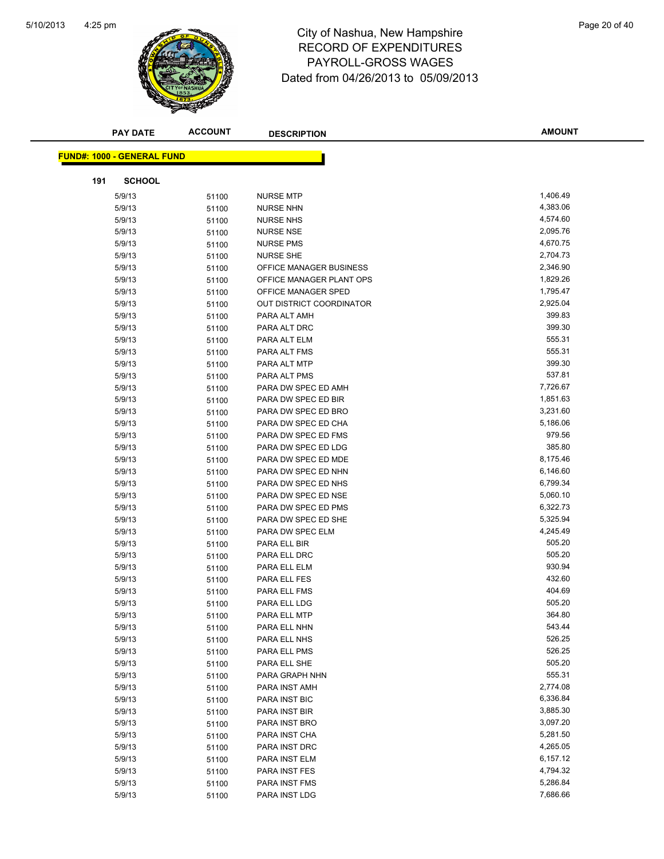

# 4:25 pm<br> **City of Nashua, New Hampshire** Page 20 of 40 RECORD OF EXPENDITURES PAYROLL-GROSS WAGES Dated from 04/26/2013 to 05/09/2013

| <b>FUND#: 1000 - GENERAL FUND</b><br>191<br><b>SCHOOL</b><br>1,406.49<br>5/9/13<br>51100<br><b>NURSE MTP</b><br>4,383.06<br>5/9/13<br><b>NURSE NHN</b><br>51100<br>4,574.60<br>5/9/13<br><b>NURSE NHS</b><br>51100<br>2,095.76<br>5/9/13<br><b>NURSE NSE</b><br>51100<br>4,670.75<br>5/9/13<br><b>NURSE PMS</b><br>51100<br>5/9/13<br>2,704.73<br><b>NURSE SHE</b><br>51100<br>2,346.90<br>5/9/13<br>51100<br><b>OFFICE MANAGER BUSINESS</b><br>1,829.26<br>5/9/13<br>OFFICE MANAGER PLANT OPS<br>51100<br>1,795.47<br>5/9/13<br>51100<br>OFFICE MANAGER SPED<br>2,925.04<br>5/9/13<br>OUT DISTRICT COORDINATOR<br>51100<br>399.83<br>5/9/13<br>PARA ALT AMH<br>51100<br>399.30<br>5/9/13<br>PARA ALT DRC<br>51100<br>555.31<br>5/9/13<br>PARA ALT ELM<br>51100<br>555.31<br>5/9/13<br>PARA ALT FMS<br>51100<br>399.30<br>5/9/13<br>PARA ALT MTP<br>51100<br>537.81<br>5/9/13<br>PARA ALT PMS<br>51100<br>5/9/13<br>7,726.67<br>PARA DW SPEC ED AMH<br>51100<br>1,851.63<br>5/9/13<br>51100<br>PARA DW SPEC ED BIR<br>5/9/13<br>3,231.60<br>PARA DW SPEC ED BRO<br>51100<br>5,186.06<br>5/9/13<br>PARA DW SPEC ED CHA<br>51100<br>979.56<br>5/9/13<br>PARA DW SPEC ED FMS<br>51100<br>385.80<br>5/9/13<br>PARA DW SPEC ED LDG<br>51100<br>8,175.46<br>5/9/13<br>PARA DW SPEC ED MDE<br>51100<br>6,146.60<br>5/9/13<br>PARA DW SPEC ED NHN<br>51100<br>6,799.34<br>5/9/13<br>PARA DW SPEC ED NHS<br>51100<br>5,060.10<br>5/9/13<br>PARA DW SPEC ED NSE<br>51100<br>6,322.73<br>5/9/13<br>PARA DW SPEC ED PMS<br>51100<br>5/9/13<br>PARA DW SPEC ED SHE<br>5,325.94<br>51100<br>4,245.49<br>5/9/13<br>PARA DW SPEC ELM<br>51100<br>505.20<br>5/9/13<br>PARA ELL BIR<br>51100<br>505.20<br>5/9/13<br>PARA ELL DRC<br>51100<br>930.94<br>5/9/13<br>PARA ELL ELM<br>51100<br>432.60<br>5/9/13<br>PARA ELL FES<br>51100<br>404.69<br>5/9/13<br>PARA ELL FMS<br>51100<br>505.20<br>5/9/13<br>PARA ELL LDG<br>51100<br>364.80<br>5/9/13<br>51100<br>PARA ELL MTP<br>543.44<br>5/9/13<br>51100<br>PARA ELL NHN<br>526.25<br>5/9/13<br>PARA ELL NHS<br>51100<br>526.25<br>5/9/13<br>PARA ELL PMS<br>51100<br>505.20<br>5/9/13<br>PARA ELL SHE<br>51100<br>555.31<br>5/9/13<br>PARA GRAPH NHN<br>51100<br>2,774.08<br>5/9/13<br>PARA INST AMH<br>51100 | <b>PAY DATE</b> | <b>ACCOUNT</b> | <b>DESCRIPTION</b> | <b>AMOUNT</b> |
|---------------------------------------------------------------------------------------------------------------------------------------------------------------------------------------------------------------------------------------------------------------------------------------------------------------------------------------------------------------------------------------------------------------------------------------------------------------------------------------------------------------------------------------------------------------------------------------------------------------------------------------------------------------------------------------------------------------------------------------------------------------------------------------------------------------------------------------------------------------------------------------------------------------------------------------------------------------------------------------------------------------------------------------------------------------------------------------------------------------------------------------------------------------------------------------------------------------------------------------------------------------------------------------------------------------------------------------------------------------------------------------------------------------------------------------------------------------------------------------------------------------------------------------------------------------------------------------------------------------------------------------------------------------------------------------------------------------------------------------------------------------------------------------------------------------------------------------------------------------------------------------------------------------------------------------------------------------------------------------------------------------------------------------------------------------------------------------------------------------------------------------------------------------------------------------------------------------------------------------------|-----------------|----------------|--------------------|---------------|
|                                                                                                                                                                                                                                                                                                                                                                                                                                                                                                                                                                                                                                                                                                                                                                                                                                                                                                                                                                                                                                                                                                                                                                                                                                                                                                                                                                                                                                                                                                                                                                                                                                                                                                                                                                                                                                                                                                                                                                                                                                                                                                                                                                                                                                             |                 |                |                    |               |
|                                                                                                                                                                                                                                                                                                                                                                                                                                                                                                                                                                                                                                                                                                                                                                                                                                                                                                                                                                                                                                                                                                                                                                                                                                                                                                                                                                                                                                                                                                                                                                                                                                                                                                                                                                                                                                                                                                                                                                                                                                                                                                                                                                                                                                             |                 |                |                    |               |
|                                                                                                                                                                                                                                                                                                                                                                                                                                                                                                                                                                                                                                                                                                                                                                                                                                                                                                                                                                                                                                                                                                                                                                                                                                                                                                                                                                                                                                                                                                                                                                                                                                                                                                                                                                                                                                                                                                                                                                                                                                                                                                                                                                                                                                             |                 |                |                    |               |
|                                                                                                                                                                                                                                                                                                                                                                                                                                                                                                                                                                                                                                                                                                                                                                                                                                                                                                                                                                                                                                                                                                                                                                                                                                                                                                                                                                                                                                                                                                                                                                                                                                                                                                                                                                                                                                                                                                                                                                                                                                                                                                                                                                                                                                             |                 |                |                    |               |
|                                                                                                                                                                                                                                                                                                                                                                                                                                                                                                                                                                                                                                                                                                                                                                                                                                                                                                                                                                                                                                                                                                                                                                                                                                                                                                                                                                                                                                                                                                                                                                                                                                                                                                                                                                                                                                                                                                                                                                                                                                                                                                                                                                                                                                             |                 |                |                    |               |
|                                                                                                                                                                                                                                                                                                                                                                                                                                                                                                                                                                                                                                                                                                                                                                                                                                                                                                                                                                                                                                                                                                                                                                                                                                                                                                                                                                                                                                                                                                                                                                                                                                                                                                                                                                                                                                                                                                                                                                                                                                                                                                                                                                                                                                             |                 |                |                    |               |
|                                                                                                                                                                                                                                                                                                                                                                                                                                                                                                                                                                                                                                                                                                                                                                                                                                                                                                                                                                                                                                                                                                                                                                                                                                                                                                                                                                                                                                                                                                                                                                                                                                                                                                                                                                                                                                                                                                                                                                                                                                                                                                                                                                                                                                             |                 |                |                    |               |
|                                                                                                                                                                                                                                                                                                                                                                                                                                                                                                                                                                                                                                                                                                                                                                                                                                                                                                                                                                                                                                                                                                                                                                                                                                                                                                                                                                                                                                                                                                                                                                                                                                                                                                                                                                                                                                                                                                                                                                                                                                                                                                                                                                                                                                             |                 |                |                    |               |
|                                                                                                                                                                                                                                                                                                                                                                                                                                                                                                                                                                                                                                                                                                                                                                                                                                                                                                                                                                                                                                                                                                                                                                                                                                                                                                                                                                                                                                                                                                                                                                                                                                                                                                                                                                                                                                                                                                                                                                                                                                                                                                                                                                                                                                             |                 |                |                    |               |
|                                                                                                                                                                                                                                                                                                                                                                                                                                                                                                                                                                                                                                                                                                                                                                                                                                                                                                                                                                                                                                                                                                                                                                                                                                                                                                                                                                                                                                                                                                                                                                                                                                                                                                                                                                                                                                                                                                                                                                                                                                                                                                                                                                                                                                             |                 |                |                    |               |
|                                                                                                                                                                                                                                                                                                                                                                                                                                                                                                                                                                                                                                                                                                                                                                                                                                                                                                                                                                                                                                                                                                                                                                                                                                                                                                                                                                                                                                                                                                                                                                                                                                                                                                                                                                                                                                                                                                                                                                                                                                                                                                                                                                                                                                             |                 |                |                    |               |
|                                                                                                                                                                                                                                                                                                                                                                                                                                                                                                                                                                                                                                                                                                                                                                                                                                                                                                                                                                                                                                                                                                                                                                                                                                                                                                                                                                                                                                                                                                                                                                                                                                                                                                                                                                                                                                                                                                                                                                                                                                                                                                                                                                                                                                             |                 |                |                    |               |
|                                                                                                                                                                                                                                                                                                                                                                                                                                                                                                                                                                                                                                                                                                                                                                                                                                                                                                                                                                                                                                                                                                                                                                                                                                                                                                                                                                                                                                                                                                                                                                                                                                                                                                                                                                                                                                                                                                                                                                                                                                                                                                                                                                                                                                             |                 |                |                    |               |
|                                                                                                                                                                                                                                                                                                                                                                                                                                                                                                                                                                                                                                                                                                                                                                                                                                                                                                                                                                                                                                                                                                                                                                                                                                                                                                                                                                                                                                                                                                                                                                                                                                                                                                                                                                                                                                                                                                                                                                                                                                                                                                                                                                                                                                             |                 |                |                    |               |
|                                                                                                                                                                                                                                                                                                                                                                                                                                                                                                                                                                                                                                                                                                                                                                                                                                                                                                                                                                                                                                                                                                                                                                                                                                                                                                                                                                                                                                                                                                                                                                                                                                                                                                                                                                                                                                                                                                                                                                                                                                                                                                                                                                                                                                             |                 |                |                    |               |
|                                                                                                                                                                                                                                                                                                                                                                                                                                                                                                                                                                                                                                                                                                                                                                                                                                                                                                                                                                                                                                                                                                                                                                                                                                                                                                                                                                                                                                                                                                                                                                                                                                                                                                                                                                                                                                                                                                                                                                                                                                                                                                                                                                                                                                             |                 |                |                    |               |
|                                                                                                                                                                                                                                                                                                                                                                                                                                                                                                                                                                                                                                                                                                                                                                                                                                                                                                                                                                                                                                                                                                                                                                                                                                                                                                                                                                                                                                                                                                                                                                                                                                                                                                                                                                                                                                                                                                                                                                                                                                                                                                                                                                                                                                             |                 |                |                    |               |
|                                                                                                                                                                                                                                                                                                                                                                                                                                                                                                                                                                                                                                                                                                                                                                                                                                                                                                                                                                                                                                                                                                                                                                                                                                                                                                                                                                                                                                                                                                                                                                                                                                                                                                                                                                                                                                                                                                                                                                                                                                                                                                                                                                                                                                             |                 |                |                    |               |
|                                                                                                                                                                                                                                                                                                                                                                                                                                                                                                                                                                                                                                                                                                                                                                                                                                                                                                                                                                                                                                                                                                                                                                                                                                                                                                                                                                                                                                                                                                                                                                                                                                                                                                                                                                                                                                                                                                                                                                                                                                                                                                                                                                                                                                             |                 |                |                    |               |
|                                                                                                                                                                                                                                                                                                                                                                                                                                                                                                                                                                                                                                                                                                                                                                                                                                                                                                                                                                                                                                                                                                                                                                                                                                                                                                                                                                                                                                                                                                                                                                                                                                                                                                                                                                                                                                                                                                                                                                                                                                                                                                                                                                                                                                             |                 |                |                    |               |
|                                                                                                                                                                                                                                                                                                                                                                                                                                                                                                                                                                                                                                                                                                                                                                                                                                                                                                                                                                                                                                                                                                                                                                                                                                                                                                                                                                                                                                                                                                                                                                                                                                                                                                                                                                                                                                                                                                                                                                                                                                                                                                                                                                                                                                             |                 |                |                    |               |
|                                                                                                                                                                                                                                                                                                                                                                                                                                                                                                                                                                                                                                                                                                                                                                                                                                                                                                                                                                                                                                                                                                                                                                                                                                                                                                                                                                                                                                                                                                                                                                                                                                                                                                                                                                                                                                                                                                                                                                                                                                                                                                                                                                                                                                             |                 |                |                    |               |
|                                                                                                                                                                                                                                                                                                                                                                                                                                                                                                                                                                                                                                                                                                                                                                                                                                                                                                                                                                                                                                                                                                                                                                                                                                                                                                                                                                                                                                                                                                                                                                                                                                                                                                                                                                                                                                                                                                                                                                                                                                                                                                                                                                                                                                             |                 |                |                    |               |
|                                                                                                                                                                                                                                                                                                                                                                                                                                                                                                                                                                                                                                                                                                                                                                                                                                                                                                                                                                                                                                                                                                                                                                                                                                                                                                                                                                                                                                                                                                                                                                                                                                                                                                                                                                                                                                                                                                                                                                                                                                                                                                                                                                                                                                             |                 |                |                    |               |
|                                                                                                                                                                                                                                                                                                                                                                                                                                                                                                                                                                                                                                                                                                                                                                                                                                                                                                                                                                                                                                                                                                                                                                                                                                                                                                                                                                                                                                                                                                                                                                                                                                                                                                                                                                                                                                                                                                                                                                                                                                                                                                                                                                                                                                             |                 |                |                    |               |
|                                                                                                                                                                                                                                                                                                                                                                                                                                                                                                                                                                                                                                                                                                                                                                                                                                                                                                                                                                                                                                                                                                                                                                                                                                                                                                                                                                                                                                                                                                                                                                                                                                                                                                                                                                                                                                                                                                                                                                                                                                                                                                                                                                                                                                             |                 |                |                    |               |
|                                                                                                                                                                                                                                                                                                                                                                                                                                                                                                                                                                                                                                                                                                                                                                                                                                                                                                                                                                                                                                                                                                                                                                                                                                                                                                                                                                                                                                                                                                                                                                                                                                                                                                                                                                                                                                                                                                                                                                                                                                                                                                                                                                                                                                             |                 |                |                    |               |
|                                                                                                                                                                                                                                                                                                                                                                                                                                                                                                                                                                                                                                                                                                                                                                                                                                                                                                                                                                                                                                                                                                                                                                                                                                                                                                                                                                                                                                                                                                                                                                                                                                                                                                                                                                                                                                                                                                                                                                                                                                                                                                                                                                                                                                             |                 |                |                    |               |
|                                                                                                                                                                                                                                                                                                                                                                                                                                                                                                                                                                                                                                                                                                                                                                                                                                                                                                                                                                                                                                                                                                                                                                                                                                                                                                                                                                                                                                                                                                                                                                                                                                                                                                                                                                                                                                                                                                                                                                                                                                                                                                                                                                                                                                             |                 |                |                    |               |
|                                                                                                                                                                                                                                                                                                                                                                                                                                                                                                                                                                                                                                                                                                                                                                                                                                                                                                                                                                                                                                                                                                                                                                                                                                                                                                                                                                                                                                                                                                                                                                                                                                                                                                                                                                                                                                                                                                                                                                                                                                                                                                                                                                                                                                             |                 |                |                    |               |
|                                                                                                                                                                                                                                                                                                                                                                                                                                                                                                                                                                                                                                                                                                                                                                                                                                                                                                                                                                                                                                                                                                                                                                                                                                                                                                                                                                                                                                                                                                                                                                                                                                                                                                                                                                                                                                                                                                                                                                                                                                                                                                                                                                                                                                             |                 |                |                    |               |
|                                                                                                                                                                                                                                                                                                                                                                                                                                                                                                                                                                                                                                                                                                                                                                                                                                                                                                                                                                                                                                                                                                                                                                                                                                                                                                                                                                                                                                                                                                                                                                                                                                                                                                                                                                                                                                                                                                                                                                                                                                                                                                                                                                                                                                             |                 |                |                    |               |
|                                                                                                                                                                                                                                                                                                                                                                                                                                                                                                                                                                                                                                                                                                                                                                                                                                                                                                                                                                                                                                                                                                                                                                                                                                                                                                                                                                                                                                                                                                                                                                                                                                                                                                                                                                                                                                                                                                                                                                                                                                                                                                                                                                                                                                             |                 |                |                    |               |
|                                                                                                                                                                                                                                                                                                                                                                                                                                                                                                                                                                                                                                                                                                                                                                                                                                                                                                                                                                                                                                                                                                                                                                                                                                                                                                                                                                                                                                                                                                                                                                                                                                                                                                                                                                                                                                                                                                                                                                                                                                                                                                                                                                                                                                             |                 |                |                    |               |
|                                                                                                                                                                                                                                                                                                                                                                                                                                                                                                                                                                                                                                                                                                                                                                                                                                                                                                                                                                                                                                                                                                                                                                                                                                                                                                                                                                                                                                                                                                                                                                                                                                                                                                                                                                                                                                                                                                                                                                                                                                                                                                                                                                                                                                             |                 |                |                    |               |
|                                                                                                                                                                                                                                                                                                                                                                                                                                                                                                                                                                                                                                                                                                                                                                                                                                                                                                                                                                                                                                                                                                                                                                                                                                                                                                                                                                                                                                                                                                                                                                                                                                                                                                                                                                                                                                                                                                                                                                                                                                                                                                                                                                                                                                             |                 |                |                    |               |
|                                                                                                                                                                                                                                                                                                                                                                                                                                                                                                                                                                                                                                                                                                                                                                                                                                                                                                                                                                                                                                                                                                                                                                                                                                                                                                                                                                                                                                                                                                                                                                                                                                                                                                                                                                                                                                                                                                                                                                                                                                                                                                                                                                                                                                             |                 |                |                    |               |
|                                                                                                                                                                                                                                                                                                                                                                                                                                                                                                                                                                                                                                                                                                                                                                                                                                                                                                                                                                                                                                                                                                                                                                                                                                                                                                                                                                                                                                                                                                                                                                                                                                                                                                                                                                                                                                                                                                                                                                                                                                                                                                                                                                                                                                             |                 |                |                    |               |
|                                                                                                                                                                                                                                                                                                                                                                                                                                                                                                                                                                                                                                                                                                                                                                                                                                                                                                                                                                                                                                                                                                                                                                                                                                                                                                                                                                                                                                                                                                                                                                                                                                                                                                                                                                                                                                                                                                                                                                                                                                                                                                                                                                                                                                             |                 |                |                    |               |
|                                                                                                                                                                                                                                                                                                                                                                                                                                                                                                                                                                                                                                                                                                                                                                                                                                                                                                                                                                                                                                                                                                                                                                                                                                                                                                                                                                                                                                                                                                                                                                                                                                                                                                                                                                                                                                                                                                                                                                                                                                                                                                                                                                                                                                             |                 |                |                    |               |
|                                                                                                                                                                                                                                                                                                                                                                                                                                                                                                                                                                                                                                                                                                                                                                                                                                                                                                                                                                                                                                                                                                                                                                                                                                                                                                                                                                                                                                                                                                                                                                                                                                                                                                                                                                                                                                                                                                                                                                                                                                                                                                                                                                                                                                             |                 |                |                    |               |
|                                                                                                                                                                                                                                                                                                                                                                                                                                                                                                                                                                                                                                                                                                                                                                                                                                                                                                                                                                                                                                                                                                                                                                                                                                                                                                                                                                                                                                                                                                                                                                                                                                                                                                                                                                                                                                                                                                                                                                                                                                                                                                                                                                                                                                             |                 |                |                    |               |
|                                                                                                                                                                                                                                                                                                                                                                                                                                                                                                                                                                                                                                                                                                                                                                                                                                                                                                                                                                                                                                                                                                                                                                                                                                                                                                                                                                                                                                                                                                                                                                                                                                                                                                                                                                                                                                                                                                                                                                                                                                                                                                                                                                                                                                             |                 |                |                    |               |
|                                                                                                                                                                                                                                                                                                                                                                                                                                                                                                                                                                                                                                                                                                                                                                                                                                                                                                                                                                                                                                                                                                                                                                                                                                                                                                                                                                                                                                                                                                                                                                                                                                                                                                                                                                                                                                                                                                                                                                                                                                                                                                                                                                                                                                             |                 |                |                    |               |
| 5/9/13<br>6,336.84<br>PARA INST BIC                                                                                                                                                                                                                                                                                                                                                                                                                                                                                                                                                                                                                                                                                                                                                                                                                                                                                                                                                                                                                                                                                                                                                                                                                                                                                                                                                                                                                                                                                                                                                                                                                                                                                                                                                                                                                                                                                                                                                                                                                                                                                                                                                                                                         |                 |                |                    |               |
| 51100<br>3,885.30<br>5/9/13<br>PARA INST BIR                                                                                                                                                                                                                                                                                                                                                                                                                                                                                                                                                                                                                                                                                                                                                                                                                                                                                                                                                                                                                                                                                                                                                                                                                                                                                                                                                                                                                                                                                                                                                                                                                                                                                                                                                                                                                                                                                                                                                                                                                                                                                                                                                                                                |                 |                |                    |               |
| 51100<br>3,097.20<br>5/9/13<br>PARA INST BRO                                                                                                                                                                                                                                                                                                                                                                                                                                                                                                                                                                                                                                                                                                                                                                                                                                                                                                                                                                                                                                                                                                                                                                                                                                                                                                                                                                                                                                                                                                                                                                                                                                                                                                                                                                                                                                                                                                                                                                                                                                                                                                                                                                                                |                 |                |                    |               |
| 51100<br>5,281.50<br>5/9/13<br>PARA INST CHA<br>51100                                                                                                                                                                                                                                                                                                                                                                                                                                                                                                                                                                                                                                                                                                                                                                                                                                                                                                                                                                                                                                                                                                                                                                                                                                                                                                                                                                                                                                                                                                                                                                                                                                                                                                                                                                                                                                                                                                                                                                                                                                                                                                                                                                                       |                 |                |                    |               |
| 5/9/13<br>PARA INST DRC<br>4,265.05<br>51100                                                                                                                                                                                                                                                                                                                                                                                                                                                                                                                                                                                                                                                                                                                                                                                                                                                                                                                                                                                                                                                                                                                                                                                                                                                                                                                                                                                                                                                                                                                                                                                                                                                                                                                                                                                                                                                                                                                                                                                                                                                                                                                                                                                                |                 |                |                    |               |
| 6,157.12<br>5/9/13<br>PARA INST ELM<br>51100                                                                                                                                                                                                                                                                                                                                                                                                                                                                                                                                                                                                                                                                                                                                                                                                                                                                                                                                                                                                                                                                                                                                                                                                                                                                                                                                                                                                                                                                                                                                                                                                                                                                                                                                                                                                                                                                                                                                                                                                                                                                                                                                                                                                |                 |                |                    |               |
| 5/9/13<br>4,794.32<br>PARA INST FES<br>51100                                                                                                                                                                                                                                                                                                                                                                                                                                                                                                                                                                                                                                                                                                                                                                                                                                                                                                                                                                                                                                                                                                                                                                                                                                                                                                                                                                                                                                                                                                                                                                                                                                                                                                                                                                                                                                                                                                                                                                                                                                                                                                                                                                                                |                 |                |                    |               |
| 5,286.84<br>5/9/13<br>PARA INST FMS<br>51100                                                                                                                                                                                                                                                                                                                                                                                                                                                                                                                                                                                                                                                                                                                                                                                                                                                                                                                                                                                                                                                                                                                                                                                                                                                                                                                                                                                                                                                                                                                                                                                                                                                                                                                                                                                                                                                                                                                                                                                                                                                                                                                                                                                                |                 |                |                    |               |
| 7,686.66<br>5/9/13<br>PARA INST LDG<br>51100                                                                                                                                                                                                                                                                                                                                                                                                                                                                                                                                                                                                                                                                                                                                                                                                                                                                                                                                                                                                                                                                                                                                                                                                                                                                                                                                                                                                                                                                                                                                                                                                                                                                                                                                                                                                                                                                                                                                                                                                                                                                                                                                                                                                |                 |                |                    |               |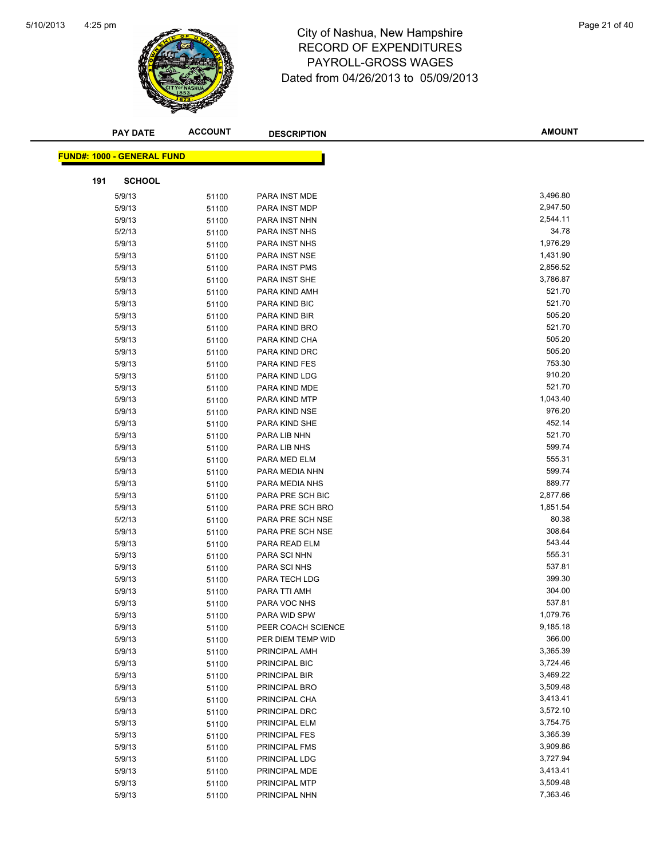

# 4:25 pm<br> **City of Nashua, New Hampshire** Page 21 of 40 RECORD OF EXPENDITURES PAYROLL-GROSS WAGES Dated from 04/26/2013 to 05/09/2013

|     | <b>PAY DATE</b>                   | <b>ACCOUNT</b> | <b>DESCRIPTION</b>             | <b>AMOUNT</b>        |
|-----|-----------------------------------|----------------|--------------------------------|----------------------|
|     |                                   |                |                                |                      |
|     | <b>FUND#: 1000 - GENERAL FUND</b> |                |                                |                      |
| 191 | <b>SCHOOL</b>                     |                |                                |                      |
|     | 5/9/13                            | 51100          | PARA INST MDE                  | 3,496.80             |
|     | 5/9/13                            | 51100          | PARA INST MDP                  | 2,947.50             |
|     | 5/9/13                            | 51100          | PARA INST NHN                  | 2,544.11             |
|     | 5/2/13                            | 51100          | PARA INST NHS                  | 34.78                |
|     | 5/9/13                            | 51100          | PARA INST NHS                  | 1,976.29             |
|     | 5/9/13                            | 51100          | PARA INST NSE                  | 1,431.90             |
|     | 5/9/13                            | 51100          | PARA INST PMS                  | 2,856.52             |
|     | 5/9/13                            | 51100          | PARA INST SHE                  | 3,786.87             |
|     | 5/9/13                            | 51100          | PARA KIND AMH                  | 521.70               |
|     | 5/9/13                            | 51100          | PARA KIND BIC                  | 521.70               |
|     | 5/9/13                            | 51100          | PARA KIND BIR                  | 505.20               |
|     | 5/9/13                            | 51100          | PARA KIND BRO                  | 521.70               |
|     | 5/9/13                            | 51100          | PARA KIND CHA                  | 505.20               |
|     | 5/9/13                            | 51100          | PARA KIND DRC                  | 505.20               |
|     | 5/9/13                            | 51100          | PARA KIND FES                  | 753.30               |
|     | 5/9/13                            | 51100          | PARA KIND LDG                  | 910.20               |
|     | 5/9/13                            | 51100          | PARA KIND MDE                  | 521.70               |
|     | 5/9/13                            | 51100          | PARA KIND MTP                  | 1,043.40             |
|     | 5/9/13                            | 51100          | PARA KIND NSE                  | 976.20               |
|     | 5/9/13                            | 51100          | PARA KIND SHE                  | 452.14               |
|     | 5/9/13                            | 51100          | PARA LIB NHN                   | 521.70               |
|     | 5/9/13                            | 51100          | PARA LIB NHS                   | 599.74               |
|     | 5/9/13                            | 51100          | PARA MED ELM                   | 555.31               |
|     | 5/9/13                            | 51100          | PARA MEDIA NHN                 | 599.74               |
|     | 5/9/13                            | 51100          | PARA MEDIA NHS                 | 889.77               |
|     | 5/9/13                            | 51100          | PARA PRE SCH BIC               | 2,877.66             |
|     | 5/9/13                            | 51100          | PARA PRE SCH BRO               | 1,851.54             |
|     | 5/2/13                            | 51100          | PARA PRE SCH NSE               | 80.38                |
|     | 5/9/13                            | 51100          | PARA PRE SCH NSE               | 308.64               |
|     | 5/9/13                            | 51100          | PARA READ ELM                  | 543.44               |
|     | 5/9/13                            | 51100          | PARA SCI NHN                   | 555.31               |
|     | 5/9/13                            | 51100          | PARA SCI NHS                   | 537.81               |
|     | 5/9/13                            | 51100          | PARA TECH LDG                  | 399.30               |
|     | 5/9/13                            | 51100          | PARA TTI AMH                   | 304.00               |
|     | 5/9/13                            | 51100          | PARA VOC NHS                   | 537.81               |
|     | 5/9/13                            | 51100          | PARA WID SPW                   | 1,079.76             |
|     | 5/9/13                            | 51100          | PEER COACH SCIENCE             | 9,185.18             |
|     | 5/9/13                            | 51100          | PER DIEM TEMP WID              | 366.00               |
|     | 5/9/13                            | 51100          | PRINCIPAL AMH                  | 3,365.39             |
|     | 5/9/13                            | 51100          | PRINCIPAL BIC                  | 3,724.46             |
|     | 5/9/13                            | 51100          | PRINCIPAL BIR                  | 3,469.22<br>3,509.48 |
|     | 5/9/13<br>5/9/13                  | 51100          | PRINCIPAL BRO                  | 3,413.41             |
|     |                                   | 51100          | PRINCIPAL CHA                  | 3,572.10             |
|     | 5/9/13<br>5/9/13                  | 51100          | PRINCIPAL DRC                  | 3,754.75             |
|     | 5/9/13                            | 51100          | PRINCIPAL ELM<br>PRINCIPAL FES | 3,365.39             |
|     | 5/9/13                            | 51100          | PRINCIPAL FMS                  | 3,909.86             |
|     | 5/9/13                            | 51100          | PRINCIPAL LDG                  | 3,727.94             |
|     | 5/9/13                            | 51100          | PRINCIPAL MDE                  | 3,413.41             |
|     | 5/9/13                            | 51100<br>51100 | PRINCIPAL MTP                  | 3,509.48             |
|     | 5/9/13                            | 51100          | PRINCIPAL NHN                  | 7,363.46             |
|     |                                   |                |                                |                      |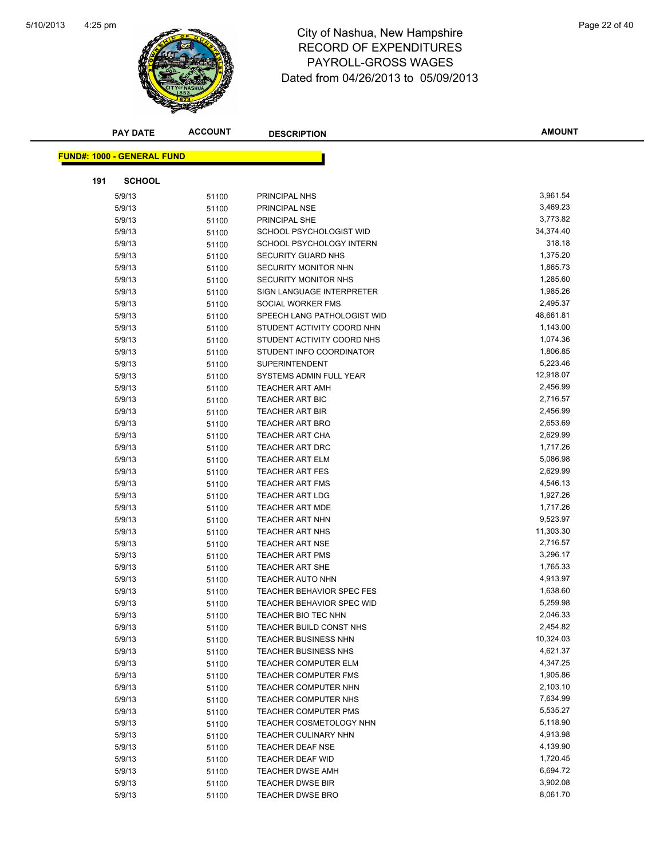

# 4:25 pm<br> **City of Nashua, New Hampshire** Page 22 of 40 RECORD OF EXPENDITURES PAYROLL-GROSS WAGES Dated from 04/26/2013 to 05/09/2013

|     | <b>PAY DATE</b>                   | <b>ACCOUNT</b> | <b>DESCRIPTION</b>                              | <b>AMOUNT</b>        |
|-----|-----------------------------------|----------------|-------------------------------------------------|----------------------|
|     |                                   |                |                                                 |                      |
|     | <b>FUND#: 1000 - GENERAL FUND</b> |                |                                                 |                      |
| 191 | <b>SCHOOL</b>                     |                |                                                 |                      |
|     | 5/9/13                            | 51100          | PRINCIPAL NHS                                   | 3,961.54             |
|     | 5/9/13                            | 51100          | PRINCIPAL NSE                                   | 3,469.23             |
|     | 5/9/13                            | 51100          | PRINCIPAL SHE                                   | 3,773.82             |
|     | 5/9/13                            | 51100          | SCHOOL PSYCHOLOGIST WID                         | 34,374.40            |
|     | 5/9/13                            | 51100          | SCHOOL PSYCHOLOGY INTERN                        | 318.18               |
|     | 5/9/13                            | 51100          | SECURITY GUARD NHS                              | 1,375.20             |
|     | 5/9/13                            | 51100          | <b>SECURITY MONITOR NHN</b>                     | 1,865.73             |
|     | 5/9/13                            | 51100          | SECURITY MONITOR NHS                            | 1,285.60             |
|     | 5/9/13                            | 51100          | SIGN LANGUAGE INTERPRETER                       | 1,985.26             |
|     | 5/9/13                            | 51100          | SOCIAL WORKER FMS                               | 2,495.37             |
|     | 5/9/13                            | 51100          | SPEECH LANG PATHOLOGIST WID                     | 48,661.81            |
|     | 5/9/13                            | 51100          | STUDENT ACTIVITY COORD NHN                      | 1,143.00             |
|     | 5/9/13                            | 51100          | STUDENT ACTIVITY COORD NHS                      | 1,074.36             |
|     | 5/9/13                            | 51100          | STUDENT INFO COORDINATOR                        | 1,806.85             |
|     | 5/9/13                            | 51100          | <b>SUPERINTENDENT</b>                           | 5,223.46             |
|     | 5/9/13                            | 51100          | SYSTEMS ADMIN FULL YEAR                         | 12,918.07            |
|     | 5/9/13                            | 51100          | <b>TEACHER ART AMH</b>                          | 2,456.99             |
|     | 5/9/13                            | 51100          | <b>TEACHER ART BIC</b>                          | 2,716.57             |
|     | 5/9/13                            | 51100          | <b>TEACHER ART BIR</b>                          | 2,456.99             |
|     | 5/9/13                            | 51100          | <b>TEACHER ART BRO</b>                          | 2,653.69             |
|     | 5/9/13                            | 51100          | <b>TEACHER ART CHA</b>                          | 2,629.99             |
|     | 5/9/13                            | 51100          | TEACHER ART DRC                                 | 1,717.26             |
|     | 5/9/13                            | 51100          | <b>TEACHER ART ELM</b>                          | 5,086.98             |
|     | 5/9/13                            | 51100          | <b>TEACHER ART FES</b>                          | 2,629.99             |
|     | 5/9/13                            | 51100          | <b>TEACHER ART FMS</b>                          | 4,546.13             |
|     | 5/9/13                            | 51100          | <b>TEACHER ART LDG</b>                          | 1,927.26             |
|     | 5/9/13                            | 51100          | <b>TEACHER ART MDE</b>                          | 1,717.26             |
|     | 5/9/13                            | 51100          | <b>TEACHER ART NHN</b>                          | 9,523.97             |
|     | 5/9/13                            | 51100          | <b>TEACHER ART NHS</b>                          | 11,303.30            |
|     | 5/9/13                            | 51100          | <b>TEACHER ART NSE</b>                          | 2,716.57             |
|     | 5/9/13                            | 51100          | <b>TEACHER ART PMS</b>                          | 3,296.17             |
|     | 5/9/13                            | 51100          | <b>TEACHER ART SHE</b>                          | 1,765.33             |
|     | 5/9/13                            | 51100          | <b>TEACHER AUTO NHN</b>                         | 4,913.97             |
|     | 5/9/13                            | 51100          | <b>TEACHER BEHAVIOR SPEC FES</b>                | 1,638.60             |
|     | 5/9/13                            | 51100          | <b>TEACHER BEHAVIOR SPEC WID</b>                | 5,259.98             |
|     | 5/9/13                            | 51100          | TEACHER BIO TEC NHN                             | 2,046.33             |
|     | 5/9/13                            | 51100          | TEACHER BUILD CONST NHS                         | 2,454.82             |
|     | 5/9/13                            | 51100          | <b>TEACHER BUSINESS NHN</b>                     | 10,324.03            |
|     | 5/9/13                            | 51100          | <b>TEACHER BUSINESS NHS</b>                     | 4,621.37             |
|     | 5/9/13                            | 51100          | <b>TEACHER COMPUTER ELM</b>                     | 4,347.25             |
|     | 5/9/13                            | 51100          | <b>TEACHER COMPUTER FMS</b>                     | 1,905.86             |
|     | 5/9/13                            | 51100          | TEACHER COMPUTER NHN                            | 2,103.10             |
|     | 5/9/13                            | 51100          | TEACHER COMPUTER NHS                            | 7,634.99<br>5,535.27 |
|     | 5/9/13                            | 51100          | <b>TEACHER COMPUTER PMS</b>                     |                      |
|     | 5/9/13                            | 51100          | <b>TEACHER COSMETOLOGY NHN</b>                  | 5,118.90             |
|     | 5/9/13<br>5/9/13                  | 51100          | TEACHER CULINARY NHN<br><b>TEACHER DEAF NSE</b> | 4,913.98<br>4,139.90 |
|     |                                   | 51100          | TEACHER DEAF WID                                | 1,720.45             |
|     | 5/9/13<br>5/9/13                  | 51100          | <b>TEACHER DWSE AMH</b>                         | 6,694.72             |
|     |                                   | 51100          | <b>TEACHER DWSE BIR</b>                         | 3,902.08             |
|     | 5/9/13<br>5/9/13                  | 51100<br>51100 | TEACHER DWSE BRO                                | 8,061.70             |
|     |                                   |                |                                                 |                      |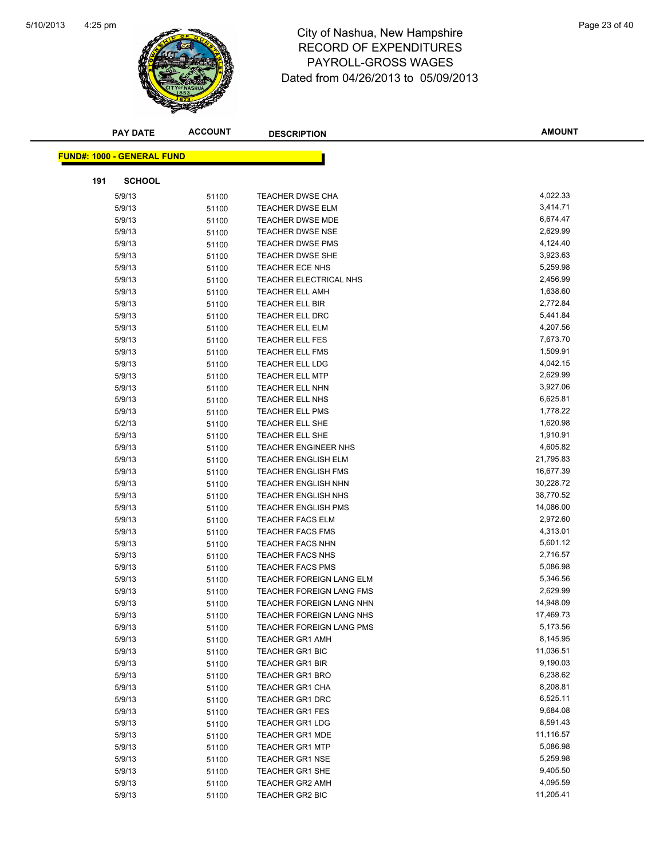

# 4:25 pm<br> **City of Nashua, New Hampshire** Page 23 of 40 RECORD OF EXPENDITURES PAYROLL-GROSS WAGES Dated from 04/26/2013 to 05/09/2013

|     | <b>PAY DATE</b>                   | <b>ACCOUNT</b> | <b>DESCRIPTION</b>                               | <b>AMOUNT</b>         |
|-----|-----------------------------------|----------------|--------------------------------------------------|-----------------------|
|     |                                   |                |                                                  |                       |
|     | <b>FUND#: 1000 - GENERAL FUND</b> |                |                                                  |                       |
| 191 | <b>SCHOOL</b>                     |                |                                                  |                       |
|     | 5/9/13                            | 51100          | <b>TEACHER DWSE CHA</b>                          | 4,022.33              |
|     | 5/9/13                            | 51100          | <b>TEACHER DWSE ELM</b>                          | 3,414.71              |
|     | 5/9/13                            | 51100          | <b>TEACHER DWSE MDE</b>                          | 6,674.47              |
|     | 5/9/13                            | 51100          | <b>TEACHER DWSE NSE</b>                          | 2,629.99              |
|     | 5/9/13                            | 51100          | <b>TEACHER DWSE PMS</b>                          | 4,124.40              |
|     | 5/9/13                            | 51100          | <b>TEACHER DWSE SHE</b>                          | 3,923.63              |
|     | 5/9/13                            | 51100          | TEACHER ECE NHS                                  | 5,259.98              |
|     | 5/9/13                            | 51100          | TEACHER ELECTRICAL NHS                           | 2,456.99              |
|     | 5/9/13                            | 51100          | <b>TEACHER ELL AMH</b>                           | 1,638.60              |
|     | 5/9/13                            | 51100          | TEACHER ELL BIR                                  | 2,772.84              |
|     | 5/9/13                            | 51100          | <b>TEACHER ELL DRC</b>                           | 5,441.84              |
|     | 5/9/13                            | 51100          | <b>TEACHER ELL ELM</b>                           | 4,207.56              |
|     | 5/9/13                            | 51100          | <b>TEACHER ELL FES</b>                           | 7,673.70              |
|     | 5/9/13                            | 51100          | TEACHER ELL FMS                                  | 1,509.91              |
|     | 5/9/13                            | 51100          | TEACHER ELL LDG                                  | 4,042.15              |
|     | 5/9/13                            | 51100          | <b>TEACHER ELL MTP</b>                           | 2,629.99              |
|     | 5/9/13                            | 51100          | TEACHER ELL NHN                                  | 3,927.06              |
|     | 5/9/13                            | 51100          | TEACHER ELL NHS                                  | 6,625.81              |
|     | 5/9/13                            | 51100          | <b>TEACHER ELL PMS</b>                           | 1,778.22              |
|     | 5/2/13                            | 51100          | TEACHER ELL SHE                                  | 1,620.98              |
|     | 5/9/13                            | 51100          | TEACHER ELL SHE                                  | 1,910.91              |
|     | 5/9/13                            | 51100          | <b>TEACHER ENGINEER NHS</b>                      | 4,605.82              |
|     | 5/9/13                            | 51100          | <b>TEACHER ENGLISH ELM</b>                       | 21,795.83             |
|     | 5/9/13                            | 51100          | <b>TEACHER ENGLISH FMS</b>                       | 16,677.39             |
|     | 5/9/13                            | 51100          | <b>TEACHER ENGLISH NHN</b>                       | 30,228.72             |
|     | 5/9/13                            | 51100          | <b>TEACHER ENGLISH NHS</b>                       | 38,770.52             |
|     | 5/9/13                            | 51100          | <b>TEACHER ENGLISH PMS</b>                       | 14,086.00             |
|     | 5/9/13                            | 51100          | <b>TEACHER FACS ELM</b>                          | 2,972.60              |
|     | 5/9/13                            | 51100          | <b>TEACHER FACS FMS</b>                          | 4,313.01              |
|     | 5/9/13                            | 51100          | <b>TEACHER FACS NHN</b>                          | 5,601.12              |
|     | 5/9/13                            | 51100          | <b>TEACHER FACS NHS</b>                          | 2,716.57              |
|     | 5/9/13                            | 51100          | <b>TEACHER FACS PMS</b>                          | 5,086.98              |
|     | 5/9/13                            | 51100          | TEACHER FOREIGN LANG ELM                         | 5,346.56              |
|     | 5/9/13                            | 51100          | TEACHER FOREIGN LANG FMS                         | 2,629.99              |
|     | 5/9/13                            | 51100          | TEACHER FOREIGN LANG NHN                         | 14,948.09             |
|     | 5/9/13                            | 51100          | TEACHER FOREIGN LANG NHS                         | 17,469.73             |
|     | 5/9/13                            | 51100          | <b>TEACHER FOREIGN LANG PMS</b>                  | 5,173.56              |
|     | 5/9/13                            | 51100          | TEACHER GR1 AMH                                  | 8,145.95              |
|     | 5/9/13                            | 51100          | TEACHER GR1 BIC                                  | 11,036.51             |
|     | 5/9/13                            | 51100          | <b>TEACHER GR1 BIR</b>                           | 9,190.03              |
|     | 5/9/13                            | 51100          | <b>TEACHER GR1 BRO</b>                           | 6,238.62              |
|     | 5/9/13                            | 51100          | <b>TEACHER GR1 CHA</b>                           | 8,208.81              |
|     | 5/9/13                            | 51100          | <b>TEACHER GR1 DRC</b>                           | 6,525.11              |
|     | 5/9/13                            | 51100          | <b>TEACHER GR1 FES</b>                           | 9,684.08              |
|     | 5/9/13                            | 51100          | <b>TEACHER GR1 LDG</b>                           | 8,591.43              |
|     | 5/9/13                            | 51100          | <b>TEACHER GR1 MDE</b><br><b>TEACHER GR1 MTP</b> | 11,116.57<br>5,086.98 |
|     | 5/9/13                            | 51100          |                                                  | 5,259.98              |
|     | 5/9/13                            | 51100          | <b>TEACHER GR1 NSE</b>                           | 9,405.50              |
|     | 5/9/13<br>5/9/13                  | 51100<br>51100 | TEACHER GR1 SHE<br><b>TEACHER GR2 AMH</b>        | 4,095.59              |
|     | 5/9/13                            | 51100          | TEACHER GR2 BIC                                  | 11,205.41             |
|     |                                   |                |                                                  |                       |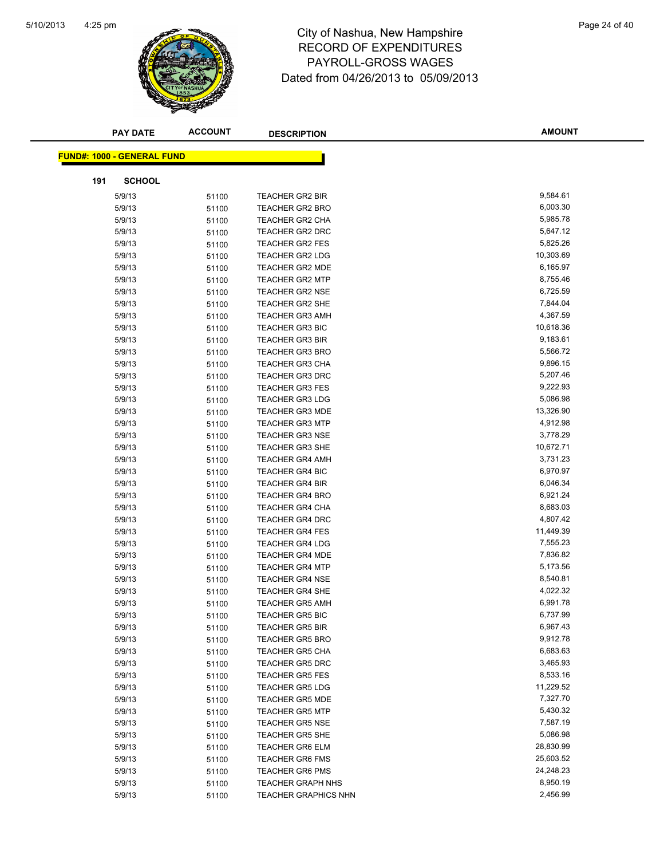

# 4:25 pm<br> **City of Nashua, New Hampshire** Page 24 of 40 RECORD OF EXPENDITURES PAYROLL-GROSS WAGES Dated from 04/26/2013 to 05/09/2013

|     | <b>PAY DATE</b>                   | <b>ACCOUNT</b> | <b>DESCRIPTION</b>          | <b>AMOUNT</b> |
|-----|-----------------------------------|----------------|-----------------------------|---------------|
|     | <b>FUND#: 1000 - GENERAL FUND</b> |                |                             |               |
|     |                                   |                |                             |               |
| 191 | <b>SCHOOL</b>                     |                |                             |               |
|     | 5/9/13                            | 51100          | <b>TEACHER GR2 BIR</b>      | 9,584.61      |
|     | 5/9/13                            | 51100          | <b>TEACHER GR2 BRO</b>      | 6,003.30      |
|     | 5/9/13                            | 51100          | <b>TEACHER GR2 CHA</b>      | 5,985.78      |
|     | 5/9/13                            | 51100          | <b>TEACHER GR2 DRC</b>      | 5,647.12      |
|     | 5/9/13                            | 51100          | <b>TEACHER GR2 FES</b>      | 5,825.26      |
|     | 5/9/13                            | 51100          | <b>TEACHER GR2 LDG</b>      | 10,303.69     |
|     | 5/9/13                            | 51100          | <b>TEACHER GR2 MDE</b>      | 6,165.97      |
|     | 5/9/13                            | 51100          | <b>TEACHER GR2 MTP</b>      | 8,755.46      |
|     | 5/9/13                            | 51100          | <b>TEACHER GR2 NSE</b>      | 6,725.59      |
|     | 5/9/13                            | 51100          | <b>TEACHER GR2 SHE</b>      | 7,844.04      |
|     | 5/9/13                            | 51100          | <b>TEACHER GR3 AMH</b>      | 4,367.59      |
|     | 5/9/13                            | 51100          | <b>TEACHER GR3 BIC</b>      | 10,618.36     |
|     | 5/9/13                            | 51100          | <b>TEACHER GR3 BIR</b>      | 9,183.61      |
|     | 5/9/13                            | 51100          | <b>TEACHER GR3 BRO</b>      | 5,566.72      |
|     | 5/9/13                            | 51100          | <b>TEACHER GR3 CHA</b>      | 9,896.15      |
|     | 5/9/13                            | 51100          | <b>TEACHER GR3 DRC</b>      | 5,207.46      |
|     | 5/9/13                            | 51100          | <b>TEACHER GR3 FES</b>      | 9,222.93      |
|     | 5/9/13                            | 51100          | <b>TEACHER GR3 LDG</b>      | 5,086.98      |
|     | 5/9/13                            | 51100          | <b>TEACHER GR3 MDE</b>      | 13,326.90     |
|     | 5/9/13                            | 51100          | <b>TEACHER GR3 MTP</b>      | 4,912.98      |
|     | 5/9/13                            | 51100          | <b>TEACHER GR3 NSE</b>      | 3,778.29      |
|     | 5/9/13                            | 51100          | <b>TEACHER GR3 SHE</b>      | 10,672.71     |
|     | 5/9/13                            | 51100          | <b>TEACHER GR4 AMH</b>      | 3,731.23      |
|     | 5/9/13                            | 51100          | <b>TEACHER GR4 BIC</b>      | 6,970.97      |
|     | 5/9/13                            | 51100          | <b>TEACHER GR4 BIR</b>      | 6,046.34      |
|     | 5/9/13                            | 51100          | <b>TEACHER GR4 BRO</b>      | 6,921.24      |
|     | 5/9/13                            | 51100          | TEACHER GR4 CHA             | 8,683.03      |
|     | 5/9/13                            | 51100          | <b>TEACHER GR4 DRC</b>      | 4,807.42      |
|     | 5/9/13                            | 51100          | <b>TEACHER GR4 FES</b>      | 11,449.39     |
|     | 5/9/13                            | 51100          | <b>TEACHER GR4 LDG</b>      | 7,555.23      |
|     | 5/9/13                            | 51100          | <b>TEACHER GR4 MDE</b>      | 7,836.82      |
|     | 5/9/13                            | 51100          | <b>TEACHER GR4 MTP</b>      | 5,173.56      |
|     | 5/9/13                            | 51100          | <b>TEACHER GR4 NSE</b>      | 8,540.81      |
|     | 5/9/13                            | 51100          | <b>TEACHER GR4 SHE</b>      | 4,022.32      |
|     | 5/9/13                            | 51100          | <b>TEACHER GR5 AMH</b>      | 6,991.78      |
|     | 5/9/13                            | 51100          | <b>TEACHER GR5 BIC</b>      | 6,737.99      |
|     | 5/9/13                            | 51100          | <b>TEACHER GR5 BIR</b>      | 6,967.43      |
|     | 5/9/13                            | 51100          | <b>TEACHER GR5 BRO</b>      | 9,912.78      |
|     | 5/9/13                            | 51100          | <b>TEACHER GR5 CHA</b>      | 6,683.63      |
|     | 5/9/13                            | 51100          | <b>TEACHER GR5 DRC</b>      | 3,465.93      |
|     | 5/9/13                            | 51100          | <b>TEACHER GR5 FES</b>      | 8,533.16      |
|     | 5/9/13                            | 51100          | <b>TEACHER GR5 LDG</b>      | 11,229.52     |
|     | 5/9/13                            | 51100          | <b>TEACHER GR5 MDE</b>      | 7,327.70      |
|     | 5/9/13                            | 51100          | <b>TEACHER GR5 MTP</b>      | 5,430.32      |
|     | 5/9/13                            | 51100          | <b>TEACHER GR5 NSE</b>      | 7,587.19      |
|     | 5/9/13                            | 51100          | <b>TEACHER GR5 SHE</b>      | 5,086.98      |
|     | 5/9/13                            | 51100          | <b>TEACHER GR6 ELM</b>      | 28,830.99     |
|     | 5/9/13                            | 51100          | <b>TEACHER GR6 FMS</b>      | 25,603.52     |
|     | 5/9/13                            | 51100          | <b>TEACHER GR6 PMS</b>      | 24,248.23     |
|     | 5/9/13                            | 51100          | <b>TEACHER GRAPH NHS</b>    | 8,950.19      |
|     | 5/9/13                            | 51100          | <b>TEACHER GRAPHICS NHN</b> | 2,456.99      |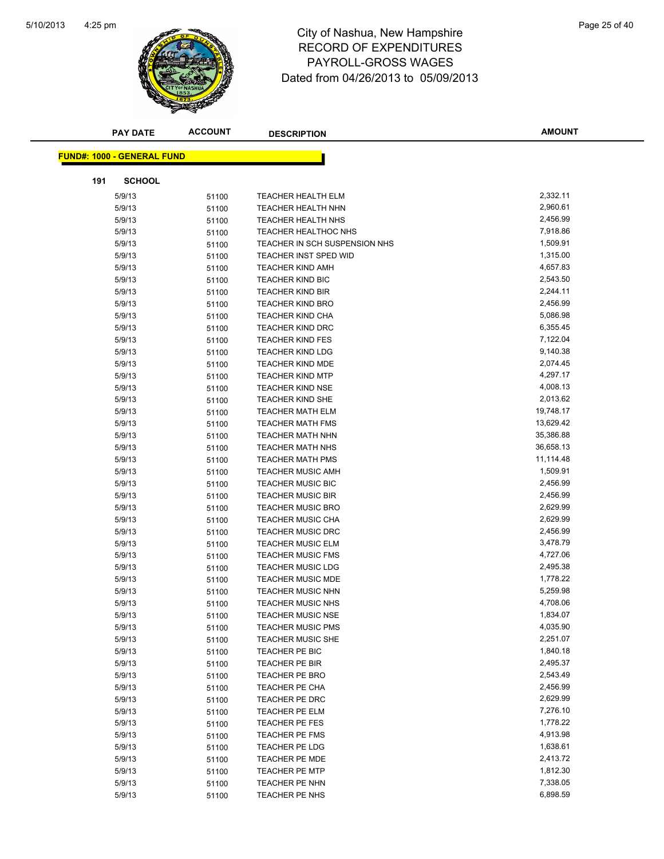

# 4:25 pm<br> **City of Nashua, New Hampshire** Page 25 of 40 RECORD OF EXPENDITURES PAYROLL-GROSS WAGES Dated from 04/26/2013 to 05/09/2013

|     | <b>PAY DATE</b>                   | <b>ACCOUNT</b> | <b>DESCRIPTION</b>               | <b>AMOUNT</b>        |
|-----|-----------------------------------|----------------|----------------------------------|----------------------|
|     |                                   |                |                                  |                      |
|     | <b>FUND#: 1000 - GENERAL FUND</b> |                |                                  |                      |
| 191 | <b>SCHOOL</b>                     |                |                                  |                      |
|     | 5/9/13                            | 51100          | <b>TEACHER HEALTH ELM</b>        | 2,332.11             |
|     | 5/9/13                            | 51100          | <b>TEACHER HEALTH NHN</b>        | 2,960.61             |
|     | 5/9/13                            | 51100          | TEACHER HEALTH NHS               | 2,456.99             |
|     | 5/9/13                            | 51100          | <b>TEACHER HEALTHOC NHS</b>      | 7,918.86             |
|     | 5/9/13                            | 51100          | TEACHER IN SCH SUSPENSION NHS    | 1,509.91             |
|     | 5/9/13                            | 51100          | TEACHER INST SPED WID            | 1,315.00             |
|     | 5/9/13                            | 51100          | <b>TEACHER KIND AMH</b>          | 4,657.83             |
|     | 5/9/13                            | 51100          | <b>TEACHER KIND BIC</b>          | 2,543.50             |
|     | 5/9/13                            | 51100          | <b>TEACHER KIND BIR</b>          | 2,244.11             |
|     | 5/9/13                            | 51100          | <b>TEACHER KIND BRO</b>          | 2,456.99             |
|     | 5/9/13                            | 51100          | <b>TEACHER KIND CHA</b>          | 5,086.98             |
|     | 5/9/13                            | 51100          | <b>TEACHER KIND DRC</b>          | 6,355.45             |
|     | 5/9/13                            | 51100          | <b>TEACHER KIND FES</b>          | 7,122.04             |
|     | 5/9/13                            | 51100          | <b>TEACHER KIND LDG</b>          | 9,140.38             |
|     | 5/9/13                            | 51100          | <b>TEACHER KIND MDE</b>          | 2,074.45             |
|     | 5/9/13                            | 51100          | <b>TEACHER KIND MTP</b>          | 4,297.17             |
|     | 5/9/13                            | 51100          | <b>TEACHER KIND NSE</b>          | 4,008.13             |
|     | 5/9/13                            | 51100          | <b>TEACHER KIND SHE</b>          | 2,013.62             |
|     | 5/9/13                            | 51100          | <b>TEACHER MATH ELM</b>          | 19,748.17            |
|     | 5/9/13                            | 51100          | <b>TEACHER MATH FMS</b>          | 13,629.42            |
|     | 5/9/13                            | 51100          | <b>TEACHER MATH NHN</b>          | 35,386.88            |
|     | 5/9/13                            | 51100          | <b>TEACHER MATH NHS</b>          | 36,658.13            |
|     | 5/9/13                            | 51100          | <b>TEACHER MATH PMS</b>          | 11,114.48            |
|     | 5/9/13                            | 51100          | <b>TEACHER MUSIC AMH</b>         | 1,509.91             |
|     | 5/9/13                            | 51100          | <b>TEACHER MUSIC BIC</b>         | 2,456.99             |
|     | 5/9/13                            | 51100          | <b>TEACHER MUSIC BIR</b>         | 2,456.99             |
|     | 5/9/13                            | 51100          | <b>TEACHER MUSIC BRO</b>         | 2,629.99             |
|     | 5/9/13                            | 51100          | <b>TEACHER MUSIC CHA</b>         | 2,629.99             |
|     | 5/9/13                            | 51100          | <b>TEACHER MUSIC DRC</b>         | 2,456.99             |
|     | 5/9/13                            | 51100          | <b>TEACHER MUSIC ELM</b>         | 3,478.79             |
|     | 5/9/13                            | 51100          | <b>TEACHER MUSIC FMS</b>         | 4,727.06             |
|     | 5/9/13                            | 51100          | <b>TEACHER MUSIC LDG</b>         | 2,495.38             |
|     | 5/9/13                            | 51100          | <b>TEACHER MUSIC MDE</b>         | 1,778.22             |
|     | 5/9/13                            | 51100          | <b>TEACHER MUSIC NHN</b>         | 5,259.98             |
|     | 5/9/13                            | 51100          | <b>TEACHER MUSIC NHS</b>         | 4,708.06             |
|     | 5/9/13                            | 51100          | <b>TEACHER MUSIC NSE</b>         | 1,834.07             |
|     | 5/9/13                            | 51100          | <b>TEACHER MUSIC PMS</b>         | 4,035.90             |
|     | 5/9/13                            | 51100          | <b>TEACHER MUSIC SHE</b>         | 2,251.07             |
|     | 5/9/13                            | 51100          | TEACHER PE BIC                   | 1,840.18             |
|     | 5/9/13                            | 51100          | TEACHER PE BIR                   | 2,495.37             |
|     | 5/9/13                            | 51100          | <b>TEACHER PE BRO</b>            | 2,543.49             |
|     | 5/9/13                            | 51100          | <b>TEACHER PE CHA</b>            | 2,456.99             |
|     | 5/9/13                            | 51100          | TEACHER PE DRC                   | 2,629.99<br>7,276.10 |
|     | 5/9/13                            | 51100          | TEACHER PE ELM                   | 1,778.22             |
|     | 5/9/13<br>5/9/13                  | 51100          | TEACHER PE FES<br>TEACHER PE FMS | 4,913.98             |
|     | 5/9/13                            | 51100          | TEACHER PE LDG                   | 1,638.61             |
|     |                                   | 51100          | <b>TEACHER PE MDE</b>            | 2,413.72             |
|     | 5/9/13<br>5/9/13                  | 51100          | <b>TEACHER PE MTP</b>            | 1,812.30             |
|     | 5/9/13                            | 51100<br>51100 | TEACHER PE NHN                   | 7,338.05             |
|     | 5/9/13                            | 51100          | TEACHER PE NHS                   | 6,898.59             |
|     |                                   |                |                                  |                      |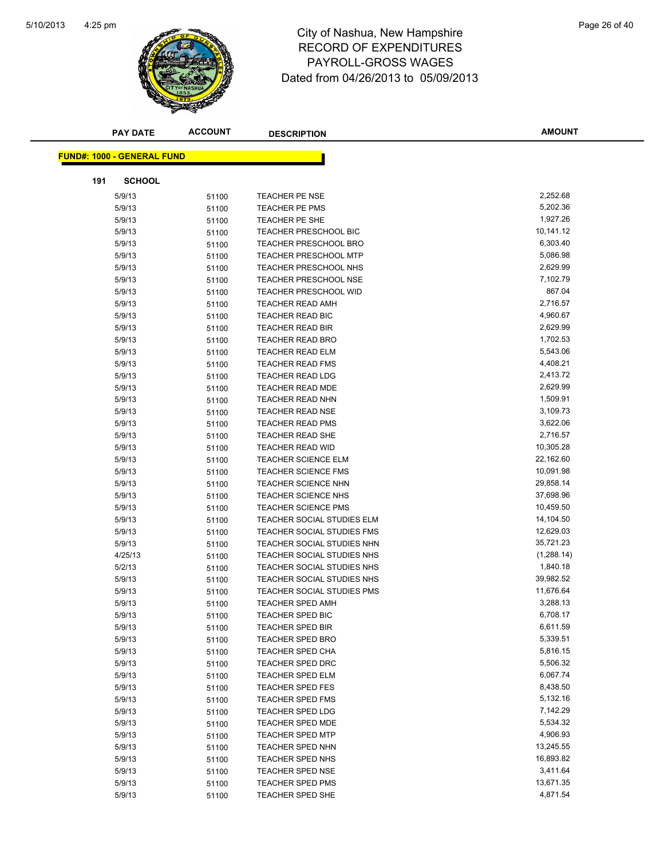

# 4:25 pm<br> **City of Nashua, New Hampshire** Page 26 of 40 RECORD OF EXPENDITURES PAYROLL-GROSS WAGES Dated from 04/26/2013 to 05/09/2013

| <b>PAY DATE</b>                   | <b>ACCOUNT</b> | <b>DESCRIPTION</b>           | <b>AMOUNT</b> |
|-----------------------------------|----------------|------------------------------|---------------|
| <b>FUND#: 1000 - GENERAL FUND</b> |                |                              |               |
|                                   |                |                              |               |
| 191<br><b>SCHOOL</b>              |                |                              |               |
| 5/9/13                            | 51100          | <b>TEACHER PE NSE</b>        | 2,252.68      |
| 5/9/13                            | 51100          | <b>TEACHER PE PMS</b>        | 5,202.36      |
| 5/9/13                            | 51100          | TEACHER PE SHE               | 1,927.26      |
| 5/9/13                            | 51100          | <b>TEACHER PRESCHOOL BIC</b> | 10,141.12     |
| 5/9/13                            | 51100          | <b>TEACHER PRESCHOOL BRO</b> | 6,303.40      |
| 5/9/13                            | 51100          | <b>TEACHER PRESCHOOL MTP</b> | 5,086.98      |
| 5/9/13                            | 51100          | TEACHER PRESCHOOL NHS        | 2,629.99      |
| 5/9/13                            | 51100          | <b>TEACHER PRESCHOOL NSE</b> | 7,102.79      |
| 5/9/13                            | 51100          | <b>TEACHER PRESCHOOL WID</b> | 867.04        |
| 5/9/13                            | 51100          | <b>TEACHER READ AMH</b>      | 2,716.57      |
| 5/9/13                            | 51100          | TEACHER READ BIC             | 4,960.67      |
| 5/9/13                            | 51100          | <b>TEACHER READ BIR</b>      | 2,629.99      |
| 5/9/13                            | 51100          | <b>TEACHER READ BRO</b>      | 1,702.53      |
| 5/9/13                            | 51100          | <b>TEACHER READ ELM</b>      | 5,543.06      |
| 5/9/13                            | 51100          | <b>TEACHER READ FMS</b>      | 4,408.21      |
| 5/9/13                            | 51100          | <b>TEACHER READ LDG</b>      | 2,413.72      |
| 5/9/13                            | 51100          | <b>TEACHER READ MDE</b>      | 2,629.99      |
| 5/9/13                            | 51100          | <b>TEACHER READ NHN</b>      | 1,509.91      |
| 5/9/13                            | 51100          | <b>TEACHER READ NSE</b>      | 3,109.73      |
| 5/9/13                            | 51100          | <b>TEACHER READ PMS</b>      | 3,622.06      |
| 5/9/13                            | 51100          | TEACHER READ SHE             | 2,716.57      |
| 5/9/13                            | 51100          | TEACHER READ WID             | 10,305.28     |
| 5/9/13                            | 51100          | <b>TEACHER SCIENCE ELM</b>   | 22,162.60     |
| 5/9/13                            | 51100          | <b>TEACHER SCIENCE FMS</b>   | 10,091.98     |
| 5/9/13                            | 51100          | <b>TEACHER SCIENCE NHN</b>   | 29,858.14     |
| 5/9/13                            | 51100          | <b>TEACHER SCIENCE NHS</b>   | 37,698.96     |
| 5/9/13                            | 51100          | <b>TEACHER SCIENCE PMS</b>   | 10,459.50     |
| 5/9/13                            | 51100          | TEACHER SOCIAL STUDIES ELM   | 14,104.50     |
| 5/9/13                            | 51100          | TEACHER SOCIAL STUDIES FMS   | 12,629.03     |
| 5/9/13                            | 51100          | TEACHER SOCIAL STUDIES NHN   | 35,721.23     |
| 4/25/13                           | 51100          | TEACHER SOCIAL STUDIES NHS   | (1,288.14)    |
| 5/2/13                            | 51100          | TEACHER SOCIAL STUDIES NHS   | 1,840.18      |
| 5/9/13                            | 51100          | TEACHER SOCIAL STUDIES NHS   | 39,982.52     |
| 5/9/13                            | 51100          | TEACHER SOCIAL STUDIES PMS   | 11,676.64     |
| 5/9/13                            | 51100          | <b>TEACHER SPED AMH</b>      | 3,288.13      |
| 5/9/13                            | 51100          | TEACHER SPED BIC             | 6,708.17      |
| 5/9/13                            | 51100          | <b>TEACHER SPED BIR</b>      | 6,611.59      |
| 5/9/13                            | 51100          | <b>TEACHER SPED BRO</b>      | 5,339.51      |
| 5/9/13                            | 51100          | <b>TEACHER SPED CHA</b>      | 5,816.15      |
| 5/9/13                            | 51100          | <b>TEACHER SPED DRC</b>      | 5,506.32      |
| 5/9/13                            | 51100          | <b>TEACHER SPED ELM</b>      | 6,067.74      |
| 5/9/13                            | 51100          | TEACHER SPED FES             | 8,438.50      |
| 5/9/13                            | 51100          | <b>TEACHER SPED FMS</b>      | 5,132.16      |
| 5/9/13                            | 51100          | TEACHER SPED LDG             | 7,142.29      |
| 5/9/13                            | 51100          | TEACHER SPED MDE             | 5,534.32      |
| 5/9/13                            | 51100          | <b>TEACHER SPED MTP</b>      | 4,906.93      |
| 5/9/13                            | 51100          | <b>TEACHER SPED NHN</b>      | 13,245.55     |
| 5/9/13                            | 51100          | TEACHER SPED NHS             | 16,893.82     |
| 5/9/13                            | 51100          | <b>TEACHER SPED NSE</b>      | 3,411.64      |
| 5/9/13                            | 51100          | <b>TEACHER SPED PMS</b>      | 13,671.35     |
| 5/9/13                            | 51100          | TEACHER SPED SHE             | 4,871.54      |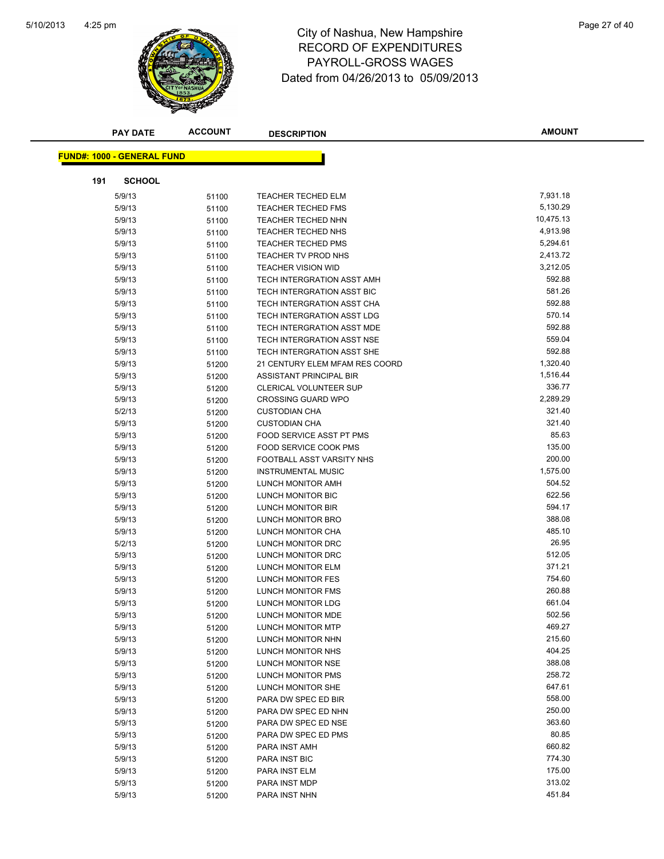

# 4:25 pm<br> **City of Nashua, New Hampshire** Page 27 of 40 RECORD OF EXPENDITURES PAYROLL-GROSS WAGES Dated from 04/26/2013 to 05/09/2013

|     | <b>PAY DATE</b>                   | <b>ACCOUNT</b> | <b>DESCRIPTION</b>                | <b>AMOUNT</b> |
|-----|-----------------------------------|----------------|-----------------------------------|---------------|
|     | <b>FUND#: 1000 - GENERAL FUND</b> |                |                                   |               |
|     |                                   |                |                                   |               |
| 191 | <b>SCHOOL</b>                     |                |                                   |               |
|     | 5/9/13                            | 51100          | <b>TEACHER TECHED ELM</b>         | 7,931.18      |
|     | 5/9/13                            | 51100          | <b>TEACHER TECHED FMS</b>         | 5,130.29      |
|     | 5/9/13                            | 51100          | <b>TEACHER TECHED NHN</b>         | 10,475.13     |
|     | 5/9/13                            | 51100          | <b>TEACHER TECHED NHS</b>         | 4,913.98      |
|     | 5/9/13                            | 51100          | <b>TEACHER TECHED PMS</b>         | 5,294.61      |
|     | 5/9/13                            | 51100          | TEACHER TV PROD NHS               | 2,413.72      |
|     | 5/9/13                            | 51100          | <b>TEACHER VISION WID</b>         | 3,212.05      |
|     | 5/9/13                            | 51100          | TECH INTERGRATION ASST AMH        | 592.88        |
|     | 5/9/13                            | 51100          | TECH INTERGRATION ASST BIC        | 581.26        |
|     | 5/9/13                            | 51100          | TECH INTERGRATION ASST CHA        | 592.88        |
|     | 5/9/13                            | 51100          | TECH INTERGRATION ASST LDG        | 570.14        |
|     | 5/9/13                            | 51100          | TECH INTERGRATION ASST MDE        | 592.88        |
|     | 5/9/13                            | 51100          | <b>TECH INTERGRATION ASST NSE</b> | 559.04        |
|     | 5/9/13                            | 51100          | TECH INTERGRATION ASST SHE        | 592.88        |
|     | 5/9/13                            | 51200          | 21 CENTURY ELEM MFAM RES COORD    | 1,320.40      |
|     | 5/9/13                            | 51200          | ASSISTANT PRINCIPAL BIR           | 1,516.44      |
|     | 5/9/13                            | 51200          | <b>CLERICAL VOLUNTEER SUP</b>     | 336.77        |
|     | 5/9/13                            | 51200          | <b>CROSSING GUARD WPO</b>         | 2,289.29      |
|     | 5/2/13                            | 51200          | <b>CUSTODIAN CHA</b>              | 321.40        |
|     | 5/9/13                            | 51200          | <b>CUSTODIAN CHA</b>              | 321.40        |
|     | 5/9/13                            | 51200          | FOOD SERVICE ASST PT PMS          | 85.63         |
|     | 5/9/13                            | 51200          | FOOD SERVICE COOK PMS             | 135.00        |
|     | 5/9/13                            | 51200          | FOOTBALL ASST VARSITY NHS         | 200.00        |
|     | 5/9/13                            | 51200          | <b>INSTRUMENTAL MUSIC</b>         | 1,575.00      |
|     | 5/9/13                            | 51200          | LUNCH MONITOR AMH                 | 504.52        |
|     | 5/9/13                            | 51200          | LUNCH MONITOR BIC                 | 622.56        |
|     | 5/9/13                            | 51200          | LUNCH MONITOR BIR                 | 594.17        |
|     | 5/9/13                            | 51200          | LUNCH MONITOR BRO                 | 388.08        |
|     | 5/9/13                            | 51200          | LUNCH MONITOR CHA                 | 485.10        |
|     | 5/2/13                            | 51200          | LUNCH MONITOR DRC                 | 26.95         |
|     | 5/9/13                            | 51200          | LUNCH MONITOR DRC                 | 512.05        |
|     | 5/9/13                            | 51200          | LUNCH MONITOR ELM                 | 371.21        |
|     | 5/9/13                            | 51200          | LUNCH MONITOR FES                 | 754.60        |
|     | 5/9/13                            | 51200          | LUNCH MONITOR FMS                 | 260.88        |
|     | 5/9/13                            | 51200          | LUNCH MONITOR LDG                 | 661.04        |
|     | 5/9/13                            | 51200          | LUNCH MONITOR MDE                 | 502.56        |
|     | 5/9/13                            | 51200          | <b>LUNCH MONITOR MTP</b>          | 469.27        |
|     | 5/9/13                            | 51200          | LUNCH MONITOR NHN                 | 215.60        |
|     | 5/9/13                            | 51200          | LUNCH MONITOR NHS                 | 404.25        |
|     | 5/9/13                            | 51200          | LUNCH MONITOR NSE                 | 388.08        |
|     | 5/9/13                            | 51200          | LUNCH MONITOR PMS                 | 258.72        |
|     | 5/9/13                            | 51200          | LUNCH MONITOR SHE                 | 647.61        |
|     | 5/9/13                            | 51200          | PARA DW SPEC ED BIR               | 558.00        |
|     | 5/9/13                            | 51200          | PARA DW SPEC ED NHN               | 250.00        |
|     | 5/9/13                            | 51200          | PARA DW SPEC ED NSE               | 363.60        |
|     | 5/9/13                            | 51200          | PARA DW SPEC ED PMS               | 80.85         |
|     | 5/9/13                            | 51200          | PARA INST AMH                     | 660.82        |
|     | 5/9/13                            | 51200          | PARA INST BIC                     | 774.30        |
|     | 5/9/13                            | 51200          | PARA INST ELM                     | 175.00        |
|     | 5/9/13                            | 51200          | PARA INST MDP                     | 313.02        |
|     | 5/9/13                            | 51200          | PARA INST NHN                     | 451.84        |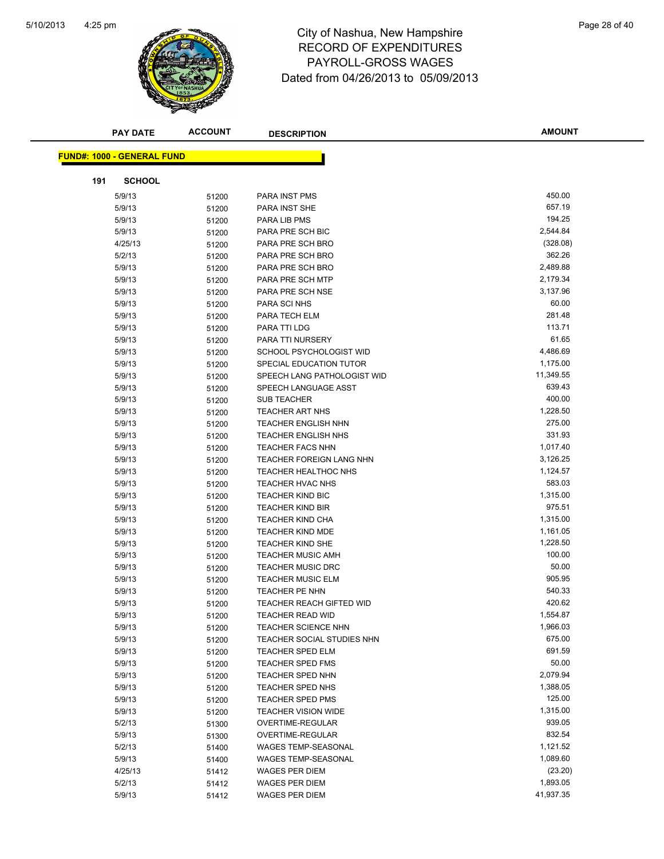

# 4:25 pm<br> **City of Nashua, New Hampshire** Page 28 of 40 RECORD OF EXPENDITURES PAYROLL-GROSS WAGES Dated from 04/26/2013 to 05/09/2013

|     | <b>PAY DATE</b>                   | <b>ACCOUNT</b> | <b>DESCRIPTION</b>                             | <b>AMOUNT</b>        |
|-----|-----------------------------------|----------------|------------------------------------------------|----------------------|
|     | <b>FUND#: 1000 - GENERAL FUND</b> |                |                                                |                      |
|     |                                   |                |                                                |                      |
| 191 | <b>SCHOOL</b>                     |                |                                                |                      |
|     | 5/9/13                            | 51200          | <b>PARA INST PMS</b>                           | 450.00               |
|     | 5/9/13                            | 51200          | PARA INST SHE                                  | 657.19               |
|     | 5/9/13                            | 51200          | PARA LIB PMS                                   | 194.25               |
|     | 5/9/13                            | 51200          | PARA PRE SCH BIC                               | 2,544.84             |
|     | 4/25/13                           | 51200          | PARA PRE SCH BRO                               | (328.08)             |
|     | 5/2/13                            | 51200          | PARA PRE SCH BRO                               | 362.26               |
|     | 5/9/13                            | 51200          | PARA PRE SCH BRO                               | 2,489.88             |
|     | 5/9/13                            | 51200          | PARA PRE SCH MTP                               | 2,179.34             |
|     | 5/9/13                            | 51200          | PARA PRE SCH NSE                               | 3,137.96             |
|     | 5/9/13                            | 51200          | PARA SCI NHS                                   | 60.00                |
|     | 5/9/13                            | 51200          | PARA TECH ELM                                  | 281.48               |
|     | 5/9/13                            | 51200          | PARA TTI LDG                                   | 113.71               |
|     | 5/9/13                            | 51200          | PARA TTI NURSERY                               | 61.65                |
|     | 5/9/13                            | 51200          | SCHOOL PSYCHOLOGIST WID                        | 4,486.69             |
|     | 5/9/13                            | 51200          | SPECIAL EDUCATION TUTOR                        | 1,175.00             |
|     | 5/9/13                            | 51200          | SPEECH LANG PATHOLOGIST WID                    | 11,349.55            |
|     | 5/9/13                            | 51200          | SPEECH LANGUAGE ASST                           | 639.43               |
|     | 5/9/13                            | 51200          | SUB TEACHER                                    | 400.00               |
|     | 5/9/13                            | 51200          | <b>TEACHER ART NHS</b>                         | 1,228.50             |
|     | 5/9/13                            | 51200          | <b>TEACHER ENGLISH NHN</b>                     | 275.00               |
|     | 5/9/13                            | 51200          | <b>TEACHER ENGLISH NHS</b>                     | 331.93               |
|     | 5/9/13                            | 51200          | <b>TEACHER FACS NHN</b>                        | 1,017.40             |
|     | 5/9/13                            | 51200          | TEACHER FOREIGN LANG NHN                       | 3,126.25             |
|     | 5/9/13                            | 51200          | <b>TEACHER HEALTHOC NHS</b>                    | 1,124.57             |
|     | 5/9/13                            | 51200          | <b>TEACHER HVAC NHS</b>                        | 583.03               |
|     | 5/9/13                            | 51200          | <b>TEACHER KIND BIC</b>                        | 1,315.00             |
|     | 5/9/13                            | 51200          | <b>TEACHER KIND BIR</b>                        | 975.51               |
|     | 5/9/13                            | 51200          | <b>TEACHER KIND CHA</b>                        | 1,315.00             |
|     | 5/9/13                            | 51200          | <b>TEACHER KIND MDE</b>                        | 1,161.05             |
|     | 5/9/13                            | 51200          | <b>TEACHER KIND SHE</b>                        | 1,228.50             |
|     | 5/9/13                            | 51200          | <b>TEACHER MUSIC AMH</b>                       | 100.00               |
|     | 5/9/13                            | 51200          | <b>TEACHER MUSIC DRC</b>                       | 50.00                |
|     | 5/9/13                            | 51200          | <b>TEACHER MUSIC ELM</b>                       | 905.95               |
|     | 5/9/13                            | 51200          | TEACHER PE NHN                                 | 540.33               |
|     | 5/9/13                            | 51200          | <b>TEACHER REACH GIFTED WID</b>                | 420.62               |
|     | 5/9/13                            | 51200          | TEACHER READ WID                               | 1,554.87             |
|     | 5/9/13                            | 51200          | <b>TEACHER SCIENCE NHN</b>                     | 1,966.03             |
|     | 5/9/13                            | 51200          | TEACHER SOCIAL STUDIES NHN                     | 675.00               |
|     | 5/9/13                            | 51200          | TEACHER SPED ELM                               | 691.59               |
|     | 5/9/13                            | 51200          | TEACHER SPED FMS                               | 50.00                |
|     | 5/9/13                            | 51200          | TEACHER SPED NHN                               | 2,079.94             |
|     | 5/9/13                            | 51200          | <b>TEACHER SPED NHS</b>                        | 1,388.05             |
|     | 5/9/13                            | 51200          | <b>TEACHER SPED PMS</b>                        | 125.00               |
|     | 5/9/13                            | 51200          | TEACHER VISION WIDE                            | 1,315.00             |
|     | 5/2/13                            | 51300          | OVERTIME-REGULAR                               | 939.05<br>832.54     |
|     | 5/9/13                            | 51300          | OVERTIME-REGULAR                               |                      |
|     | 5/2/13                            | 51400          | WAGES TEMP-SEASONAL                            | 1,121.52<br>1,089.60 |
|     | 5/9/13                            | 51400          | WAGES TEMP-SEASONAL                            |                      |
|     | 4/25/13                           | 51412          | WAGES PER DIEM                                 | (23.20)<br>1,893.05  |
|     | 5/2/13<br>5/9/13                  | 51412          | <b>WAGES PER DIEM</b><br><b>WAGES PER DIEM</b> | 41,937.35            |
|     |                                   | 51412          |                                                |                      |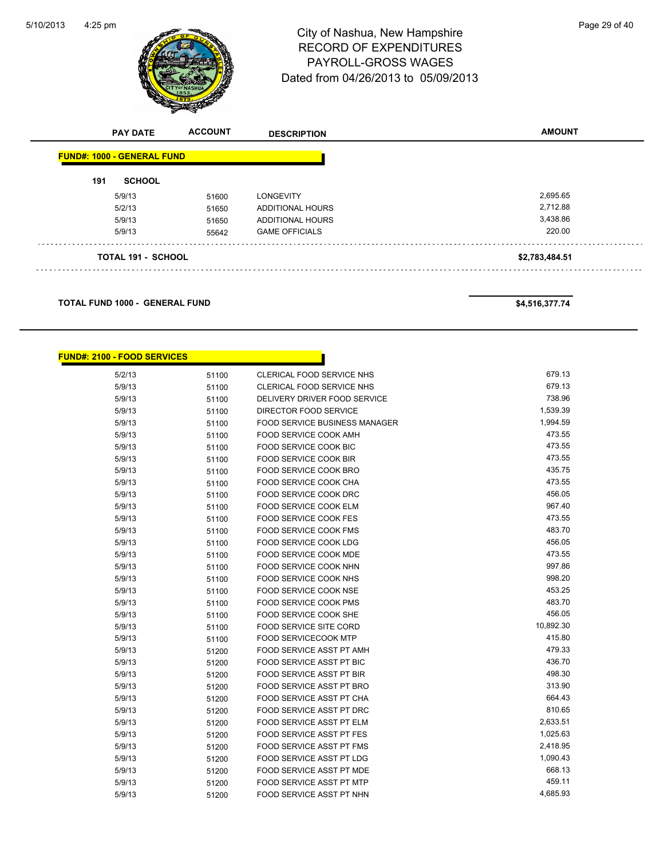

# 4:25 pm<br> **City of Nashua, New Hampshire** Page 29 of 40 RECORD OF EXPENDITURES PAYROLL-GROSS WAGES Dated from 04/26/2013 to 05/09/2013

|     | <b>PAY DATE</b>                   | <b>ACCOUNT</b> | <b>DESCRIPTION</b>      | <b>AMOUNT</b>  |
|-----|-----------------------------------|----------------|-------------------------|----------------|
|     | <b>FUND#: 1000 - GENERAL FUND</b> |                |                         |                |
| 191 | <b>SCHOOL</b>                     |                |                         |                |
|     | 5/9/13                            | 51600          | <b>LONGEVITY</b>        | 2,695.65       |
|     | 5/2/13                            | 51650          | <b>ADDITIONAL HOURS</b> | 2,712.88       |
|     | 5/9/13                            | 51650          | <b>ADDITIONAL HOURS</b> | 3,438.86       |
|     | 5/9/13                            | 55642          | <b>GAME OFFICIALS</b>   | 220.00         |
|     | <b>TOTAL 191 - SCHOOL</b>         |                |                         | \$2,783,484.51 |

**TOTAL FUND 1000 - GENERAL FUND \$4,516,377.74** 

| <b>FUND#: 2100 - FOOD SERVICES</b> |       |                                      |           |
|------------------------------------|-------|--------------------------------------|-----------|
| 5/2/13                             | 51100 | <b>CLERICAL FOOD SERVICE NHS</b>     | 679.13    |
| 5/9/13                             | 51100 | <b>CLERICAL FOOD SERVICE NHS</b>     | 679.13    |
| 5/9/13                             | 51100 | DELIVERY DRIVER FOOD SERVICE         | 738.96    |
| 5/9/13                             | 51100 | DIRECTOR FOOD SERVICE                | 1,539.39  |
| 5/9/13                             | 51100 | <b>FOOD SERVICE BUSINESS MANAGER</b> | 1,994.59  |
| 5/9/13                             | 51100 | <b>FOOD SERVICE COOK AMH</b>         | 473.55    |
| 5/9/13                             | 51100 | <b>FOOD SERVICE COOK BIC</b>         | 473.55    |
| 5/9/13                             | 51100 | <b>FOOD SERVICE COOK BIR</b>         | 473.55    |
| 5/9/13                             | 51100 | FOOD SERVICE COOK BRO                | 435.75    |
| 5/9/13                             | 51100 | FOOD SERVICE COOK CHA                | 473.55    |
| 5/9/13                             | 51100 | FOOD SERVICE COOK DRC                | 456.05    |
| 5/9/13                             | 51100 | FOOD SERVICE COOK ELM                | 967.40    |
| 5/9/13                             | 51100 | <b>FOOD SERVICE COOK FES</b>         | 473.55    |
| 5/9/13                             | 51100 | <b>FOOD SERVICE COOK FMS</b>         | 483.70    |
| 5/9/13                             | 51100 | FOOD SERVICE COOK LDG                | 456.05    |
| 5/9/13                             | 51100 | FOOD SERVICE COOK MDE                | 473.55    |
| 5/9/13                             | 51100 | FOOD SERVICE COOK NHN                | 997.86    |
| 5/9/13                             | 51100 | FOOD SERVICE COOK NHS                | 998.20    |
| 5/9/13                             | 51100 | FOOD SERVICE COOK NSE                | 453.25    |
| 5/9/13                             | 51100 | <b>FOOD SERVICE COOK PMS</b>         | 483.70    |
| 5/9/13                             | 51100 | FOOD SERVICE COOK SHE                | 456.05    |
| 5/9/13                             | 51100 | <b>FOOD SERVICE SITE CORD</b>        | 10,892.30 |
| 5/9/13                             | 51100 | <b>FOOD SERVICECOOK MTP</b>          | 415.80    |
| 5/9/13                             | 51200 | FOOD SERVICE ASST PT AMH             | 479.33    |
| 5/9/13                             | 51200 | FOOD SERVICE ASST PT BIC             | 436.70    |
| 5/9/13                             | 51200 | FOOD SERVICE ASST PT BIR             | 498.30    |
| 5/9/13                             | 51200 | FOOD SERVICE ASST PT BRO             | 313.90    |
| 5/9/13                             | 51200 | FOOD SERVICE ASST PT CHA             | 664.43    |
| 5/9/13                             | 51200 | FOOD SERVICE ASST PT DRC             | 810.65    |
| 5/9/13                             | 51200 | FOOD SERVICE ASST PT ELM             | 2,633.51  |
| 5/9/13                             | 51200 | <b>FOOD SERVICE ASST PT FES</b>      | 1,025.63  |
| 5/9/13                             | 51200 | <b>FOOD SERVICE ASST PT FMS</b>      | 2,418.95  |
| 5/9/13                             | 51200 | <b>FOOD SERVICE ASST PT LDG</b>      | 1,090.43  |
| 5/9/13                             | 51200 | FOOD SERVICE ASST PT MDE             | 668.13    |
| 5/9/13                             | 51200 | <b>FOOD SERVICE ASST PT MTP</b>      | 459.11    |
| 5/9/13                             | 51200 | FOOD SERVICE ASST PT NHN             | 4,685.93  |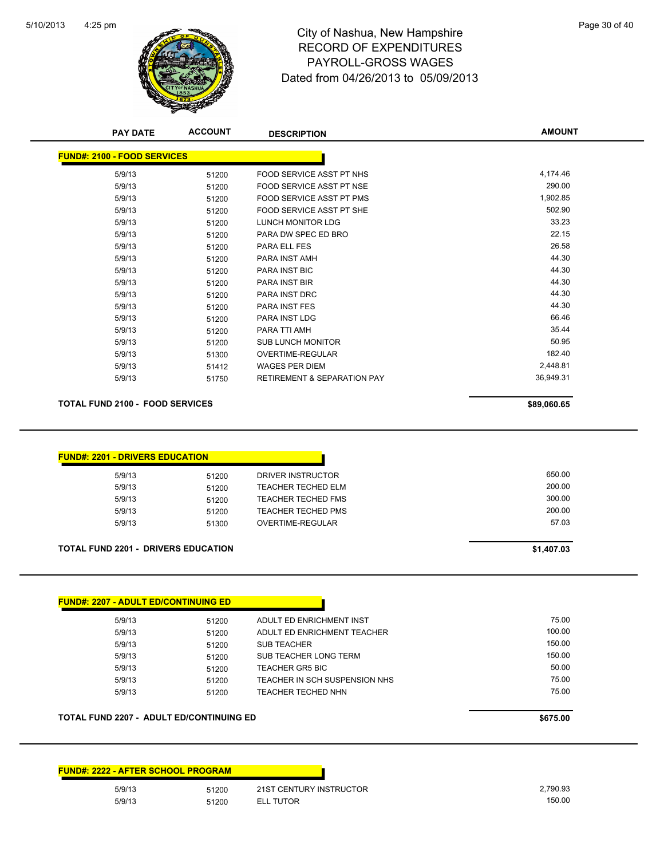

# 4:25 pm<br> **City of Nashua, New Hampshire** Page 30 of 40 RECORD OF EXPENDITURES PAYROLL-GROSS WAGES Dated from 04/26/2013 to 05/09/2013

| 5/9/13                                                                                                                                                                                  | 51200                            | FOOD SERVICE ASST PT NHS                                                                                | 4,174.46                            |
|-----------------------------------------------------------------------------------------------------------------------------------------------------------------------------------------|----------------------------------|---------------------------------------------------------------------------------------------------------|-------------------------------------|
| 5/9/13                                                                                                                                                                                  | 51200                            | FOOD SERVICE ASST PT NSE                                                                                | 290.00                              |
| 5/9/13                                                                                                                                                                                  | 51200                            | FOOD SERVICE ASST PT PMS                                                                                | 1,902.85                            |
| 5/9/13                                                                                                                                                                                  | 51200                            | FOOD SERVICE ASST PT SHE                                                                                | 502.90                              |
| 5/9/13                                                                                                                                                                                  | 51200                            | LUNCH MONITOR LDG                                                                                       | 33.23                               |
| 5/9/13                                                                                                                                                                                  | 51200                            | PARA DW SPEC ED BRO                                                                                     | 22.15                               |
| 5/9/13                                                                                                                                                                                  | 51200                            | PARA ELL FES                                                                                            | 26.58                               |
| 5/9/13                                                                                                                                                                                  | 51200                            | PARA INST AMH                                                                                           | 44.30                               |
| 5/9/13                                                                                                                                                                                  | 51200                            | <b>PARA INST BIC</b>                                                                                    | 44.30                               |
| 5/9/13                                                                                                                                                                                  | 51200                            | PARA INST BIR                                                                                           | 44.30                               |
| 5/9/13                                                                                                                                                                                  | 51200                            | <b>PARA INST DRC</b>                                                                                    | 44.30                               |
| 5/9/13                                                                                                                                                                                  | 51200                            | <b>PARA INST FES</b>                                                                                    | 44.30                               |
| 5/9/13                                                                                                                                                                                  | 51200                            | PARA INST LDG                                                                                           | 66.46                               |
| 5/9/13                                                                                                                                                                                  | 51200                            | PARA TTI AMH                                                                                            | 35.44                               |
| 5/9/13                                                                                                                                                                                  | 51200                            | <b>SUB LUNCH MONITOR</b>                                                                                | 50.95                               |
| 5/9/13                                                                                                                                                                                  | 51300                            | OVERTIME-REGULAR                                                                                        | 182.40                              |
| 5/9/13                                                                                                                                                                                  | 51412                            | <b>WAGES PER DIEM</b>                                                                                   | 2,448.81                            |
| 5/9/13                                                                                                                                                                                  | 51750                            | <b>RETIREMENT &amp; SEPARATION PAY</b>                                                                  | 36,949.31                           |
|                                                                                                                                                                                         |                                  |                                                                                                         | \$89,060.65                         |
| 5/9/13                                                                                                                                                                                  | 51200                            | <b>DRIVER INSTRUCTOR</b>                                                                                | 650.00                              |
| 5/9/13<br>5/9/13<br>5/9/13<br>5/9/13                                                                                                                                                    | 51200<br>51200<br>51200<br>51300 | <b>TEACHER TECHED ELM</b><br><b>TEACHER TECHED FMS</b><br><b>TEACHER TECHED PMS</b><br>OVERTIME-REGULAR | 200.00<br>300.00<br>200.00<br>57.03 |
|                                                                                                                                                                                         |                                  |                                                                                                         | \$1,407.03                          |
|                                                                                                                                                                                         |                                  |                                                                                                         |                                     |
| <b>TOTAL FUND 2100 - FOOD SERVICES</b><br><b>FUND#: 2201 - DRIVERS EDUCATION</b><br><b>TOTAL FUND 2201 - DRIVERS EDUCATION</b><br><b>FUND#: 2207 - ADULT ED/CONTINUING ED</b><br>5/9/13 | 51200                            | ADULT ED ENRICHMENT INST                                                                                | 75.00                               |
| 5/9/13                                                                                                                                                                                  | 51200                            | ADULT ED ENRICHMENT TEACHER                                                                             | 100.00                              |
| 5/9/13                                                                                                                                                                                  | 51200                            | <b>SUB TEACHER</b>                                                                                      | 150.00                              |
| 5/9/13                                                                                                                                                                                  | 51200                            | SUB TEACHER LONG TERM                                                                                   | 150.00                              |
| 5/9/13                                                                                                                                                                                  | 51200                            | <b>TEACHER GR5 BIC</b>                                                                                  | 50.00                               |
| 5/9/13                                                                                                                                                                                  | 51200                            | TEACHER IN SCH SUSPENSION NHS                                                                           | 75.00                               |
| 5/9/13                                                                                                                                                                                  | 51200                            | <b>TEACHER TECHED NHN</b>                                                                               | 75.00                               |

| 5/9/13 | 51200 | 21ST CENTURY INSTRUCTOR | 2.790.93 |
|--------|-------|-------------------------|----------|
| 5/9/13 | 51200 | <b>TUTOR</b>            | 150.00   |

**AMOUNT**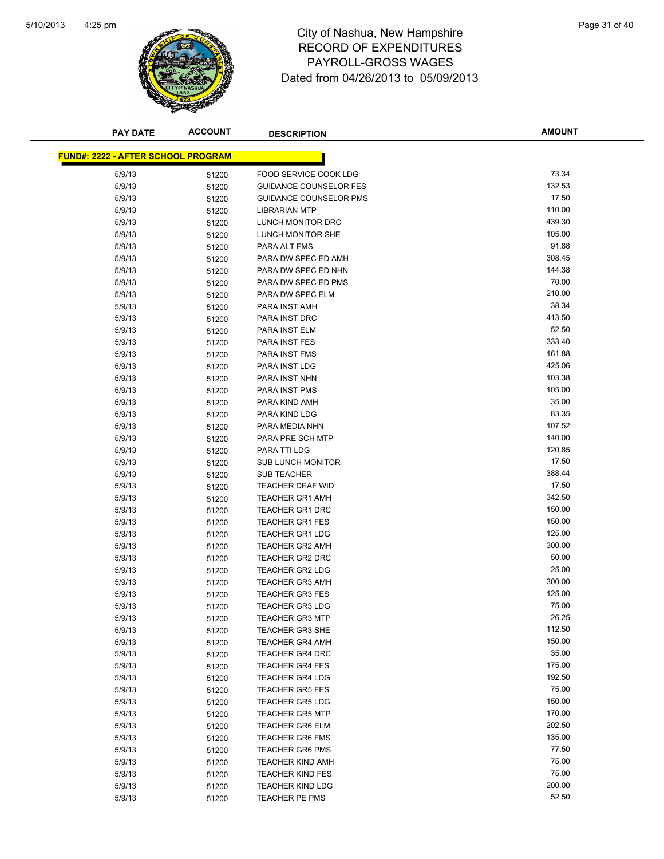

# 4:25 pm<br> **City of Nashua, New Hampshire** Page 31 of 40 RECORD OF EXPENDITURES PAYROLL-GROSS WAGES Dated from 04/26/2013 to 05/09/2013

| <b>PAY DATE</b>                           | <b>ACCOUNT</b> | <b>DESCRIPTION</b>            | <b>AMOUNT</b> |
|-------------------------------------------|----------------|-------------------------------|---------------|
|                                           |                |                               |               |
| <b>FUND#: 2222 - AFTER SCHOOL PROGRAM</b> |                |                               |               |
| 5/9/13                                    | 51200          | FOOD SERVICE COOK LDG         | 73.34         |
| 5/9/13                                    | 51200          | <b>GUIDANCE COUNSELOR FES</b> | 132.53        |
| 5/9/13                                    | 51200          | <b>GUIDANCE COUNSELOR PMS</b> | 17.50         |
| 5/9/13                                    | 51200          | <b>LIBRARIAN MTP</b>          | 110.00        |
| 5/9/13                                    | 51200          | LUNCH MONITOR DRC             | 439.30        |
| 5/9/13                                    | 51200          | LUNCH MONITOR SHE             | 105.00        |
| 5/9/13                                    | 51200          | PARA ALT FMS                  | 91.88         |
| 5/9/13                                    | 51200          | PARA DW SPEC ED AMH           | 308.45        |
| 5/9/13                                    | 51200          | PARA DW SPEC ED NHN           | 144.38        |
| 5/9/13                                    | 51200          | PARA DW SPEC ED PMS           | 70.00         |
| 5/9/13                                    | 51200          | PARA DW SPEC ELM              | 210.00        |
| 5/9/13                                    | 51200          | PARA INST AMH                 | 38.34         |
| 5/9/13                                    | 51200          | PARA INST DRC                 | 413.50        |
| 5/9/13                                    | 51200          | PARA INST ELM                 | 52.50         |
| 5/9/13                                    | 51200          | <b>PARA INST FES</b>          | 333.40        |
| 5/9/13                                    | 51200          | <b>PARA INST FMS</b>          | 161.88        |
| 5/9/13                                    | 51200          | PARA INST LDG                 | 425.06        |
| 5/9/13                                    | 51200          | PARA INST NHN                 | 103.38        |
| 5/9/13                                    | 51200          | <b>PARA INST PMS</b>          | 105.00        |
| 5/9/13                                    | 51200          | PARA KIND AMH                 | 35.00         |
| 5/9/13                                    | 51200          | PARA KIND LDG                 | 83.35         |
| 5/9/13                                    | 51200          | PARA MEDIA NHN                | 107.52        |
| 5/9/13                                    | 51200          | PARA PRE SCH MTP              | 140.00        |
| 5/9/13                                    | 51200          | PARA TTI LDG                  | 120.85        |
| 5/9/13                                    | 51200          | <b>SUB LUNCH MONITOR</b>      | 17.50         |
| 5/9/13                                    | 51200          | <b>SUB TEACHER</b>            | 388.44        |
| 5/9/13                                    | 51200          | <b>TEACHER DEAF WID</b>       | 17.50         |
| 5/9/13                                    | 51200          | <b>TEACHER GR1 AMH</b>        | 342.50        |
| 5/9/13                                    | 51200          | <b>TEACHER GR1 DRC</b>        | 150.00        |
| 5/9/13                                    | 51200          | <b>TEACHER GR1 FES</b>        | 150.00        |
| 5/9/13                                    | 51200          | <b>TEACHER GR1 LDG</b>        | 125.00        |
| 5/9/13                                    | 51200          | <b>TEACHER GR2 AMH</b>        | 300.00        |
| 5/9/13                                    | 51200          | <b>TEACHER GR2 DRC</b>        | 50.00         |
| 5/9/13                                    | 51200          | <b>TEACHER GR2 LDG</b>        | 25.00         |
| 5/9/13                                    | 51200          | <b>TEACHER GR3 AMH</b>        | 300.00        |
| 5/9/13                                    | 51200          | <b>TEACHER GR3 FES</b>        | 125.00        |
| 5/9/13                                    | 51200          | <b>TEACHER GR3 LDG</b>        | 75.00         |
| 5/9/13                                    | 51200          | <b>TEACHER GR3 MTP</b>        | 26.25         |
| 5/9/13                                    | 51200          | <b>TEACHER GR3 SHE</b>        | 112.50        |
| 5/9/13                                    | 51200          | <b>TEACHER GR4 AMH</b>        | 150.00        |
| 5/9/13                                    | 51200          | <b>TEACHER GR4 DRC</b>        | 35.00         |
| 5/9/13                                    | 51200          | <b>TEACHER GR4 FES</b>        | 175.00        |
| 5/9/13                                    | 51200          | <b>TEACHER GR4 LDG</b>        | 192.50        |
| 5/9/13                                    | 51200          | <b>TEACHER GR5 FES</b>        | 75.00         |
| 5/9/13                                    | 51200          | <b>TEACHER GR5 LDG</b>        | 150.00        |
| 5/9/13                                    | 51200          | <b>TEACHER GR5 MTP</b>        | 170.00        |
| 5/9/13                                    | 51200          | <b>TEACHER GR6 ELM</b>        | 202.50        |
| 5/9/13                                    | 51200          | <b>TEACHER GR6 FMS</b>        | 135.00        |
| 5/9/13                                    | 51200          | <b>TEACHER GR6 PMS</b>        | 77.50         |
| 5/9/13                                    | 51200          | TEACHER KIND AMH              | 75.00         |
| 5/9/13                                    | 51200          | <b>TEACHER KIND FES</b>       | 75.00         |
| 5/9/13                                    | 51200          | <b>TEACHER KIND LDG</b>       | 200.00        |
| 5/9/13                                    | 51200          | TEACHER PE PMS                | 52.50         |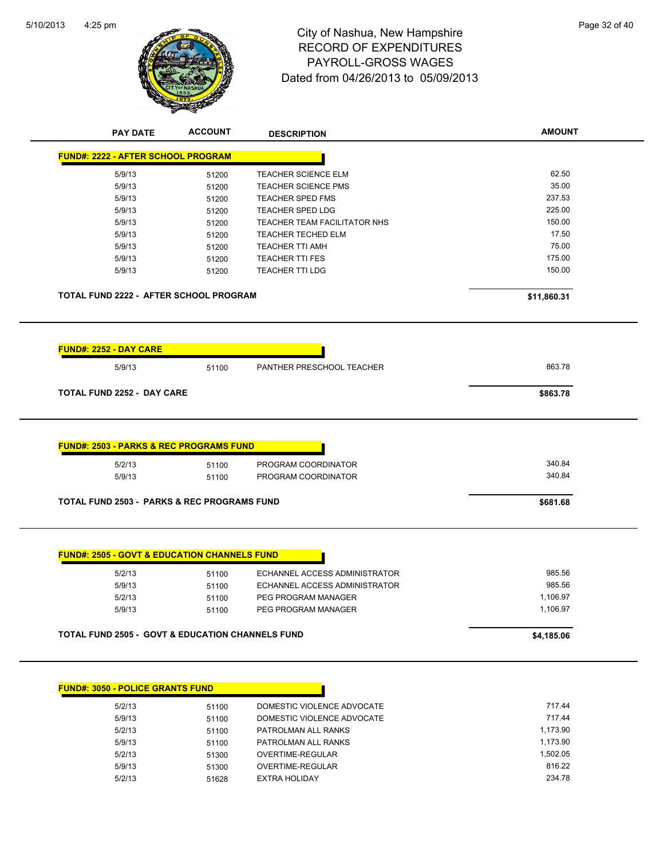

# 4:25 pm<br> **City of Nashua, New Hampshire** Page 32 of 40 RECORD OF EXPENDITURES PAYROLL-GROSS WAGES Dated from 04/26/2013 to 05/09/2013

| <b>PAY DATE</b>                                                        | <b>ACCOUNT</b> | <b>DESCRIPTION</b>                         | <b>AMOUNT</b>    |
|------------------------------------------------------------------------|----------------|--------------------------------------------|------------------|
| <b>FUND#: 2222 - AFTER SCHOOL PROGRAM</b>                              |                |                                            |                  |
| 5/9/13                                                                 | 51200          | <b>TEACHER SCIENCE ELM</b>                 | 62.50            |
| 5/9/13                                                                 | 51200          | <b>TEACHER SCIENCE PMS</b>                 | 35.00            |
| 5/9/13                                                                 | 51200          | <b>TEACHER SPED FMS</b>                    | 237.53           |
| 5/9/13                                                                 | 51200          | <b>TEACHER SPED LDG</b>                    | 225.00           |
| 5/9/13                                                                 | 51200          | TEACHER TEAM FACILITATOR NHS               | 150.00           |
| 5/9/13                                                                 | 51200          | <b>TEACHER TECHED ELM</b>                  | 17.50            |
| 5/9/13                                                                 | 51200          | <b>TEACHER TTI AMH</b>                     | 75.00            |
| 5/9/13                                                                 | 51200          | <b>TEACHER TTI FES</b>                     | 175.00           |
| 5/9/13                                                                 | 51200          | <b>TEACHER TTI LDG</b>                     | 150.00           |
| TOTAL FUND 2222 - AFTER SCHOOL PROGRAM                                 |                |                                            | \$11,860.31      |
| <b>FUND#: 2252 - DAY CARE</b>                                          |                |                                            |                  |
| 5/9/13                                                                 | 51100          | PANTHER PRESCHOOL TEACHER                  | 863.78           |
| <b>TOTAL FUND 2252 - DAY CARE</b>                                      |                |                                            | \$863.78         |
|                                                                        |                |                                            |                  |
| <b>FUND#: 2503 - PARKS &amp; REC PROGRAMS FUND</b><br>5/2/13<br>5/9/13 | 51100<br>51100 | PROGRAM COORDINATOR<br>PROGRAM COORDINATOR | 340.84<br>340.84 |
| <b>TOTAL FUND 2503 - PARKS &amp; REC PROGRAMS FUND</b>                 |                |                                            | \$681.68         |
| <b>FUND#: 2505 - GOVT &amp; EDUCATION CHANNELS FUND</b><br>5/2/13      | 51100          | ECHANNEL ACCESS ADMINISTRATOR              | 985.56           |
| 5/9/13                                                                 | 51100          | ECHANNEL ACCESS ADMINISTRATOR              | 985.56           |
| 5/2/13                                                                 | 51100          | PEG PROGRAM MANAGER                        | 1,106.97         |
| 5/9/13                                                                 |                | PEG PROGRAM MANAGER                        | 1,106.97         |
|                                                                        | 51100          |                                            |                  |
| <b>TOTAL FUND 2505 - GOVT &amp; EDUCATION CHANNELS FUND</b>            |                |                                            | \$4,185.06       |
| <b>FUND#: 3050 - POLICE GRANTS FUND</b>                                |                |                                            |                  |
| 5/2/12                                                                 | 51100          | DOMESTIC VIOLENCE ADVOCATE                 | 71744            |

| 5/2/13 | 51100 | DOMESTIC VIOLENCE ADVOCATE | 717.44   |
|--------|-------|----------------------------|----------|
| 5/9/13 | 51100 | DOMESTIC VIOLENCE ADVOCATE | 71744    |
| 5/2/13 | 51100 | PATROLMAN ALL RANKS        | 1.173.90 |
| 5/9/13 | 51100 | PATROLMAN ALL RANKS        | 1.173.90 |
| 5/2/13 | 51300 | OVERTIME-REGULAR           | 1.502.05 |
| 5/9/13 | 51300 | OVERTIME-REGULAR           | 816.22   |
| 5/2/13 | 51628 | EXTRA HOLIDAY              | 234.78   |
|        |       |                            |          |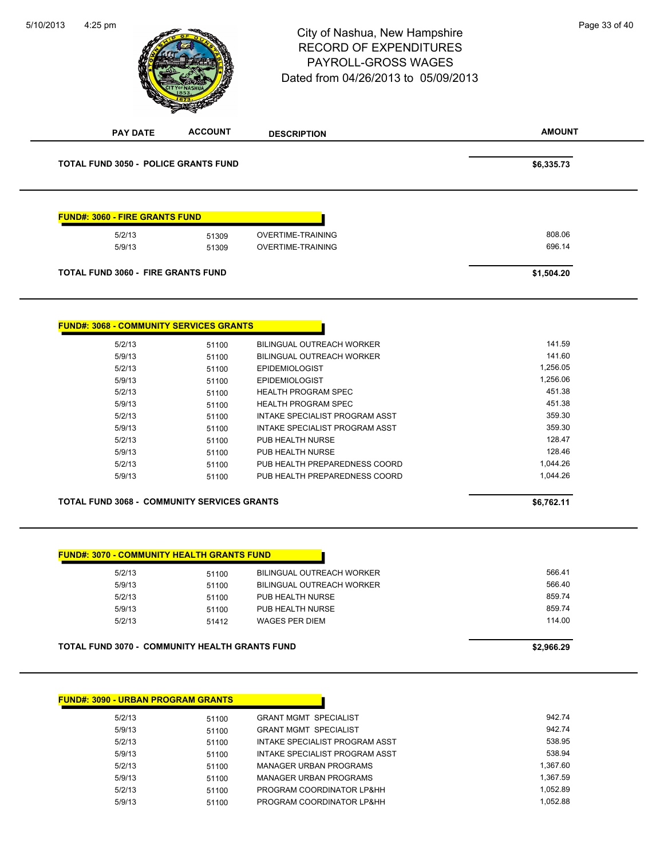# 4:25 pm<br> **City of Nashua, New Hampshire** Page 33 of 40 RECORD OF EXPENDITURES PAYROLL-GROSS WAGES Dated from 04/26/2013 to 05/09/2013

5/10/2013

**ACCOUNT** 

| <b>PAY DATE</b>                                       | <b>ACCOUNT</b> | <b>DESCRIPTION</b>               | <b>AMOUNT</b> |
|-------------------------------------------------------|----------------|----------------------------------|---------------|
| TOTAL FUND 3050 - POLICE GRANTS FUND                  |                |                                  | \$6,335.73    |
| <b>FUND#: 3060 - FIRE GRANTS FUND</b>                 |                |                                  |               |
|                                                       |                |                                  |               |
| 5/2/13                                                | 51309          | <b>OVERTIME-TRAINING</b>         | 808.06        |
| 5/9/13                                                | 51309          | <b>OVERTIME-TRAINING</b>         | 696.14        |
| <b>TOTAL FUND 3060 - FIRE GRANTS FUND</b>             |                |                                  | \$1,504.20    |
|                                                       |                |                                  |               |
| <b>FUND#: 3068 - COMMUNITY SERVICES GRANTS</b>        |                |                                  |               |
| 5/2/13                                                | 51100          | BILINGUAL OUTREACH WORKER        | 141.59        |
| 5/9/13                                                | 51100          | BILINGUAL OUTREACH WORKER        | 141.60        |
| 5/2/13                                                | 51100          | <b>EPIDEMIOLOGIST</b>            | 1,256.05      |
| 5/9/13                                                | 51100          | <b>EPIDEMIOLOGIST</b>            | 1,256.06      |
| 5/2/13                                                | 51100          | <b>HEALTH PROGRAM SPEC</b>       | 451.38        |
| 5/9/13                                                | 51100          | <b>HEALTH PROGRAM SPEC</b>       | 451.38        |
| 5/2/13                                                | 51100          | INTAKE SPECIALIST PROGRAM ASST   | 359.30        |
| 5/9/13                                                | 51100          | INTAKE SPECIALIST PROGRAM ASST   | 359.30        |
| 5/2/13                                                | 51100          | PUB HEALTH NURSE                 | 128.47        |
| 5/9/13                                                | 51100          | PUB HEALTH NURSE                 | 128.46        |
| 5/2/13                                                | 51100          | PUB HEALTH PREPAREDNESS COORD    | 1,044.26      |
| 5/9/13                                                | 51100          | PUB HEALTH PREPAREDNESS COORD    | 1,044.26      |
| <b>TOTAL FUND 3068 - COMMUNITY SERVICES GRANTS</b>    |                |                                  | \$6,762.11    |
|                                                       |                |                                  |               |
| <b>FUND#: 3070 - COMMUNITY HEALTH GRANTS FUND</b>     |                |                                  |               |
| 5/2/13                                                | 51100          | <b>BILINGUAL OUTREACH WORKER</b> | 566.41        |
| 5/9/13                                                | 51100          | <b>BILINGUAL OUTREACH WORKER</b> | 566.40        |
| 5/2/13                                                | 51100          | PUB HEALTH NURSE                 | 859.74        |
| 5/9/13                                                | 51100          | PUB HEALTH NURSE                 | 859.74        |
| 5/2/13                                                | 51412          | <b>WAGES PER DIEM</b>            | 114.00        |
| <b>TOTAL FUND 3070 - COMMUNITY HEALTH GRANTS FUND</b> |                |                                  | \$2,966.29    |
|                                                       |                |                                  |               |

| <b>FUND#: 3090 - URBAN PROGRAM GRANTS</b> |       |                                |          |  |
|-------------------------------------------|-------|--------------------------------|----------|--|
| 5/2/13                                    | 51100 | <b>GRANT MGMT SPECIALIST</b>   | 942.74   |  |
| 5/9/13                                    | 51100 | <b>GRANT MGMT SPECIALIST</b>   | 942.74   |  |
| 5/2/13                                    | 51100 | INTAKE SPECIALIST PROGRAM ASST | 538.95   |  |
| 5/9/13                                    | 51100 | INTAKE SPECIALIST PROGRAM ASST | 538.94   |  |
| 5/2/13                                    | 51100 | <b>MANAGER URBAN PROGRAMS</b>  | 1.367.60 |  |
| 5/9/13                                    | 51100 | <b>MANAGER URBAN PROGRAMS</b>  | 1.367.59 |  |
| 5/2/13                                    | 51100 | PROGRAM COORDINATOR LP&HH      | 1.052.89 |  |
| 5/9/13                                    | 51100 | PROGRAM COORDINATOR LP&HH      | 1.052.88 |  |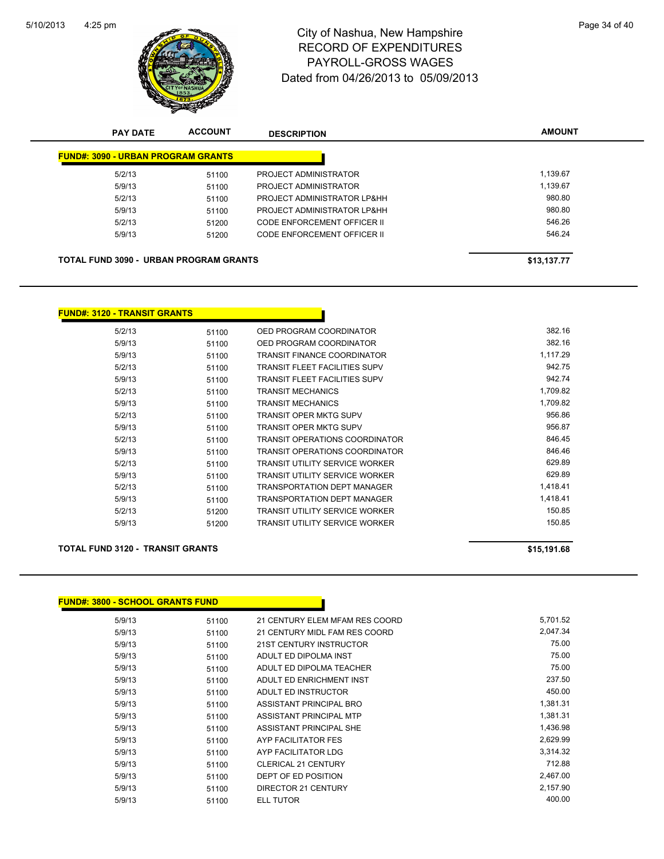

# 4:25 pm<br> **City of Nashua, New Hampshire** Page 34 of 40 RECORD OF EXPENDITURES PAYROLL-GROSS WAGES Dated from 04/26/2013 to 05/09/2013

| <b>PAY DATE</b>                               | <b>ACCOUNT</b> | <b>DESCRIPTION</b>          | <b>AMOUNT</b> |
|-----------------------------------------------|----------------|-----------------------------|---------------|
| <b>FUND#: 3090 - URBAN PROGRAM GRANTS</b>     |                |                             |               |
| 5/2/13                                        | 51100          | PROJECT ADMINISTRATOR       | 1.139.67      |
| 5/9/13                                        | 51100          | PROJECT ADMINISTRATOR       | 1,139.67      |
| 5/2/13                                        | 51100          | PROJECT ADMINISTRATOR LP&HH | 980.80        |
| 5/9/13                                        | 51100          | PROJECT ADMINISTRATOR LP&HH | 980.80        |
| 5/2/13                                        | 51200          | CODE ENFORCEMENT OFFICER II | 546.26        |
| 5/9/13                                        | 51200          | CODE ENFORCEMENT OFFICER II | 546.24        |
| <b>TOTAL FUND 3090 - URBAN PROGRAM GRANTS</b> |                |                             | \$13,137.77   |
|                                               |                |                             |               |

#### **FUND#: 3120 - TRANSIT GRANTS**

| 5/2/13 | 51100 | OED PROGRAM COORDINATOR               | 382.16   |
|--------|-------|---------------------------------------|----------|
| 5/9/13 | 51100 | OED PROGRAM COORDINATOR               | 382.16   |
| 5/9/13 | 51100 | TRANSIT FINANCE COORDINATOR           | 1,117.29 |
| 5/2/13 | 51100 | TRANSIT FLEET FACILITIES SUPV         | 942.75   |
| 5/9/13 | 51100 | TRANSIT FLEET FACILITIES SUPV         | 942.74   |
| 5/2/13 | 51100 | <b>TRANSIT MECHANICS</b>              | 1,709.82 |
| 5/9/13 | 51100 | <b>TRANSIT MECHANICS</b>              | 1,709.82 |
| 5/2/13 | 51100 | TRANSIT OPER MKTG SUPV                | 956.86   |
| 5/9/13 | 51100 | <b>TRANSIT OPER MKTG SUPV</b>         | 956.87   |
| 5/2/13 | 51100 | TRANSIT OPERATIONS COORDINATOR        | 846.45   |
| 5/9/13 | 51100 | TRANSIT OPERATIONS COORDINATOR        | 846.46   |
| 5/2/13 | 51100 | TRANSIT UTILITY SERVICE WORKER        | 629.89   |
| 5/9/13 | 51100 | <b>TRANSIT UTILITY SERVICE WORKER</b> | 629.89   |
| 5/2/13 | 51100 | TRANSPORTATION DEPT MANAGER           | 1,418.41 |
| 5/9/13 | 51100 | TRANSPORTATION DEPT MANAGER           | 1,418.41 |
| 5/2/13 | 51200 | TRANSIT UTILITY SERVICE WORKER        | 150.85   |
| 5/9/13 | 51200 | TRANSIT UTILITY SERVICE WORKER        | 150.85   |

#### **TOTAL FUND 3120 - TRANSIT GRANTS \$15,191.68**

| FUND#: 3800 - SCHOOL GRANTS FUND |       |                                |          |  |  |
|----------------------------------|-------|--------------------------------|----------|--|--|
| 5/9/13                           | 51100 | 21 CENTURY ELEM MFAM RES COORD | 5,701.52 |  |  |
| 5/9/13                           | 51100 | 21 CENTURY MIDL FAM RES COORD  | 2,047.34 |  |  |
| 5/9/13                           | 51100 | 21ST CENTURY INSTRUCTOR        | 75.00    |  |  |
| 5/9/13                           | 51100 | ADULT ED DIPOLMA INST          | 75.00    |  |  |
| 5/9/13                           | 51100 | ADULT ED DIPOLMA TEACHER       | 75.00    |  |  |
| 5/9/13                           | 51100 | ADULT ED ENRICHMENT INST       | 237.50   |  |  |
| 5/9/13                           | 51100 | ADULT ED INSTRUCTOR            | 450.00   |  |  |
| 5/9/13                           | 51100 | ASSISTANT PRINCIPAL BRO        | 1,381.31 |  |  |
| 5/9/13                           | 51100 | ASSISTANT PRINCIPAL MTP        | 1,381.31 |  |  |
| 5/9/13                           | 51100 | ASSISTANT PRINCIPAL SHE        | 1,436.98 |  |  |
| 5/9/13                           | 51100 | AYP FACILITATOR FES            | 2,629.99 |  |  |
| 5/9/13                           | 51100 | AYP FACILITATOR LDG            | 3,314.32 |  |  |
| 5/9/13                           | 51100 | <b>CLERICAL 21 CENTURY</b>     | 712.88   |  |  |
| 5/9/13                           | 51100 | DEPT OF ED POSITION            | 2,467.00 |  |  |
| 5/9/13                           | 51100 | DIRECTOR 21 CENTURY            | 2,157.90 |  |  |
| 5/9/13                           | 51100 | <b>ELL TUTOR</b>               | 400.00   |  |  |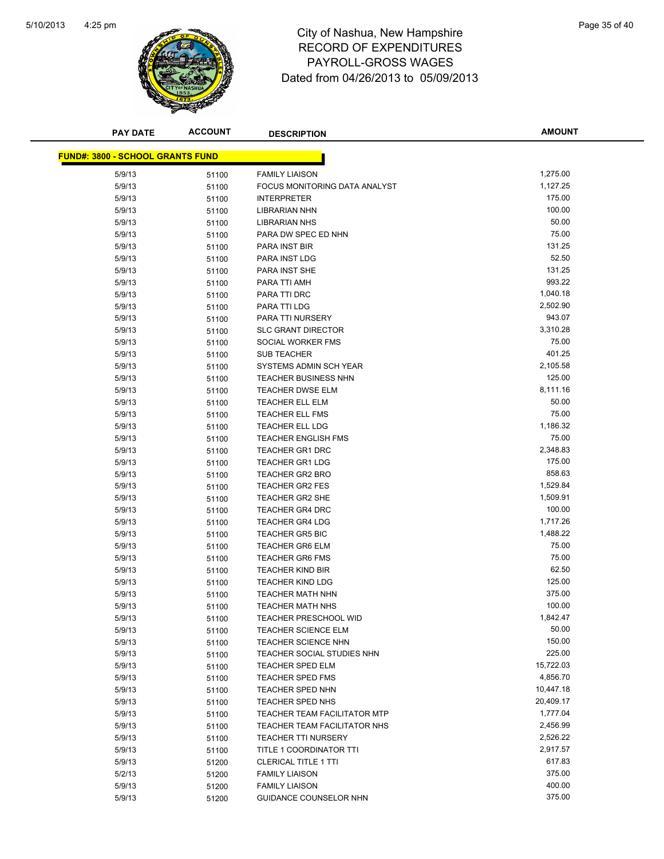

# 4:25 pm<br> **City of Nashua, New Hampshire** Page 35 of 40 RECORD OF EXPENDITURES PAYROLL-GROSS WAGES Dated from 04/26/2013 to 05/09/2013

| <b>PAY DATE</b>                         | <b>ACCOUNT</b> | <b>DESCRIPTION</b>                               | <b>AMOUNT</b>        |
|-----------------------------------------|----------------|--------------------------------------------------|----------------------|
|                                         |                |                                                  |                      |
| <b>FUND#: 3800 - SCHOOL GRANTS FUND</b> |                |                                                  |                      |
| 5/9/13                                  | 51100          | <b>FAMILY LIAISON</b>                            | 1,275.00             |
| 5/9/13                                  | 51100          | FOCUS MONITORING DATA ANALYST                    | 1,127.25             |
| 5/9/13                                  | 51100          | <b>INTERPRETER</b>                               | 175.00               |
| 5/9/13                                  | 51100          | <b>LIBRARIAN NHN</b>                             | 100.00               |
| 5/9/13                                  | 51100          | <b>LIBRARIAN NHS</b>                             | 50.00                |
| 5/9/13                                  | 51100          | PARA DW SPEC ED NHN                              | 75.00                |
| 5/9/13                                  | 51100          | PARA INST BIR                                    | 131.25               |
| 5/9/13                                  | 51100          | PARA INST LDG                                    | 52.50                |
| 5/9/13                                  | 51100          | <b>PARA INST SHE</b>                             | 131.25               |
| 5/9/13                                  | 51100          | PARA TTI AMH                                     | 993.22               |
| 5/9/13                                  | 51100          | PARA TTI DRC                                     | 1,040.18             |
| 5/9/13                                  | 51100          | PARA TTI LDG                                     | 2,502.90             |
| 5/9/13                                  | 51100          | PARA TTI NURSERY                                 | 943.07               |
| 5/9/13                                  | 51100          | <b>SLC GRANT DIRECTOR</b>                        | 3,310.28             |
| 5/9/13                                  | 51100          | SOCIAL WORKER FMS                                | 75.00                |
| 5/9/13                                  | 51100          | <b>SUB TEACHER</b>                               | 401.25               |
| 5/9/13                                  | 51100          | SYSTEMS ADMIN SCH YEAR                           | 2,105.58             |
| 5/9/13                                  | 51100          | <b>TEACHER BUSINESS NHN</b>                      | 125.00               |
| 5/9/13                                  | 51100          | <b>TEACHER DWSE ELM</b>                          | 8,111.16             |
| 5/9/13                                  | 51100          | TEACHER ELL ELM                                  | 50.00                |
| 5/9/13                                  | 51100          | <b>TEACHER ELL FMS</b>                           | 75.00                |
| 5/9/13                                  | 51100          | <b>TEACHER ELL LDG</b>                           | 1,186.32             |
| 5/9/13                                  | 51100          | <b>TEACHER ENGLISH FMS</b>                       | 75.00                |
| 5/9/13                                  | 51100          | <b>TEACHER GR1 DRC</b>                           | 2,348.83             |
| 5/9/13                                  | 51100          | <b>TEACHER GR1 LDG</b>                           | 175.00<br>858.63     |
| 5/9/13                                  | 51100          | <b>TEACHER GR2 BRO</b>                           |                      |
| 5/9/13<br>5/9/13                        | 51100          | <b>TEACHER GR2 FES</b>                           | 1,529.84<br>1,509.91 |
| 5/9/13                                  | 51100          | <b>TEACHER GR2 SHE</b><br><b>TEACHER GR4 DRC</b> | 100.00               |
| 5/9/13                                  | 51100<br>51100 | <b>TEACHER GR4 LDG</b>                           | 1,717.26             |
| 5/9/13                                  | 51100          | <b>TEACHER GR5 BIC</b>                           | 1,488.22             |
| 5/9/13                                  | 51100          | TEACHER GR6 ELM                                  | 75.00                |
| 5/9/13                                  | 51100          | <b>TEACHER GR6 FMS</b>                           | 75.00                |
| 5/9/13                                  | 51100          | <b>TEACHER KIND BIR</b>                          | 62.50                |
| 5/9/13                                  | 51100          | <b>TEACHER KIND LDG</b>                          | 125.00               |
| 5/9/13                                  | 51100          | <b>TEACHER MATH NHN</b>                          | 375.00               |
| 5/9/13                                  | 51100          | <b>TEACHER MATH NHS</b>                          | 100.00               |
| 5/9/13                                  | 51100          | <b>TEACHER PRESCHOOL WID</b>                     | 1,842.47             |
| 5/9/13                                  | 51100          | <b>TEACHER SCIENCE ELM</b>                       | 50.00                |
| 5/9/13                                  | 51100          | TEACHER SCIENCE NHN                              | 150.00               |
| 5/9/13                                  | 51100          | TEACHER SOCIAL STUDIES NHN                       | 225.00               |
| 5/9/13                                  | 51100          | TEACHER SPED ELM                                 | 15,722.03            |
| 5/9/13                                  | 51100          | <b>TEACHER SPED FMS</b>                          | 4,856.70             |
| 5/9/13                                  | 51100          | <b>TEACHER SPED NHN</b>                          | 10,447.18            |
| 5/9/13                                  | 51100          | TEACHER SPED NHS                                 | 20,409.17            |
| 5/9/13                                  | 51100          | <b>TEACHER TEAM FACILITATOR MTP</b>              | 1,777.04             |
| 5/9/13                                  | 51100          | TEACHER TEAM FACILITATOR NHS                     | 2,456.99             |
| 5/9/13                                  | 51100          | <b>TEACHER TTI NURSERY</b>                       | 2,526.22             |
| 5/9/13                                  | 51100          | TITLE 1 COORDINATOR TTI                          | 2,917.57             |
| 5/9/13                                  | 51200          | <b>CLERICAL TITLE 1 TTI</b>                      | 617.83               |
| 5/2/13                                  | 51200          | <b>FAMILY LIAISON</b>                            | 375.00               |
| 5/9/13                                  | 51200          | <b>FAMILY LIAISON</b>                            | 400.00               |
| 5/9/13                                  | 51200          | GUIDANCE COUNSELOR NHN                           | 375.00               |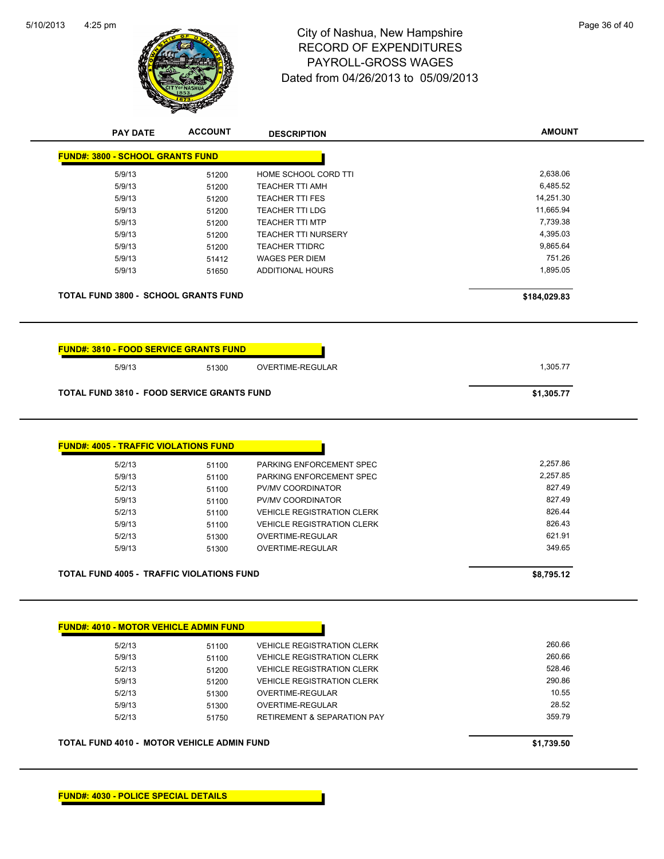

# 4:25 pm<br> **City of Nashua, New Hampshire** Page 36 of 40 RECORD OF EXPENDITURES PAYROLL-GROSS WAGES Dated from 04/26/2013 to 05/09/2013

| <b>FUND#: 3800 - SCHOOL GRANTS FUND</b>                                                                                                           |                                           |                                                                                                                                     |                                                    |
|---------------------------------------------------------------------------------------------------------------------------------------------------|-------------------------------------------|-------------------------------------------------------------------------------------------------------------------------------------|----------------------------------------------------|
| 5/9/13                                                                                                                                            | 51200                                     | HOME SCHOOL CORD TTI                                                                                                                | 2,638.06                                           |
| 5/9/13                                                                                                                                            | 51200                                     | <b>TEACHER TTI AMH</b>                                                                                                              | 6,485.52                                           |
| 5/9/13                                                                                                                                            | 51200                                     | <b>TEACHER TTI FES</b>                                                                                                              | 14,251.30                                          |
| 5/9/13                                                                                                                                            | 51200                                     | <b>TEACHER TTI LDG</b>                                                                                                              | 11,665.94                                          |
| 5/9/13                                                                                                                                            | 51200                                     | <b>TEACHER TTI MTP</b>                                                                                                              | 7,739.38                                           |
| 5/9/13                                                                                                                                            | 51200                                     | <b>TEACHER TTI NURSERY</b>                                                                                                          | 4,395.03                                           |
| 5/9/13                                                                                                                                            | 51200                                     | <b>TEACHER TTIDRC</b>                                                                                                               | 9,865.64                                           |
| 5/9/13                                                                                                                                            | 51412                                     | <b>WAGES PER DIEM</b>                                                                                                               | 751.26                                             |
| 5/9/13                                                                                                                                            | 51650                                     | <b>ADDITIONAL HOURS</b>                                                                                                             | 1,895.05                                           |
| <b>TOTAL FUND 3800 - SCHOOL GRANTS FUND</b>                                                                                                       |                                           |                                                                                                                                     | \$184,029.83                                       |
| <b>FUND#: 3810 - FOOD SERVICE GRANTS FUND</b>                                                                                                     |                                           |                                                                                                                                     |                                                    |
| 5/9/13                                                                                                                                            | 51300                                     | <b>OVERTIME-REGULAR</b>                                                                                                             | 1,305.77                                           |
| <b>TOTAL FUND 3810 - FOOD SERVICE GRANTS FUND</b>                                                                                                 |                                           |                                                                                                                                     | \$1,305.77                                         |
|                                                                                                                                                   |                                           |                                                                                                                                     |                                                    |
| 5/2/13<br>5/9/13<br>5/2/13<br>5/9/13<br>5/2/13                                                                                                    | 51100<br>51100<br>51100<br>51100<br>51100 | PARKING ENFORCEMENT SPEC<br>PARKING ENFORCEMENT SPEC<br>PV/MV COORDINATOR<br>PV/MV COORDINATOR<br><b>VEHICLE REGISTRATION CLERK</b> | 2,257.86<br>2,257.85<br>827.49<br>827.49<br>826.44 |
| 5/9/13                                                                                                                                            | 51100                                     | <b>VEHICLE REGISTRATION CLERK</b>                                                                                                   | 826.43                                             |
| 5/2/13                                                                                                                                            | 51300                                     | OVERTIME-REGULAR                                                                                                                    | 621.91                                             |
| 5/9/13                                                                                                                                            | 51300                                     | OVERTIME-REGULAR                                                                                                                    | 349.65                                             |
|                                                                                                                                                   |                                           |                                                                                                                                     | \$8,795.12                                         |
| <b>FUND#: 4005 - TRAFFIC VIOLATIONS FUND</b><br><b>TOTAL FUND 4005 - TRAFFIC VIOLATIONS FUND</b><br><b>FUND#: 4010 - MOTOR VEHICLE ADMIN FUND</b> |                                           |                                                                                                                                     |                                                    |
| 5/2/13                                                                                                                                            | 51100                                     | <b>VEHICLE REGISTRATION CLERK</b>                                                                                                   | 260.66                                             |
| 5/9/13                                                                                                                                            | 51100                                     | VEHICLE REGISTRATION CLERK                                                                                                          | 260.66                                             |
| 5/2/13                                                                                                                                            | 51200                                     | <b>VEHICLE REGISTRATION CLERK</b>                                                                                                   | 528.46                                             |
| 5/9/13                                                                                                                                            | 51200                                     | <b>VEHICLE REGISTRATION CLERK</b>                                                                                                   | 290.86                                             |
| 5/2/13                                                                                                                                            | 51300                                     | OVERTIME-REGULAR                                                                                                                    | 10.55                                              |
| 5/9/13                                                                                                                                            |                                           | OVERTIME-REGULAR                                                                                                                    | 28.52                                              |
| 5/2/13                                                                                                                                            | 51300<br>51750                            | <b>RETIREMENT &amp; SEPARATION PAY</b>                                                                                              | 359.79                                             |

**FUND#: 4030 - POLICE SPECIAL DETAILS**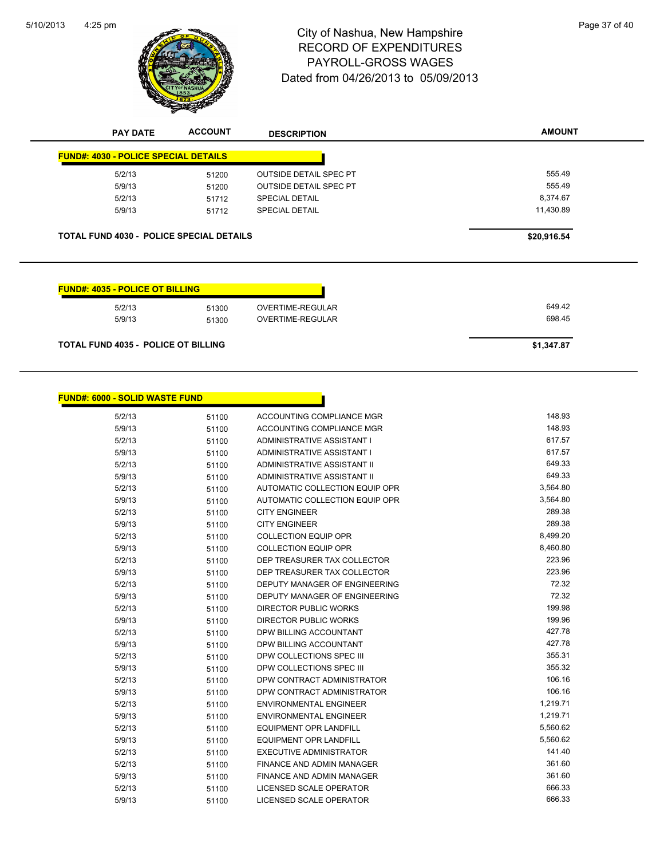

# 4:25 pm<br> **City of Nashua, New Hampshire** Page 37 of 40 RECORD OF EXPENDITURES PAYROLL-GROSS WAGES Dated from 04/26/2013 to 05/09/2013

| <b>PAY DATE</b>                                 | <b>ACCOUNT</b> | <b>DESCRIPTION</b>            | <b>AMOUNT</b> |
|-------------------------------------------------|----------------|-------------------------------|---------------|
| <b>FUND#: 4030 - POLICE SPECIAL DETAILS</b>     |                |                               |               |
| 5/2/13                                          | 51200          | <b>OUTSIDE DETAIL SPEC PT</b> | 555.49        |
| 5/9/13                                          | 51200          | <b>OUTSIDE DETAIL SPEC PT</b> | 555.49        |
| 5/2/13                                          | 51712          | <b>SPECIAL DETAIL</b>         | 8,374.67      |
| 5/9/13                                          | 51712          | <b>SPECIAL DETAIL</b>         | 11,430.89     |
| <b>TOTAL FUND 4030 - POLICE SPECIAL DETAILS</b> |                |                               | \$20,916.54   |
|                                                 |                |                               |               |
| <b>FUND#: 4035 - POLICE OT BILLING</b>          |                |                               |               |
| 5/2/13                                          | 51300          | <b>OVERTIME-REGULAR</b>       | 649.42        |
| 5/9/13                                          | 51300          | OVERTIME-REGULAR              | 698.45        |
|                                                 |                |                               |               |

| <b>FUND#: 6000 - SOLID WASTE FUND</b> |       |                                    |          |
|---------------------------------------|-------|------------------------------------|----------|
| 5/2/13                                | 51100 | ACCOUNTING COMPLIANCE MGR          | 148.93   |
| 5/9/13                                | 51100 | ACCOUNTING COMPLIANCE MGR          | 148.93   |
| 5/2/13                                | 51100 | ADMINISTRATIVE ASSISTANT I         | 617.57   |
| 5/9/13                                | 51100 | ADMINISTRATIVE ASSISTANT I         | 617.57   |
| 5/2/13                                | 51100 | <b>ADMINISTRATIVE ASSISTANT II</b> | 649.33   |
| 5/9/13                                | 51100 | ADMINISTRATIVE ASSISTANT II        | 649.33   |
| 5/2/13                                | 51100 | AUTOMATIC COLLECTION EQUIP OPR     | 3,564.80 |
| 5/9/13                                | 51100 | AUTOMATIC COLLECTION EQUIP OPR     | 3,564.80 |
| 5/2/13                                | 51100 | <b>CITY ENGINEER</b>               | 289.38   |
| 5/9/13                                | 51100 | <b>CITY ENGINEER</b>               | 289.38   |
| 5/2/13                                | 51100 | <b>COLLECTION EQUIP OPR</b>        | 8,499.20 |
| 5/9/13                                | 51100 | <b>COLLECTION EQUIP OPR</b>        | 8,460.80 |
| 5/2/13                                | 51100 | DEP TREASURER TAX COLLECTOR        | 223.96   |
| 5/9/13                                | 51100 | DEP TREASURER TAX COLLECTOR        | 223.96   |
| 5/2/13                                | 51100 | DEPUTY MANAGER OF ENGINEERING      | 72.32    |
| 5/9/13                                | 51100 | DEPUTY MANAGER OF ENGINEERING      | 72.32    |
| 5/2/13                                | 51100 | <b>DIRECTOR PUBLIC WORKS</b>       | 199.98   |
| 5/9/13                                | 51100 | DIRECTOR PUBLIC WORKS              | 199.96   |
| 5/2/13                                | 51100 | DPW BILLING ACCOUNTANT             | 427.78   |
| 5/9/13                                | 51100 | DPW BILLING ACCOUNTANT             | 427.78   |
| 5/2/13                                | 51100 | DPW COLLECTIONS SPEC III           | 355.31   |
| 5/9/13                                | 51100 | DPW COLLECTIONS SPEC III           | 355.32   |
| 5/2/13                                | 51100 | DPW CONTRACT ADMINISTRATOR         | 106.16   |
| 5/9/13                                | 51100 | DPW CONTRACT ADMINISTRATOR         | 106.16   |
| 5/2/13                                | 51100 | <b>ENVIRONMENTAL ENGINEER</b>      | 1,219.71 |
| 5/9/13                                | 51100 | <b>ENVIRONMENTAL ENGINEER</b>      | 1,219.71 |
| 5/2/13                                | 51100 | <b>EQUIPMENT OPR LANDFILL</b>      | 5,560.62 |
| 5/9/13                                | 51100 | <b>EQUIPMENT OPR LANDFILL</b>      | 5,560.62 |
| 5/2/13                                | 51100 | <b>EXECUTIVE ADMINISTRATOR</b>     | 141.40   |
| 5/2/13                                | 51100 | <b>FINANCE AND ADMIN MANAGER</b>   | 361.60   |
| 5/9/13                                | 51100 | FINANCE AND ADMIN MANAGER          | 361.60   |
| 5/2/13                                | 51100 | LICENSED SCALE OPERATOR            | 666.33   |
| 5/9/13                                | 51100 | <b>LICENSED SCALE OPERATOR</b>     | 666.33   |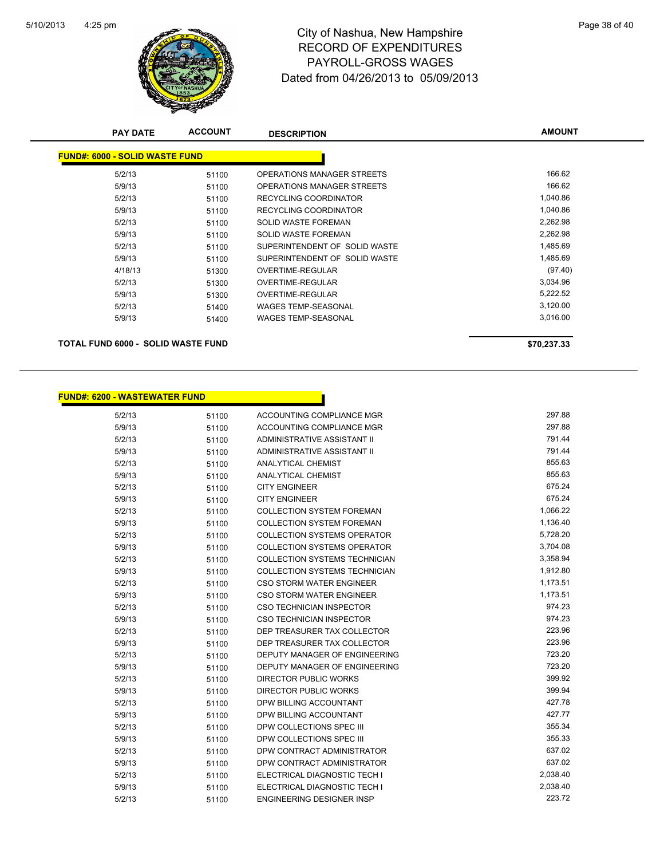

# 4:25 pm<br> **City of Nashua, New Hampshire** Page 38 of 40 RECORD OF EXPENDITURES PAYROLL-GROSS WAGES Dated from 04/26/2013 to 05/09/2013

| <b>PAY DATE</b>                       | <b>ACCOUNT</b> | <b>DESCRIPTION</b>                | <b>AMOUNT</b> |
|---------------------------------------|----------------|-----------------------------------|---------------|
| <b>FUND#: 6000 - SOLID WASTE FUND</b> |                |                                   |               |
| 5/2/13                                | 51100          | <b>OPERATIONS MANAGER STREETS</b> | 166.62        |
| 5/9/13                                | 51100          | OPERATIONS MANAGER STREETS        | 166.62        |
| 5/2/13                                | 51100          | <b>RECYCLING COORDINATOR</b>      | 1,040.86      |
| 5/9/13                                | 51100          | <b>RECYCLING COORDINATOR</b>      | 1,040.86      |
| 5/2/13                                | 51100          | <b>SOLID WASTE FOREMAN</b>        | 2,262.98      |
| 5/9/13                                | 51100          | <b>SOLID WASTE FOREMAN</b>        | 2,262.98      |
| 5/2/13                                | 51100          | SUPERINTENDENT OF SOLID WASTE     | 1,485.69      |
| 5/9/13                                | 51100          | SUPERINTENDENT OF SOLID WASTE     | 1,485.69      |
| 4/18/13                               | 51300          | OVERTIME-REGULAR                  | (97.40)       |
| 5/2/13                                | 51300          | OVERTIME-REGULAR                  | 3,034.96      |
| 5/9/13                                | 51300          | <b>OVERTIME-REGULAR</b>           | 5,222.52      |
| 5/2/13                                | 51400          | <b>WAGES TEMP-SEASONAL</b>        | 3,120.00      |
| 5/9/13                                | 51400          | <b>WAGES TEMP-SEASONAL</b>        | 3,016.00      |
| TOTAL FUND 6000 - SOLID WASTE FUND    |                |                                   | \$70,237.33   |

h

|  | FUND#: 6200 - WASTEWATER FUND. |  |
|--|--------------------------------|--|
|--|--------------------------------|--|

| 5/2/13 | 51100 | ACCOUNTING COMPLIANCE MGR          | 297.88   |
|--------|-------|------------------------------------|----------|
| 5/9/13 | 51100 | <b>ACCOUNTING COMPLIANCE MGR</b>   | 297.88   |
| 5/2/13 | 51100 | ADMINISTRATIVE ASSISTANT II        | 791.44   |
| 5/9/13 | 51100 | ADMINISTRATIVE ASSISTANT II        | 791.44   |
| 5/2/13 | 51100 | <b>ANALYTICAL CHEMIST</b>          | 855.63   |
| 5/9/13 | 51100 | <b>ANALYTICAL CHEMIST</b>          | 855.63   |
| 5/2/13 | 51100 | <b>CITY ENGINEER</b>               | 675.24   |
| 5/9/13 | 51100 | <b>CITY ENGINEER</b>               | 675.24   |
| 5/2/13 | 51100 | <b>COLLECTION SYSTEM FOREMAN</b>   | 1,066.22 |
| 5/9/13 | 51100 | <b>COLLECTION SYSTEM FOREMAN</b>   | 1,136.40 |
| 5/2/13 | 51100 | <b>COLLECTION SYSTEMS OPERATOR</b> | 5,728.20 |
| 5/9/13 | 51100 | <b>COLLECTION SYSTEMS OPERATOR</b> | 3,704.08 |
| 5/2/13 | 51100 | COLLECTION SYSTEMS TECHNICIAN      | 3,358.94 |
| 5/9/13 | 51100 | COLLECTION SYSTEMS TECHNICIAN      | 1,912.80 |
| 5/2/13 | 51100 | CSO STORM WATER ENGINEER           | 1,173.51 |
| 5/9/13 | 51100 | <b>CSO STORM WATER ENGINEER</b>    | 1,173.51 |
| 5/2/13 | 51100 | <b>CSO TECHNICIAN INSPECTOR</b>    | 974.23   |
| 5/9/13 | 51100 | <b>CSO TECHNICIAN INSPECTOR</b>    | 974.23   |
| 5/2/13 | 51100 | DEP TREASURER TAX COLLECTOR        | 223.96   |
| 5/9/13 | 51100 | DEP TREASURER TAX COLLECTOR        | 223.96   |
| 5/2/13 | 51100 | DEPUTY MANAGER OF ENGINEERING      | 723.20   |
| 5/9/13 | 51100 | DEPUTY MANAGER OF ENGINEERING      | 723.20   |
| 5/2/13 | 51100 | <b>DIRECTOR PUBLIC WORKS</b>       | 399.92   |
| 5/9/13 | 51100 | <b>DIRECTOR PUBLIC WORKS</b>       | 399.94   |
| 5/2/13 | 51100 | DPW BILLING ACCOUNTANT             | 427.78   |
| 5/9/13 | 51100 | DPW BILLING ACCOUNTANT             | 427.77   |
| 5/2/13 | 51100 | DPW COLLECTIONS SPEC III           | 355.34   |
| 5/9/13 | 51100 | DPW COLLECTIONS SPEC III           | 355.33   |
| 5/2/13 | 51100 | DPW CONTRACT ADMINISTRATOR         | 637.02   |
| 5/9/13 | 51100 | DPW CONTRACT ADMINISTRATOR         | 637.02   |
| 5/2/13 | 51100 | ELECTRICAL DIAGNOSTIC TECH I       | 2,038.40 |
| 5/9/13 | 51100 | ELECTRICAL DIAGNOSTIC TECH I       | 2,038.40 |
| 5/2/13 | 51100 | <b>ENGINEERING DESIGNER INSP</b>   | 223.72   |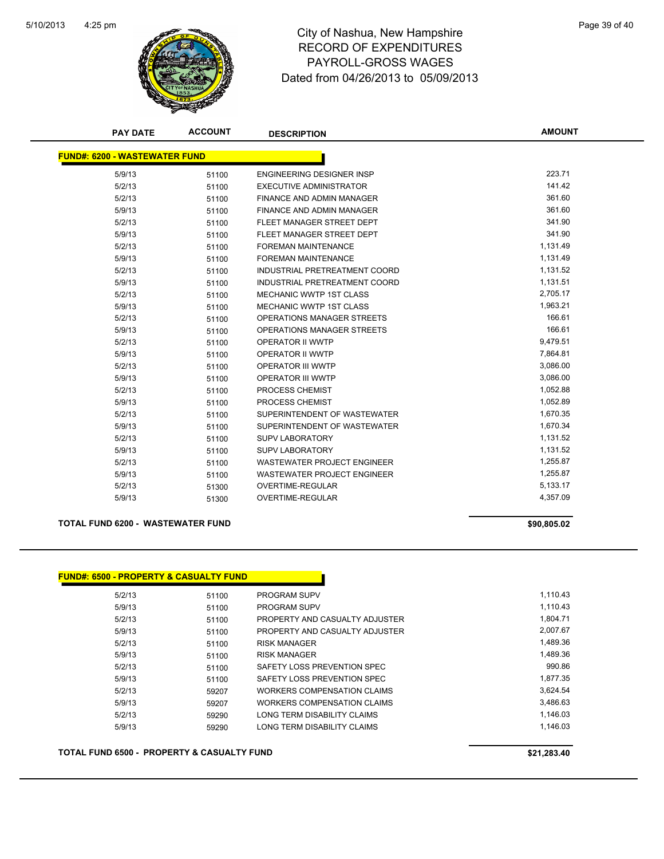

# 4:25 pm<br> **City of Nashua, New Hampshire** Page 39 of 40 RECORD OF EXPENDITURES PAYROLL-GROSS WAGES Dated from 04/26/2013 to 05/09/2013

| <b>PAY DATE</b>                      | <b>ACCOUNT</b> | <b>DESCRIPTION</b>                 | <b>AMOUNT</b> |
|--------------------------------------|----------------|------------------------------------|---------------|
| <b>FUND#: 6200 - WASTEWATER FUND</b> |                |                                    |               |
| 5/9/13                               | 51100          | <b>ENGINEERING DESIGNER INSP</b>   | 223.71        |
| 5/2/13                               | 51100          | <b>EXECUTIVE ADMINISTRATOR</b>     | 141.42        |
| 5/2/13                               | 51100          | FINANCE AND ADMIN MANAGER          | 361.60        |
| 5/9/13                               | 51100          | FINANCE AND ADMIN MANAGER          | 361.60        |
| 5/2/13                               | 51100          | FLEET MANAGER STREET DEPT          | 341.90        |
| 5/9/13                               | 51100          | FLEET MANAGER STREET DEPT          | 341.90        |
| 5/2/13                               | 51100          | <b>FOREMAN MAINTENANCE</b>         | 1,131.49      |
| 5/9/13                               | 51100          | <b>FOREMAN MAINTENANCE</b>         | 1,131.49      |
| 5/2/13                               | 51100          | INDUSTRIAL PRETREATMENT COORD      | 1,131.52      |
| 5/9/13                               | 51100          | INDUSTRIAL PRETREATMENT COORD      | 1,131.51      |
| 5/2/13                               | 51100          | MECHANIC WWTP 1ST CLASS            | 2,705.17      |
| 5/9/13                               | 51100          | <b>MECHANIC WWTP 1ST CLASS</b>     | 1,963.21      |
| 5/2/13                               | 51100          | OPERATIONS MANAGER STREETS         | 166.61        |
| 5/9/13                               | 51100          | OPERATIONS MANAGER STREETS         | 166.61        |
| 5/2/13                               | 51100          | OPERATOR II WWTP                   | 9,479.51      |
| 5/9/13                               | 51100          | OPERATOR II WWTP                   | 7,864.81      |
| 5/2/13                               | 51100          | <b>OPERATOR III WWTP</b>           | 3,086.00      |
| 5/9/13                               | 51100          | <b>OPERATOR III WWTP</b>           | 3,086.00      |
| 5/2/13                               | 51100          | PROCESS CHEMIST                    | 1,052.88      |
| 5/9/13                               | 51100          | PROCESS CHEMIST                    | 1,052.89      |
| 5/2/13                               | 51100          | SUPERINTENDENT OF WASTEWATER       | 1,670.35      |
| 5/9/13                               | 51100          | SUPERINTENDENT OF WASTEWATER       | 1,670.34      |
| 5/2/13                               | 51100          | <b>SUPV LABORATORY</b>             | 1,131.52      |
| 5/9/13                               | 51100          | <b>SUPV LABORATORY</b>             | 1,131.52      |
| 5/2/13                               | 51100          | <b>WASTEWATER PROJECT ENGINEER</b> | 1,255.87      |
| 5/9/13                               | 51100          | <b>WASTEWATER PROJECT ENGINEER</b> | 1,255.87      |
| 5/2/13                               | 51300          | <b>OVERTIME-REGULAR</b>            | 5,133.17      |
| 5/9/13                               | 51300          | <b>OVERTIME-REGULAR</b>            | 4,357.09      |
|                                      |                |                                    |               |

### **TOTAL FUND 6200 - WASTEWATER FUND \$90,805.02**

| FUND#: 6500 - PROPERTY & CASUALTY FUND_ |       |                                    |          |
|-----------------------------------------|-------|------------------------------------|----------|
| 5/2/13                                  | 51100 | <b>PROGRAM SUPV</b>                | 1,110.43 |
| 5/9/13                                  | 51100 | PROGRAM SUPV                       | 1,110.43 |
| 5/2/13                                  | 51100 | PROPERTY AND CASUALTY ADJUSTER     | 1.804.71 |
| 5/9/13                                  | 51100 | PROPERTY AND CASUALTY ADJUSTER     | 2,007.67 |
| 5/2/13                                  | 51100 | <b>RISK MANAGER</b>                | 1.489.36 |
| 5/9/13                                  | 51100 | <b>RISK MANAGER</b>                | 1,489.36 |
| 5/2/13                                  | 51100 | SAFETY LOSS PREVENTION SPEC        | 990.86   |
| 5/9/13                                  | 51100 | SAFETY LOSS PREVENTION SPEC        | 1,877.35 |
| 5/2/13                                  | 59207 | <b>WORKERS COMPENSATION CLAIMS</b> | 3.624.54 |
| 5/9/13                                  | 59207 | WORKERS COMPENSATION CLAIMS        | 3,486.63 |
| 5/2/13                                  | 59290 | LONG TERM DISABILITY CLAIMS        | 1,146.03 |
| 5/9/13                                  | 59290 | LONG TERM DISABILITY CLAIMS        | 1,146.03 |

**TOTAL FUND 6500 - PROPERTY & CASUALTY FUND \$21,283.40**